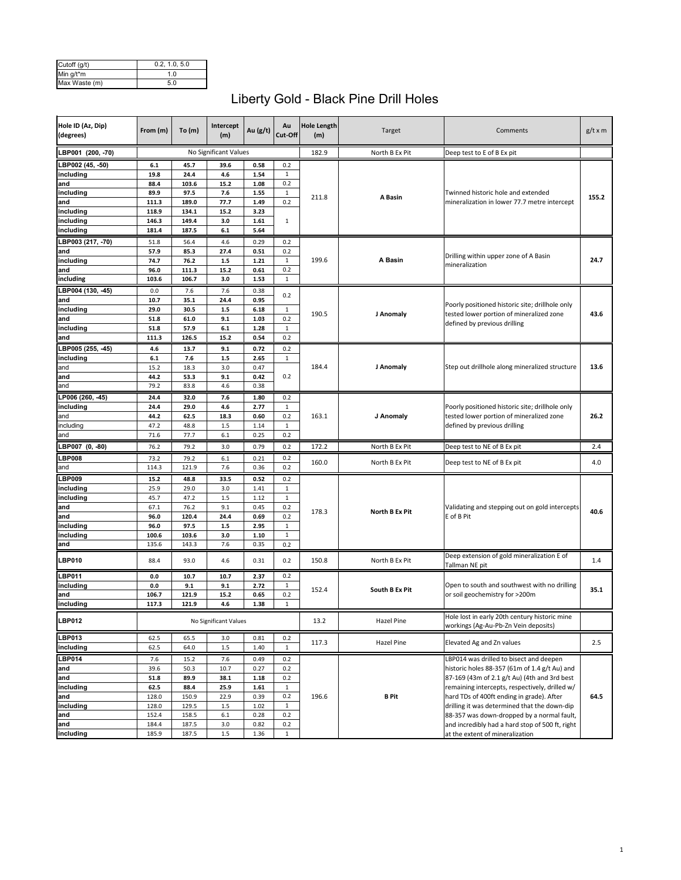| Cutoff (g/t)  | 0.2. 1.0. 5.0 |
|---------------|---------------|
| Min g/t*m     | 1 በ           |
| Max Waste (m) | 5.0           |

## Liberty Gold - Black Pine Drill Holes

| Hole ID (Az, Dip)<br>(degrees) | From (m)       | To(m)          | Intercept<br>(m)      | Au $(g/t)$   | Au<br>Cut-Off       | <b>Hole Length</b><br>(m) | Target                | Comments                                                                                      | $g/t \times m$ |
|--------------------------------|----------------|----------------|-----------------------|--------------|---------------------|---------------------------|-----------------------|-----------------------------------------------------------------------------------------------|----------------|
| LBP001 (200, -70)              |                |                | No Significant Values |              |                     | 182.9                     | North B Ex Pit        | Deep test to E of B Ex pit                                                                    |                |
| LBP002 (45, -50)               | 6.1            | 45.7           | 39.6                  | 0.58         | 0.2                 |                           |                       |                                                                                               |                |
| including                      | 19.8           | 24.4           | 4.6                   | 1.54         | $\mathbf{1}$        |                           |                       |                                                                                               |                |
| and                            | 88.4           | 103.6          | 15.2                  | 1.08         | 0.2                 |                           |                       |                                                                                               |                |
| including                      | 89.9           | 97.5           | 7.6                   | 1.55         | $\mathbf{1}$        | 211.8                     | A Basin               | Twinned historic hole and extended                                                            | 155.2          |
| and<br>including               | 111.3<br>118.9 | 189.0<br>134.1 | 77.7<br>15.2          | 1.49<br>3.23 | 0.2                 |                           |                       | mineralization in lower 77.7 metre intercept                                                  |                |
| including                      | 146.3          | 149.4          | 3.0                   | 1.61         | 1                   |                           |                       |                                                                                               |                |
| including                      | 181.4          | 187.5          | 6.1                   | 5.64         |                     |                           |                       |                                                                                               |                |
| LBP003 (217, -70)              | 51.8           | 56.4           | 4.6                   | 0.29         | 0.2                 |                           |                       |                                                                                               |                |
| and                            | 57.9           | 85.3           | 27.4                  | 0.51         | 0.2                 |                           |                       |                                                                                               |                |
| including                      | 74.7           | 76.2           | 1.5                   | 1.21         | 1                   | 199.6                     | A Basin               | Drilling within upper zone of A Basin                                                         | 24.7           |
| and                            | 96.0           | 111.3          | 15.2                  | 0.61         | 0.2                 |                           |                       | mineralization                                                                                |                |
| including                      | 103.6          | 106.7          | 3.0                   | 1.53         | $\mathbf{1}$        |                           |                       |                                                                                               |                |
| LBP004 (130, 45)               | 0.0            | 7.6            | 7.6                   | 0.38         |                     |                           |                       |                                                                                               |                |
| and                            | 10.7           | 35.1           | 24.4                  | 0.95         | 0.2                 |                           |                       |                                                                                               |                |
| including                      | 29.0           | 30.5           | $1.5$                 | 6.18         | $\mathbf 1$         | 190.5                     | J Anomaly             | Poorly positioned historic site; drillhole only<br>tested lower portion of mineralized zone   | 43.6           |
| and                            | 51.8           | 61.0           | 9.1                   | 1.03         | 0.2                 |                           |                       | defined by previous drilling                                                                  |                |
| including                      | 51.8           | 57.9           | $6.1\,$               | 1.28         | 1                   |                           |                       |                                                                                               |                |
| and                            | 111.3          | 126.5          | 15.2                  | 0.54         | 0.2                 |                           |                       |                                                                                               |                |
| LBP005 (255, 45)               | 4.6            | 13.7           | 9.1                   | 0.72         | 0.2                 |                           |                       |                                                                                               |                |
| including                      | $6.1\,$        | $7.6\,$        | $1.5\,$               | 2.65         | $\mathbf{1}$        |                           |                       |                                                                                               |                |
| and                            | 15.2           | 18.3           | 3.0                   | 0.47         |                     | 184.4                     | J Anomaly             | Step out drillhole along mineralized structure                                                | 13.6           |
| and                            | 44.2           | 53.3           | 9.1                   | 0.42         | 0.2                 |                           |                       |                                                                                               |                |
| and                            | 79.2           | 83.8           | 4.6                   | 0.38         |                     |                           |                       |                                                                                               |                |
| LP006 (260, -45)               | 24.4           | 32.0           | 7.6                   | 1.80         | 0.2                 |                           |                       |                                                                                               |                |
| including                      | 24.4           | 29.0           | 4.6                   | 2.77         | 1                   |                           |                       | Poorly positioned historic site; drillhole only                                               |                |
| and<br>including               | 44.2<br>47.2   | 62.5<br>48.8   | 18.3<br>1.5           | 0.60<br>1.14 | 0.2<br>$\mathbf{1}$ | 163.1                     | J Anomaly             | tested lower portion of mineralized zone<br>defined by previous drilling                      | 26.2           |
| and                            | 71.6           | 77.7           | 6.1                   | 0.25         | 0.2                 |                           |                       |                                                                                               |                |
|                                |                |                |                       |              |                     |                           |                       |                                                                                               |                |
| LBP007 (0, -80)                | 76.2           | 79.2           | 3.0                   | 0.79         | 0.2                 | 172.2                     | North B Ex Pit        | Deep test to NE of B Ex pit                                                                   | 2.4            |
| <b>LBP008</b>                  | 73.2           | 79.2           | 6.1                   | 0.21         | 0.2                 | 160.0                     | North B Ex Pit        | Deep test to NE of B Ex pit                                                                   | 4.0            |
| and                            | 114.3          | 121.9          | 7.6                   | 0.36         | 0.2                 |                           |                       |                                                                                               |                |
| <b>BP009</b>                   | 15.2           | 48.8           | 33.5                  | 0.52         | 0.2                 |                           |                       |                                                                                               |                |
| including                      | 25.9           | 29.0           | 3.0                   | 1.41         | 1                   |                           |                       |                                                                                               |                |
| including<br>and               | 45.7<br>67.1   | 47.2<br>76.2   | 1.5<br>9.1            | 1.12<br>0.45 | $\mathbf{1}$<br>0.2 |                           |                       | Validating and stepping out on gold intercepts                                                |                |
| and                            | 96.0           | 120.4          | 24.4                  | 0.69         | 0.2                 | 178.3                     | <b>North B Ex Pit</b> | E of B Pit                                                                                    | 40.6           |
| including                      | 96.0           | 97.5           | $1.5$                 | 2.95         | $\mathbf{1}$        |                           |                       |                                                                                               |                |
| including                      | 100.6          | 103.6          | 3.0                   | 1.10         | 1                   |                           |                       |                                                                                               |                |
| and                            | 135.6          | 143.3          | 7.6                   | 0.35         | 0.2                 |                           |                       |                                                                                               |                |
| <b>LBP010</b>                  | 88.4           | 93.0           | 4.6                   | 0.31         | 0.2                 | 150.8                     | North B Ex Pit        | Deep extension of gold mineralization E of<br>Tallman NE pit                                  | 1.4            |
| <b>LBP011</b>                  | 0.0            | 10.7           | 10.7                  | 2.37         | 0.2                 |                           |                       |                                                                                               |                |
| including                      | 0.0            | 9.1            | 9.1                   | 2.72         | $\mathbf{1}$        |                           | South B Ex Pit        | Open to south and southwest with no drilling                                                  | 35.1           |
| and                            | 106.7          | 121.9          | 15.2                  | 0.65         | 0.2                 | 152.4                     |                       | or soil geochemistry for >200m                                                                |                |
| including                      | 117.3          | 121.9          | 4.6                   | 1.38         | $\mathbf{1}$        |                           |                       |                                                                                               |                |
| <b>LBP012</b>                  |                |                | No Significant Values |              |                     | 13.2                      | Hazel Pine            | Hole lost in early 20th century historic mine<br>workings (Ag-Au-Pb-Zn Vein deposits)         |                |
| LBP013                         | 62.5           | 65.5           | 3.0                   | 0.81         | 0.2                 | 117.3                     | Hazel Pine            | Elevated Ag and Zn values                                                                     | 2.5            |
| including                      | 62.5           | 64.0           | $1.5\,$               | 1.40         | $1\,$               |                           |                       |                                                                                               |                |
| <b>LBP014</b>                  | 7.6            | 15.2           | 7.6                   | 0.49         | 0.2                 |                           |                       | LBP014 was drilled to bisect and deepen                                                       |                |
| and                            | 39.6           | 50.3           | 10.7                  | 0.27         | 0.2                 |                           |                       | historic holes 88-357 (61m of 1.4 g/t Au) and                                                 |                |
| and                            | 51.8           | 89.9           | 38.1                  | 1.18         | 0.2                 |                           |                       | 87-169 (43m of 2.1 g/t Au) (4th and 3rd best                                                  |                |
| including                      | 62.5           | 88.4           | 25.9                  | 1.61         | $\mathbf 1$         |                           |                       | remaining intercepts, respectively, drilled w/                                                |                |
| and                            | 128.0          | 150.9          | 22.9                  | 0.39         | 0.2                 | 196.6                     | <b>B</b> Pit          | hard TDs of 400ft ending in grade). After                                                     | 64.5           |
| including                      | 128.0          | 129.5          | 1.5                   | 1.02         | $\mathbf{1}$        |                           |                       | drilling it was determined that the down-dip                                                  |                |
| and<br>and                     | 152.4<br>184.4 | 158.5<br>187.5 | 6.1<br>3.0            | 0.28<br>0.82 | 0.2<br>0.2          |                           |                       | 88-357 was down-dropped by a normal fault,<br>and incredibly had a hard stop of 500 ft, right |                |
| including                      | 185.9          | 187.5          | $1.5\,$               | 1.36         | $\mathbf{1}$        |                           |                       | at the extent of mineralization                                                               |                |
|                                |                |                |                       |              |                     |                           |                       |                                                                                               |                |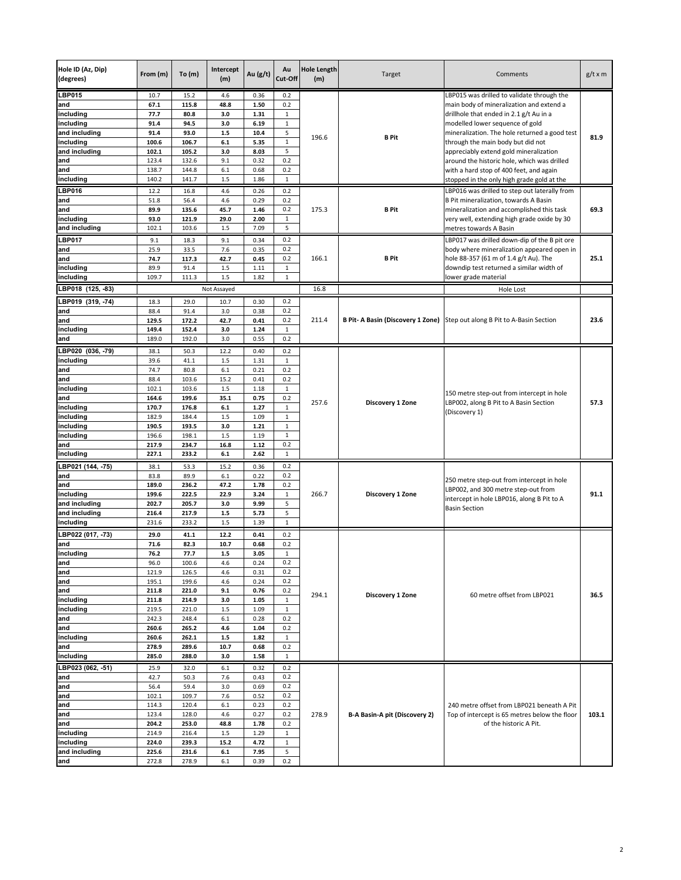| Hole ID (Az, Dip)<br>(degrees)                                                                                                             | From (m)                                                                                                               | To(m)                                                                                                                   | Intercept<br>(m)                                                                                      | Au $(g/t)$                                                                                                   | Au<br>Cut-Off                                                                                                                       | <b>Hole Length</b><br>(m) | Target                        | Comments                                                                                                                                                                                                                                                                                                                                                                                                                                     | $g/t \times m$ |
|--------------------------------------------------------------------------------------------------------------------------------------------|------------------------------------------------------------------------------------------------------------------------|-------------------------------------------------------------------------------------------------------------------------|-------------------------------------------------------------------------------------------------------|--------------------------------------------------------------------------------------------------------------|-------------------------------------------------------------------------------------------------------------------------------------|---------------------------|-------------------------------|----------------------------------------------------------------------------------------------------------------------------------------------------------------------------------------------------------------------------------------------------------------------------------------------------------------------------------------------------------------------------------------------------------------------------------------------|----------------|
| <b>LBP015</b><br>and<br>including<br>includina<br>and including<br>including<br>and including<br>and<br>and<br>including                   | 10.7<br>67.1<br>77.7<br>91.4<br>91.4<br>100.6<br>102.1<br>123.4<br>138.7<br>140.2                                      | 15.2<br>115.8<br>80.8<br>94.5<br>93.0<br>106.7<br>105.2<br>132.6<br>144.8<br>141.7                                      | 4.6<br>48.8<br>3.0<br>3.0<br>1.5<br>6.1<br>3.0<br>9.1<br>6.1<br>1.5                                   | 0.36<br>1.50<br>1.31<br>6.19<br>10.4<br>5.35<br>8.03<br>0.32<br>0.68<br>1.86                                 | 0.2<br>0.2<br>$\mathbf{1}$<br>$\mathbf 1$<br>5<br>$\mathbf 1$<br>5<br>0.2<br>0.2<br>$\,1\,$                                         | 196.6                     | B Pit                         | LBP015 was drilled to validate through the<br>main body of mineralization and extend a<br>drillhole that ended in 2.1 g/t Au in a<br>modelled lower sequence of gold<br>mineralization. The hole returned a good test<br>through the main body but did not<br>appreciably extend gold mineralization<br>around the historic hole, which was drilled<br>with a hard stop of 400 feet, and again<br>stopped in the only high grade gold at the | 81.9           |
| <b>LBP016</b><br>and<br>and<br>including<br>and including                                                                                  | 12.2<br>51.8<br>89.9<br>93.0<br>102.1                                                                                  | 16.8<br>56.4<br>135.6<br>121.9<br>103.6                                                                                 | 4.6<br>4.6<br>45.7<br>29.0<br>1.5                                                                     | 0.26<br>0.29<br>1.46<br>2.00<br>7.09                                                                         | 0.2<br>0.2<br>0.2<br>$\mathbf{1}$<br>5                                                                                              | 175.3                     | <b>B</b> Pit                  | LBP016 was drilled to step out laterally from<br>B Pit mineralization, towards A Basin<br>mineralization and accomplished this task<br>very well, extending high grade oxide by 30<br>metres towards A Basin                                                                                                                                                                                                                                 | 69.3           |
| <b>LBP017</b><br>and<br>and<br>including<br>including                                                                                      | 9.1<br>25.9<br>74.7<br>89.9<br>109.7                                                                                   | 18.3<br>33.5<br>117.3<br>91.4<br>111.3                                                                                  | 9.1<br>7.6<br>42.7<br>$1.5\,$<br>$1.5\,$                                                              | 0.34<br>0.35<br>0.45<br>1.11<br>1.82                                                                         | 0.2<br>0.2<br>0.2<br>$\mathbf 1$<br>$\mathbf 1$                                                                                     | 166.1                     | B Pit                         | LBP017 was drilled down-dip of the B pit ore<br>body where mineralization appeared open in<br>hole 88-357 (61 m of 1.4 g/t Au). The<br>downdip test returned a similar width of<br>lower grade material                                                                                                                                                                                                                                      | 25.1           |
| LBP018 (125, -83)                                                                                                                          |                                                                                                                        |                                                                                                                         | Not Assayed                                                                                           |                                                                                                              |                                                                                                                                     | 16.8                      |                               | Hole Lost                                                                                                                                                                                                                                                                                                                                                                                                                                    |                |
| LBP019 (319, -74)<br>and<br>and<br>including<br>and                                                                                        | 18.3<br>88.4<br>129.5<br>149.4<br>189.0                                                                                | 29.0<br>91.4<br>172.2<br>152.4<br>192.0                                                                                 | 10.7<br>3.0<br>42.7<br>3.0<br>3.0                                                                     | 0.30<br>0.38<br>0.41<br>1.24<br>0.55                                                                         | 0.2<br>0.2<br>0.2<br>$\mathbf{1}$<br>0.2                                                                                            | 211.4                     |                               | B Pit- A Basin (Discovery 1 Zone) Step out along B Pit to A-Basin Section                                                                                                                                                                                                                                                                                                                                                                    | 23.6           |
| LBP020 (036, -79)<br>including<br>and<br>and<br>including<br>and<br>including<br>including<br>including<br>including<br>and<br>including   | 38.1<br>39.6<br>74.7<br>88.4<br>102.1<br>164.6<br>170.7<br>182.9<br>190.5<br>196.6<br>217.9<br>227.1                   | 50.3<br>41.1<br>80.8<br>103.6<br>103.6<br>199.6<br>176.8<br>184.4<br>193.5<br>198.1<br>234.7<br>233.2                   | 12.2<br>1.5<br>6.1<br>15.2<br>1.5<br>35.1<br>$6.1\,$<br>1.5<br>3.0<br>1.5<br>16.8<br>6.1              | 0.40<br>1.31<br>0.21<br>0.41<br>1.18<br>0.75<br>1.27<br>1.09<br>1.21<br>1.19<br>1.12<br>2.62                 | 0.2<br>$\mathbf{1}$<br>0.2<br>0.2<br>$1\,$<br>0.2<br>$\mathbf 1$<br>$\mathbf 1$<br>$\mathbf 1$<br>$1\,$<br>0.2<br>$\mathbf 1$       | 257.6                     | Discovery 1 Zone              | 150 metre step-out from intercept in hole<br>LBP002, along B Pit to A Basin Section<br>(Discovery 1)                                                                                                                                                                                                                                                                                                                                         | 57.3           |
| LBP021 (144, -75)<br>and<br>and<br>including<br>and including<br>and including<br>including                                                | 38.1<br>83.8<br>189.0<br>199.6<br>202.7<br>216.4<br>231.6                                                              | 53.3<br>89.9<br>236.2<br>222.5<br>205.7<br>217.9<br>233.2                                                               | 15.2<br>$6.1\,$<br>47.2<br>22.9<br>3.0<br>$1.5\,$<br>1.5                                              | 0.36<br>0.22<br>1.78<br>3.24<br>9.99<br>5.73<br>1.39                                                         | 0.2<br>0.2<br>0.2<br>$\mathbf{1}$<br>5<br>5<br>$1\,$                                                                                | 266.7                     | Discovery 1 Zone              | 250 metre step-out from intercept in hole<br>LBP002, and 300 metre step-out from<br>intercept in hole LBP016, along B Pit to A<br><b>Basin Section</b>                                                                                                                                                                                                                                                                                       | 91.1           |
| LBP022 (017, -73)<br>and<br>including<br>and<br>and<br>and<br>and<br>including<br>including<br>and<br>and<br>including<br>and<br>including | 29.0<br>71.6<br>76.2<br>96.0<br>121.9<br>195.1<br>211.8<br>211.8<br>219.5<br>242.3<br>260.6<br>260.6<br>278.9<br>285.0 | 41.1<br>82.3<br>77.7<br>100.6<br>126.5<br>199.6<br>221.0<br>214.9<br>221.0<br>248.4<br>265.2<br>262.1<br>289.6<br>288.0 | 12.2<br>10.7<br>1.5<br>4.6<br>4.6<br>4.6<br>9.1<br>3.0<br>1.5<br>6.1<br>4.6<br>$1.5\,$<br>10.7<br>3.0 | 0.41<br>0.68<br>3.05<br>0.24<br>0.31<br>0.24<br>0.76<br>1.05<br>1.09<br>0.28<br>1.04<br>1.82<br>0.68<br>1.58 | 0.2<br>0.2<br>$\mathbf 1$<br>0.2<br>0.2<br>0.2<br>0.2<br>$\mathbf 1$<br>$\mathbf{1}$<br>0.2<br>0.2<br>$\mathbf 1$<br>0.2<br>$\,1\,$ | 294.1                     | <b>Discovery 1 Zone</b>       | 60 metre offset from LBP021                                                                                                                                                                                                                                                                                                                                                                                                                  | 36.5           |
| LBP023 (062, -51)<br>and<br>and<br>and<br>and<br>and<br>and<br>including<br>including<br>and including<br>and                              | 25.9<br>42.7<br>56.4<br>102.1<br>114.3<br>123.4<br>204.2<br>214.9<br>224.0<br>225.6<br>272.8                           | 32.0<br>50.3<br>59.4<br>109.7<br>120.4<br>128.0<br>253.0<br>216.4<br>239.3<br>231.6<br>278.9                            | 6.1<br>7.6<br>3.0<br>7.6<br>6.1<br>4.6<br>48.8<br>1.5<br>15.2<br>6.1<br>$6.1\,$                       | 0.32<br>0.43<br>0.69<br>0.52<br>0.23<br>0.27<br>1.78<br>1.29<br>4.72<br>7.95<br>0.39                         | 0.2<br>0.2<br>0.2<br>0.2<br>0.2<br>0.2<br>0.2<br>$\mathbf 1$<br>$\mathbf{1}$<br>5<br>0.2                                            | 278.9                     | B-A Basin-A pit (Discovery 2) | 240 metre offset from LBP021 beneath A Pit<br>Top of intercept is 65 metres below the floor<br>of the historic A Pit.                                                                                                                                                                                                                                                                                                                        | 103.1          |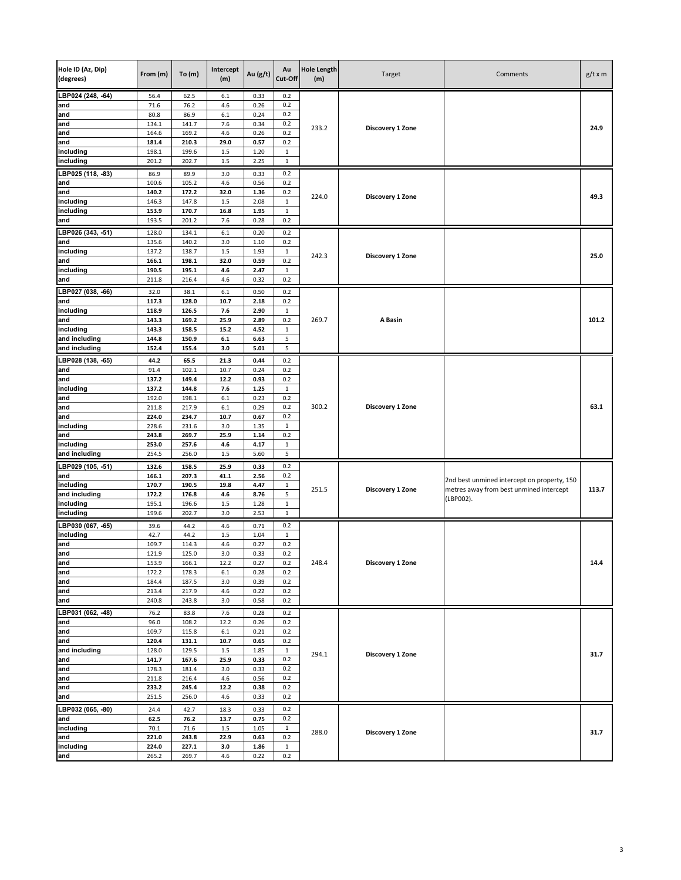| Hole ID (Az, Dip)<br>(degrees) | From (m)       | To(m)          | Intercept<br>(m) | Au (g/t)     | Au<br>Cut-Off    | <b>Hole Length</b><br>(m) | Target           | Comments                                    | $g/t \times m$ |
|--------------------------------|----------------|----------------|------------------|--------------|------------------|---------------------------|------------------|---------------------------------------------|----------------|
| LBP024 (248, -64)              | 56.4           | 62.5           | 6.1              | 0.33         | 0.2              |                           |                  |                                             |                |
| and                            | 71.6           | 76.2           | 4.6              | 0.26         | 0.2              |                           |                  |                                             |                |
| and                            | 80.8           | 86.9           | $6.1\,$          | 0.24         | 0.2              |                           |                  |                                             |                |
| and<br>and                     | 134.1<br>164.6 | 141.7<br>169.2 | 7.6<br>4.6       | 0.34<br>0.26 | 0.2<br>0.2       | 233.2                     | Discovery 1 Zone |                                             | 24.9           |
| and                            | 181.4          | 210.3          | 29.0             | 0.57         | 0.2              |                           |                  |                                             |                |
| including                      | 198.1          | 199.6          | 1.5              | 1.20         | $\mathbf 1$      |                           |                  |                                             |                |
| including                      | 201.2          | 202.7          | $1.5\,$          | 2.25         | $\mathbf{1}$     |                           |                  |                                             |                |
| LBP025 (118, -83)              | 86.9           | 89.9           | 3.0              | 0.33         | 0.2              |                           |                  |                                             |                |
| and                            | 100.6          | 105.2          | 4.6              | 0.56         | 0.2              |                           |                  |                                             |                |
| and                            | 140.2          | 172.2          | 32.0             | 1.36         | 0.2              |                           |                  |                                             |                |
| including                      | 146.3          | 147.8          | 1.5              | 2.08         | $\mathbf 1$      | 224.0                     | Discovery 1 Zone |                                             | 49.3           |
| including                      | 153.9          | 170.7          | 16.8             | 1.95         | $\mathbf{1}$     |                           |                  |                                             |                |
| and                            | 193.5          | 201.2          | 7.6              | 0.28         | 0.2              |                           |                  |                                             |                |
| LBP026 (343, -51)              | 128.0          | 134.1          | $6.1\,$          | 0.20         | 0.2              |                           |                  |                                             |                |
| and                            | 135.6          | 140.2          | 3.0              | 1.10         | 0.2              |                           |                  |                                             |                |
| including                      | 137.2          | 138.7          | 1.5              | 1.93         | $\mathbf{1}$     | 242.3                     | Discovery 1 Zone |                                             | 25.0           |
| and                            | 166.1          | 198.1          | 32.0             | 0.59         | 0.2              |                           |                  |                                             |                |
| including                      | 190.5          | 195.1          | 4.6              | 2.47         | $\mathbf{1}$     |                           |                  |                                             |                |
| and                            | 211.8          | 216.4          | 4.6              | 0.32         | 0.2              |                           |                  |                                             |                |
| BP027 (038, -66)               | 32.0           | 38.1           | 6.1              | 0.50         | 0.2              |                           |                  |                                             |                |
| and                            | 117.3          | 128.0          | 10.7             | 2.18         | 0.2              |                           |                  |                                             |                |
| including                      | 118.9          | 126.5          | 7.6              | 2.90         | 1                |                           |                  |                                             |                |
| and<br>including               | 143.3<br>143.3 | 169.2<br>158.5 | 25.9<br>15.2     | 2.89<br>4.52 | 0.2<br>1         | 269.7                     | A Basin          |                                             | 101.2          |
| and including                  | 144.8          | 150.9          | $6.1\,$          | 6.63         | 5                |                           |                  |                                             |                |
| and including                  | 152.4          | 155.4          | 3.0              | 5.01         | 5                |                           |                  |                                             |                |
| LBP028 (138, 65)               | 44.2           | 65.5           | 21.3             | 0.44         | 0.2              |                           |                  |                                             |                |
| and                            | 91.4           | 102.1          | 10.7             | 0.24         | 0.2              |                           |                  |                                             |                |
| and                            | 137.2          | 149.4          | 12.2             | 0.93         | 0.2              |                           |                  |                                             |                |
| including                      | 137.2          | 144.8          | 7.6              | 1.25         | $\mathbf 1$      |                           |                  |                                             |                |
| and                            | 192.0          | 198.1          | 6.1              | 0.23         | 0.2              |                           |                  |                                             |                |
| and                            | 211.8          | 217.9          | 6.1              | 0.29         | 0.2              | 300.2                     | Discovery 1 Zone |                                             | 63.1           |
| and                            | 224.0          | 234.7          | 10.7             | 0.67         | 0.2              |                           |                  |                                             |                |
| including                      | 228.6          | 231.6          | 3.0              | 1.35         | $\mathbf{1}$     |                           |                  |                                             |                |
| and                            | 243.8          | 269.7          | 25.9             | 1.14         | 0.2              |                           |                  |                                             |                |
| including                      | 253.0          | 257.6          | 4.6              | 4.17         | $\mathbf{1}$     |                           |                  |                                             |                |
| and including                  | 254.5          | 256.0          | 1.5              | 5.60         | 5                |                           |                  |                                             |                |
| LBP029 (105, -51)              | 132.6          | 158.5          | 25.9             | 0.33         | 0.2              |                           |                  |                                             |                |
| and                            | 166.1          | 207.3          | 41.1             | 2.56         | 0.2              |                           |                  | 2nd best unmined intercept on property, 150 |                |
| including<br>and including     | 170.7<br>172.2 | 190.5<br>176.8 | 19.8<br>4.6      | 4.47<br>8.76 | $\mathbf 1$<br>5 | 251.5                     | Discovery 1 Zone | metres away from best unmined intercept     | 113.7          |
| including                      | 195.1          | 196.6          | 1.5              | 1.28         | $\mathbf{1}$     |                           |                  | (LBP002).                                   |                |
| including                      | 199.6          | 202.7          | 3.0              | 2.53         | $1\,$            |                           |                  |                                             |                |
| LBP030 (067, -65)              | 39.6           | 44.2           | 4.6              | 0.71         | 0.2              |                           |                  |                                             |                |
| including                      | 42.7           | 44.2           | 1.5              | 1.04         | $\mathbf 1$      |                           |                  |                                             |                |
| and                            | 109.7          | 114.3          | 4.6              | 0.27         | 0.2              |                           |                  |                                             |                |
| and                            | 121.9          | 125.0          | 3.0              | 0.33         | 0.2              |                           |                  |                                             |                |
| and                            | 153.9          | 166.1          | 12.2             | 0.27         | 0.2              | 248.4                     | Discovery 1 Zone |                                             | 14.4           |
| and                            | 172.2          | 178.3          | $6.1\,$          | 0.28         | 0.2              |                           |                  |                                             |                |
| and                            | 184.4          | 187.5          | 3.0              | 0.39         | 0.2              |                           |                  |                                             |                |
| and                            | 213.4          | 217.9          | 4.6              | 0.22         | 0.2              |                           |                  |                                             |                |
| and                            | 240.8          | 243.8          | 3.0              | 0.58         | 0.2              |                           |                  |                                             |                |
| LBP031 (062, -48)              | 76.2           | 83.8           | 7.6              | 0.28         | 0.2              |                           |                  |                                             |                |
| and                            | 96.0           | 108.2          | 12.2             | 0.26         | 0.2              |                           |                  |                                             |                |
| and<br>and                     | 109.7<br>120.4 | 115.8<br>131.1 | $6.1$<br>10.7    | 0.21<br>0.65 | 0.2<br>0.2       |                           |                  |                                             |                |
| and including                  | 128.0          | 129.5          | 1.5              | 1.85         | $\mathbf{1}$     |                           |                  |                                             |                |
| and                            | 141.7          | 167.6          | 25.9             | 0.33         | 0.2              | 294.1                     | Discovery 1 Zone |                                             | 31.7           |
| and                            | 178.3          | 181.4          | 3.0              | 0.33         | 0.2              |                           |                  |                                             |                |
| and                            | 211.8          | 216.4          | 4.6              | 0.56         | 0.2              |                           |                  |                                             |                |
| and                            | 233.2          | 245.4          | 12.2             | 0.38         | 0.2              |                           |                  |                                             |                |
| and                            | 251.5          | 256.0          | 4.6              | 0.33         | 0.2              |                           |                  |                                             |                |
| LBP032 (065, -80)              | 24.4           | 42.7           | 18.3             | 0.33         | 0.2              |                           |                  |                                             |                |
| and                            | 62.5           | 76.2           | 13.7             | 0.75         | 0.2              |                           |                  |                                             |                |
| including                      | 70.1           | 71.6           | $1.5\,$          | 1.05         | $\mathbf 1$      | 288.0                     | Discovery 1 Zone |                                             | 31.7           |
| and                            | 221.0          | 243.8          | 22.9             | 0.63         | 0.2              |                           |                  |                                             |                |
| including                      | 224.0          | 227.1          | 3.0              | 1.86         | $\mathbf{1}$     |                           |                  |                                             |                |
| and                            | 265.2          | 269.7          | 4.6              | 0.22         | 0.2              |                           |                  |                                             |                |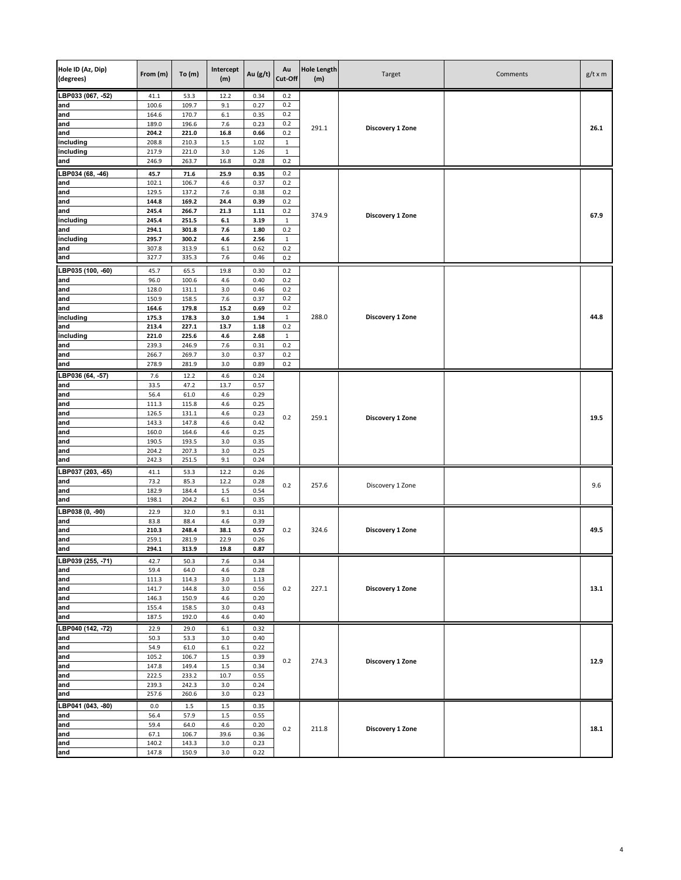| Hole ID (Az, Dip)<br>(degrees) | From (m)       | To $(m)$       | Intercept<br>(m) | Au (g/t)     | Au<br>Cut-Off       | <b>Hole Length</b><br>(m) | Target           | Comments | $g/t \times m$ |
|--------------------------------|----------------|----------------|------------------|--------------|---------------------|---------------------------|------------------|----------|----------------|
| LBP033 (067, -52)              | 41.1           | 53.3           | 12.2             | 0.34         | 0.2                 |                           |                  |          |                |
| and                            | 100.6          | 109.7          | 9.1              | 0.27         | 0.2                 |                           |                  |          |                |
| and<br>and                     | 164.6<br>189.0 | 170.7<br>196.6 | $6.1\,$<br>7.6   | 0.35<br>0.23 | 0.2<br>0.2          |                           |                  |          |                |
| and                            | 204.2          | 221.0          | 16.8             | 0.66         | 0.2                 | 291.1                     | Discovery 1 Zone |          | 26.1           |
| including                      | 208.8          | 210.3          | 1.5              | 1.02         | $\mathbf{1}$        |                           |                  |          |                |
| including                      | 217.9          | 221.0          | 3.0              | 1.26         | $\mathbf 1$         |                           |                  |          |                |
| and                            | 246.9          | 263.7          | 16.8             | 0.28         | 0.2                 |                           |                  |          |                |
| LBP034 (68, -46)               | 45.7           | 71.6           | 25.9             | 0.35         | 0.2                 |                           |                  |          |                |
| and                            | 102.1          | 106.7          | 4.6              | 0.37         | 0.2                 |                           |                  |          |                |
| and<br>and                     | 129.5<br>144.8 | 137.2<br>169.2 | 7.6<br>24.4      | 0.38<br>0.39 | 0.2<br>0.2          |                           |                  |          |                |
| and                            | 245.4          | 266.7          | 21.3             | 1.11         | 0.2                 |                           |                  |          |                |
| including                      | 245.4          | 251.5          | $6.1\,$          | 3.19         | $\mathbf 1$         | 374.9                     | Discovery 1 Zone |          | 67.9           |
| and                            | 294.1          | 301.8          | 7.6              | 1.80         | 0.2                 |                           |                  |          |                |
| including                      | 295.7          | 300.2          | 4.6              | 2.56         | $\mathbf{1}$<br>0.2 |                           |                  |          |                |
| and<br>and                     | 307.8<br>327.7 | 313.9<br>335.3 | $6.1\,$<br>7.6   | 0.62<br>0.46 | 0.2                 |                           |                  |          |                |
| LBP035 (100, -60)              | 45.7           | 65.5           | 19.8             | 0.30         | 0.2                 |                           |                  |          |                |
| and                            | 96.0           | 100.6          | 4.6              | 0.40         | 0.2                 |                           |                  |          |                |
| and                            | 128.0          | 131.1          | 3.0              | 0.46         | 0.2                 |                           |                  |          |                |
| and                            | 150.9          | 158.5          | 7.6              | 0.37         | 0.2                 |                           |                  |          |                |
| and                            | 164.6          | 179.8          | 15.2             | 0.69         | 0.2                 |                           |                  |          |                |
| including<br>and               | 175.3<br>213.4 | 178.3<br>227.1 | 3.0<br>13.7      | 1.94<br>1.18 | 1<br>0.2            | 288.0                     | Discovery 1 Zone |          | 44.8           |
| including                      | 221.0          | 225.6          | 4.6              | 2.68         | $\mathbf{1}$        |                           |                  |          |                |
| and                            | 239.3          | 246.9          | 7.6              | 0.31         | 0.2                 |                           |                  |          |                |
| and                            | 266.7          | 269.7          | 3.0              | 0.37         | 0.2                 |                           |                  |          |                |
| and                            | 278.9          | 281.9          | 3.0              | 0.89         | 0.2                 |                           |                  |          |                |
| LBP036 (64, -57)               | 7.6            | 12.2           | 4.6              | 0.24         |                     |                           |                  |          |                |
| and                            | 33.5<br>56.4   | 47.2<br>61.0   | 13.7<br>4.6      | 0.57         |                     |                           |                  |          |                |
| and<br>and                     | 111.3          | 115.8          | 4.6              | 0.29<br>0.25 |                     |                           |                  |          |                |
| and                            | 126.5          | 131.1          | 4.6              | 0.23         |                     |                           |                  |          |                |
| and                            | 143.3          | 147.8          | 4.6              | 0.42         | 0.2                 | 259.1                     | Discovery 1 Zone |          | 19.5           |
| and                            | 160.0          | 164.6          | 4.6              | 0.25         |                     |                           |                  |          |                |
| and                            | 190.5          | 193.5          | 3.0              | 0.35         |                     |                           |                  |          |                |
| and<br>and                     | 204.2<br>242.3 | 207.3<br>251.5 | 3.0<br>9.1       | 0.25<br>0.24 |                     |                           |                  |          |                |
| LBP037 (203, -65)              | 41.1           | 53.3           | 12.2             | 0.26         |                     |                           |                  |          |                |
| and                            | 73.2           | 85.3           | 12.2             | 0.28         |                     |                           |                  |          |                |
| and                            | 182.9          | 184.4          | 1.5              | 0.54         | 0.2                 | 257.6                     | Discovery 1 Zone |          | 9.6            |
| and                            | 198.1          | 204.2          | $6.1\,$          | 0.35         |                     |                           |                  |          |                |
| LBP038 (0, -90)                | 22.9           | 32.0           | 9.1              | 0.31         |                     |                           |                  |          |                |
| and                            | 83.8           | 88.4           | 4.6              | 0.39         |                     |                           |                  |          | 49.5           |
| and<br>and                     | 210.3<br>259.1 | 248.4<br>281.9 | 38.1<br>22.9     | 0.57<br>0.26 | 0.2                 | 324.6                     | Discovery 1 Zone |          |                |
| and                            | 294.1          | 313.9          | 19.8             | 0.87         |                     |                           |                  |          |                |
| LBP039 (255, -71)              | 42.7           | 50.3           | 7.6              | 0.34         |                     |                           |                  |          |                |
| and                            | 59.4           | 64.0           | 4.6              | 0.28         |                     |                           |                  |          |                |
| and                            | 111.3          | 114.3          | 3.0              | 1.13         |                     |                           |                  |          |                |
| and                            | 141.7          | 144.8          | 3.0              | 0.56         | 0.2                 | 227.1                     | Discovery 1 Zone |          | 13.1           |
| and<br>and                     | 146.3<br>155.4 | 150.9<br>158.5 | 4.6<br>3.0       | 0.20<br>0.43 |                     |                           |                  |          |                |
| and                            | 187.5          | 192.0          | 4.6              | 0.40         |                     |                           |                  |          |                |
| LBP040 (142, -72)              | 22.9           | 29.0           | $6.1\,$          | 0.32         |                     |                           |                  |          |                |
| and                            | 50.3           | 53.3           | 3.0              | 0.40         |                     |                           |                  |          |                |
| and                            | 54.9           | 61.0           | $6.1\,$          | 0.22         |                     |                           |                  |          |                |
| and                            | 105.2          | 106.7          | 1.5              | 0.39         | 0.2                 | 274.3                     | Discovery 1 Zone |          | 12.9           |
| and                            | 147.8<br>222.5 | 149.4          | $1.5\,$<br>10.7  | 0.34         |                     |                           |                  |          |                |
| and<br>and                     | 239.3          | 233.2<br>242.3 | 3.0              | 0.55<br>0.24 |                     |                           |                  |          |                |
| and                            | 257.6          | 260.6          | 3.0              | 0.23         |                     |                           |                  |          |                |
| LBP041 (043, -80)              | 0.0            | 1.5            | $1.5\,$          | 0.35         |                     |                           |                  |          |                |
| and                            | 56.4           | 57.9           | $1.5\,$          | 0.55         |                     |                           |                  |          |                |
| and                            | 59.4           | 64.0           | 4.6              | 0.20         | 0.2                 | 211.8                     | Discovery 1 Zone |          | 18.1           |
| and                            | 67.1           | 106.7          | 39.6             | 0.36         |                     |                           |                  |          |                |
| and<br>and                     | 140.2<br>147.8 | 143.3<br>150.9 | 3.0<br>3.0       | 0.23<br>0.22 |                     |                           |                  |          |                |
|                                |                |                |                  |              |                     |                           |                  |          |                |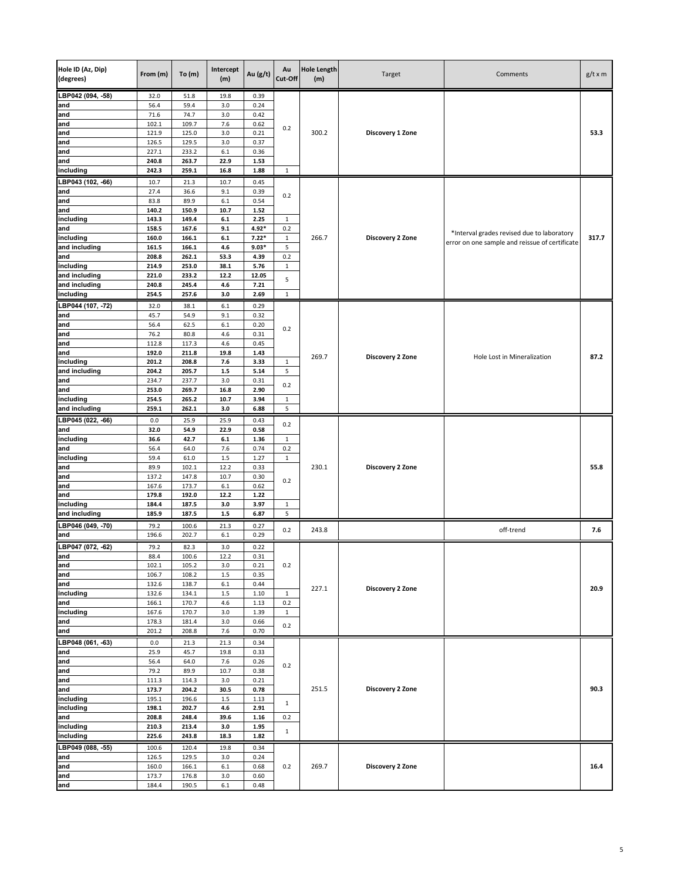| Hole ID (Az, Dip)<br>(degrees) | From (m)       | To(m)          | Intercept<br>(m) | Au (g/t)      | Au<br>Cut-Off       | <b>Hole Length</b><br>(m) | Target           | Comments                                       | $g/t \times m$ |
|--------------------------------|----------------|----------------|------------------|---------------|---------------------|---------------------------|------------------|------------------------------------------------|----------------|
|                                |                |                |                  |               |                     |                           |                  |                                                |                |
| LBP042 (094, -58)<br>and       | 32.0<br>56.4   | 51.8<br>59.4   | 19.8<br>3.0      | 0.39<br>0.24  |                     |                           |                  |                                                |                |
| and                            | 71.6           | 74.7           | 3.0              | 0.42          |                     |                           |                  |                                                |                |
| and                            | 102.1          | 109.7          | 7.6              | 0.62          | 0.2                 |                           |                  |                                                |                |
| and                            | 121.9          | 125.0          | 3.0              | 0.21          |                     | 300.2                     | Discovery 1 Zone |                                                | 53.3           |
| and                            | 126.5          | 129.5          | 3.0              | 0.37          |                     |                           |                  |                                                |                |
| and<br>and                     | 227.1<br>240.8 | 233.2<br>263.7 | 6.1<br>22.9      | 0.36<br>1.53  |                     |                           |                  |                                                |                |
| including                      | 242.3          | 259.1          | 16.8             | 1.88          | $\mathbf{1}$        |                           |                  |                                                |                |
| LBP043 (102, -66)              | 10.7           | 21.3           | 10.7             | 0.45          |                     |                           |                  |                                                |                |
| and                            | 27.4           | 36.6           | 9.1              | 0.39          | 0.2                 |                           |                  |                                                |                |
| and                            | 83.8           | 89.9           | $6.1\,$          | 0.54          |                     |                           |                  |                                                |                |
| and                            | 140.2          | 150.9<br>149.4 | 10.7             | 1.52<br>2.25  |                     |                           |                  |                                                |                |
| including<br>and               | 143.3<br>158.5 | 167.6          | $6.1\,$<br>9.1   | 4.92*         | 1<br>0.2            |                           |                  |                                                |                |
| including                      | 160.0          | 166.1          | $6.1\,$          | $7.22*$       | $\mathbf{1}$        | 266.7                     | Discovery 2 Zone | *Interval grades revised due to laboratory     | 317.7          |
| and including                  | 161.5          | 166.1          | 4.6              | $9.03*$       | 5                   |                           |                  | error on one sample and reissue of certificate |                |
| and                            | 208.8          | 262.1          | 53.3             | 4.39          | 0.2                 |                           |                  |                                                |                |
| including                      | 214.9          | 253.0          | 38.1             | 5.76          | $\mathbf{1}$        |                           |                  |                                                |                |
| and including<br>and including | 221.0<br>240.8 | 233.2<br>245.4 | 12.2<br>4.6      | 12.05<br>7.21 | 5                   |                           |                  |                                                |                |
| including                      | 254.5          | 257.6          | 3.0              | 2.69          | $\mathbf{1}$        |                           |                  |                                                |                |
| LBP044 (107, -72)              | 32.0           | 38.1           | $6.1\,$          | 0.29          |                     |                           |                  |                                                |                |
| and                            | 45.7           | 54.9           | 9.1              | 0.32          |                     |                           |                  |                                                |                |
| and                            | 56.4           | 62.5           | 6.1              | 0.20          | 0.2                 |                           |                  |                                                |                |
| and                            | 76.2           | 80.8           | 4.6              | 0.31          |                     |                           |                  |                                                |                |
| and<br>and                     | 112.8<br>192.0 | 117.3<br>211.8 | 4.6<br>19.8      | 0.45<br>1.43  |                     |                           |                  |                                                |                |
| including                      | 201.2          | 208.8          | 7.6              | 3.33          | $\mathbf{1}$        | 269.7                     | Discovery 2 Zone | Hole Lost in Mineralization                    | 87.2           |
| and including                  | 204.2          | 205.7          | $1.5\,$          | 5.14          | 5                   |                           |                  |                                                |                |
| and                            | 234.7          | 237.7          | 3.0              | 0.31          | 0.2                 |                           |                  |                                                |                |
| and                            | 253.0          | 269.7          | 16.8             | 2.90          | $\mathbf{1}$<br>5   |                           |                  |                                                |                |
| including<br>and including     | 254.5<br>259.1 | 265.2<br>262.1 | 10.7<br>3.0      | 3.94<br>6.88  |                     |                           |                  |                                                |                |
| LBP045 (022, -66)              | 0.0            | 25.9           | 25.9             | 0.43          |                     |                           |                  |                                                |                |
| and                            | 32.0           | 54.9           | 22.9             | 0.58          | 0.2                 |                           |                  |                                                |                |
| including                      | 36.6           | 42.7           | $6.1\,$          | 1.36          | $\mathbf{1}$        |                           |                  |                                                |                |
| and                            | 56.4           | 64.0           | 7.6              | 0.74          | 0.2                 |                           |                  |                                                |                |
| including                      | 59.4           | 61.0           | 1.5              | 1.27          | 1                   | 230.1                     |                  |                                                |                |
| and<br>and                     | 89.9<br>137.2  | 102.1<br>147.8 | 12.2<br>10.7     | 0.33<br>0.30  |                     |                           | Discovery 2 Zone |                                                | 55.8           |
| and                            | 167.6          | 173.7          | $6.1\,$          | 0.62          | 0.2                 |                           |                  |                                                |                |
| and                            | 179.8          | 192.0          | 12.2             | 1.22          |                     |                           |                  |                                                |                |
| including                      | 184.4          | 187.5          | 3.0              | 3.97          | 1                   |                           |                  |                                                |                |
| and including                  | 185.9          | 187.5          | $1.5\,$          | 6.87          | 5                   |                           |                  |                                                |                |
| LBP046 (049, -70)              | 79.2           | 100.6<br>202.7 | 21.3             | 0.27          | 0.2                 | 243.8                     |                  | off-trend                                      | 7.6            |
| and                            | 196.6          |                | 6.1              | 0.29          |                     |                           |                  |                                                |                |
| LBP047 (072, -62)              | 79.2<br>88.4   | 82.3<br>100.6  | 3.0              | 0.22<br>0.31  |                     |                           |                  |                                                |                |
| anu<br>and                     | 102.1          | 105.2          | 12.2<br>3.0      | 0.21          | 0.2                 |                           |                  |                                                |                |
| and                            | 106.7          | 108.2          | $1.5\,$          | 0.35          |                     |                           |                  |                                                |                |
| and                            | 132.6          | 138.7          | $6.1\,$          | 0.44          |                     | 227.1                     | Discovery 2 Zone |                                                | 20.9           |
| including                      | 132.6          | 134.1          | 1.5              | 1.10          | $\mathbf{1}$        |                           |                  |                                                |                |
| and<br>including               | 166.1<br>167.6 | 170.7<br>170.7 | 4.6<br>3.0       | 1.13<br>1.39  | 0.2<br>$\mathbf{1}$ |                           |                  |                                                |                |
| and                            | 178.3          | 181.4          | 3.0              | 0.66          |                     |                           |                  |                                                |                |
| and                            | 201.2          | 208.8          | 7.6              | 0.70          | 0.2                 |                           |                  |                                                |                |
| LBP048 (061, -63)              | 0.0            | 21.3           | 21.3             | 0.34          |                     |                           |                  |                                                |                |
| and                            | 25.9           | 45.7           | 19.8             | 0.33          |                     |                           |                  |                                                |                |
| and                            | 56.4           | 64.0           | 7.6              | 0.26          | 0.2                 |                           |                  |                                                |                |
| and<br>and                     | 79.2<br>111.3  | 89.9<br>114.3  | 10.7<br>3.0      | 0.38<br>0.21  |                     |                           |                  |                                                |                |
| and                            | 173.7          | 204.2          | 30.5             | 0.78          |                     | 251.5                     | Discovery 2 Zone |                                                | 90.3           |
| including                      | 195.1          | 196.6          | $1.5\,$          | 1.13          | $\mathbf{1}$        |                           |                  |                                                |                |
| including                      | 198.1          | 202.7          | 4.6              | 2.91          |                     |                           |                  |                                                |                |
| and                            | 208.8          | 248.4          | 39.6             | 1.16          | 0.2                 |                           |                  |                                                |                |
| including<br>including         | 210.3<br>225.6 | 213.4<br>243.8 | 3.0<br>18.3      | 1.95<br>1.82  | $\mathbf{1}$        |                           |                  |                                                |                |
| LBP049 (088, -55)              |                |                |                  |               |                     |                           |                  |                                                |                |
| and                            | 100.6<br>126.5 | 120.4<br>129.5 | 19.8<br>3.0      | 0.34<br>0.24  |                     |                           |                  |                                                |                |
| and                            | 160.0          | 166.1          | $6.1\,$          | 0.68          | 0.2                 | 269.7                     | Discovery 2 Zone |                                                | 16.4           |
| and                            | 173.7          | 176.8          | 3.0              | 0.60          |                     |                           |                  |                                                |                |
| and                            | 184.4          | 190.5          | $6.1\,$          | 0.48          |                     |                           |                  |                                                |                |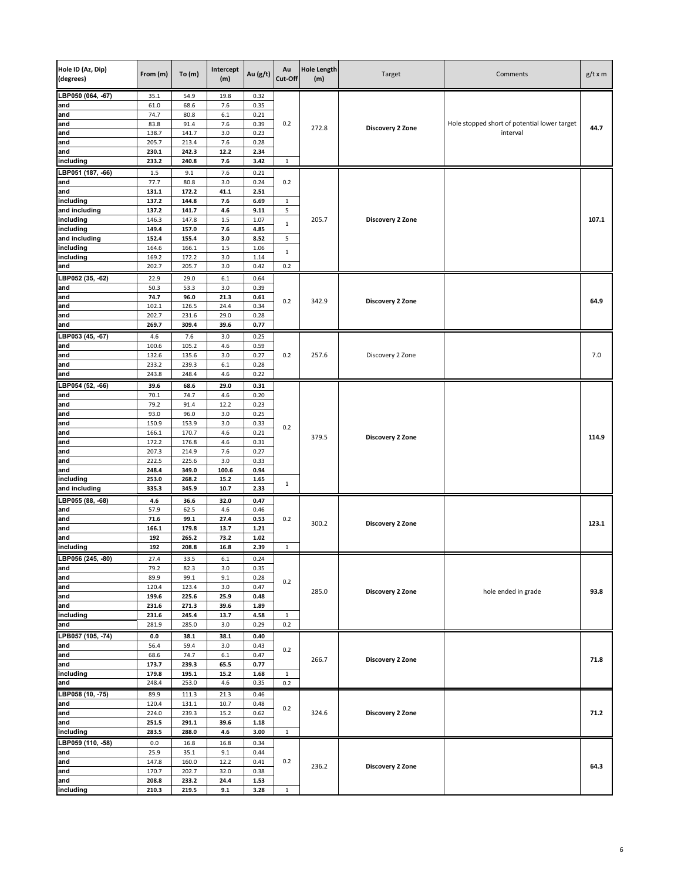| Hole ID (Az, Dip)<br>(degrees) | From (m)       | To(m)          | Intercept<br>(m) | Au (g/t)     | Au<br>Cut-Off     | <b>Hole Length</b><br>(m) | Target           | Comments                                     | $g/t \times m$ |
|--------------------------------|----------------|----------------|------------------|--------------|-------------------|---------------------------|------------------|----------------------------------------------|----------------|
| LBP050 (064, -67)              | 35.1           | 54.9           | 19.8             | 0.32         |                   |                           |                  |                                              |                |
| and                            | 61.0           | 68.6           | 7.6              | 0.35         |                   |                           |                  |                                              |                |
| and                            | 74.7           | 80.8           | 6.1<br>7.6       | 0.21         | 0.2               |                           |                  | Hole stopped short of potential lower target | 44.7           |
| and<br>and                     | 83.8<br>138.7  | 91.4<br>141.7  | 3.0              | 0.39<br>0.23 |                   | 272.8                     | Discovery 2 Zone | interval                                     |                |
| and                            | 205.7          | 213.4          | 7.6              | 0.28         |                   |                           |                  |                                              |                |
| and                            | 230.1          | 242.3          | 12.2             | 2.34         |                   |                           |                  |                                              |                |
| including                      | 233.2          | 240.8          | 7.6              | 3.42         | 1                 |                           |                  |                                              |                |
| LBP051 (187, -66)              | $1.5\,$        | 9.1            | 7.6              | 0.21         |                   |                           |                  |                                              |                |
| and                            | 77.7           | 80.8           | 3.0              | 0.24         | 0.2               |                           |                  |                                              |                |
| and                            | 131.1          | 172.2          | 41.1             | 2.51         |                   |                           |                  |                                              |                |
| including<br>and including     | 137.2<br>137.2 | 144.8<br>141.7 | 7.6<br>4.6       | 6.69<br>9.11 | $\mathbf{1}$<br>5 |                           |                  |                                              |                |
| including                      | 146.3          | 147.8          | 1.5              | 1.07         |                   | 205.7                     | Discovery 2 Zone |                                              | 107.1          |
| including                      | 149.4          | 157.0          | 7.6              | 4.85         | $\mathbf 1$       |                           |                  |                                              |                |
| and including                  | 152.4          | 155.4          | 3.0              | 8.52         | 5                 |                           |                  |                                              |                |
| including                      | 164.6          | 166.1          | 1.5              | 1.06         | $\mathbf{1}$      |                           |                  |                                              |                |
| including                      | 169.2          | 172.2          | 3.0              | 1.14         |                   |                           |                  |                                              |                |
| and                            | 202.7          | 205.7          | 3.0              | 0.42         | 0.2               |                           |                  |                                              |                |
| LBP052 (35, -62)               | 22.9           | 29.0           | 6.1              | 0.64         |                   |                           |                  |                                              |                |
| and                            | 50.3           | 53.3           | 3.0              | 0.39         |                   |                           |                  |                                              |                |
| and<br>and                     | 74.7<br>102.1  | 96.0<br>126.5  | 21.3<br>24.4     | 0.61<br>0.34 | 0.2               | 342.9                     | Discovery 2 Zone |                                              | 64.9           |
| and                            | 202.7          | 231.6          | 29.0             | 0.28         |                   |                           |                  |                                              |                |
| and                            | 269.7          | 309.4          | 39.6             | 0.77         |                   |                           |                  |                                              |                |
| LBP053 (45, -67)               | 4.6            | 7.6            | 3.0              | 0.25         |                   |                           |                  |                                              |                |
| and                            | 100.6          | 105.2          | 4.6              | 0.59         |                   |                           |                  |                                              |                |
| and                            | 132.6          | 135.6          | 3.0              | 0.27         | 0.2               | 257.6                     | Discovery 2 Zone |                                              | 7.0            |
| and                            | 233.2          | 239.3          | 6.1              | 0.28         |                   |                           |                  |                                              |                |
| and                            | 243.8          | 248.4          | 4.6              | 0.22         |                   |                           |                  |                                              |                |
| LBP054 (52, -66)               | 39.6           | 68.6           | 29.0             | 0.31         |                   |                           |                  |                                              |                |
| and                            | 70.1           | 74.7           | 4.6              | 0.20         |                   |                           |                  |                                              |                |
| and                            | 79.2           | 91.4           | 12.2             | 0.23         |                   |                           |                  |                                              |                |
| and                            | 93.0           | 96.0           | 3.0              | 0.25         |                   |                           |                  |                                              |                |
| and<br>and                     | 150.9<br>166.1 | 153.9<br>170.7 | 3.0<br>4.6       | 0.33<br>0.21 | 0.2               |                           |                  |                                              |                |
| and                            | 172.2          | 176.8          | 4.6              | 0.31         |                   | 379.5                     | Discovery 2 Zone |                                              | 114.9          |
| and                            | 207.3          | 214.9          | 7.6              | 0.27         |                   |                           |                  |                                              |                |
| and                            | 222.5          | 225.6          | 3.0              | 0.33         |                   |                           |                  |                                              |                |
| and                            | 248.4          | 349.0          | 100.6            | 0.94         |                   |                           |                  |                                              |                |
| including                      | 253.0          | 268.2          | 15.2             | 1.65         | $\mathbf{1}$      |                           |                  |                                              |                |
| and including                  | 335.3          | 345.9          | 10.7             | 2.33         |                   |                           |                  |                                              |                |
| LBP055 (88, -68)               | 4.6            | 36.6           | 32.0             | 0.47         |                   |                           |                  |                                              |                |
| and                            | 57.9           | 62.5           | 4.6              | 0.46         |                   |                           |                  |                                              |                |
| and<br>and                     | 71.6<br>166.1  | 99.1<br>179.8  | 27.4<br>13.7     | 0.53<br>1.21 | 0.2               | 300.2                     | Discovery 2 Zone |                                              | 123.1          |
| and                            | 192            | 265.2          | 73.2             | 1.02         |                   |                           |                  |                                              |                |
| including                      | 192            | 208.8          | 16.8             | 2.39         | $\mathbf 1$       |                           |                  |                                              |                |
| LBP056 (245, -80)              | 27.4           | 33.5           | 6.1              | 0.24         |                   |                           |                  |                                              |                |
| and                            | 79.2           | 82.3           | 3.0              | 0.35         |                   |                           |                  |                                              |                |
| and                            | 89.9           | 99.1           | 9.1              | 0.28         | 0.2               |                           |                  |                                              |                |
| and                            | 120.4          | 123.4          | 3.0              | 0.47         |                   | 285.0                     | Discovery 2 Zone | hole ended in grade                          | 93.8           |
| and                            | 199.6          | 225.6          | 25.9             | 0.48         |                   |                           |                  |                                              |                |
| and<br>including               | 231.6<br>231.6 | 271.3<br>245.4 | 39.6<br>13.7     | 1.89<br>4.58 | $\mathbf{1}$      |                           |                  |                                              |                |
| and                            | 281.9          | 285.0          | 3.0              | 0.29         | 0.2               |                           |                  |                                              |                |
| LPB057 (105, -74)              | 0.0            | 38.1           | 38.1             | 0.40         |                   |                           |                  |                                              |                |
| and                            | 56.4           | 59.4           | 3.0              | 0.43         |                   |                           |                  |                                              |                |
| and                            | 68.6           | 74.7           | $6.1\,$          | 0.47         | 0.2               |                           |                  |                                              | 71.8           |
| and                            | 173.7          | 239.3          | 65.5             | 0.77         |                   | 266.7                     | Discovery 2 Zone |                                              |                |
| including                      | 179.8          | 195.1          | 15.2             | 1.68         | $\mathbf{1}$      |                           |                  |                                              |                |
| and                            | 248.4          | 253.0          | 4.6              | 0.35         | 0.2               |                           |                  |                                              |                |
| LBP058 (10, -75)               | 89.9           | 111.3          | 21.3             | 0.46         |                   |                           |                  |                                              |                |
| and                            | 120.4          | 131.1          | 10.7             | 0.48         | 0.2               |                           |                  |                                              |                |
| and                            | 224.0          | 239.3          | 15.2             | 0.62         |                   | 324.6                     | Discovery 2 Zone |                                              | 71.2           |
| and<br>including               | 251.5<br>283.5 | 291.1<br>288.0 | 39.6<br>4.6      | 1.18<br>3.00 | $\mathbf{1}$      |                           |                  |                                              |                |
| LBP059 (110, -58)              | 0.0            | 16.8           | 16.8             | 0.34         |                   |                           |                  |                                              |                |
| and                            | 25.9           | 35.1           | 9.1              | 0.44         |                   |                           |                  |                                              |                |
| and                            | 147.8          | 160.0          | 12.2             | 0.41         | 0.2               |                           |                  |                                              |                |
| and                            | 170.7          | 202.7          | 32.0             | 0.38         |                   | 236.2                     | Discovery 2 Zone |                                              | 64.3           |
| and                            | 208.8          | 233.2          | 24.4             | 1.53         |                   |                           |                  |                                              |                |
| including                      | 210.3          | 219.5          | 9.1              | 3.28         | $\mathbf{1}$      |                           |                  |                                              |                |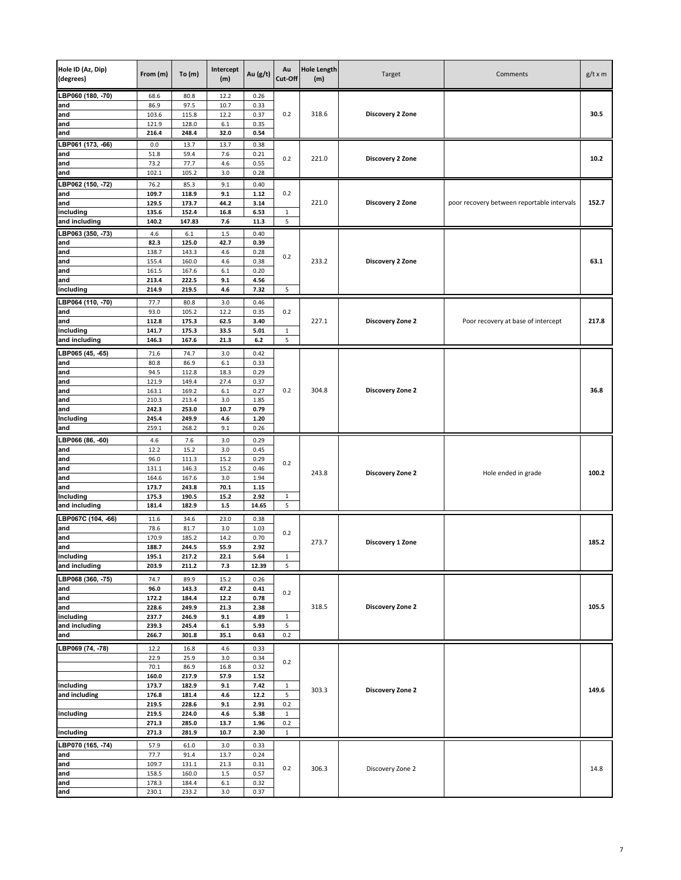| Hole ID (Az, Dip)<br>(degrees) | From (m)       | To $(m)$        | Intercept<br>(m) | Au (g/t)        | Au<br>Cut-Off      | <b>Hole Length</b><br>(m) | Target           | Comments                                   | $g/t \times m$ |
|--------------------------------|----------------|-----------------|------------------|-----------------|--------------------|---------------------------|------------------|--------------------------------------------|----------------|
| LBP060 (180, -70)              | 68.6           | 80.8            | 12.2             | 0.26            |                    |                           |                  |                                            |                |
| and                            | 86.9           | 97.5            | 10.7             | 0.33            |                    |                           |                  |                                            |                |
| and<br>and                     | 103.6<br>121.9 | 115.8<br>128.0  | 12.2<br>6.1      | 0.37<br>0.35    | 0.2                | 318.6                     | Discovery 2 Zone |                                            | 30.5           |
| and                            | 216.4          | 248.4           | 32.0             | 0.54            |                    |                           |                  |                                            |                |
| LBP061 (173, -66)              | 0.0            | 13.7            | 13.7             | 0.38            |                    |                           |                  |                                            |                |
| and                            | 51.8           | 59.4            | 7.6              | 0.21            |                    |                           |                  |                                            |                |
| and                            | 73.2           | 77.7            | 4.6              | 0.55            | 0.2                | 221.0                     | Discovery 2 Zone |                                            | 10.2           |
| and                            | 102.1          | 105.2           | 3.0              | 0.28            |                    |                           |                  |                                            |                |
| LBP062 (150, -72)              | 76.2           | 85.3            | 9.1              | 0.40            |                    |                           |                  |                                            |                |
| and                            | 109.7          | 118.9           | 9.1              | 1.12            | 0.2                |                           |                  |                                            |                |
| and                            | 129.5          | 173.7           | 44.2             | 3.14            |                    | 221.0                     | Discovery 2 Zone | poor recovery between reportable intervals | 152.7          |
| including<br>and including     | 135.6<br>140.2 | 152.4<br>147.83 | 16.8<br>7.6      | 6.53<br>11.3    | $\mathbf 1$<br>5   |                           |                  |                                            |                |
| LBP063 (350, -73)              | 4.6            | $6.1\,$         |                  | 0.40            |                    |                           |                  |                                            |                |
| and                            | 82.3           | 125.0           | $1.5\,$<br>42.7  | 0.39            |                    |                           |                  |                                            |                |
| and                            | 138.7          | 143.3           | 4.6              | 0.28            |                    |                           |                  |                                            |                |
| and                            | 155.4          | 160.0           | 4.6              | 0.38            | 0.2                | 233.2                     | Discovery 2 Zone |                                            | 63.1           |
| and                            | 161.5          | 167.6           | 6.1              | 0.20            |                    |                           |                  |                                            |                |
| and                            | 213.4          | 222.5           | 9.1              | 4.56            |                    |                           |                  |                                            |                |
| including                      | 214.9          | 219.5           | 4.6              | 7.32            | 5                  |                           |                  |                                            |                |
| LBP064 (110, -70)              | 77.7           | 80.8            | 3.0              | 0.46            |                    |                           |                  |                                            |                |
| and                            | 93.0           | 105.2           | 12.2             | 0.35            | 0.2                |                           |                  |                                            |                |
| and                            | 112.8          | 175.3           | 62.5             | 3.40            |                    | 227.1                     | Discovery Zone 2 | Poor recovery at base of intercept         | 217.8          |
| including<br>and including     | 141.7<br>146.3 | 175.3<br>167.6  | 33.5<br>21.3     | 5.01<br>$6.2\,$ | $\mathbf{1}$<br>5  |                           |                  |                                            |                |
|                                |                |                 |                  |                 |                    |                           |                  |                                            |                |
| LBP065 (45, -65)               | 71.6           | 74.7            | 3.0              | 0.42            |                    |                           |                  |                                            |                |
| and<br>and                     | 80.8<br>94.5   | 86.9<br>112.8   | 6.1<br>18.3      | 0.33<br>0.29    |                    |                           |                  |                                            |                |
| and                            | 121.9          | 149.4           | 27.4             | 0.37            |                    |                           |                  |                                            |                |
| and                            | 163.1          | 169.2           | 6.1              | 0.27            | 0.2                | 304.8                     | Discovery Zone 2 |                                            | 36.8           |
| and                            | 210.3          | 213.4           | 3.0              | 1.85            |                    |                           |                  |                                            |                |
| and                            | 242.3          | 253.0           | 10.7             | 0.79            |                    |                           |                  |                                            |                |
| Including                      | 245.4          | 249.9           | 4.6              | 1.20            |                    |                           |                  |                                            |                |
| and                            | 259.1          | 268.2           | 9.1              | 0.26            |                    |                           |                  |                                            |                |
| LBP066 (86, -60)               | 4.6            | 7.6             | 3.0              | 0.29            |                    |                           |                  |                                            |                |
| and<br>and                     | 12.2<br>96.0   | 15.2<br>111.3   | 3.0<br>15.2      | 0.45<br>0.29    |                    |                           |                  |                                            |                |
| and                            | 131.1          | 146.3           | 15.2             | 0.46            | 0.2                |                           |                  |                                            |                |
| and                            | 164.6          | 167.6           | 3.0              | 1.94            |                    | 243.8                     | Discovery Zone 2 | Hole ended in grade                        | 100.2          |
| and                            | 173.7          | 243.8           | 70.1             | 1.15            |                    |                           |                  |                                            |                |
| Including                      | 175.3          | 190.5           | 15.2             | 2.92            | $\,$ 1 $\,$        |                           |                  |                                            |                |
| and including                  | 181.4          | 182.9           | $1.5$            | 14.65           | 5                  |                           |                  |                                            |                |
| LBP067C (104, -66)             | 11.6           | 34.6            | 23.0             | 0.38            |                    |                           |                  |                                            |                |
| and                            | 78.6           | 81.7            | 3.0              | 1.03            | 0.2                |                           |                  |                                            |                |
| and<br>and                     | 170.9<br>188.7 | 185.2<br>244.5  | 14.2<br>55.9     | 0.70<br>2.92    |                    | 273.7                     | Discovery 1 Zone |                                            | 185.2          |
| including                      | 195.1          | 217.2           | 22.1             | 5.64            | $\mathbf{1}$       |                           |                  |                                            |                |
| and including                  | 203.9          | 211.2           | 7.3              | 12.39           | 5                  |                           |                  |                                            |                |
| LBP068 (360, -75)              | 74.7           | 89.9            | 15.2             | 0.26            |                    |                           |                  |                                            |                |
| and                            | 96.0           | 143.3           | 47.2             | 0.41            |                    |                           |                  |                                            |                |
| and                            | 172.2          | 184.4           | 12.2             | 0.78            | 0.2                |                           |                  |                                            |                |
| and                            | 228.6          | 249.9           | 21.3             | 2.38            |                    | 318.5                     | Discovery Zone 2 |                                            | 105.5          |
| including                      | 237.7          | 246.9           | 9.1              | 4.89            | $\mathbf{1}$       |                           |                  |                                            |                |
| and including<br>and           | 239.3<br>266.7 | 245.4<br>301.8  | $6.1\,$<br>35.1  | 5.93<br>0.63    | 5<br>0.2           |                           |                  |                                            |                |
| LBP069 (74, -78)               |                |                 |                  |                 |                    |                           |                  |                                            |                |
|                                | 12.2<br>22.9   | 16.8<br>25.9    | 4.6<br>3.0       | 0.33<br>0.34    |                    |                           |                  |                                            |                |
|                                | 70.1           | 86.9            | 16.8             | 0.32            | 0.2                |                           |                  |                                            |                |
|                                | 160.0          | 217.9           | 57.9             | 1.52            |                    |                           |                  |                                            |                |
| including                      | 173.7          | 182.9           | 9.1              | 7.42            | $\mathbf{1}$       | 303.3                     | Discovery Zone 2 |                                            | 149.6          |
| and including                  | 176.8          | 181.4           | $4.6\,$          | 12.2            | 5                  |                           |                  |                                            |                |
|                                | 219.5          | 228.6           | 9.1              | 2.91            | 0.2                |                           |                  |                                            |                |
| including                      | 219.5          | 224.0           | 4.6              | 5.38            | $\mathbf 1$<br>0.2 |                           |                  |                                            |                |
| including                      | 271.3<br>271.3 | 285.0<br>281.9  | 13.7<br>10.7     | 1.96<br>2.30    | $\mathbf 1$        |                           |                  |                                            |                |
|                                |                |                 |                  |                 |                    |                           |                  |                                            |                |
| LBP070 (165, -74)<br>and       | 57.9<br>77.7   | 61.0<br>91.4    | 3.0<br>13.7      | 0.33<br>0.24    |                    |                           |                  |                                            |                |
| and                            | 109.7          | 131.1           | 21.3             | 0.31            |                    |                           |                  |                                            |                |
| and                            | 158.5          | 160.0           | $1.5\,$          | 0.57            | 0.2                | 306.3                     | Discovery Zone 2 |                                            | 14.8           |
| and                            | 178.3          | 184.4           | $6.1\,$          | 0.32            |                    |                           |                  |                                            |                |
| and                            | 230.1          | 233.2           | 3.0              | 0.37            |                    |                           |                  |                                            |                |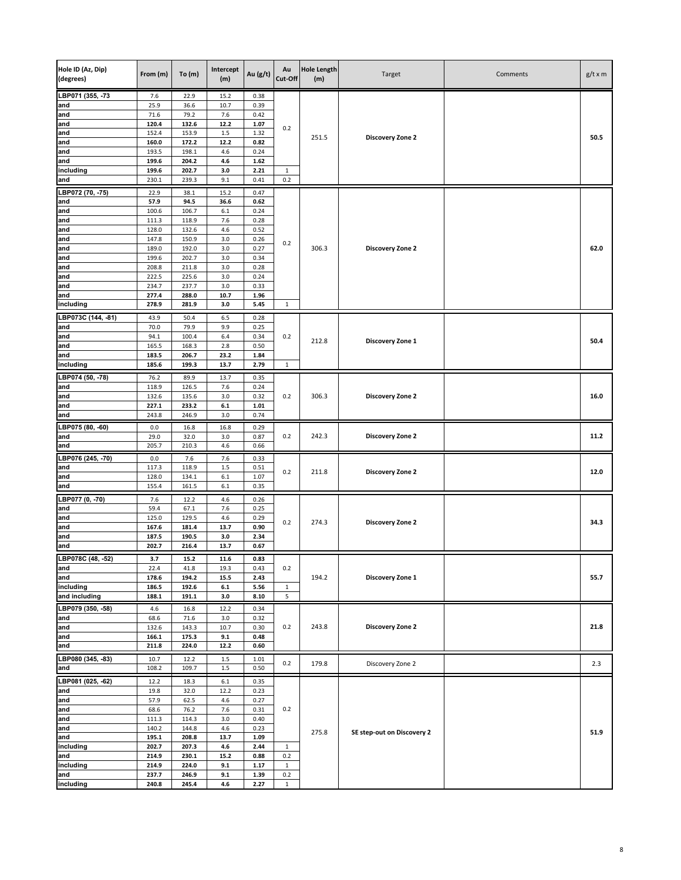| Hole ID (Az, Dip)<br>(degrees) | From (m)       | To(m)          | Intercept<br>(m) | Au (g/t)     | Au<br>Cut-Off      | <b>Hole Length</b><br>(m) | Target                     | Comments | $g/t \times m$ |
|--------------------------------|----------------|----------------|------------------|--------------|--------------------|---------------------------|----------------------------|----------|----------------|
| LBP071 (355, -73               | 7.6            | 22.9           | 15.2             | 0.38         |                    |                           |                            |          |                |
| and                            | 25.9           | 36.6           | 10.7             | 0.39         |                    |                           |                            |          |                |
| and                            | 71.6<br>120.4  | 79.2<br>132.6  | 7.6<br>12.2      | 0.42<br>1.07 |                    |                           |                            |          |                |
| and<br>and                     | 152.4          | 153.9          | 1.5              | 1.32         | 0.2                |                           |                            |          |                |
| and                            | 160.0          | 172.2          | 12.2             | 0.82         |                    | 251.5                     | Discovery Zone 2           |          | 50.5           |
| and                            | 193.5          | 198.1          | 4.6              | 0.24         |                    |                           |                            |          |                |
| and                            | 199.6          | 204.2          | 4.6              | 1.62         |                    |                           |                            |          |                |
| including                      | 199.6          | 202.7          | 3.0              | 2.21         | $\mathbf{1}$       |                           |                            |          |                |
| and                            | 230.1          | 239.3          | 9.1              | 0.41         | 0.2                |                           |                            |          |                |
| LBP072 (70, -75)               | 22.9           | 38.1           | 15.2             | 0.47         |                    |                           |                            |          |                |
| and                            | 57.9           | 94.5           | 36.6             | 0.62         |                    |                           |                            |          |                |
| and<br>and                     | 100.6<br>111.3 | 106.7<br>118.9 | 6.1<br>7.6       | 0.24<br>0.28 |                    |                           |                            |          |                |
| and                            | 128.0          | 132.6          | 4.6              | 0.52         |                    |                           |                            |          |                |
| and                            | 147.8          | 150.9          | 3.0              | 0.26         |                    |                           |                            |          |                |
| and                            | 189.0          | 192.0          | 3.0              | 0.27         | 0.2                | 306.3                     | Discovery Zone 2           |          | 62.0           |
| and                            | 199.6          | 202.7          | 3.0              | 0.34         |                    |                           |                            |          |                |
| and                            | 208.8          | 211.8          | 3.0              | 0.28         |                    |                           |                            |          |                |
| and                            | 222.5          | 225.6          | 3.0              | 0.24         |                    |                           |                            |          |                |
| and                            | 234.7          | 237.7          | 3.0              | 0.33         |                    |                           |                            |          |                |
| and<br>including               | 277.4<br>278.9 | 288.0<br>281.9 | 10.7<br>3.0      | 1.96<br>5.45 | 1                  |                           |                            |          |                |
|                                |                |                |                  |              |                    |                           |                            |          |                |
| LBP073C (144, -81)             | 43.9           | 50.4<br>79.9   | 6.5<br>9.9       | 0.28         |                    |                           |                            |          |                |
| and<br>and                     | 70.0<br>94.1   | 100.4          | 6.4              | 0.25<br>0.34 | 0.2                |                           |                            |          |                |
| and                            | 165.5          | 168.3          | 2.8              | 0.50         |                    | 212.8                     | Discovery Zone 1           |          | 50.4           |
| and                            | 183.5          | 206.7          | 23.2             | 1.84         |                    |                           |                            |          |                |
| including                      | 185.6          | 199.3          | 13.7             | 2.79         | $\mathbf{1}$       |                           |                            |          |                |
| LBP074 (50, -78)               | 76.2           | 89.9           | 13.7             | 0.35         |                    |                           |                            |          |                |
| and                            | 118.9          | 126.5          | 7.6              | 0.24         |                    |                           |                            |          |                |
| and                            | 132.6          | 135.6          | 3.0              | 0.32         | 0.2                | 306.3                     | <b>Discovery Zone 2</b>    |          | 16.0           |
| and                            | 227.1          | 233.2          | $6.1\,$          | 1.01         |                    |                           |                            |          |                |
| and                            | 243.8          | 246.9          | 3.0              | 0.74         |                    |                           |                            |          |                |
| LBP075 (80, -60)               | 0.0            | 16.8           | 16.8             | 0.29         |                    |                           |                            |          |                |
| and                            | 29.0           | 32.0           | 3.0              | 0.87         | 0.2                | 242.3                     | Discovery Zone 2           |          | 11.2           |
| and                            | 205.7          | 210.3          | 4.6              | 0.66         |                    |                           |                            |          |                |
| LBP076 (245, -70)              | 0.0            | 7.6            | 7.6              | 0.33         |                    |                           |                            |          |                |
| and                            | 117.3          | 118.9          | 1.5              | 0.51         | 0.2                | 211.8                     | Discovery Zone 2           |          | 12.0           |
| and                            | 128.0<br>155.4 | 134.1          | 6.1              | 1.07<br>0.35 |                    |                           |                            |          |                |
| and                            |                | 161.5          | $6.1\,$          |              |                    |                           |                            |          |                |
| LBP077 (0, -70)                | 7.6            | 12.2           | 4.6              | 0.26         |                    |                           |                            |          |                |
| and<br>and                     | 59.4           | 67.1<br>129.5  | 7.6              | 0.25<br>0.29 |                    |                           | Discovery Zone 2           |          |                |
| and                            | 125.0<br>167.6 | 181.4          | 4.6<br>13.7      | 0.90         | 0.2                | 274.3                     |                            |          | 34.3           |
| and                            | 187.5          | 190.5          | 3.0              | 2.34         |                    |                           |                            |          |                |
| and                            | 202.7          | 216.4          | 13.7             | 0.67         |                    |                           |                            |          |                |
| LBP078C (48, -52)              | 3.7            | $15.2\,$       | 11.6             | 0.83         |                    |                           |                            |          |                |
| and                            | 22.4           | 41.8           | 19.3             | 0.43         | 0.2                |                           |                            |          |                |
| and                            | 178.6          | 194.2          | 15.5             | 2.43         |                    | 194.2                     | Discovery Zone 1           |          | 55.7           |
| including                      | 186.5          | 192.6          | $6.1\,$          | 5.56         | $\mathbf{1}$       |                           |                            |          |                |
| and including                  | 188.1          | 191.1          | 3.0              | 8.10         | 5                  |                           |                            |          |                |
| LBP079 (350, -58)              | 4.6            | 16.8           | 12.2             | 0.34         |                    |                           |                            |          |                |
| and                            | 68.6           | 71.6           | 3.0              | 0.32         |                    |                           |                            |          |                |
| and<br>and                     | 132.6<br>166.1 | 143.3<br>175.3 | 10.7<br>9.1      | 0.30<br>0.48 | 0.2                | 243.8                     | Discovery Zone 2           |          | 21.8           |
| and                            | 211.8          | 224.0          | 12.2             | 0.60         |                    |                           |                            |          |                |
| LBP080 (345, -83)              | 10.7           | 12.2           | $1.5\,$          | 1.01         |                    |                           |                            |          |                |
| and                            | 108.2          | 109.7          | $1.5\,$          | 0.50         | 0.2                | 179.8                     | Discovery Zone 2           |          | 2.3            |
| LBP081 (025, -62)              |                |                |                  |              |                    |                           |                            |          |                |
| and                            | 12.2<br>19.8   | 18.3<br>32.0   | $6.1\,$<br>12.2  | 0.35<br>0.23 |                    |                           |                            |          |                |
| and                            | 57.9           | 62.5           | 4.6              | 0.27         |                    |                           |                            |          |                |
| and                            | 68.6           | 76.2           | 7.6              | 0.31         | 0.2                |                           |                            |          |                |
| and                            | 111.3          | 114.3          | 3.0              | 0.40         |                    |                           |                            |          |                |
| and                            | 140.2          | 144.8          | 4.6              | 0.23         |                    | 275.8                     | SE step-out on Discovery 2 |          | 51.9           |
| and                            | 195.1          | 208.8          | 13.7             | 1.09         |                    |                           |                            |          |                |
| including                      | 202.7          | 207.3          | $4.6\,$          | 2.44         | $\mathbf{1}$       |                           |                            |          |                |
| and                            | 214.9<br>214.9 | 230.1<br>224.0 | 15.2<br>9.1      | 0.88<br>1.17 | 0.2<br>$\mathbf 1$ |                           |                            |          |                |
| including<br>and               | 237.7          | 246.9          | 9.1              | 1.39         | 0.2                |                           |                            |          |                |
| including                      | 240.8          | 245.4          | 4.6              | 2.27         | $\mathbf{1}$       |                           |                            |          |                |
|                                |                |                |                  |              |                    |                           |                            |          |                |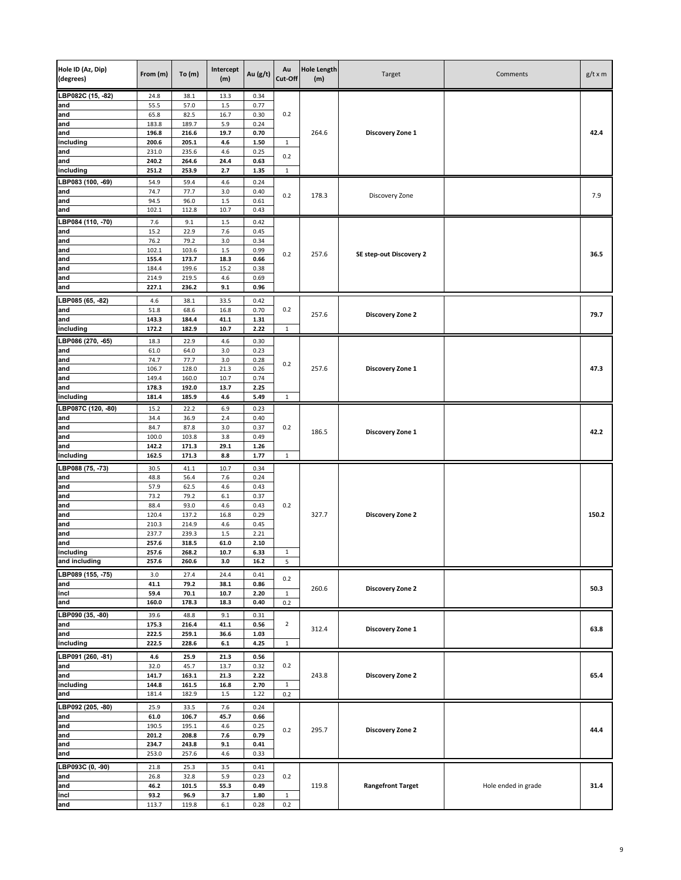| Hole ID (Az, Dip)<br>(degrees) | From (m)       | To(m)          | Intercept<br>(m) | Au (g/t)     | Au<br>Cut-Off  | <b>Hole Length</b><br>(m) | Target                   | Comments            | $g/t \times m$ |
|--------------------------------|----------------|----------------|------------------|--------------|----------------|---------------------------|--------------------------|---------------------|----------------|
| LBP082C (15, -82)              | 24.8           | 38.1           | 13.3             | 0.34         |                |                           |                          |                     |                |
| and                            | 55.5           | 57.0           | $1.5\,$          | 0.77         |                |                           |                          |                     |                |
| and                            | 65.8           | 82.5           | 16.7             | 0.30         | 0.2            |                           |                          |                     |                |
| and<br>and                     | 183.8<br>196.8 | 189.7<br>216.6 | 5.9<br>19.7      | 0.24<br>0.70 |                | 264.6                     | Discovery Zone 1         |                     | 42.4           |
| including                      | 200.6          | 205.1          | 4.6              | 1.50         | $\mathbf{1}$   |                           |                          |                     |                |
| and                            | 231.0          | 235.6          | $4.6\,$          | 0.25         | 0.2            |                           |                          |                     |                |
| and                            | 240.2          | 264.6          | 24.4             | 0.63         |                |                           |                          |                     |                |
| including                      | 251.2          | 253.9          | 2.7              | 1.35         | $\mathbf{1}$   |                           |                          |                     |                |
| LBP083 (100, -69)              | 54.9<br>74.7   | 59.4           | 4.6<br>3.0       | 0.24         |                |                           |                          |                     |                |
| and<br>and                     | 94.5           | 77.7<br>96.0   | $1.5\,$          | 0.40<br>0.61 | 0.2            | 178.3                     | Discovery Zone           |                     | 7.9            |
| and                            | 102.1          | 112.8          | 10.7             | 0.43         |                |                           |                          |                     |                |
| LBP084 (110, -70)              | 7.6            | 9.1            | $1.5\,$          | 0.42         |                |                           |                          |                     |                |
| and                            | 15.2           | 22.9           | 7.6              | 0.45         |                |                           |                          |                     |                |
| and                            | 76.2           | 79.2           | 3.0              | 0.34         |                |                           |                          |                     |                |
| and                            | 102.1          | 103.6          | $1.5\,$          | 0.99         | 0.2            | 257.6                     | SE step-out Discovery 2  |                     | 36.5           |
| and<br>and                     | 155.4<br>184.4 | 173.7<br>199.6 | 18.3<br>15.2     | 0.66<br>0.38 |                |                           |                          |                     |                |
| and                            | 214.9          | 219.5          | 4.6              | 0.69         |                |                           |                          |                     |                |
| and                            | 227.1          | 236.2          | 9.1              | 0.96         |                |                           |                          |                     |                |
| LBP085 (65, -82)               | 4.6            | 38.1           | 33.5             | 0.42         |                |                           |                          |                     |                |
| and                            | 51.8           | 68.6           | 16.8             | 0.70         | 0.2            | 257.6                     | Discovery Zone 2         |                     | 79.7           |
| and                            | 143.3          | 184.4          | 41.1             | 1.31         |                |                           |                          |                     |                |
| including                      | 172.2          | 182.9          | 10.7             | 2.22         | $\mathbf 1$    |                           |                          |                     |                |
| LBP086 (270, -65)              | 18.3           | 22.9           | 4.6              | 0.30         |                |                           |                          |                     |                |
| and<br>and                     | 61.0<br>74.7   | 64.0<br>77.7   | 3.0<br>3.0       | 0.23<br>0.28 |                |                           |                          |                     |                |
| and                            | 106.7          | 128.0          | 21.3             | 0.26         | 0.2            | 257.6                     | Discovery Zone 1         |                     | 47.3           |
| and                            | 149.4          | 160.0          | 10.7             | 0.74         |                |                           |                          |                     |                |
| and                            | 178.3          | 192.0          | 13.7             | 2.25         |                |                           |                          |                     |                |
| including                      | 181.4          | 185.9          | 4.6              | 5.49         | $\mathbf{1}$   |                           |                          |                     |                |
| LBP087C (120, -80)             | 15.2           | 22.2           | 6.9              | 0.23         |                |                           |                          |                     |                |
| and<br>and                     | 34.4<br>84.7   | 36.9<br>87.8   | 2.4<br>3.0       | 0.40<br>0.37 | 0.2            |                           |                          |                     |                |
| and                            | 100.0          | 103.8          | 3.8              | 0.49         |                | 186.5                     | Discovery Zone 1         |                     | 42.2           |
| and                            | 142.2          | 171.3          | 29.1             | 1.26         |                |                           |                          |                     |                |
| including                      | 162.5          | 171.3          | 8.8              | 1.77         | $\mathbf{1}$   |                           |                          |                     |                |
| LBP088 (75, -73)               | 30.5           | 41.1           | 10.7             | 0.34         |                |                           |                          |                     |                |
| and                            | 48.8           | 56.4           | 7.6              | 0.24         |                |                           |                          |                     |                |
| and<br>and                     | 57.9<br>73.2   | 62.5<br>79.2   | 4.6<br>$6.1\,$   | 0.43<br>0.37 |                |                           |                          |                     |                |
| and                            | 88.4           | 93.0           | 4.6              | 0.43         | 0.2            |                           |                          |                     |                |
| and                            | 120.4          | 137.2          | 16.8             | 0.29         |                | 327.7                     | Discovery Zone 2         |                     | 150.2          |
| and                            | 210.3          | 214.9          | 4.6              | 0.45         |                |                           |                          |                     |                |
| and                            | 237.7          | 239.3          | $1.5\,$          | 2.21<br>2.10 |                |                           |                          |                     |                |
| and<br>including               | 257.6<br>257.6 | 318.5<br>268.2 | 61.0<br>10.7     | 6.33         | $1\,$          |                           |                          |                     |                |
| and including                  | 257.6          | 260.6          | 3.0              | 16.2         | 5              |                           |                          |                     |                |
| LBP089 (155, -75)              | 3.0            | 27.4           | 24.4             | 0.41         |                |                           |                          |                     |                |
| and                            | 41.1           | 79.2           | 38.1             | 0.86         | 0.2            | 260.6                     |                          |                     | 50.3           |
| incl                           | 59.4           | 70.1           | 10.7             | 2.20         | $\mathbf{1}$   |                           | Discovery Zone 2         |                     |                |
| and                            | 160.0          | 178.3          | 18.3             | 0.40         | 0.2            |                           |                          |                     |                |
| LBP090 (35, -80)               | 39.6           | 48.8           | 9.1              | 0.31         |                |                           |                          |                     |                |
| and<br>and                     | 175.3<br>222.5 | 216.4<br>259.1 | 41.1<br>36.6     | 0.56<br>1.03 | $\overline{2}$ | 312.4                     | <b>Discovery Zone 1</b>  |                     | 63.8           |
| including                      | 222.5          | 228.6          | $\bf 6.1$        | 4.25         | $\mathbf{1}$   |                           |                          |                     |                |
|                                |                |                |                  |              |                |                           |                          |                     |                |
| LBP091 (260, -81)<br>and       | 4.6<br>32.0    | 25.9<br>45.7   | 21.3<br>13.7     | 0.56<br>0.32 | 0.2            |                           |                          |                     |                |
| and                            | 141.7          | 163.1          | 21.3             | 2.22         |                | 243.8                     | Discovery Zone 2         |                     | 65.4           |
| including                      | 144.8          | 161.5          | 16.8             | 2.70         | $\mathbf{1}$   |                           |                          |                     |                |
| and                            | 181.4          | 182.9          | $1.5\,$          | 1.22         | 0.2            |                           |                          |                     |                |
| LBP092 (205, -80)              | 25.9           | 33.5           | 7.6              | 0.24         |                |                           |                          |                     |                |
| and                            | 61.0           | 106.7          | 45.7             | 0.66         |                |                           |                          |                     |                |
| and                            | 190.5          | 195.1          | 4.6              | 0.25         | 0.2            | 295.7                     | Discovery Zone 2         |                     | 44.4           |
| and<br>and                     | 201.2<br>234.7 | 208.8<br>243.8 | 7.6<br>9.1       | 0.79<br>0.41 |                |                           |                          |                     |                |
| and                            | 253.0          | 257.6          | 4.6              | 0.33         |                |                           |                          |                     |                |
| LBP093C (0, -90)               | 21.8           | 25.3           | 3.5              | 0.41         |                |                           |                          |                     |                |
| and                            | 26.8           | 32.8           | 5.9              | 0.23         | 0.2            |                           |                          |                     |                |
| and                            | 46.2           | 101.5          | 55.3             | 0.49         |                | 119.8                     | <b>Rangefront Target</b> | Hole ended in grade | 31.4           |
| incl                           | 93.2           | 96.9           | 3.7              | 1.80         | $\mathbf{1}$   |                           |                          |                     |                |
| and                            | 113.7          | 119.8          | $6.1\,$          | 0.28         | 0.2            |                           |                          |                     |                |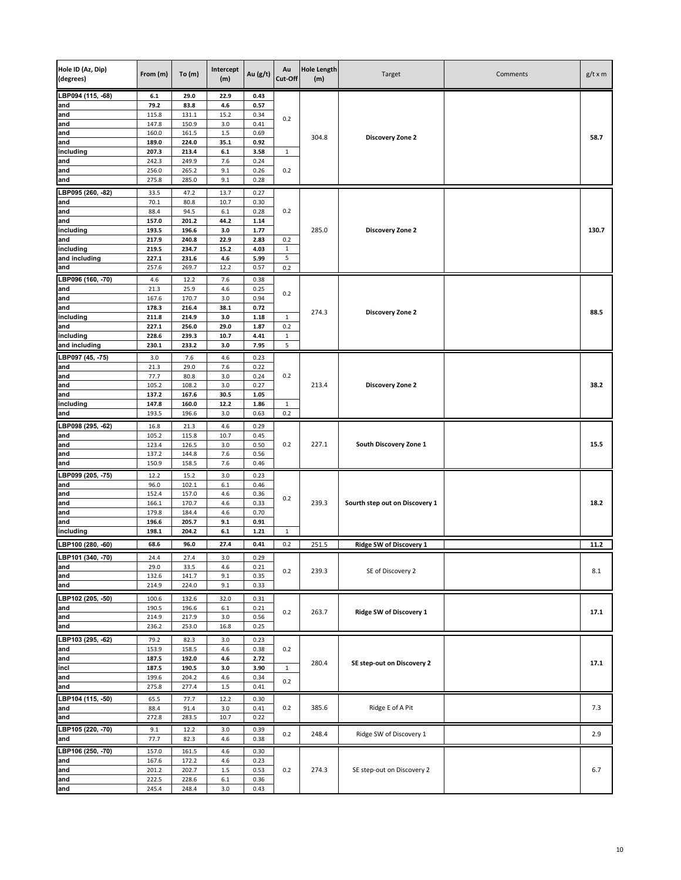| Hole ID (Az, Dip)<br>(degrees) | From (m)       | To(m)          | Intercept<br>(m) | Au (g/t)     | Au<br>Cut-Off       | <b>Hole Length</b><br>(m) | Target                         | Comments | $g/t \times m$ |
|--------------------------------|----------------|----------------|------------------|--------------|---------------------|---------------------------|--------------------------------|----------|----------------|
| LBP094 (115, -68)              | $6.1\,$        | 29.0           | 22.9             | 0.43         |                     |                           |                                |          |                |
| and                            | 79.2           | 83.8           | 4.6              | 0.57         |                     |                           |                                |          |                |
| and<br>and                     | 115.8<br>147.8 | 131.1<br>150.9 | 15.2<br>3.0      | 0.34<br>0.41 | 0.2                 |                           |                                |          |                |
| and                            | 160.0          | 161.5          | $1.5\,$          | 0.69         |                     |                           |                                |          |                |
| and                            | 189.0          | 224.0          | 35.1             | 0.92         |                     | 304.8                     | Discovery Zone 2               |          | 58.7           |
| including                      | 207.3          | 213.4          | $6.1\,$          | 3.58         | $\mathbf{1}$        |                           |                                |          |                |
| and                            | 242.3          | 249.9          | 7.6              | 0.24         |                     |                           |                                |          |                |
| and                            | 256.0          | 265.2          | 9.1              | 0.26         | 0.2                 |                           |                                |          |                |
| and                            | 275.8          | 285.0          | 9.1              | 0.28         |                     |                           |                                |          |                |
| LBP095 (260, -82)              | 33.5           | 47.2           | 13.7             | 0.27         |                     |                           |                                |          |                |
| and                            | 70.1           | 80.8           | 10.7             | 0.30         |                     |                           |                                |          |                |
| and<br>and                     | 88.4<br>157.0  | 94.5<br>201.2  | 6.1<br>44.2      | 0.28<br>1.14 | 0.2                 |                           |                                |          |                |
| including                      | 193.5          | 196.6          | 3.0              | 1.77         |                     | 285.0                     | Discovery Zone 2               |          | 130.7          |
| and                            | 217.9          | 240.8          | 22.9             | 2.83         | 0.2                 |                           |                                |          |                |
| including                      | 219.5          | 234.7          | 15.2             | 4.03         | $\mathbf 1$         |                           |                                |          |                |
| and including                  | 227.1          | 231.6          | 4.6              | 5.99         | 5                   |                           |                                |          |                |
| and                            | 257.6          | 269.7          | 12.2             | 0.57         | 0.2                 |                           |                                |          |                |
| LBP096 (160, -70)              | 4.6            | 12.2           | 7.6              | 0.38         |                     |                           |                                |          |                |
| and                            | 21.3           | 25.9           | 4.6              | 0.25         | 0.2                 |                           |                                |          |                |
| and<br>and                     | 167.6<br>178.3 | 170.7<br>216.4 | 3.0<br>38.1      | 0.94<br>0.72 |                     |                           |                                |          |                |
| including                      | 211.8          | 214.9          | 3.0              | 1.18         | $\mathbf{1}$        | 274.3                     | Discovery Zone 2               |          | 88.5           |
| and                            | 227.1          | 256.0          | 29.0             | 1.87         | 0.2                 |                           |                                |          |                |
| including                      | 228.6          | 239.3          | 10.7             | 4.41         | $\,1\,$             |                           |                                |          |                |
| and including                  | 230.1          | 233.2          | 3.0              | 7.95         | 5                   |                           |                                |          |                |
| LBP097 (45, -75)               | 3.0            | 7.6            | 4.6              | 0.23         |                     |                           |                                |          |                |
| and                            | 21.3           | 29.0           | 7.6              | 0.22         |                     |                           |                                |          |                |
| and                            | 77.7           | 80.8           | 3.0              | 0.24         | 0.2                 |                           |                                |          |                |
| and<br>and                     | 105.2<br>137.2 | 108.2<br>167.6 | 3.0<br>30.5      | 0.27<br>1.05 | $\mathbf{1}$<br>0.2 | 213.4                     | Discovery Zone 2               |          | 38.2           |
| including                      | 147.8          | 160.0          | 12.2             | 1.86         |                     |                           |                                |          |                |
| and                            | 193.5          | 196.6          | 3.0              | 0.63         |                     |                           |                                |          |                |
| LBP098 (295, -62)              | 16.8           | 21.3           | 4.6              | 0.29         |                     |                           |                                |          |                |
| and                            | 105.2          | 115.8          | 10.7             | 0.45         |                     |                           |                                |          |                |
| and                            | 123.4          | 126.5          | 3.0              | 0.50         | 0.2                 | 227.1                     | South Discovery Zone 1         |          | 15.5           |
| and                            | 137.2          | 144.8          | 7.6              | 0.56         |                     |                           |                                |          |                |
| and                            | 150.9          | 158.5          | 7.6              | 0.46         |                     |                           |                                |          |                |
| LBP099 (205, -75)<br>and       | 12.2<br>96.0   | 15.2<br>102.1  | 3.0<br>$6.1\,$   | 0.23<br>0.46 |                     |                           |                                |          |                |
| and                            | 152.4          | 157.0          | 4.6              | 0.36         |                     |                           |                                |          |                |
| and                            | 166.1          | 170.7          | 4.6              | 0.33         | 0.2                 | 239.3                     | Sourth step out on Discovery 1 |          | 18.2           |
| and                            | 179.8          | 184.4          | 4.6              | 0.70         |                     |                           |                                |          |                |
| and                            | 196.6          | 205.7          | 9.1              | 0.91         |                     |                           |                                |          |                |
| including                      | 198.1          | 204.2          | $6.1\,$          | 1.21         | $\mathbf 1$         |                           |                                |          |                |
| LBP100 (280, -60)              | 68.6           | 96.0           | 27.4             | 0.41         | 0.2                 | 251.5                     | <b>Ridge SW of Discovery 1</b> |          | 11.2           |
| LBP101 (340, -70)              | 24.4           | 27.4           | 3.0              | 0.29         |                     |                           |                                |          |                |
| and                            | 29.0           | 33.5           | 4.6              | 0.21         | 0.2                 | 239.3                     | SE of Discovery 2              |          | 8.1            |
| and<br>and                     | 132.6<br>214.9 | 141.7<br>224.0 | 9.1<br>9.1       | 0.35<br>0.33 |                     |                           |                                |          |                |
|                                |                |                |                  |              |                     |                           |                                |          |                |
| LBP102 (205, -50)<br>and       | 100.6<br>190.5 | 132.6<br>196.6 | 32.0<br>$6.1\,$  | 0.31<br>0.21 |                     |                           |                                |          |                |
| and                            | 214.9          | 217.9          | 3.0              | 0.56         | 0.2                 | 263.7                     | Ridge SW of Discovery 1        |          | 17.1           |
| and                            | 236.2          | 253.0          | 16.8             | 0.25         |                     |                           |                                |          |                |
| LBP103 (295, -62)              | 79.2           | 82.3           | 3.0              | 0.23         |                     |                           |                                |          |                |
| and                            | 153.9          | 158.5          | 4.6              | 0.38         | 0.2                 |                           |                                |          |                |
| and                            | 187.5          | 192.0          | 4.6              | 2.72         |                     | 280.4                     | SE step-out on Discovery 2     |          | 17.1           |
| incl                           | 187.5          | 190.5          | 3.0              | 3.90         | $\mathbf 1$         |                           |                                |          |                |
| and                            | 199.6          | 204.2          | 4.6              | 0.34         | 0.2                 |                           |                                |          |                |
| and                            | 275.8          | 277.4          | $1.5\,$          | 0.41         |                     |                           |                                |          |                |
| LBP104 (115, -50)              | 65.5           | 77.7           | 12.2             | 0.30         |                     |                           |                                |          |                |
| and<br>and                     | 88.4<br>272.8  | 91.4<br>283.5  | 3.0<br>10.7      | 0.41<br>0.22 | 0.2                 | 385.6                     | Ridge E of A Pit               |          | 7.3            |
| LBP105 (220, -70)              | 9.1            | 12.2           | 3.0              | 0.39         |                     |                           |                                |          |                |
| and                            | 77.7           | 82.3           | 4.6              | 0.38         | 0.2                 | 248.4                     | Ridge SW of Discovery 1        |          | 2.9            |
| LBP106 (250, -70)              | 157.0          | 161.5          | 4.6              | 0.30         |                     |                           |                                |          |                |
| and                            | 167.6          | 172.2          | 4.6              | 0.23         |                     |                           |                                |          |                |
| and                            | 201.2          | 202.7          | $1.5\,$          | 0.53         | 0.2                 | 274.3                     | SE step-out on Discovery 2     |          | 6.7            |
| and                            | 222.5          | 228.6          | $6.1\,$          | 0.36         |                     |                           |                                |          |                |
| and                            | 245.4          | 248.4          | 3.0              | 0.43         |                     |                           |                                |          |                |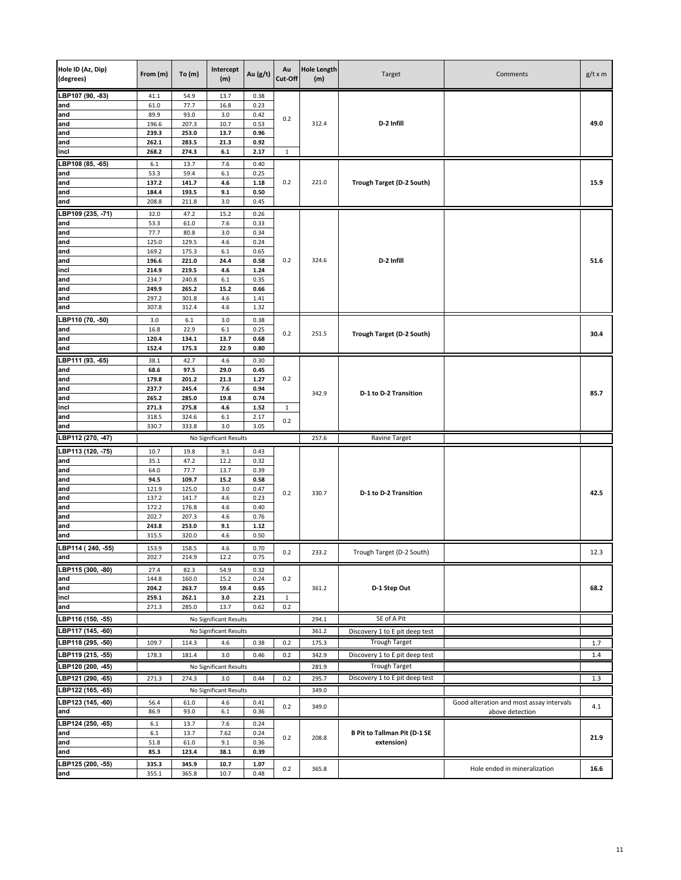| Hole ID (Az, Dip)        |                |                | Intercept              |              | Au           | <b>Hole Length</b> |                                     |                                          |                |
|--------------------------|----------------|----------------|------------------------|--------------|--------------|--------------------|-------------------------------------|------------------------------------------|----------------|
| (degrees)                | From (m)       | To(m)          | (m)                    | Au (g/t)     | Cut-Off      | (m)                | Target                              | Comments                                 | $g/t \times m$ |
|                          |                |                |                        |              |              |                    |                                     |                                          |                |
| LBP107 (90, -83)         | 41.1           | 54.9           | 13.7                   | 0.38         |              |                    |                                     |                                          |                |
| and<br>and               | 61.0<br>89.9   | 77.7<br>93.0   | 16.8<br>3.0            | 0.23<br>0.42 |              |                    |                                     |                                          |                |
| and                      | 196.6          | 207.3          | 10.7                   | 0.53         | 0.2          | 312.4              | D-2 Infill                          |                                          | 49.0           |
| and                      | 239.3          | 253.0          | 13.7                   | 0.96         |              |                    |                                     |                                          |                |
| and                      | 262.1          | 283.5          | 21.3                   | 0.92         |              |                    |                                     |                                          |                |
| incl                     | 268.2          | 274.3          | $6.1\,$                | 2.17         | $\mathbf 1$  |                    |                                     |                                          |                |
| LBP108 (85, -65)         | 6.1            | 13.7           | 7.6                    | 0.40         |              |                    |                                     |                                          |                |
| and                      | 53.3           | 59.4           | $6.1\,$                | 0.25         |              |                    |                                     |                                          |                |
| and                      | 137.2          | 141.7          | 4.6                    | 1.18         | 0.2          | 221.0              | Trough Target (D-2 South)           |                                          | 15.9           |
| and<br>and               | 184.4<br>208.8 | 193.5<br>211.8 | 9.1<br>3.0             | 0.50<br>0.45 |              |                    |                                     |                                          |                |
|                          |                |                |                        |              |              |                    |                                     |                                          |                |
| LBP109 (235, -71)<br>and | 32.0<br>53.3   | 47.2<br>61.0   | 15.2<br>7.6            | 0.26<br>0.33 |              |                    |                                     |                                          |                |
| and                      | 77.7           | 80.8           | 3.0                    | 0.34         |              |                    |                                     |                                          |                |
| and                      | 125.0          | 129.5          | 4.6                    | 0.24         |              |                    |                                     |                                          |                |
| and                      | 169.2          | 175.3          | 6.1                    | 0.65         |              |                    |                                     |                                          |                |
| and                      | 196.6          | 221.0          | 24.4                   | 0.58         | 0.2          | 324.6              | D-2 Infill                          |                                          | 51.6           |
| incl                     | 214.9          | 219.5          | 4.6                    | 1.24         |              |                    |                                     |                                          |                |
| and                      | 234.7<br>249.9 | 240.8<br>265.2 | 6.1<br>15.2            | 0.35<br>0.66 |              |                    |                                     |                                          |                |
| and<br>and               | 297.2          | 301.8          | 4.6                    | 1.41         |              |                    |                                     |                                          |                |
| and                      | 307.8          | 312.4          | 4.6                    | 1.32         |              |                    |                                     |                                          |                |
| LBP110 (70, -50)         | 3.0            | 6.1            | 3.0                    | 0.38         |              |                    |                                     |                                          |                |
| and                      | 16.8           | 22.9           | 6.1                    | 0.25         |              |                    |                                     |                                          |                |
| and                      | 120.4          | 134.1          | 13.7                   | 0.68         | 0.2          | 251.5              | Trough Target (D-2 South)           |                                          | 30.4           |
| and                      | 152.4          | 175.3          | 22.9                   | 0.80         |              |                    |                                     |                                          |                |
| LBP111 (93, -65)         | 38.1           | 42.7           | 4.6                    | 0.30         |              |                    |                                     |                                          |                |
| and                      | 68.6           | 97.5           | 29.0                   | 0.45         |              |                    |                                     |                                          |                |
| and                      | 179.8          | 201.2          | 21.3                   | 1.27         | 0.2          |                    |                                     |                                          |                |
| and                      | 237.7          | 245.4          | 7.6                    | 0.94         | 0.74         | 342.9              | D-1 to D-2 Transition               |                                          | 85.7           |
| and                      | 265.2          | 285.0          | 19.8                   |              |              |                    |                                     |                                          |                |
| incl                     | 271.3          | 275.8          | 4.6                    | 1.52         | $\mathbf{1}$ |                    |                                     |                                          |                |
| and<br>and               | 318.5<br>330.7 | 324.6<br>333.8 | 6.1<br>3.0             | 2.17<br>3.05 | 0.2          |                    |                                     |                                          |                |
| LBP112 (270, -47)        |                |                | No Significant Results |              |              | 257.6              | Ravine Target                       |                                          |                |
|                          |                |                |                        |              |              |                    |                                     |                                          |                |
| LBP113 (120, -75)        | 10.7           | 19.8           | 9.1<br>12.2            | 0.43         |              |                    |                                     |                                          |                |
| and<br>and               | 35.1<br>64.0   | 47.2<br>77.7   | 13.7                   | 0.32<br>0.39 |              |                    |                                     |                                          |                |
| and                      | 94.5           | 109.7          | 15.2                   | 0.58         |              |                    |                                     |                                          |                |
| and                      | 121.9          | 125.0          | 3.0                    | 0.47         | 0.2          | 330.7              | D-1 to D-2 Transition               |                                          | 42.5           |
| and                      | 137.2          | 141.7          | 4.6                    | 0.23         |              |                    |                                     |                                          |                |
| and                      | 172.2          | 176.8          | 4.6                    | 0.40         |              |                    |                                     |                                          |                |
| and                      | 202.7          | 207.3          | 4.6                    | 0.76         |              |                    |                                     |                                          |                |
| and<br>and               | 243.8<br>315.5 | 253.0<br>320.0 | 9.1<br>4.6             | 1.12<br>0.50 |              |                    |                                     |                                          |                |
|                          |                |                |                        |              |              |                    |                                     |                                          |                |
| LBP114 (240, -55)        | 153.9          | 158.5          | 4.6                    | 0.70         | 0.2          | 233.2              | Trough Target (D-2 South)           |                                          | 12.3           |
| and                      | 202.7          | 214.9          | 12.2                   | 0.75         |              |                    |                                     |                                          |                |
| LBP115 (300, -80)<br>and | 27.4<br>144.8  | 82.3<br>160.0  | 54.9<br>15.2           | 0.32<br>0.24 | 0.2          |                    |                                     |                                          |                |
| and                      | 204.2          | 263.7          | 59.4                   | 0.65         |              | 361.2              | D-1 Step Out                        |                                          | 68.2           |
| incl                     | 259.1          | 262.1          | 3.0                    | 2.21         | $\mathbf{1}$ |                    |                                     |                                          |                |
| and                      | 271.3          | 285.0          | 13.7                   | 0.62         | 0.2          |                    |                                     |                                          |                |
| LBP116 (150, -55)        |                |                | No Significant Results |              |              | 294.1              | SE of A Pit                         |                                          |                |
| LBP117 (145, -60)        |                |                | No Significant Results |              |              | 361.2              | Discovery 1 to E pit deep test      |                                          |                |
| LBP118 (295, -50)        | 109.7          | 114.3          | 4.6                    | 0.38         | 0.2          | 175.3              | <b>Trough Target</b>                |                                          | 1.7            |
| LBP119 (215, -55)        | 178.3          | 181.4          | 3.0                    | 0.46         | 0.2          | 342.9              | Discovery 1 to E pit deep test      |                                          | 1.4            |
|                          |                |                |                        |              |              |                    |                                     |                                          |                |
| LBP120 (200, -45)        |                |                | No Significant Results |              |              | 281.9              | <b>Trough Target</b>                |                                          |                |
| LBP121 (290, -65)        | 271.3          | 274.3          | 3.0                    | 0.44         | 0.2          | 295.7              | Discovery 1 to E pit deep test      |                                          | 1.3            |
| LBP122 (165, -65)        |                |                | No Significant Results |              |              | 349.0              |                                     |                                          |                |
| LBP123 (145, -60)        | 56.4           | 61.0           | 4.6                    | 0.41         | 0.2          | 349.0              |                                     | Good alteration and most assay intervals | 4.1            |
| and                      | 86.9           | 93.0           | 6.1                    | 0.36         |              |                    |                                     | above detection                          |                |
| LBP124 (250, -65)        | 6.1            | 13.7           | 7.6                    | 0.24         |              |                    |                                     |                                          |                |
| and                      | $6.1\,$        | 13.7           | 7.62                   | 0.24         | 0.2          | 208.8              | <b>B Pit to Tallman Pit (D-1 SE</b> |                                          | 21.9           |
| and                      | 51.8           | 61.0           | 9.1                    | 0.36         |              |                    | extension)                          |                                          |                |
| and                      | 85.3           | 123.4          | 38.1                   | 0.39         |              |                    |                                     |                                          |                |
| LBP125 (200, -55)        | 335.3          | 345.9          | 10.7                   | 1.07         | 0.2          | 365.8              |                                     | Hole ended in mineralization             | 16.6           |
| and                      | 355.1          | 365.8          | 10.7                   | 0.48         |              |                    |                                     |                                          |                |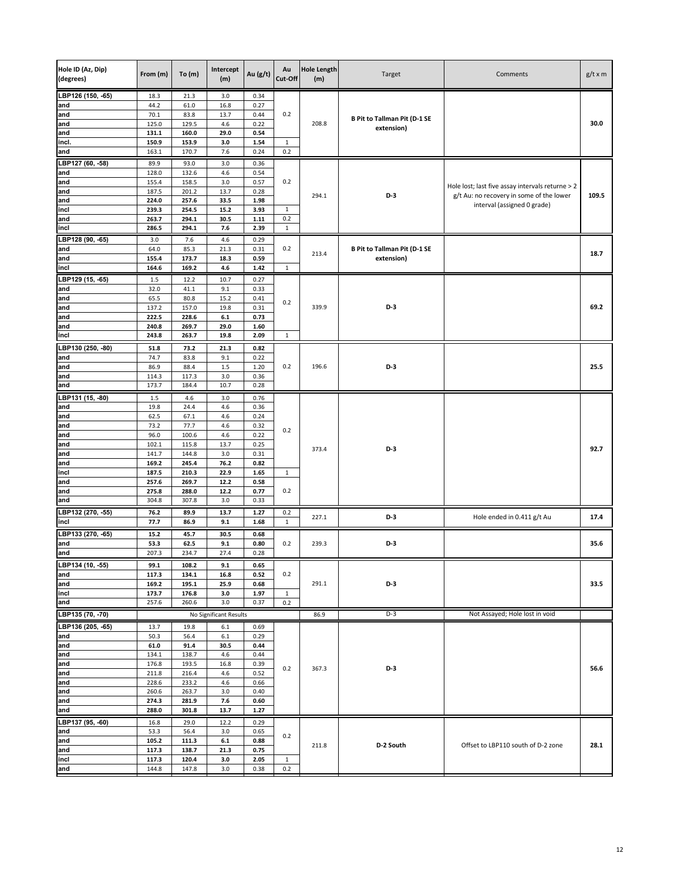| Hole ID (Az, Dip)<br><b>Hole Length</b><br>Intercept<br>Au<br>Au (g/t)<br>From (m)<br>To $(m)$<br>Target<br>(degrees)<br>Cut-Off<br>(m)<br>(m) | Comments                                         | $g/t \times m$ |
|------------------------------------------------------------------------------------------------------------------------------------------------|--------------------------------------------------|----------------|
| LBP126 (150, -65)<br>18.3<br>21.3<br>3.0<br>0.34                                                                                               |                                                  |                |
| 44.2<br>61.0<br>16.8<br>0.27<br>and<br>70.1<br>0.2                                                                                             |                                                  |                |
| 83.8<br>13.7<br>0.44<br>and<br><b>B Pit to Tallman Pit (D-1 SE</b><br>125.0<br>129.5<br>4.6<br>208.8<br>and<br>0.22                            |                                                  | 30.0           |
| extension)<br>29.0<br>and<br>131.1<br>160.0<br>0.54                                                                                            |                                                  |                |
| incl.<br>150.9<br>153.9<br>3.0<br>1.54<br>$\mathbf{1}$                                                                                         |                                                  |                |
| 163.1<br>170.7<br>7.6<br>0.24<br>0.2<br>and                                                                                                    |                                                  |                |
| LBP127 (60, -58)<br>89.9<br>93.0<br>3.0<br>0.36                                                                                                |                                                  |                |
| and<br>128.0<br>132.6<br>4.6<br>0.54                                                                                                           |                                                  |                |
| 155.4<br>3.0<br>0.2<br>and<br>158.5<br>0.57                                                                                                    | Hole lost; last five assay intervals returne > 2 |                |
| 187.5<br>13.7<br>and<br>201.2<br>0.28<br>294.1<br>$D-3$                                                                                        | g/t Au: no recovery in some of the lower         | 109.5          |
| and<br>224.0<br>257.6<br>33.5<br>1.98<br>15.2<br>3.93<br>incl<br>239.3<br>254.5<br>$\mathbf{1}$                                                | interval (assigned 0 grade)                      |                |
| 0.2<br>and<br>263.7<br>294.1<br>30.5<br>1.11                                                                                                   |                                                  |                |
| 294.1<br>7.6<br>2.39<br>incl<br>286.5<br>$\mathbf{1}$                                                                                          |                                                  |                |
| LBP128 (90, -65)<br>3.0<br>4.6<br>0.29<br>7.6                                                                                                  |                                                  |                |
| and<br>64.0<br>85.3<br>21.3<br>0.31<br><b>B Pit to Tallman Pit (D-1 SE</b><br>0.2                                                              |                                                  |                |
| 213.4<br>155.4<br>0.59<br>extension)<br>and<br>173.7<br>18.3                                                                                   |                                                  | 18.7           |
| incl<br>164.6<br>169.2<br>4.6<br>1.42<br>$\mathbf{1}$                                                                                          |                                                  |                |
| LBP129 (15, -65)<br>1.5<br>12.2<br>10.7<br>0.27                                                                                                |                                                  |                |
| 9.1<br>and<br>32.0<br>41.1<br>0.33                                                                                                             |                                                  |                |
| and<br>65.5<br>80.8<br>15.2<br>0.41<br>0.2                                                                                                     |                                                  |                |
| 339.9<br>D-3<br>and<br>137.2<br>157.0<br>19.8<br>0.31                                                                                          |                                                  | 69.2           |
| $6.1\,$<br>222.5<br>228.6<br>0.73<br>and<br>29.0<br>and<br>240.8<br>269.7<br>1.60                                                              |                                                  |                |
| incl<br>243.8<br>263.7<br>19.8<br>2.09<br>$\mathbf{1}$                                                                                         |                                                  |                |
| LBP130 (250, -80)                                                                                                                              |                                                  |                |
| 21.3<br>0.82<br>51.8<br>73.2<br>74.7<br>83.8<br>9.1<br>0.22<br>and                                                                             |                                                  |                |
| 196.6<br>and<br>86.9<br>88.4<br>1.5<br>1.20<br>0.2<br>D-3                                                                                      |                                                  | 25.5           |
| 117.3<br>3.0<br>and<br>114.3<br>0.36                                                                                                           |                                                  |                |
| and<br>173.7<br>184.4<br>10.7<br>0.28                                                                                                          |                                                  |                |
| LBP131 (15, -80)<br>3.0<br>1.5<br>4.6<br>0.76                                                                                                  |                                                  |                |
| and<br>24.4<br>4.6<br>19.8<br>0.36                                                                                                             |                                                  |                |
| 67.1<br>4.6<br>and<br>62.5<br>0.24                                                                                                             |                                                  |                |
| and<br>73.2<br>77.7<br>4.6<br>0.32<br>0.2                                                                                                      |                                                  |                |
| 96.0<br>100.6<br>4.6<br>0.22<br>and                                                                                                            |                                                  |                |
| 102.1<br>115.8<br>13.7<br>0.25<br>and<br>373.4<br>D-3<br>141.7<br>and<br>144.8<br>3.0<br>0.31                                                  |                                                  | 92.7           |
| 76.2<br>0.82<br>and<br>169.2<br>245.4                                                                                                          |                                                  |                |
| incl<br>187.5<br>210.3<br>22.9<br>1.65<br>$\mathbf{1}$                                                                                         |                                                  |                |
| and<br>257.6<br>269.7<br>12.2<br>0.58                                                                                                          |                                                  |                |
| 275.8<br>288.0<br>12.2<br>0.77<br>0.2<br>and                                                                                                   |                                                  |                |
| and<br>304.8<br>3.0<br>307.8<br>0.33                                                                                                           |                                                  |                |
| LBP132 (270, -55)<br>76.2<br>89.9<br>13.7<br>1.27<br>0.2<br>227.1<br>D-3                                                                       | Hole ended in 0.411 g/t Au                       | 17.4           |
| incl<br>77.7<br>86.9<br>9.1<br>1.68<br>$\mathbf{1}$                                                                                            |                                                  |                |
| LBP133 (270, -65)<br>15.2<br>45.7<br>30.5<br>0.68                                                                                              |                                                  |                |
| 53.3<br>9.1<br>0.80<br>D-3<br>and<br>62.5<br>0.2<br>239.3                                                                                      |                                                  | 35.6           |
| and<br>207.3<br>234.7<br>27.4<br>0.28                                                                                                          |                                                  |                |
| LBP134 (10, -55)<br>99.1<br>108.2<br>9.1<br>0.65                                                                                               |                                                  |                |
| 117.3<br>16.8<br>0.52<br>0.2<br>and<br>134.1<br>and<br>169.2<br>195.1<br>25.9<br>0.68<br>291.1<br>D-3                                          |                                                  | 33.5           |
| incl<br>173.7<br>176.8<br>3.0<br>1.97<br>$\mathbf{1}$                                                                                          |                                                  |                |
| 257.6<br>260.6<br>3.0<br>0.37<br>0.2<br>and                                                                                                    |                                                  |                |
| $D-3$<br>LBP135 (70, -70)<br>No Significant Results<br>86.9                                                                                    | Not Assayed; Hole lost in void                   |                |
| LBP136 (205, -65)<br>13.7<br>19.8<br>6.1<br>0.69                                                                                               |                                                  |                |
| 50.3<br>56.4<br>6.1<br>0.29<br>and                                                                                                             |                                                  |                |
| and<br>61.0<br>91.4<br>30.5<br>0.44                                                                                                            |                                                  |                |
| and<br>134.1<br>138.7<br>4.6<br>0.44                                                                                                           |                                                  |                |
| 176.8<br>16.8<br>and<br>193.5<br>0.39<br>D-3<br>0.2<br>367.3                                                                                   |                                                  | 56.6           |
| and<br>211.8<br>216.4<br>4.6<br>0.52                                                                                                           |                                                  |                |
| 4.6<br>and<br>228.6<br>233.2<br>0.66                                                                                                           |                                                  |                |
| 260.6<br>and<br>263.7<br>3.0<br>0.40<br>274.3<br>7.6<br>0.60<br>and<br>281.9                                                                   |                                                  |                |
| 13.7<br>and<br>288.0<br>301.8<br>1.27                                                                                                          |                                                  |                |
| LBP137 (95, -60)<br>16.8<br>29.0<br>12.2<br>0.29                                                                                               |                                                  |                |
| 53.3<br>56.4<br>3.0<br>0.65<br>and                                                                                                             |                                                  |                |
| 0.2<br>105.2<br>111.3<br>$6.1\,$<br>0.88<br>and                                                                                                |                                                  |                |
| 211.8<br>D-2 South<br>117.3<br>21.3<br>0.75<br>and<br>138.7                                                                                    | Offset to LBP110 south of D-2 zone               | 28.1           |
| incl<br>117.3<br>120.4<br>3.0<br>2.05<br>$\mathbf{1}$                                                                                          |                                                  |                |
| and<br>144.8<br>147.8<br>3.0<br>0.38<br>0.2                                                                                                    |                                                  |                |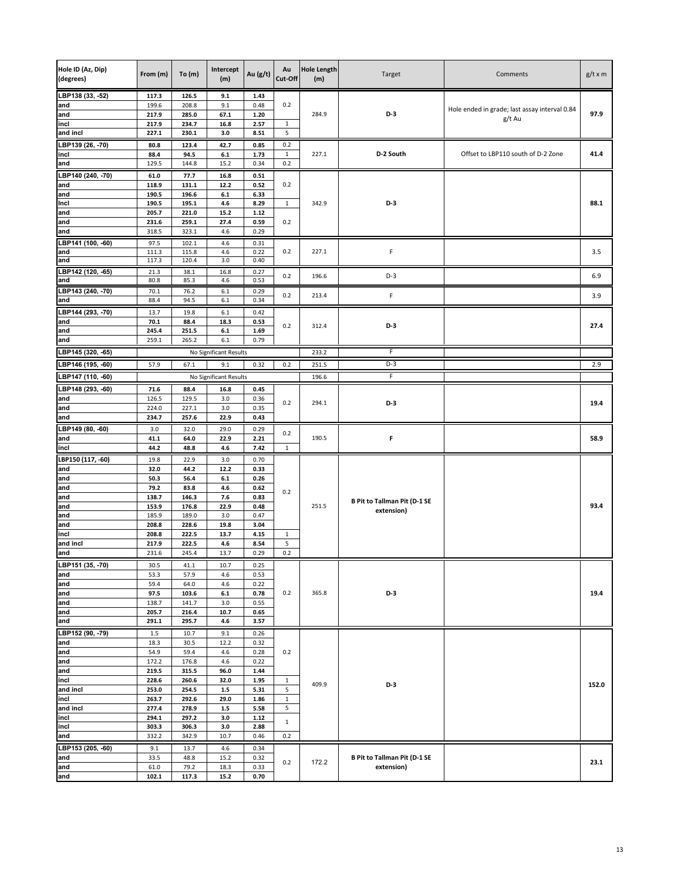| Hole ID (Az, Dip)<br>(degrees) | From (m)       | To $(m)$       | Intercept<br>(m)           | Au $(g/t)$   | Au<br>Cut-Off     | <b>Hole Length</b><br>(m) | Target                              | Comments                                      | $g/t \times m$ |
|--------------------------------|----------------|----------------|----------------------------|--------------|-------------------|---------------------------|-------------------------------------|-----------------------------------------------|----------------|
| LBP138 (33, -52)               | 117.3          | 126.5          | 9.1                        | 1.43         |                   |                           |                                     |                                               |                |
| and<br>and                     | 199.6<br>217.9 | 208.8<br>285.0 | 9.1<br>67.1                | 0.48<br>1.20 | 0.2               | 284.9                     | $D-3$                               | Hole ended in grade; last assay interval 0.84 | 97.9           |
| incl                           | 217.9          | 234.7          | 16.8                       | 2.57         | $\mathbf{1}$      |                           |                                     | g/t Au                                        |                |
| and incl                       | 227.1          | 230.1          | 3.0                        | 8.51         | 5                 |                           |                                     |                                               |                |
| LBP139 (26, -70)               | 80.8           | 123.4          | 42.7                       | 0.85         | 0.2               |                           |                                     |                                               |                |
| incl                           | 88.4           | 94.5           | $\bf 6.1$                  | 1.73         | $\mathbf{1}$      | 227.1                     | D-2 South                           | Offset to LBP110 south of D-2 Zone            | 41.4           |
| and                            | 129.5          | 144.8          | 15.2                       | 0.34         | 0.2               |                           |                                     |                                               |                |
| LBP140 (240, -70)              | 61.0           | 77.7           | 16.8                       | 0.51         |                   |                           |                                     |                                               |                |
| and                            | 118.9<br>190.5 | 131.1<br>196.6 | 12.2<br>$\boldsymbol{6.1}$ | 0.52<br>6.33 | 0.2               |                           |                                     |                                               |                |
| and<br>Incl                    | 190.5          | 195.1          | 4.6                        | 8.29         | $\mathbf{1}$      | 342.9                     | D-3                                 |                                               | 88.1           |
| and                            | 205.7          | 221.0          | 15.2                       | 1.12         |                   |                           |                                     |                                               |                |
| and                            | 231.6          | 259.1          | 27.4                       | 0.59         | 0.2               |                           |                                     |                                               |                |
| and                            | 318.5          | 323.1          | 4.6                        | 0.29         |                   |                           |                                     |                                               |                |
| LBP141 (100, -60)              | 97.5           | 102.1          | 4.6                        | 0.31         |                   |                           |                                     |                                               |                |
| and<br>and                     | 111.3<br>117.3 | 115.8<br>120.4 | 4.6<br>3.0                 | 0.22<br>0.40 | 0.2               | 227.1                     | F                                   |                                               | 3.5            |
| LBP142 (120, -65)              | 21.3           | 38.1           | 16.8                       | 0.27         |                   |                           |                                     |                                               |                |
| and                            | 80.8           | 85.3           | 4.6                        | 0.53         | 0.2               | 196.6                     | $D-3$                               |                                               | 6.9            |
| LBP143 (240, -70)              | 70.1           | 76.2           | 6.1                        | 0.29         | 0.2               | 213.4                     | F                                   |                                               | 3.9            |
| and                            | 88.4           | 94.5           | $6.1\,$                    | 0.34         |                   |                           |                                     |                                               |                |
| LBP144 (293, -70)              | 13.7           | 19.8           | 6.1                        | 0.42         |                   |                           |                                     |                                               |                |
| and                            | 70.1           | 88.4           | 18.3                       | 0.53         | 0.2               | 312.4                     | D-3                                 |                                               | 27.4           |
| and<br>and                     | 245.4<br>259.1 | 251.5<br>265.2 | $\boldsymbol{6.1}$<br>6.1  | 1.69<br>0.79 |                   |                           |                                     |                                               |                |
| LBP145 (320, -65)              |                |                | No Significant Results     |              |                   | 233.2                     | F                                   |                                               |                |
| LBP146 (195, -60)              | 57.9           | 67.1           | 9.1                        | 0.32         | 0.2               | 251.5                     | $D-3$                               |                                               | 2.9            |
| LBP147 (110, -60)              |                |                | No Significant Results     |              |                   | 196.6                     | F                                   |                                               |                |
|                                |                |                |                            |              |                   |                           |                                     |                                               |                |
| LBP148 (293, -60)<br>and       | 71.6<br>126.5  | 88.4<br>129.5  | 16.8<br>3.0                | 0.45<br>0.36 |                   |                           |                                     |                                               |                |
| and                            | 224.0          | 227.1          | 3.0                        | 0.35         | 0.2               | 294.1                     | $D-3$                               |                                               | 19.4           |
| and                            | 234.7          | 257.6          | 22.9                       | 0.43         |                   |                           |                                     |                                               |                |
| LBP149 (80, -60)               | 3.0            | 32.0           | 29.0                       | 0.29         | 0.2               |                           |                                     |                                               |                |
| and                            | 41.1           | 64.0           | 22.9                       | 2.21         |                   | 190.5                     | F                                   |                                               | 58.9           |
| incl                           | 44.2           | 48.8           | 4.6                        | 7.42         | $\mathbf{1}$      |                           |                                     |                                               |                |
| LBP150 (117, -60)              | 19.8           | 22.9           | 3.0                        | 0.70         |                   |                           |                                     |                                               |                |
| and<br>and                     | 32.0<br>50.3   | 44.2<br>56.4   | 12.2<br>$6.1$              | 0.33<br>0.26 |                   |                           |                                     |                                               |                |
| and                            | 79.2           | 83.8           | 4.6                        | 0.62         |                   |                           |                                     |                                               |                |
| and                            | 138.7          | 146.3          | 7.6                        | 0.83         | 0.2               |                           | <b>B Pit to Tallman Pit (D-1 SE</b> |                                               |                |
| and                            | 153.9          | 176.8          | 22.9                       | 0.48         |                   | 251.5                     | extension)                          |                                               | 93.4           |
| and<br>and                     | 185.9<br>208.8 | 189.0          | 3.0                        | 0.47         |                   |                           |                                     |                                               |                |
| incl                           | 208.8          | 228.6<br>222.5 | 19.8<br>13.7               | 3.04<br>4.15 | $\mathbf{1}$      |                           |                                     |                                               |                |
| and incl                       | 217.9          | 222.5          | 4.6                        | 8.54         | 5                 |                           |                                     |                                               |                |
| and                            | 231.6          | 245.4          | 13.7                       | 0.29         | 0.2               |                           |                                     |                                               |                |
| LBP151 (35, -70)               | 30.5           | 41.1           | 10.7                       | 0.25         |                   |                           |                                     |                                               |                |
| and                            | 53.3           | 57.9           | 4.6                        | 0.53         |                   |                           |                                     |                                               |                |
| and<br>and                     | 59.4<br>97.5   | 64.0<br>103.6  | 4.6<br>$6.1\,$             | 0.22<br>0.78 | 0.2               | 365.8                     | D-3                                 |                                               | 19.4           |
| and                            | 138.7          | 141.7          | $3.0\,$                    | 0.55         |                   |                           |                                     |                                               |                |
| and                            | 205.7          | 216.4          | 10.7                       | 0.65         |                   |                           |                                     |                                               |                |
| and                            | 291.1          | 295.7          | $4.6\,$                    | 3.57         |                   |                           |                                     |                                               |                |
| LBP152 (90, -79)               | 1.5            | 10.7           | 9.1                        | 0.26         |                   |                           |                                     |                                               |                |
| and                            | 18.3           | 30.5           | 12.2                       | 0.32         | 0.2               |                           |                                     |                                               |                |
| and<br>and                     | 54.9<br>172.2  | 59.4<br>176.8  | 4.6<br>4.6                 | 0.28<br>0.22 |                   |                           |                                     |                                               |                |
| and                            | 219.5          | 315.5          | 96.0                       | 1.44         |                   |                           |                                     |                                               |                |
| incl                           | 228.6          | 260.6          | 32.0                       | 1.95         | $\mathbf{1}$      | 409.9                     | $D-3$                               |                                               | 152.0          |
| and incl                       | 253.0          | 254.5          | $1.5\,$                    | 5.31         | 5                 |                           |                                     |                                               |                |
| incl<br>and incl               | 263.7<br>277.4 | 292.6<br>278.9 | 29.0<br>$1.5\,$            | 1.86<br>5.58 | $\mathbf{1}$<br>5 |                           |                                     |                                               |                |
| incl                           | 294.1          | 297.2          | 3.0                        | 1.12         |                   |                           |                                     |                                               |                |
| incl                           | 303.3          | 306.3          | 3.0                        | 2.88         | $\mathbf{1}$      |                           |                                     |                                               |                |
| and                            | 332.2          | 342.9          | 10.7                       | 0.46         | 0.2               |                           |                                     |                                               |                |
| LBP153 (205, -60)              | 9.1            | 13.7           | 4.6                        | 0.34         |                   |                           |                                     |                                               |                |
| and                            | 33.5           | 48.8           | 15.2                       | 0.32         | 0.2               | 172.2                     | <b>B Pit to Tallman Pit (D-1 SE</b> |                                               | 23.1           |
| and                            | 61.0<br>102.1  | 79.2<br>117.3  | 18.3<br>15.2               | 0.33<br>0.70 |                   |                           | extension)                          |                                               |                |
| and                            |                |                |                            |              |                   |                           |                                     |                                               |                |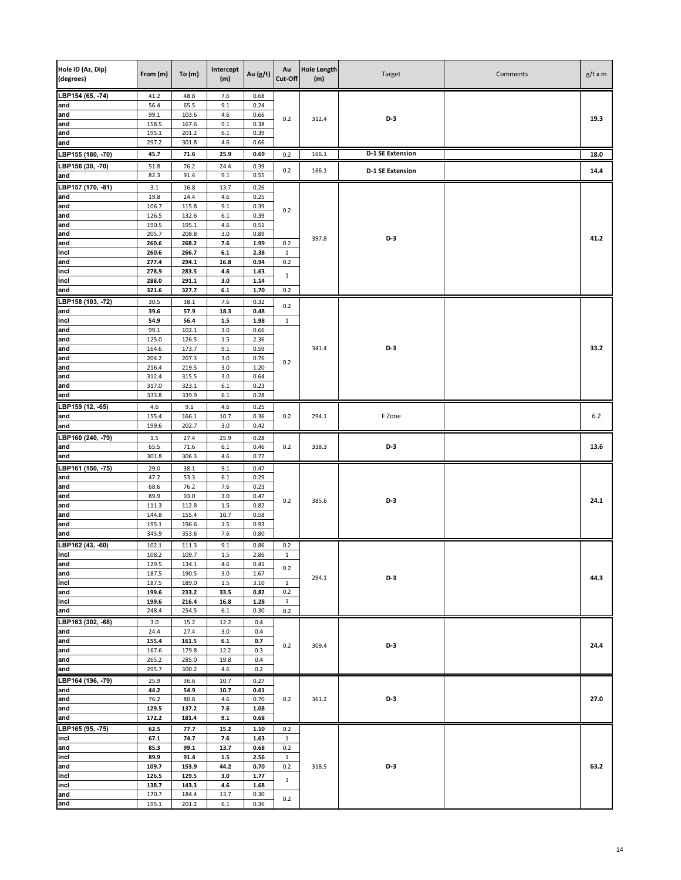| Hole ID (Az, Dip)<br>(degrees) | From (m)       | To $(m)$       | Intercept<br>(m) | Au (g/t)     | Au<br>Cut-Off       | <b>Hole Length</b><br>(m) | Target                  | Comments | $g/t \times m$ |
|--------------------------------|----------------|----------------|------------------|--------------|---------------------|---------------------------|-------------------------|----------|----------------|
| LBP154 (65, -74)               | 41.2           | 48.8           | 7.6              | 0.68         |                     |                           |                         |          |                |
| and                            | 56.4           | 65.5           | 9.1              | 0.24         |                     |                           |                         |          |                |
| and                            | 99.1           | 103.6          | 4.6              | 0.66         | 0.2                 | 312.4                     | $D-3$                   |          | 19.3           |
| and<br>and                     | 158.5<br>195.1 | 167.6<br>201.2 | 9.1<br>$6.1\,$   | 0.38<br>0.39 |                     |                           |                         |          |                |
| and                            | 297.2          | 301.8          | 4.6              | 0.66         |                     |                           |                         |          |                |
| LBP155 (180, -70)              | 45.7           | 71.6           | 25.9             | 0.69         | 0.2                 | 166.1                     | <b>D-1 SE Extension</b> |          | 18.0           |
| LBP156 (30, -70)               | 51.8           | 76.2           | 24.4             | 0.39         |                     |                           |                         |          |                |
| and                            | 82.3           | 91.4           | 9.1              | 0.55         | 0.2                 | 166.1                     | <b>D-1 SE Extension</b> |          | 14.4           |
| LBP157 (170, -81)              | 3.1            | 16.8           | 13.7             | 0.26         |                     |                           |                         |          |                |
| and                            | 19.8           | 24.4           | 4.6              | 0.25         |                     |                           |                         |          |                |
| and                            | 106.7          | 115.8          | 9.1              | 0.39         | 0.2                 |                           |                         |          |                |
| and<br>and                     | 126.5<br>190.5 | 132.6<br>195.1 | 6.1<br>4.6       | 0.39<br>0.51 |                     |                           |                         |          |                |
| and                            | 205.7          | 208.8          | 3.0              | 0.89         |                     |                           |                         |          |                |
| and                            | 260.6          | 268.2          | 7.6              | 1.99         | 0.2                 | 397.8                     | $D-3$                   |          | 41.2           |
| incl                           | 260.6          | 266.7          | $6.1\,$          | 2.38         | $\mathbf{1}$        |                           |                         |          |                |
| and                            | 277.4          | 294.1          | 16.8             | 0.94         | 0.2                 |                           |                         |          |                |
| incl<br>incl                   | 278.9<br>288.0 | 283.5<br>291.1 | 4.6<br>3.0       | 1.63<br>1.14 | $\mathbf{1}$        |                           |                         |          |                |
| and                            | 321.6          | 327.7          | $6.1\,$          | 1.70         | 0.2                 |                           |                         |          |                |
| LBP158 (103, -72)              | 30.5           | 38.1           | 7.6              | 0.32         |                     |                           |                         |          |                |
| and                            | 39.6           | 57.9           | 18.3             | 0.48         | 0.2                 |                           |                         |          |                |
| incl                           | 54.9           | 56.4           | $1.5\,$          | 1.98         | $\mathbf{1}$        |                           |                         |          |                |
| and                            | 99.1           | 102.1          | 3.0              | 0.66         |                     |                           |                         |          |                |
| and<br>and                     | 125.0<br>164.6 | 126.5<br>173.7 | $1.5\,$<br>9.1   | 2.36<br>0.59 |                     | 341.4                     | $D-3$                   |          | 33.2           |
| and                            | 204.2          | 207.3          | 3.0              | 0.76         |                     |                           |                         |          |                |
| and                            | 216.4          | 219.5          | 3.0              | 1.20         | 0.2                 |                           |                         |          |                |
| and                            | 312.4          | 315.5          | 3.0              | 0.64         |                     |                           |                         |          |                |
| and                            | 317.0          | 323.1          | 6.1              | 0.23         |                     |                           |                         |          |                |
| and                            | 333.8          | 339.9          | $6.1\,$          | 0.28         |                     |                           |                         |          |                |
| LBP159 (12, -65)<br>and        | 4.6<br>155.4   | 9.1<br>166.1   | 4.6<br>10.7      | 0.25<br>0.36 | 0.2                 | 294.1                     | F Zone                  |          | 6.2            |
| and                            | 199.6          | 202.7          | 3.0              | 0.42         |                     |                           |                         |          |                |
| LBP160 (240, -79)              | 1.5            | 27.4           | 25.9             | 0.28         |                     |                           |                         |          |                |
| and                            | 65.5           | 71.6           | $6.1\,$          | 0.46         | 0.2                 | 338.3                     | D-3                     |          | 13.6           |
| and                            | 301.8          | 306.3          | 4.6              | 0.77         |                     |                           |                         |          |                |
| LBP161 (150, -75)              | 29.0           | 38.1           | 9.1              | 0.47         |                     |                           |                         |          |                |
| and                            | 47.2           | 53.3           | 6.1              | 0.29         |                     |                           |                         |          |                |
| and<br>and                     | 68.6<br>89.9   | 76.2<br>93.0   | 7.6<br>3.0       | 0.23<br>0.47 |                     |                           |                         |          |                |
| and                            | 111.3          | 112.8          | 1.5              | 0.82         | 0.2                 | 385.6                     | D-3                     |          | 24.1           |
| and                            | 144.8          | 155.4          | 10.7             | 0.58         |                     |                           |                         |          |                |
| and                            | 195.1          | 196.6          | $1.5$            | 0.93         |                     |                           |                         |          |                |
| and                            | 345.9          | 353.6          | 7.6              | 0.80         |                     |                           |                         |          |                |
| LBP162 (43, -60)<br>incl       | 102.1          | 111.3          | 9.1              | 0.86         | 0.2                 |                           |                         |          |                |
| and                            | 108.2<br>129.5 | 109.7<br>134.1 | $1.5\,$<br>4.6   | 2.86<br>0.41 | $\mathbf{1}$        |                           |                         |          |                |
| and                            | 187.5          | 190.5          | 3.0              | 1.67         | 0.2                 |                           |                         |          |                |
| incl                           | 187.5          | 189.0          | 1.5              | 3.10         | $\mathbf{1}$        | 294.1                     | D-3                     |          | 44.3           |
| and                            | 199.6          | 233.2          | 33.5             | 0.82         | 0.2                 |                           |                         |          |                |
| incl<br>and                    | 199.6<br>248.4 | 216.4<br>254.5 | 16.8<br>6.1      | 1.28<br>0.30 | $\mathbf{1}$<br>0.2 |                           |                         |          |                |
| LBP163 (302, -68)              | 3.0            | 15.2           | 12.2             | 0.4          |                     |                           |                         |          |                |
| and                            | 24.4           | 27.4           | 3.0              | 0.4          |                     |                           |                         |          |                |
| and                            | 155.4          | 161.5          | $6.1\,$          | 0.7          |                     |                           | D-3                     |          | 24.4           |
| and                            | 167.6          | 179.8          | 12.2             | 0.3          | 0.2                 | 309.4                     |                         |          |                |
| and                            | 265.2          | 285.0          | 19.8             | 0.4          |                     |                           |                         |          |                |
| and                            | 295.7          | 300.2          | 4.6              | 0.2          |                     |                           |                         |          |                |
| LBP164 (196, -79)<br>and       | 25.9<br>44.2   | 36.6<br>54.9   | 10.7<br>10.7     | 0.27<br>0.61 |                     |                           |                         |          |                |
| and                            | 76.2           | 80.8           | 4.6              | 0.70         | 0.2                 | 361.2                     | D-3                     |          | 27.0           |
| and                            | 129.5          | 137.2          | 7.6              | 1.08         |                     |                           |                         |          |                |
| and                            | 172.2          | 181.4          | 9.1              | 0.68         |                     |                           |                         |          |                |
| LBP165 (95, -75)               | 62.5           | 77.7           | 15.2             | 1.10         | 0.2                 |                           |                         |          |                |
| incl                           | 67.1           | 74.7           | 7.6              | 1.63         | $\mathbf{1}$        |                           |                         |          |                |
| and<br>incl                    | 85.3<br>89.9   | 99.1<br>91.4   | 13.7<br>$1.5\,$  | 0.68<br>2.56 | 0.2<br>$\mathbf{1}$ |                           |                         |          |                |
| and                            | 109.7          | 153.9          | 44.2             | 0.70         | 0.2                 | 318.5                     | $D-3$                   |          | 63.2           |
| incl                           | 126.5          | 129.5          | 3.0              | 1.77         |                     |                           |                         |          |                |
| incl                           | 138.7          | 143.3          | 4.6              | 1.68         | $\mathbf{1}$        |                           |                         |          |                |
| and                            | 170.7          | 184.4          | 13.7             | 0.30         | 0.2                 |                           |                         |          |                |
| and                            | 195.1          | 201.2          | $6.1\,$          | 0.36         |                     |                           |                         |          |                |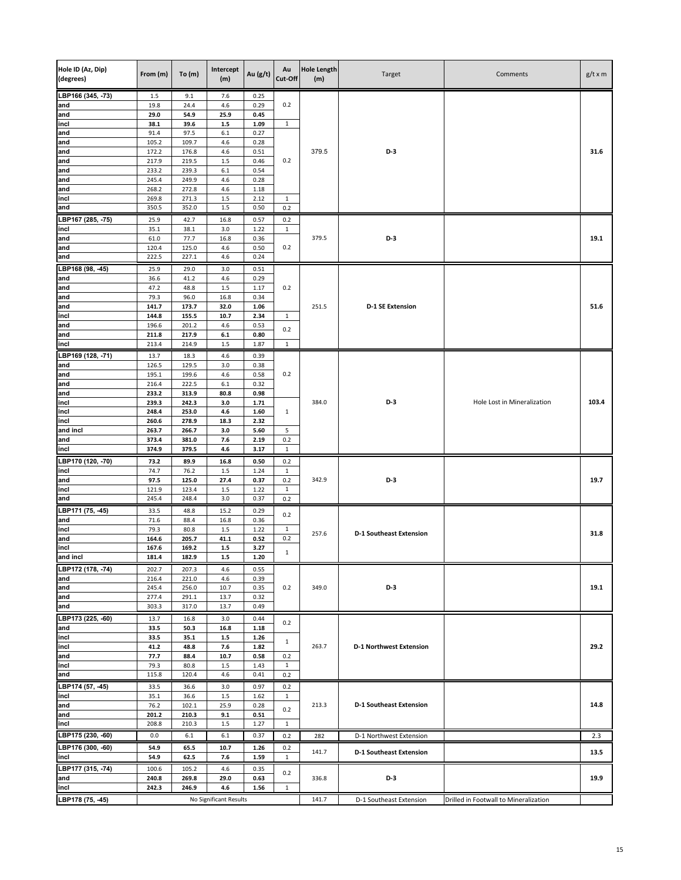| Hole ID (Az, Dip)<br>(degrees) | From (m)       | To(m)          | Intercept<br>(m)       | Au (g/t)     | Au<br>Cut-Off       | <b>Hole Length</b><br>(m) | Target                         | Comments                              | $g/t \times m$ |
|--------------------------------|----------------|----------------|------------------------|--------------|---------------------|---------------------------|--------------------------------|---------------------------------------|----------------|
| LBP166 (345, -73)              | 1.5            | 9.1            | 7.6                    | 0.25         |                     |                           |                                |                                       |                |
| and                            | 19.8           | 24.4           | 4.6                    | 0.29         | 0.2                 |                           |                                |                                       |                |
| and<br>incl                    | 29.0<br>38.1   | 54.9<br>39.6   | 25.9<br>$1.5\,$        | 0.45<br>1.09 | $\mathbf{1}$        |                           |                                |                                       |                |
| and                            | 91.4           | 97.5           | $6.1\,$                | 0.27         |                     |                           |                                |                                       |                |
| and                            | 105.2          | 109.7          | 4.6                    | 0.28         |                     |                           |                                |                                       |                |
| and                            | 172.2          | 176.8          | 4.6                    | 0.51         |                     | 379.5                     | $D-3$                          |                                       | 31.6           |
| and                            | 217.9          | 219.5          | 1.5                    | 0.46         | 0.2                 |                           |                                |                                       |                |
| and                            | 233.2          | 239.3          | 6.1                    | 0.54         |                     |                           |                                |                                       |                |
| and<br>and                     | 245.4<br>268.2 | 249.9<br>272.8 | 4.6<br>4.6             | 0.28<br>1.18 |                     |                           |                                |                                       |                |
| incl                           | 269.8          | 271.3          | $1.5\,$                | 2.12         | $\mathbf{1}$        |                           |                                |                                       |                |
| and                            | 350.5          | 352.0          | 1.5                    | 0.50         | 0.2                 |                           |                                |                                       |                |
| LBP167 (285, -75)              | 25.9           | 42.7           | 16.8                   | 0.57         | 0.2                 |                           |                                |                                       |                |
| incl                           | 35.1           | 38.1           | 3.0                    | 1.22         | $\mathbf{1}$        |                           |                                |                                       |                |
| and                            | 61.0           | 77.7           | 16.8                   | 0.36         |                     | 379.5                     | D-3                            |                                       | 19.1           |
| and                            | 120.4          | 125.0          | 4.6                    | 0.50         | 0.2                 |                           |                                |                                       |                |
| and                            | 222.5          | 227.1          | 4.6                    | 0.24         |                     |                           |                                |                                       |                |
| LBP168 (98, -45)               | 25.9           | 29.0           | 3.0                    | 0.51         |                     |                           |                                |                                       |                |
| and<br>and                     | 36.6<br>47.2   | 41.2<br>48.8   | 4.6<br>1.5             | 0.29<br>1.17 | 0.2                 |                           |                                |                                       |                |
| and                            | 79.3           | 96.0           | 16.8                   | 0.34         |                     |                           |                                |                                       |                |
| and                            | 141.7          | 173.7          | 32.0                   | 1.06         |                     | 251.5                     | <b>D-1 SE Extension</b>        |                                       | 51.6           |
| incl                           | 144.8          | 155.5          | 10.7                   | 2.34         | $\mathbf{1}$        |                           |                                |                                       |                |
| and                            | 196.6          | 201.2          | 4.6                    | 0.53         | 0.2                 |                           |                                |                                       |                |
| and                            | 211.8          | 217.9          | $6.1\,$                | 0.80         |                     |                           |                                |                                       |                |
| incl                           | 213.4          | 214.9          | 1.5                    | 1.87         | $\mathbf{1}$        |                           |                                |                                       |                |
| LBP169 (128, -71)              | 13.7           | 18.3           | 4.6                    | 0.39         |                     |                           |                                |                                       |                |
| and<br>and                     | 126.5<br>195.1 | 129.5<br>199.6 | 3.0<br>4.6             | 0.38<br>0.58 | 0.2                 |                           |                                |                                       |                |
| and                            | 216.4          | 222.5          | 6.1                    | 0.32         |                     |                           |                                |                                       |                |
| and                            | 233.2          | 313.9          | 80.8                   | 0.98         |                     |                           |                                |                                       |                |
| incl                           | 239.3          | 242.3          | 3.0                    | 1.71         |                     | 384.0                     | D-3                            | Hole Lost in Mineralization           | 103.4          |
| incl                           | 248.4          | 253.0          | 4.6                    | 1.60         | $\mathbf{1}$        |                           |                                |                                       |                |
| incl<br>and incl               | 260.6<br>263.7 | 278.9<br>266.7 | 18.3<br>3.0            | 2.32<br>5.60 | 5                   |                           |                                |                                       |                |
| and                            | 373.4          | 381.0          | 7.6                    | 2.19         | 0.2                 |                           |                                |                                       |                |
| incl                           | 374.9          | 379.5          | 4.6                    | 3.17         | $\mathbf{1}$        |                           |                                |                                       |                |
| LBP170 (120, -70)              | 73.2           | 89.9           | 16.8                   | 0.50         | 0.2                 |                           |                                |                                       |                |
| incl                           | 74.7           | 76.2           | 1.5                    | 1.24         | $\mathbf{1}$        |                           |                                |                                       |                |
| and                            | 97.5           | 125.0          | 27.4                   | 0.37         | 0.2                 | 342.9                     | D-3                            |                                       | 19.7           |
| incl<br>and                    | 121.9<br>245.4 | 123.4<br>248.4 | 1.5<br>3.0             | 1.22<br>0.37 | 1<br>0.2            |                           |                                |                                       |                |
| LBP171 (75, -45)               | 33.5           | 48.8           | 15.2                   | 0.29         |                     |                           |                                |                                       |                |
| and                            | 71.6           | 88.4           | 16.8                   | 0.36         | 0.2                 |                           |                                |                                       |                |
| incl                           | 79.3           | 80.8           | 1.5                    | 1.22         | $\mathbf{1}$        |                           |                                |                                       |                |
| and                            | 164.6          | 205.7          | 41.1                   | 0.52         | 0.2                 | 257.6                     | <b>D-1 Southeast Extension</b> |                                       | 31.8           |
| incl                           | 167.6          | 169.2          | $1.5\,$                | 3.27         | $\mathbf 1$         |                           |                                |                                       |                |
| and incl                       | 181.4          | 182.9          | 1.5                    | 1.20         |                     |                           |                                |                                       |                |
| LBP172 (178, -74)              | 202.7          | 207.3          | 4.6                    | 0.55         |                     |                           |                                |                                       |                |
| and<br>and                     | 216.4<br>245.4 | 221.0<br>256.0 | 4.6<br>10.7            | 0.39<br>0.35 | 0.2                 | 349.0                     | D-3                            |                                       | 19.1           |
| and                            | 277.4          | 291.1          | 13.7                   | 0.32         |                     |                           |                                |                                       |                |
| and                            | 303.3          | 317.0          | 13.7                   | 0.49         |                     |                           |                                |                                       |                |
| LBP173 (225, -60)              | 13.7           | 16.8           | 3.0                    | 0.44         |                     |                           |                                |                                       |                |
| and                            | 33.5           | 50.3           | 16.8                   | 1.18         | 0.2                 |                           |                                |                                       |                |
| incl                           | 33.5           | 35.1           | $1.5\,$                | 1.26         | 1                   |                           |                                |                                       |                |
| incl                           | 41.2           | 48.8           | 7.6                    | 1.82         |                     | 263.7                     | <b>D-1 Northwest Extension</b> |                                       | 29.2           |
| and<br>incl                    | 77.7<br>79.3   | 88.4<br>80.8   | 10.7<br>1.5            | 0.58<br>1.43 | 0.2<br>$\mathbf{1}$ |                           |                                |                                       |                |
| and                            | 115.8          | 120.4          | 4.6                    | 0.41         | 0.2                 |                           |                                |                                       |                |
| LBP174 (57, -45)               | 33.5           | 36.6           | 3.0                    | 0.97         | 0.2                 |                           |                                |                                       |                |
| incl                           | 35.1           | 36.6           | $1.5\,$                | 1.62         | $\mathbf{1}$        |                           |                                |                                       |                |
| and                            | 76.2           | 102.1          | 25.9                   | 0.28         | 0.2                 | 213.3                     | <b>D-1 Southeast Extension</b> |                                       | 14.8           |
| and                            | 201.2          | 210.3          | 9.1                    | 0.51         |                     |                           |                                |                                       |                |
| incl                           | 208.8          | 210.3          | 1.5                    | 1.27         | $\mathbf{1}$        |                           |                                |                                       |                |
| LBP175 (230, -60)              | 0.0            | 6.1            | 6.1                    | 0.37         | 0.2                 | 282                       | D-1 Northwest Extension        |                                       | 2.3            |
| LBP176 (300, -60)              | 54.9           | 65.5           | 10.7                   | 1.26         | 0.2                 | 141.7                     | <b>D-1 Southeast Extension</b> |                                       | 13.5           |
| incl                           | 54.9           | 62.5           | 7.6                    | 1.59         | $\mathbf{1}$        |                           |                                |                                       |                |
| LBP177 (315, -74)              | 100.6          | 105.2          | 4.6                    | 0.35         | 0.2                 |                           |                                |                                       | 19.9           |
| and<br>incl                    | 240.8<br>242.3 | 269.8<br>246.9 | 29.0<br>4.6            | 0.63<br>1.56 | $\mathbf{1}$        | 336.8                     | D-3                            |                                       |                |
| LBP178 (75, -45)               |                |                | No Significant Results |              |                     | 141.7                     | D-1 Southeast Extension        | Drilled in Footwall to Mineralization |                |
|                                |                |                |                        |              |                     |                           |                                |                                       |                |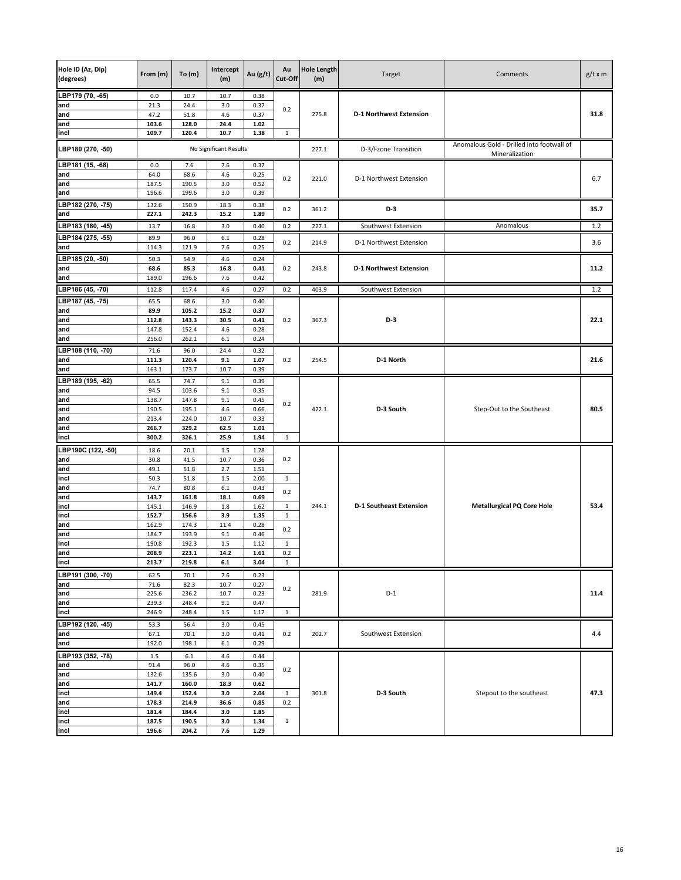| Hole ID (Az, Dip)<br>(degrees) | From (m)       | To $(m)$        | Intercept<br>(m)       | Au $(g/t)$   | Au<br>Cut-Off | <b>Hole Length</b><br>(m) | Target                         | Comments                                  | $g/t \times m$ |
|--------------------------------|----------------|-----------------|------------------------|--------------|---------------|---------------------------|--------------------------------|-------------------------------------------|----------------|
| LBP179 (70, -65)               | 0.0            | 10.7            | 10.7                   | 0.38         |               |                           |                                |                                           |                |
| and                            | 21.3           | 24.4            | 3.0                    | 0.37         | 0.2           |                           |                                |                                           |                |
| and                            | 47.2           | 51.8            | 4.6                    | 0.37         |               | 275.8                     | <b>D-1 Northwest Extension</b> |                                           | 31.8           |
| and<br>incl                    | 103.6<br>109.7 | 128.0<br>120.4  | 24.4<br>10.7           | 1.02<br>1.38 | 1             |                           |                                |                                           |                |
|                                |                |                 |                        |              |               |                           |                                | Anomalous Gold - Drilled into footwall of |                |
| LBP180 (270, -50)              |                |                 | No Significant Results |              |               | 227.1                     | D-3/Fzone Transition           | Mineralization                            |                |
| LBP181 (15, -68)<br>and        | 0.0<br>64.0    | 7.6<br>68.6     | 7.6<br>4.6             | 0.37<br>0.25 |               |                           |                                |                                           |                |
| and                            | 187.5          | 190.5           | 3.0                    | 0.52         | 0.2           | 221.0                     | D-1 Northwest Extension        |                                           | 6.7            |
| and                            | 196.6          | 199.6           | 3.0                    | 0.39         |               |                           |                                |                                           |                |
| LBP182 (270, -75)              | 132.6          | 150.9           | 18.3                   | 0.38         | 0.2           | 361.2                     | D-3                            |                                           | 35.7           |
| and                            | 227.1          | 242.3           | 15.2                   | 1.89         |               |                           |                                |                                           |                |
| LBP183 (180, -45)              | 13.7           | 16.8            | 3.0                    | 0.40         | 0.2           | 227.1                     | Southwest Extension            | Anomalous                                 | 1.2            |
| LBP184 (275, -55)              | 89.9           | 96.0            | 6.1                    | 0.28         | 0.2           | 214.9                     | D-1 Northwest Extension        |                                           | 3.6            |
| and                            | 114.3          | 121.9           | 7.6                    | 0.25         |               |                           |                                |                                           |                |
| LBP185 (20, -50)               | 50.3           | 54.9            | 4.6                    | 0.24         |               |                           |                                |                                           |                |
| and                            | 68.6           | 85.3            | 16.8                   | 0.41         | 0.2           | 243.8                     | <b>D-1 Northwest Extension</b> |                                           | 11.2           |
| and                            | 189.0          | 196.6           | 7.6                    | 0.42         |               |                           |                                |                                           |                |
| LBP186 (45, -70)               | 112.8          | 117.4           | 4.6                    | 0.27         | 0.2           | 403.9                     | Southwest Extension            |                                           | 1.2            |
| LBP187 (45, -75)               | 65.5           | 68.6            | 3.0                    | 0.40         |               |                           |                                |                                           |                |
| and<br>and                     | 89.9<br>112.8  | 105.2<br>143.3  | 15.2<br>30.5           | 0.37<br>0.41 | 0.2           | 367.3                     | D-3                            |                                           | 22.1           |
| and                            | 147.8          | 152.4           | 4.6                    | 0.28         |               |                           |                                |                                           |                |
| and                            | 256.0          | 262.1           | 6.1                    | 0.24         |               |                           |                                |                                           |                |
| LBP188 (110, -70)              | 71.6           | 96.0            | 24.4                   | 0.32         |               |                           |                                |                                           |                |
| and                            | 111.3          | 120.4           | 9.1                    | 1.07         | 0.2           | 254.5                     | D-1 North                      |                                           | 21.6           |
| and                            | 163.1          | 173.7           | 10.7                   | 0.39         |               |                           |                                |                                           |                |
| LBP189 (195, 62)               | 65.5           | 74.7            | 9.1                    | 0.39         |               |                           |                                |                                           |                |
| and                            | 94.5           | 103.6           | 9.1                    | 0.35         |               |                           |                                |                                           |                |
| and<br>and                     | 138.7<br>190.5 | 147.8<br>195.1  | 9.1<br>4.6             | 0.45<br>0.66 | 0.2           | 422.1                     | D-3 South                      | Step-Out to the Southeast                 | 80.5           |
| and                            | 213.4          | 224.0           | 10.7                   | 0.33         |               |                           |                                |                                           |                |
| and                            | 266.7          | 329.2           | 62.5                   | 1.01         |               |                           |                                |                                           |                |
| incl                           | 300.2          | 326.1           | 25.9                   | 1.94         | $\mathbf{1}$  |                           |                                |                                           |                |
| LBP190C (122, -50)             | 18.6           | 20.1            | 1.5                    | 1.28         |               |                           |                                |                                           |                |
| and                            | 30.8           | 41.5            | 10.7                   | 0.36         | 0.2           |                           |                                |                                           |                |
| and                            | 49.1           | 51.8            | 2.7                    | 1.51         |               |                           |                                |                                           |                |
| incl<br>and                    | 50.3<br>74.7   | 51.8<br>80.8    | 1.5<br>$6.1\,$         | 2.00<br>0.43 | 1             |                           |                                |                                           |                |
| and                            | 143.7          | 161.8           | 18.1                   | 0.69         | 0.2           |                           |                                |                                           |                |
| incl                           | 145.1          | 146.9           | 1.8                    | 1.62         | $\mathbf{1}$  | 244.1                     | <b>D-1 Southeast Extension</b> | <b>Metallurgical PQ Core Hole</b>         | 53.4           |
| incl                           | 152.7          | 156.6           | 3.9                    | 1.35         | $\mathbf{1}$  |                           |                                |                                           |                |
| and                            | 162.9          | 174.3           | 11.4                   | 0.28         | 0.2           |                           |                                |                                           |                |
| and<br>incl                    | 184.7<br>190.8 | 193.9<br>192.3  | 9.1<br>$1.5\,$         | 0.46<br>1.12 | 1             |                           |                                |                                           |                |
| and                            | 208.9          | 223.1           | 14.2                   | 1.61         | 0.2           |                           |                                |                                           |                |
| incl                           | 213.7          | 219.8           | 6.1                    | 3.04         | 1             |                           |                                |                                           |                |
| LBP191 (300, -70)              | 62.5           | 70.1            | 7.6                    | 0.23         |               |                           |                                |                                           |                |
| and                            | 71.6           | 82.3            | 10.7                   | 0.27         | 0.2           |                           |                                |                                           |                |
| land                           | 225.6          | 236.2           | 10.7                   | 0.23         |               | 281.9                     | $D-1$                          |                                           | 11.4           |
| and                            | 239.3          | 248.4           | 9.1                    | 0.47         |               |                           |                                |                                           |                |
| incl                           | 246.9          | 248.4           | $1.5\,$                | 1.17         | $\mathbf{1}$  |                           |                                |                                           |                |
| LBP192 (120, -45)              | 53.3           | 56.4            | 3.0                    | 0.45         |               | 202.7                     |                                |                                           |                |
| and<br>and                     | 67.1<br>192.0  | 70.1<br>198.1   | 3.0<br>6.1             | 0.41<br>0.29 | 0.2           |                           | Southwest Extension            |                                           | 4.4            |
| LBP193 (352, -78)              |                |                 | 4.6                    |              |               |                           |                                |                                           |                |
| and                            | 1.5<br>91.4    | $6.1\,$<br>96.0 | 4.6                    | 0.44<br>0.35 |               |                           |                                |                                           |                |
| and                            | 132.6          | 135.6           | 3.0                    | 0.40         | 0.2           |                           |                                |                                           |                |
| and                            | 141.7          | 160.0           | 18.3                   | 0.62         |               |                           |                                |                                           |                |
| incl                           | 149.4          | 152.4           | 3.0                    | 2.04         | $\mathbf{1}$  | 301.8                     | D-3 South                      | Stepout to the southeast                  | 47.3           |
| and                            | 178.3          | 214.9           | 36.6                   | 0.85         | 0.2           |                           |                                |                                           |                |
| incl<br>incl                   | 181.4<br>187.5 | 184.4<br>190.5  | 3.0<br>3.0             | 1.85<br>1.34 | $\mathbf{1}$  |                           |                                |                                           |                |
| incl                           | 196.6          | 204.2           | 7.6                    | 1.29         |               |                           |                                |                                           |                |
|                                |                |                 |                        |              |               |                           |                                |                                           |                |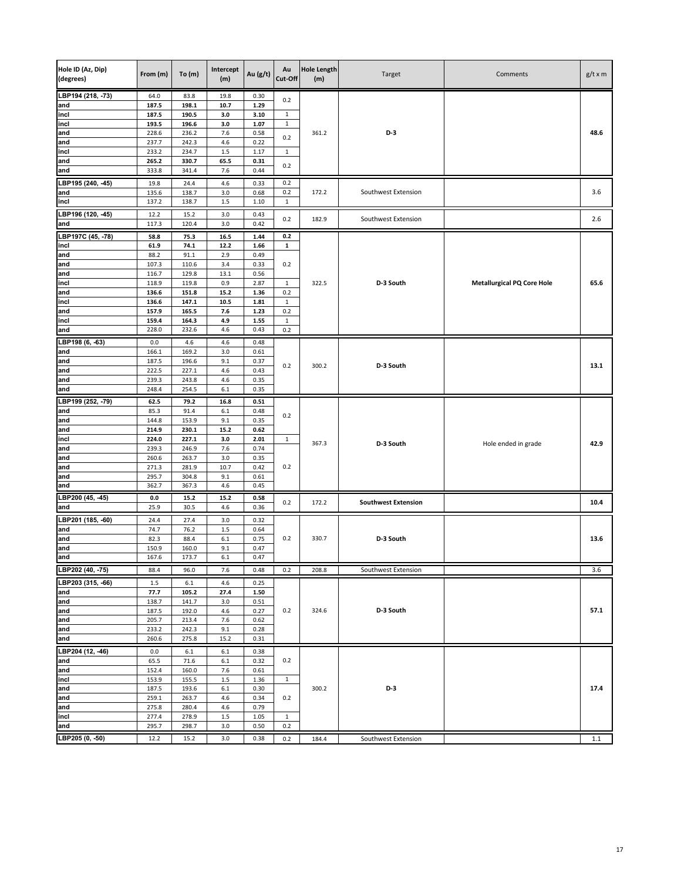| Hole ID (Az, Dip)<br>(degrees) | From (m)       | To(m)          | Intercept<br>(m) | Au (g/t)     | Au<br>Cut-Off       | <b>Hole Length</b><br>(m) | Target                     | Comments                          | $g/t \times m$ |
|--------------------------------|----------------|----------------|------------------|--------------|---------------------|---------------------------|----------------------------|-----------------------------------|----------------|
| LBP194 (218, -73)              | 64.0           | 83.8           | 19.8             | 0.30         | 0.2                 |                           |                            |                                   |                |
| and                            | 187.5          | 198.1          | 10.7             | 1.29         |                     |                           |                            |                                   |                |
| incl                           | 187.5          | 190.5          | 3.0              | 3.10         | $\mathbf{1}$        |                           |                            |                                   |                |
| incl<br>and                    | 193.5<br>228.6 | 196.6<br>236.2 | 3.0<br>7.6       | 1.07<br>0.58 | $\mathbf{1}$        | 361.2                     | D-3                        |                                   | 48.6           |
| and                            | 237.7          | 242.3          | 4.6              | 0.22         | 0.2                 |                           |                            |                                   |                |
| incl                           | 233.2          | 234.7          | $1.5\,$          | 1.17         | $\mathbf{1}$        |                           |                            |                                   |                |
| and                            | 265.2          | 330.7          | 65.5             | 0.31         |                     |                           |                            |                                   |                |
| and                            | 333.8          | 341.4          | 7.6              | 0.44         | 0.2                 |                           |                            |                                   |                |
| LBP195 (240, -45)              | 19.8           | 24.4           | 4.6              | 0.33         | 0.2                 |                           |                            |                                   |                |
| and                            | 135.6          | 138.7          | 3.0              | 0.68         | 0.2                 | 172.2                     | Southwest Extension        |                                   | 3.6            |
| incl                           | 137.2          | 138.7          | 1.5              | 1.10         | $\mathbf 1$         |                           |                            |                                   |                |
| LBP196 (120, -45)              | 12.2           | 15.2           | 3.0              | 0.43         |                     |                           |                            |                                   |                |
| and                            | 117.3          | 120.4          | 3.0              | 0.42         | 0.2                 | 182.9                     | Southwest Extension        |                                   | 2.6            |
| LBP197C (45, -78)              | 58.8           | 75.3           | 16.5             | 1.44         | 0.2                 |                           |                            |                                   |                |
| incl                           | 61.9           | 74.1           | 12.2             | 1.66         | $\mathbf{1}$        |                           |                            |                                   |                |
| and                            | 88.2           | 91.1           | 2.9              | 0.49         |                     |                           |                            |                                   |                |
| and                            | 107.3          | 110.6          | 3.4              | 0.33         | 0.2                 |                           |                            |                                   |                |
| and                            | 116.7          | 129.8          | 13.1             | 0.56         |                     |                           |                            |                                   |                |
| incl                           | 118.9          | 119.8          | 0.9              | 2.87         | $\mathbf{1}$<br>0.2 | 322.5                     | D-3 South                  | <b>Metallurgical PQ Core Hole</b> | 65.6           |
| and<br>incl                    | 136.6<br>136.6 | 151.8<br>147.1 | 15.2<br>10.5     | 1.36<br>1.81 | $\mathbf{1}$        |                           |                            |                                   |                |
| and                            | 157.9          | 165.5          | 7.6              | 1.23         | 0.2                 |                           |                            |                                   |                |
| incl                           | 159.4          | 164.3          | 4.9              | 1.55         | $\mathbf{1}$        |                           |                            |                                   |                |
| and                            | 228.0          | 232.6          | 4.6              | 0.43         | 0.2                 |                           |                            |                                   |                |
| LBP198 (6, -63)                | 0.0            | 4.6            | 4.6              | 0.48         |                     |                           |                            |                                   |                |
| and                            | 166.1          | 169.2          | 3.0              | 0.61         |                     |                           |                            |                                   |                |
| and                            | 187.5          | 196.6          | 9.1              | 0.37         | 0.2                 | 300.2                     | D-3 South                  |                                   | 13.1           |
| and                            | 222.5          | 227.1          | 4.6              | 0.43         |                     |                           |                            |                                   |                |
| and                            | 239.3          | 243.8          | 4.6              | 0.35         |                     |                           |                            |                                   |                |
| and                            | 248.4          | 254.5          | 6.1              | 0.35         |                     |                           |                            |                                   |                |
| LBP199 (252, -79)              | 62.5           | 79.2           | 16.8             | 0.51         |                     |                           |                            |                                   |                |
| and<br>and                     | 85.3<br>144.8  | 91.4<br>153.9  | 6.1<br>9.1       | 0.48<br>0.35 | 0.2                 |                           |                            |                                   |                |
| and                            | 214.9          | 230.1          | 15.2             | 0.62         |                     |                           |                            |                                   |                |
| incl                           | 224.0          | 227.1          | 3.0              | 2.01         | $\mathbf 1$         |                           |                            |                                   |                |
| and                            | 239.3          | 246.9          | 7.6              | 0.74         |                     | 367.3                     | D-3 South                  | Hole ended in grade               | 42.9           |
| and                            | 260.6          | 263.7          | 3.0              | 0.35         |                     |                           |                            |                                   |                |
| and                            | 271.3          | 281.9          | 10.7             | 0.42         | 0.2                 |                           |                            |                                   |                |
| and                            | 295.7          | 304.8          | 9.1              | 0.61         |                     |                           |                            |                                   |                |
| and                            | 362.7          | 367.3          | 4.6              | 0.45         |                     |                           |                            |                                   |                |
| LBP200 (45, -45)               | 0.0            | 15.2           | 15.2<br>4.6      | 0.58<br>0.36 | 0.2                 | 172.2                     | <b>Southwest Extension</b> |                                   | 10.4           |
| and                            | 25.9           | 30.5           |                  |              |                     |                           |                            |                                   |                |
| LBP201 (185, -60)              | 24.4           | 27.4           | 3.0              | 0.32         |                     |                           |                            |                                   |                |
| and<br>and                     | 74.7<br>82.3   | 76.2<br>88.4   | 1.5<br>6.1       | 0.64<br>0.75 | 0.2                 | 330.7                     | D-3 South                  |                                   | 13.6           |
| and                            | 150.9          | 160.0          | 9.1              | 0.47         |                     |                           |                            |                                   |                |
| and                            | 167.6          | 173.7          | 6.1              | 0.47         |                     |                           |                            |                                   |                |
| LBP202 (40, -75)               | 88.4           | 96.0           | 7.6              | 0.48         | 0.2                 | 208.8                     | Southwest Extension        |                                   | 3.6            |
| LBP203 (315, -66)              | 1.5            | 6.1            | 4.6              | 0.25         |                     |                           |                            |                                   |                |
| and                            | 77.7           | 105.2          | 27.4             | 1.50         |                     |                           |                            |                                   |                |
| and                            | 138.7          | 141.7          | 3.0              | 0.51         |                     |                           |                            |                                   |                |
| and                            | 187.5          | 192.0          | 4.6              | 0.27         | 0.2                 | 324.6                     | D-3 South                  |                                   | 57.1           |
| and                            | 205.7          | 213.4          | 7.6              | 0.62         |                     |                           |                            |                                   |                |
| and                            | 233.2          | 242.3          | 9.1              | 0.28         |                     |                           |                            |                                   |                |
| and                            | 260.6          | 275.8          | 15.2             | 0.31         |                     |                           |                            |                                   |                |
| LBP204 (12, -46)               | 0.0            | 6.1            | $6.1\,$          | 0.38         |                     |                           |                            |                                   |                |
| and                            | 65.5           | 71.6           | $6.1\,$          | 0.32         | 0.2                 |                           |                            |                                   |                |
| and                            | 152.4          | 160.0          | 7.6              | 0.61         |                     |                           |                            |                                   |                |
| incl<br>and                    | 153.9<br>187.5 | 155.5<br>193.6 | 1.5<br>$6.1$     | 1.36<br>0.30 | $\mathbf{1}$        | 300.2                     | D-3                        |                                   | 17.4           |
| and                            | 259.1          | 263.7          | 4.6              | 0.34         | 0.2                 |                           |                            |                                   |                |
| and                            | 275.8          | 280.4          | 4.6              | 0.79         |                     |                           |                            |                                   |                |
| incl                           | 277.4          | 278.9          | $1.5\,$          | 1.05         | $\mathbf{1}$        |                           |                            |                                   |                |
| and                            | 295.7          | 298.7          | 3.0              | 0.50         | 0.2                 |                           |                            |                                   |                |
| LBP205 (0, -50)                | 12.2           | 15.2           | 3.0              | 0.38         | 0.2                 | 184.4                     | Southwest Extension        |                                   | $1.1\,$        |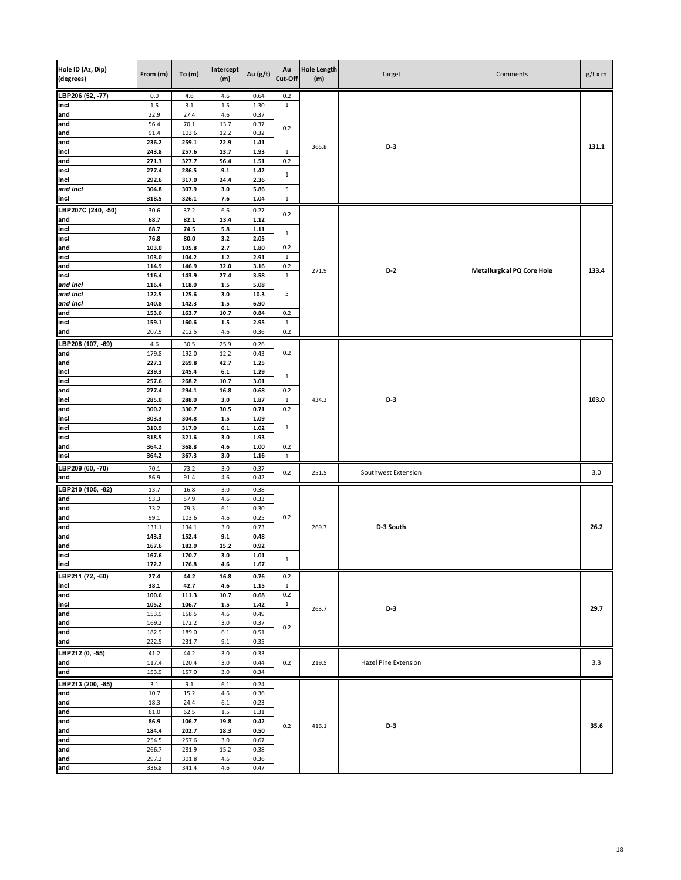| Hole ID (Az, Dip)<br>(degrees) | From (m)       | To(m)          | Intercept<br>(m) | Au (g/t)     | Au<br>Cut-Off       | <b>Hole Length</b><br>(m) | Target               | Comments                          | $g/t \times m$ |
|--------------------------------|----------------|----------------|------------------|--------------|---------------------|---------------------------|----------------------|-----------------------------------|----------------|
| LBP206 (52, -77)               | 0.0            | 4.6            | 4.6              | 0.64         | 0.2                 |                           |                      |                                   |                |
| incl<br>and                    | 1.5<br>22.9    | 3.1<br>27.4    | $1.5\,$<br>4.6   | 1.30<br>0.37 | $\mathbf{1}$        |                           |                      |                                   |                |
| and                            | 56.4           | 70.1           | 13.7             | 0.37         | 0.2                 |                           |                      |                                   |                |
| and                            | 91.4           | 103.6          | 12.2             | 0.32         |                     |                           |                      |                                   |                |
| and<br>incl                    | 236.2<br>243.8 | 259.1<br>257.6 | 22.9<br>13.7     | 1.41<br>1.93 | $\mathbf{1}$        | 365.8                     | $D-3$                |                                   | 131.1          |
| and                            | 271.3          | 327.7          | 56.4             | 1.51         | 0.2                 |                           |                      |                                   |                |
| incl                           | 277.4          | 286.5          | 9.1              | 1.42         | $\mathbf{1}$        |                           |                      |                                   |                |
| incl                           | 292.6          | 317.0          | 24.4             | 2.36         |                     |                           |                      |                                   |                |
| and incl<br>incl               | 304.8<br>318.5 | 307.9<br>326.1 | 3.0<br>7.6       | 5.86<br>1.04 | 5<br>$\mathbf{1}$   |                           |                      |                                   |                |
| LBP207C (240, -50)             | 30.6           | 37.2           | 6.6              | 0.27         |                     |                           |                      |                                   |                |
| and                            | 68.7           | 82.1           | 13.4             | $1.12$       | 0.2                 |                           |                      |                                   |                |
| incl                           | 68.7           | 74.5           | 5.8              | 1.11         | $\mathbf{1}$        |                           |                      |                                   |                |
| incl                           | 76.8           | 80.0           | 3.2              | 2.05         |                     |                           |                      |                                   |                |
| and<br>incl                    | 103.0<br>103.0 | 105.8<br>104.2 | 2.7<br>$1.2$     | 1.80<br>2.91 | 0.2<br>$\mathbf{1}$ |                           |                      |                                   |                |
| and                            | 114.9          | 146.9          | 32.0             | 3.16         | 0.2                 |                           |                      |                                   |                |
| incl                           | 116.4          | 143.9          | 27.4             | 3.58         | $\mathbf 1$         | 271.9                     | D-2                  | <b>Metallurgical PQ Core Hole</b> | 133.4          |
| and incl                       | 116.4          | 118.0          | $1.5\,$          | 5.08         |                     |                           |                      |                                   |                |
| and incl<br>and incl           | 122.5<br>140.8 | 125.6<br>142.3 | 3.0<br>$1.5\,$   | 10.3<br>6.90 | 5                   |                           |                      |                                   |                |
| and                            | 153.0          | 163.7          | 10.7             | 0.84         | 0.2                 |                           |                      |                                   |                |
| incl                           | 159.1          | 160.6          | $1.5\,$          | 2.95         | $\mathbf{1}$        |                           |                      |                                   |                |
| and                            | 207.9          | 212.5          | 4.6              | 0.36         | 0.2                 |                           |                      |                                   |                |
| LBP208 (107, -69)              | 4.6            | 30.5           | 25.9             | 0.26         |                     |                           |                      |                                   |                |
| and                            | 179.8          | 192.0          | 12.2             | 0.43         | 0.2                 |                           |                      |                                   |                |
| and<br>incl                    | 227.1<br>239.3 | 269.8<br>245.4 | 42.7<br>$6.1\,$  | 1.25<br>1.29 |                     |                           |                      |                                   |                |
| incl                           | 257.6          | 268.2          | 10.7             | 3.01         | $\mathbf{1}$        |                           |                      |                                   |                |
| and                            | 277.4          | 294.1          | 16.8             | 0.68         | 0.2                 |                           |                      |                                   |                |
| incl                           | 285.0          | 288.0          | 3.0              | 1.87         | $\mathbf 1$         | 434.3                     | $D-3$                |                                   | 103.0          |
| and<br>incl                    | 300.2<br>303.3 | 330.7<br>304.8 | 30.5<br>$1.5\,$  | 0.71<br>1.09 | 0.2                 |                           |                      |                                   |                |
| incl                           | 310.9          | 317.0          | $6.1\,$          | 1.02         | $\mathbf{1}$        |                           |                      |                                   |                |
| incl                           | 318.5          | 321.6          | 3.0              | 1.93         |                     |                           |                      |                                   |                |
| and                            | 364.2          | 368.8          | 4.6              | $1.00\,$     | 0.2                 |                           |                      |                                   |                |
| incl                           | 364.2          | 367.3          | 3.0              | 1.16         | $\mathbf{1}$        |                           |                      |                                   |                |
| LBP209 (60, -70)<br>and        | 70.1<br>86.9   | 73.2<br>91.4   | 3.0<br>4.6       | 0.37<br>0.42 | 0.2                 | 251.5                     | Southwest Extension  |                                   | 3.0            |
| LBP210 (105, 82)               | 13.7           | 16.8           | 3.0              | 0.38         |                     |                           |                      |                                   |                |
| and                            | 53.3           | 57.9           | 4.6              | 0.33         |                     |                           |                      |                                   |                |
| and                            | 73.2           | 79.3           | 6.1              | 0.30         |                     |                           |                      |                                   |                |
| and<br>and                     | 99.1<br>131.1  | 103.6<br>134.1 | 4.6<br>3.0       | 0.25<br>0.73 | 0.2                 | 269.7                     | D-3 South            |                                   | 26.2           |
| and                            | 143.3          | 152.4          | 9.1              | 0.48         |                     |                           |                      |                                   |                |
| and                            | 167.6          | 182.9          | 15.2             | 0.92         |                     |                           |                      |                                   |                |
| incl                           | 167.6          | 170.7          | $3.0\,$          | 1.01         | $\mathbf{1}$        |                           |                      |                                   |                |
| incl                           | 172.2          | 176.8          | 4.6              | 1.67         |                     |                           |                      |                                   |                |
| LBP211 (72, -60)<br>incl       | 27.4<br>38.1   | 44.2<br>42.7   | 16.8<br>4.6      | 0.76<br>1.15 | 0.2<br>$\mathbf{1}$ |                           |                      |                                   |                |
| and                            | 100.6          | 111.3          | 10.7             | 0.68         | 0.2                 |                           |                      |                                   |                |
| incl                           | 105.2          | 106.7          | $1.5$            | 1.42         | $\mathbf{1}$        | 263.7                     | D-3                  |                                   | 29.7           |
| and<br>and                     | 153.9<br>169.2 | 158.5<br>172.2 | 4.6<br>3.0       | 0.49<br>0.37 |                     |                           |                      |                                   |                |
| and                            | 182.9          | 189.0          | $6.1\,$          | 0.51         | 0.2                 |                           |                      |                                   |                |
| and                            | 222.5          | 231.7          | 9.1              | 0.35         |                     |                           |                      |                                   |                |
| LBP212 (0, -55)                | 41.2           | 44.2           | 3.0              | 0.33         |                     |                           |                      |                                   |                |
| and                            | 117.4          | 120.4          | 3.0              | 0.44         | 0.2                 | 219.5                     | Hazel Pine Extension |                                   | 3.3            |
| and                            | 153.9          | 157.0          | 3.0              | 0.34         |                     |                           |                      |                                   |                |
| LBP213 (200, -85)<br>and       | 3.1<br>10.7    | 9.1<br>15.2    | 6.1<br>4.6       | 0.24<br>0.36 |                     |                           |                      |                                   |                |
| and                            | 18.3           | 24.4           | $6.1\,$          | 0.23         |                     |                           |                      |                                   |                |
| and                            | 61.0           | 62.5           | $1.5\,$          | 1.31         |                     |                           |                      |                                   |                |
| and                            | 86.9           | 106.7          | 19.8             | 0.42         | 0.2                 | 416.1                     | D-3                  |                                   | 35.6           |
| and                            | 184.4          | 202.7          | 18.3             | 0.50         |                     |                           |                      |                                   |                |
| and<br>and                     | 254.5<br>266.7 | 257.6<br>281.9 | 3.0<br>15.2      | 0.67<br>0.38 |                     |                           |                      |                                   |                |
| and                            | 297.2          | 301.8          | 4.6              | 0.36         |                     |                           |                      |                                   |                |
| and                            | 336.8          | 341.4          | 4.6              | 0.47         |                     |                           |                      |                                   |                |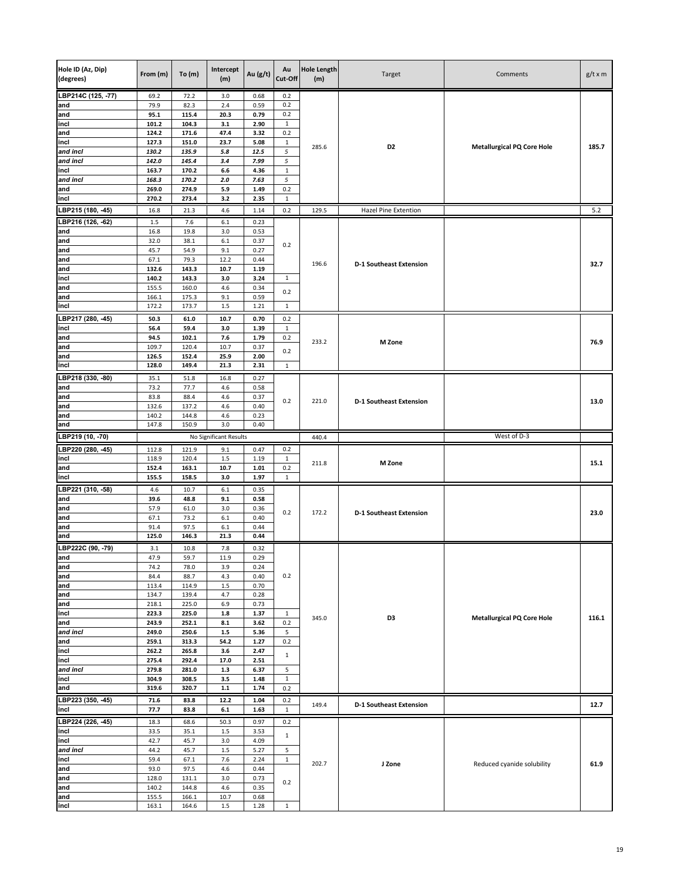| Hole ID (Az, Dip)<br>(degrees) | From (m)       | To(m)          | Intercept<br>(m)       | Au (g/t)     | Au<br>Cut-Off       | <b>Hole Length</b><br>(m) | Target                         | Comments                          | $g/t \times m$ |
|--------------------------------|----------------|----------------|------------------------|--------------|---------------------|---------------------------|--------------------------------|-----------------------------------|----------------|
| LBP214C (125, -77)             | 69.2           | 72.2           | 3.0                    | 0.68         | 0.2                 |                           |                                |                                   |                |
| and                            | 79.9           | 82.3           | 2.4                    | 0.59         | 0.2                 |                           |                                |                                   |                |
| and<br>incl                    | 95.1<br>101.2  | 115.4<br>104.3 | 20.3<br>3.1            | 0.79<br>2.90 | 0.2<br>$\mathbf{1}$ |                           |                                |                                   |                |
| and                            | 124.2          | 171.6          | 47.4                   | 3.32         | 0.2                 |                           |                                |                                   |                |
| incl                           | 127.3          | 151.0          | 23.7                   | 5.08         | $\,1\,$             | 285.6                     | D <sub>2</sub>                 | <b>Metallurgical PQ Core Hole</b> | 185.7          |
| and incl                       | 130.2          | 135.9          | $5.8\,$                | 12.5         | 5                   |                           |                                |                                   |                |
| and incl                       | 142.0          | 145.4          | 3.4                    | 7.99         | 5                   |                           |                                |                                   |                |
| incl<br>and incl               | 163.7<br>168.3 | 170.2<br>170.2 | 6.6<br>2.0             | 4.36<br>7.63 | $\mathbf{1}$<br>5   |                           |                                |                                   |                |
| and                            | 269.0          | 274.9          | 5.9                    | 1.49         | 0.2                 |                           |                                |                                   |                |
| incl                           | 270.2          | 273.4          | 3.2                    | 2.35         | $\mathbf 1$         |                           |                                |                                   |                |
| LBP215 (180, -45)              | 16.8           | 21.3           | 4.6                    | 1.14         | 0.2                 | 129.5                     | Hazel Pine Extention           |                                   | 5.2            |
| LBP216 (126, -62)              | 1.5            | 7.6            | 6.1                    | 0.23         |                     |                           |                                |                                   |                |
| and                            | 16.8           | 19.8           | 3.0                    | 0.53         |                     |                           |                                |                                   |                |
| and                            | 32.0           | 38.1           | 6.1                    | 0.37         | 0.2                 |                           |                                |                                   |                |
| and                            | 45.7           | 54.9           | 9.1                    | 0.27         |                     |                           |                                |                                   |                |
| and<br>and                     | 67.1<br>132.6  | 79.3<br>143.3  | 12.2<br>10.7           | 0.44<br>1.19 |                     | 196.6                     | <b>D-1 Southeast Extension</b> |                                   | 32.7           |
| incl                           | 140.2          | 143.3          | 3.0                    | 3.24         | $\mathbf{1}$        |                           |                                |                                   |                |
| and                            | 155.5          | 160.0          | 4.6                    | 0.34         |                     |                           |                                |                                   |                |
| and                            | 166.1          | 175.3          | 9.1                    | 0.59         | 0.2                 |                           |                                |                                   |                |
| incl                           | 172.2          | 173.7          | $1.5\,$                | 1.21         | $\mathbf{1}$        |                           |                                |                                   |                |
| LBP217 (280, -45)              | 50.3           | 61.0           | 10.7                   | 0.70         | 0.2                 |                           |                                |                                   |                |
| incl                           | 56.4           | 59.4           | 3.0                    | 1.39         | $\mathbf{1}$        |                           |                                |                                   |                |
| and<br>and                     | 94.5<br>109.7  | 102.1<br>120.4 | 7.6<br>10.7            | 1.79<br>0.37 | 0.2                 | 233.2                     | M Zone                         |                                   | 76.9           |
| and                            | 126.5          | 152.4          | 25.9                   | 2.00         | 0.2                 |                           |                                |                                   |                |
| incl                           | 128.0          | 149.4          | 21.3                   | 2.31         | $\mathbf{1}$        |                           |                                |                                   |                |
| LBP218 (330, -80)              | 35.1           | 51.8           | 16.8                   | 0.27         |                     |                           |                                |                                   |                |
| and                            | 73.2           | 77.7           | 4.6                    | 0.58         |                     |                           |                                |                                   |                |
| and                            | 83.8           | 88.4           | 4.6                    | 0.37         | 0.2                 | 221.0                     | <b>D-1 Southeast Extension</b> |                                   | 13.0           |
| and                            | 132.6          | 137.2          | 4.6                    | 0.40         |                     |                           |                                |                                   |                |
| and                            | 140.2<br>147.8 | 144.8<br>150.9 | 4.6<br>3.0             | 0.23<br>0.40 |                     |                           |                                |                                   |                |
| and<br>LBP219 (10, -70)        |                |                | No Significant Results |              |                     | 440.4                     |                                | West of D-3                       |                |
| LBP220 (280, -45)              | 112.8          | 121.9          | 9.1                    | 0.47         | 0.2                 |                           |                                |                                   |                |
| incl                           | 118.9          | 120.4          | 1.5                    | 1.19         | $\mathbf{1}$        |                           |                                |                                   |                |
| and                            |                |                | 10.7                   |              |                     | 211.8                     | M Zone                         |                                   | 15.1           |
|                                | 152.4          | 163.1          |                        | 1.01         | 0.2                 |                           |                                |                                   |                |
| incl                           | 155.5          | 158.5          | 3.0                    | 1.97         | $\mathbf{1}$        |                           |                                |                                   |                |
| LBP221 (310, -58)              | 4.6            | 10.7           | $6.1\,$                | 0.35         |                     |                           |                                |                                   |                |
| and                            | 39.6           | 48.8           | 9.1                    | 0.58         |                     |                           |                                |                                   |                |
| and                            | 57.9           | 61.0           | 3.0                    | 0.36         | 0.2                 | 172.2                     | <b>D-1 Southeast Extension</b> |                                   | 23.0           |
| and                            | 67.1           | 73.2           | 6.1                    | 0.40         |                     |                           |                                |                                   |                |
| and<br>and                     | 91.4<br>125.0  | 97.5<br>146.3  | 6.1<br>21.3            | 0.44<br>0.44 |                     |                           |                                |                                   |                |
|                                |                |                |                        |              |                     |                           |                                |                                   |                |
| LBP222C (90, -79)<br>and       | 3.1<br>47.9    | 10.8<br>59.7   | 7.8<br>11.9            | 0.32<br>0.29 |                     |                           |                                |                                   |                |
| and                            | 74.2           | 78.0           | 3.9                    | 0.24         |                     |                           |                                |                                   |                |
| and                            | 84.4           | 88.7           | 4.3                    | 0.40         | 0.2                 |                           |                                |                                   |                |
| and                            | 113.4          | 114.9          | $1.5\,$                | 0.70         |                     |                           |                                |                                   |                |
| and                            | 134.7          | 139.4          | 4.7                    | 0.28         |                     |                           |                                |                                   |                |
| and<br>incl                    | 218.1<br>223.3 | 225.0<br>225.0 | 6.9<br>$1.8\,$         | 0.73<br>1.37 | $\mathbf{1}$        |                           |                                |                                   |                |
| and                            | 243.9          | 252.1          | 8.1                    | 3.62         | 0.2                 | 345.0                     | D3                             | <b>Metallurgical PQ Core Hole</b> | 116.1          |
| and incl                       | 249.0          | 250.6          | $1.5\,$                | 5.36         | 5                   |                           |                                |                                   |                |
| and                            | 259.1          | 313.3          | 54.2                   | 1.27         | 0.2                 |                           |                                |                                   |                |
| incl                           | 262.2          | 265.8          | 3.6                    | 2.47         | $\mathbf{1}$        |                           |                                |                                   |                |
| incl<br>and incl               | 275.4<br>279.8 | 292.4<br>281.0 | 17.0<br>$1.3\,$        | 2.51<br>6.37 | 5                   |                           |                                |                                   |                |
| incl                           | 304.9          | 308.5          | 3.5                    | 1.48         | $\,1\,$             |                           |                                |                                   |                |
| and                            | 319.6          | 320.7          | $1.1\,$                | 1.74         | 0.2                 |                           |                                |                                   |                |
| LBP223 (350, -45)              | 71.6           | 83.8           | 12.2                   | 1.04         | 0.2                 |                           |                                |                                   |                |
| incl                           | 77.7           | 83.8           | $6.1\,$                | 1.63         | $1\,$               | 149.4                     | <b>D-1 Southeast Extension</b> |                                   | 12.7           |
| LBP224 (226, -45)              | 18.3           | 68.6           | 50.3                   | 0.97         | 0.2                 |                           |                                |                                   |                |
| incl                           | 33.5           | 35.1           | 1.5                    | 3.53         | $\mathbf{1}$        |                           |                                |                                   |                |
| incl                           | 42.7           | 45.7           | 3.0                    | 4.09         |                     |                           |                                |                                   |                |
| and incl<br>incl               | 44.2<br>59.4   | 45.7<br>67.1   | $1.5\,$<br>7.6         | 5.27<br>2.24 | 5<br>$\mathbf{1}$   |                           |                                |                                   |                |
| and                            | 93.0           | 97.5           | 4.6                    | 0.44         |                     | 202.7                     | J Zone                         | Reduced cyanide solubility        | 61.9           |
| and                            | 128.0          | 131.1          | 3.0                    | 0.73         |                     |                           |                                |                                   |                |
| and                            | 140.2          | 144.8          | 4.6                    | 0.35         | 0.2                 |                           |                                |                                   |                |
| and<br>incl                    | 155.5<br>163.1 | 166.1<br>164.6 | 10.7<br>1.5            | 0.68<br>1.28 | $\mathbf{1}$        |                           |                                |                                   |                |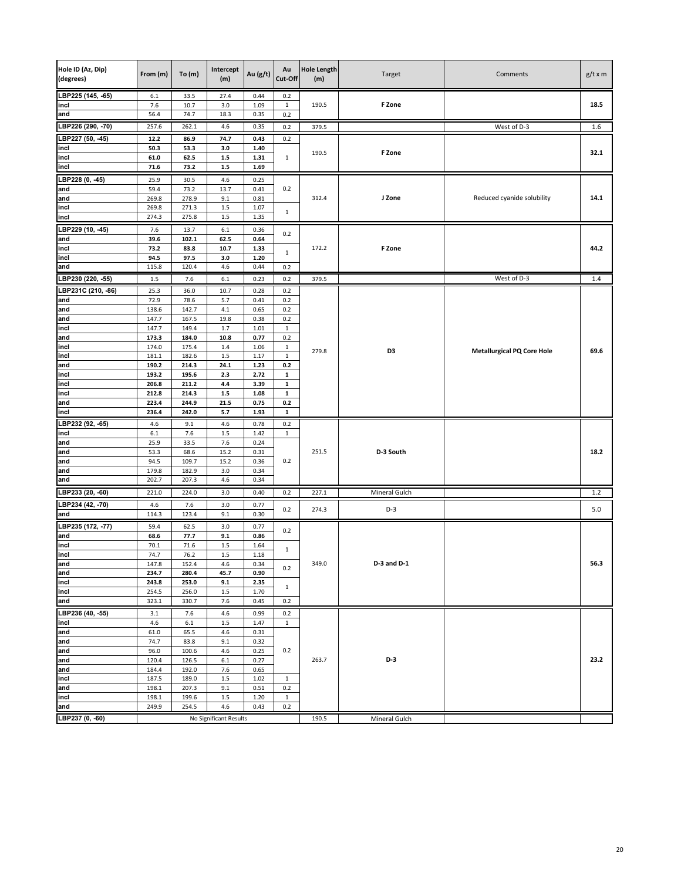| Hole ID (Az, Dip)<br>(degrees) | From (m)       | To(m)          | Intercept<br>(m)       | Au (g/t)     | Au<br>Cut-Off                | <b>Hole Length</b><br>(m) | Target          | Comments                          | $g/t \times m$ |
|--------------------------------|----------------|----------------|------------------------|--------------|------------------------------|---------------------------|-----------------|-----------------------------------|----------------|
| LBP225 (145, -65)              | 6.1            | 33.5           | 27.4                   | 0.44         | 0.2                          |                           |                 |                                   |                |
| incl                           | 7.6            | 10.7           | 3.0                    | 1.09         | $\mathbf{1}$                 | 190.5                     | F Zone          |                                   | 18.5           |
| and<br>LBP226 (290, -70)       | 56.4           | 74.7           | 18.3                   | 0.35         | 0.2                          |                           |                 |                                   |                |
|                                | 257.6          | 262.1          | 4.6                    | 0.35         | 0.2                          | 379.5                     |                 | West of D-3                       | 1.6            |
| LBP227 (50, -45)<br>incl       | 12.2<br>50.3   | 86.9<br>53.3   | 74.7<br>3.0            | 0.43<br>1.40 | 0.2                          |                           |                 |                                   |                |
| incl                           | 61.0           | 62.5           | $1.5$                  | 1.31         | $\mathbf{1}$                 | 190.5                     | F Zone          |                                   | 32.1           |
| incl                           | 71.6           | 73.2           | $1.5\,$                | 1.69         |                              |                           |                 |                                   |                |
| LBP228 (0, -45)                | 25.9           | 30.5           | 4.6                    | 0.25         |                              |                           |                 |                                   |                |
| and                            | 59.4           | 73.2           | 13.7                   | 0.41         | 0.2                          |                           |                 |                                   |                |
| and                            | 269.8          | 278.9          | 9.1                    | 0.81         |                              | 312.4                     | J Zone          | Reduced cyanide solubility        | 14.1           |
| incl                           | 269.8<br>274.3 | 271.3          | 1.5                    | 1.07<br>1.35 | $\mathbf{1}$                 |                           |                 |                                   |                |
| incl                           |                | 275.8          | $1.5\,$                |              |                              |                           |                 |                                   |                |
| LBP229 (10, -45)<br>and        | 7.6<br>39.6    | 13.7<br>102.1  | $6.1\,$<br>62.5        | 0.36<br>0.64 | 0.2                          |                           |                 |                                   |                |
| incl                           | 73.2           | 83.8           | 10.7                   | 1.33         |                              | 172.2                     | F Zone          |                                   | 44.2           |
| incl                           | 94.5           | 97.5           | 3.0                    | 1.20         | 1                            |                           |                 |                                   |                |
| and                            | 115.8          | 120.4          | 4.6                    | 0.44         | 0.2                          |                           |                 |                                   |                |
| LBP230 (220, -55)              | $1.5\,$        | 7.6            | $6.1\,$                | 0.23         | 0.2                          | 379.5                     |                 | West of D-3                       | 1.4            |
| LBP231C (210, -86)             | 25.3           | 36.0           | 10.7                   | 0.28         | 0.2                          |                           |                 |                                   |                |
| and                            | 72.9           | 78.6           | 5.7                    | 0.41         | 0.2                          |                           |                 |                                   |                |
| and                            | 138.6          | 142.7          | 4.1                    | 0.65         | 0.2                          |                           |                 |                                   |                |
| and<br>incl                    | 147.7<br>147.7 | 167.5<br>149.4 | 19.8<br>1.7            | 0.38<br>1.01 | 0.2<br>$\mathbf{1}$          |                           |                 |                                   |                |
| and                            | 173.3          | 184.0          | 10.8                   | 0.77         | 0.2                          |                           |                 |                                   |                |
| incl                           | 174.0          | 175.4          | 1.4                    | 1.06         | $\mathbf{1}$                 | 279.8                     |                 |                                   |                |
| incl                           | 181.1          | 182.6          | 1.5                    | 1.17         | $\mathbf{1}$                 |                           | D3              | <b>Metallurgical PQ Core Hole</b> | 69.6           |
| and                            | 190.2          | 214.3          | 24.1                   | 1.23         | 0.2                          |                           |                 |                                   |                |
| incl                           | 193.2          | 195.6          | 2.3                    | 2.72         | $\mathbf 1$                  |                           |                 |                                   |                |
| incl<br>incl                   | 206.8<br>212.8 | 211.2<br>214.3 | 4.4<br>$1.5\,$         | 3.39<br>1.08 | $\mathbf{1}$<br>$\mathbf{1}$ |                           |                 |                                   |                |
| and                            | 223.4          | 244.9          | 21.5                   | 0.75         | 0.2                          |                           |                 |                                   |                |
| incl                           | 236.4          | 242.0          | 5.7                    | 1.93         | 1                            |                           |                 |                                   |                |
| LBP232 (92, -65)               | 4.6            | 9.1            | 4.6                    | 0.78         | 0.2                          |                           |                 |                                   |                |
| incl                           | $6.1\,$        | 7.6            | $1.5\,$                | 1.42         | $\mathbf{1}$                 |                           |                 |                                   |                |
| and                            | 25.9           | 33.5           | 7.6                    | 0.24         |                              |                           |                 |                                   |                |
| and<br>and                     | 53.3<br>94.5   | 68.6<br>109.7  | 15.2<br>15.2           | 0.31<br>0.36 | 0.2                          | 251.5                     | D-3 South       |                                   | 18.2           |
| and                            | 179.8          | 182.9          | 3.0                    | 0.34         |                              |                           |                 |                                   |                |
| and                            | 202.7          | 207.3          | 4.6                    | 0.34         |                              |                           |                 |                                   |                |
| LBP233 (20, -60)               | 221.0          | 224.0          | 3.0                    | 0.40         | 0.2                          | 227.1                     | Mineral Gulch   |                                   | 1.2            |
| LBP234 (42, -70)               | 4.6            | 7.6            | 3.0                    | 0.77         |                              |                           |                 |                                   |                |
| and                            | 114.3          | 123.4          | 9.1                    | 0.30         | 0.2                          | 274.3                     | $D-3$           |                                   | 5.0            |
| LBP235 (172, -77)              | 59.4           | 62.5           | 3.0                    | 0.77         |                              |                           |                 |                                   |                |
| and                            | 68.6           | 77.7           | 9.1                    | 0.86         | 0.2                          |                           |                 |                                   |                |
| incl                           | 70.1           | 71.6           | $1.5\,$                | 1.64         | $\mathbf{1}$                 |                           |                 |                                   |                |
| incl                           | 74.7           | 76.2           | 1.5                    | 1.18         |                              |                           |                 |                                   |                |
| and<br>and                     | 147.8<br>234.7 | 152.4<br>280.4 | 4.6<br>45.7            | 0.34<br>0.90 | 0.2                          | 349.0                     | $D-3$ and $D-1$ |                                   | 56.3           |
| incl                           | 243.8          | 253.0          | 9.1                    | 2.35         |                              |                           |                 |                                   |                |
| incl                           | 254.5          | 256.0          | $1.5\,$                | 1.70         | $\mathbf{1}$                 |                           |                 |                                   |                |
| and                            | 323.1          | 330.7          | 7.6                    | 0.45         | 0.2                          |                           |                 |                                   |                |
| LBP236 (40, -55)               | 3.1            | 7.6            | 4.6                    | 0.99         | 0.2                          |                           |                 |                                   |                |
| incl                           | 4.6            | 6.1            | $1.5\,$                | 1.47         | $\mathbf{1}$                 |                           |                 |                                   |                |
| and                            | 61.0           | 65.5           | 4.6                    | 0.31         |                              |                           |                 |                                   |                |
| and<br>and                     | 74.7<br>96.0   | 83.8<br>100.6  | 9.1<br>4.6             | 0.32<br>0.25 | 0.2                          |                           |                 |                                   |                |
| and                            | 120.4          | 126.5          | $6.1\,$                | 0.27         |                              | 263.7                     | D-3             |                                   | 23.2           |
| and                            | 184.4          | 192.0          | 7.6                    | 0.65         |                              |                           |                 |                                   |                |
| incl                           | 187.5          | 189.0          | 1.5                    | 1.02         | $\mathbf{1}$                 |                           |                 |                                   |                |
| and                            | 198.1          | 207.3          | 9.1                    | 0.51         | 0.2                          |                           |                 |                                   |                |
| incl                           | 198.1          | 199.6          | 1.5                    | 1.20         | $\mathbf{1}$                 |                           |                 |                                   |                |
| and                            | 249.9          | 254.5          | 4.6                    | 0.43         | 0.2                          |                           |                 |                                   |                |
| LBP237 (0, -60)                |                |                | No Significant Results |              |                              | 190.5                     | Mineral Gulch   |                                   |                |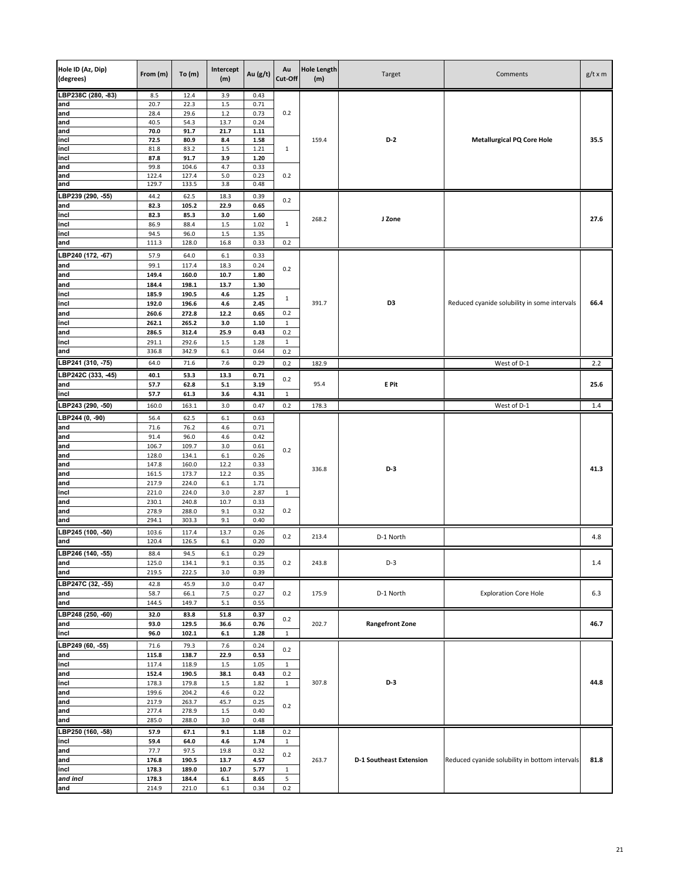| Hole ID (Az, Dip)<br>(degrees) | From (m)       | To $(m)$       | Intercept<br>(m) | Au $(g/t)$   | Au<br>Cut-Off | <b>Hole Length</b><br>(m) | Target                         | Comments                                       | $g/t \times m$ |
|--------------------------------|----------------|----------------|------------------|--------------|---------------|---------------------------|--------------------------------|------------------------------------------------|----------------|
| LBP238C (280, -83)             | 8.5            | 12.4           | 3.9              | 0.43         |               |                           |                                |                                                |                |
| and                            | 20.7           | 22.3           | $1.5\,$          | 0.71         |               |                           |                                |                                                |                |
| and                            | 28.4           | 29.6           | $1.2\,$          | 0.73         | 0.2           |                           |                                |                                                |                |
| and<br>and                     | 40.5<br>70.0   | 54.3<br>91.7   | 13.7<br>21.7     | 0.24<br>1.11 |               |                           |                                |                                                |                |
| incl                           | 72.5           | 80.9           | 8.4              | 1.58         |               | 159.4                     | $D-2$                          | <b>Metallurgical PQ Core Hole</b>              | 35.5           |
| incl                           | 81.8           | 83.2           | $1.5\,$          | 1.21         | $\mathbf{1}$  |                           |                                |                                                |                |
| incl                           | 87.8           | 91.7           | 3.9              | 1.20         |               |                           |                                |                                                |                |
| and                            | 99.8           | 104.6          | 4.7              | 0.33         |               |                           |                                |                                                |                |
| and                            | 122.4          | 127.4          | $5.0$            | 0.23         | 0.2           |                           |                                |                                                |                |
| and                            | 129.7          | 133.5          | 3.8              | 0.48         |               |                           |                                |                                                |                |
| LBP239 (290, -55)              | 44.2           | 62.5           | 18.3             | 0.39         | 0.2           |                           |                                |                                                |                |
| and                            | 82.3           | 105.2          | 22.9             | 0.65         |               |                           |                                |                                                |                |
| incl                           | 82.3           | 85.3           | 3.0              | 1.60         |               | 268.2                     | J Zone                         |                                                | 27.6           |
| incl                           | 86.9           | 88.4           | $1.5\,$          | 1.02         | $\mathbf{1}$  |                           |                                |                                                |                |
| incl                           | 94.5           | 96.0           | 1.5              | 1.35         |               |                           |                                |                                                |                |
| and                            | 111.3          | 128.0          | 16.8             | 0.33         | 0.2           |                           |                                |                                                |                |
| LBP240 (172, -67)              | 57.9           | 64.0           | $6.1\,$          | 0.33         |               |                           |                                |                                                |                |
| and                            | 99.1           | 117.4          | 18.3             | 0.24         | 0.2           |                           |                                |                                                |                |
| and                            | 149.4          | 160.0          | 10.7             | 1.80         |               |                           |                                |                                                |                |
| and                            | 184.4          | 198.1          | 13.7             | 1.30         |               |                           |                                |                                                |                |
| incl                           | 185.9          | 190.5          | 4.6              | 1.25         | $\mathbf{1}$  |                           |                                |                                                |                |
| incl                           | 192.0          | 196.6          | 4.6              | 2.45         |               | 391.7                     | D3                             | Reduced cyanide solubility in some intervals   | 66.4           |
| and                            | 260.6          | 272.8          | 12.2             | 0.65         | 0.2           |                           |                                |                                                |                |
| incl                           | 262.1          | 265.2          | 3.0              | 1.10         | $\mathbf{1}$  |                           |                                |                                                |                |
| and                            | 286.5          | 312.4          | 25.9             | 0.43         | 0.2           |                           |                                |                                                |                |
| incl                           | 291.1          | 292.6          | 1.5              | 1.28         | $\mathbf{1}$  |                           |                                |                                                |                |
| and                            | 336.8          | 342.9          | 6.1              | 0.64         | 0.2           |                           |                                |                                                |                |
| LBP241 (310, -75)              | 64.0           | 71.6           | 7.6              | 0.29         | 0.2           | 182.9                     |                                | West of D-1                                    | 2.2            |
| LBP242C (333, -45)             | 40.1           | 53.3           | 13.3             | 0.71         | 0.2           |                           |                                |                                                |                |
| and                            | 57.7           | 62.8           | 5.1              | 3.19         |               | 95.4                      | E Pit                          |                                                | 25.6           |
| incl                           | 57.7           | 61.3           | 3.6              | 4.31         | $\mathbf 1$   |                           |                                |                                                |                |
| LBP243 (290, -50)              | 160.0          | 163.1          | 3.0              | 0.47         | 0.2           | 178.3                     |                                | West of D-1                                    | $1.4\,$        |
| LBP244 (0, -90)                | 56.4           | 62.5           | 6.1              | 0.63         |               |                           |                                |                                                |                |
| and                            | 71.6           | 76.2           | 4.6              | 0.71         |               |                           |                                |                                                |                |
| and                            | 91.4           | 96.0           | 4.6              | 0.42         |               |                           |                                |                                                |                |
| and                            | 106.7          | 109.7          | 3.0              | 0.61         | 0.2           |                           |                                |                                                |                |
| and                            | 128.0          | 134.1          | 6.1              | 0.26         |               |                           |                                |                                                |                |
| and                            | 147.8          | 160.0          | 12.2             | 0.33         |               | 336.8                     | D-3                            |                                                | 41.3           |
| and                            | 161.5          | 173.7          | 12.2             | 0.35         |               |                           |                                |                                                |                |
| and                            | 217.9          | 224.0          | 6.1              | 1.71         |               |                           |                                |                                                |                |
| incl                           | 221.0          | 224.0          | 3.0              | 2.87         | $\mathbf{1}$  |                           |                                |                                                |                |
| and                            | 230.1          | 240.8          | 10.7             | 0.33         |               |                           |                                |                                                |                |
| and                            | 278.9          | 288.0          | 9.1              | 0.32         | 0.2           |                           |                                |                                                |                |
| and                            | 294.1          | 303.3          | 9.1              | 0.40         |               |                           |                                |                                                |                |
| LBP245 (100, -50)              | 103.6          | 117.4          | 13.7             | 0.26         | 0.2           | 213.4                     | D-1 North                      |                                                | 4.8            |
| and                            | 120.4          | 126.5          | 6.1              | 0.20         |               |                           |                                |                                                |                |
| LBP246 (140, -55)              | 88.4           | 94.5           | $6.1\,$          | 0.29         |               |                           |                                |                                                |                |
| and                            | 125.0          | 134.1          | 9.1              | 0.35         | 0.2           | 243.8                     | $D-3$                          |                                                | 1.4            |
| and                            | 219.5          | 222.5          | 3.0              | 0.39         |               |                           |                                |                                                |                |
| LBP247C (32, -55)              | 42.8           | 45.9           | 3.0              | 0.47         |               |                           |                                |                                                |                |
| and                            | 58.7           | 66.1           | 7.5              | 0.27         | 0.2           | 175.9                     | D-1 North                      | <b>Exploration Core Hole</b>                   | 6.3            |
| and                            | 144.5          | 149.7          | 5.1              | 0.55         |               |                           |                                |                                                |                |
| LBP248 (250, -60)              | 32.0           | 83.8           | 51.8             | 0.37         | 0.2           |                           |                                |                                                |                |
| and                            | 93.0           | 129.5          | 36.6             | 0.76         |               | 202.7                     | <b>Rangefront Zone</b>         |                                                | 46.7           |
| incl                           | 96.0           | 102.1          | $6.1\,$          | 1.28         | $\mathbf{1}$  |                           |                                |                                                |                |
| LBP249 (60, -55)               | 71.6           | 79.3           | 7.6              | 0.24         | 0.2           |                           |                                |                                                |                |
| and                            | 115.8          | 138.7          | 22.9             | 0.53         |               |                           |                                |                                                |                |
| incl                           | 117.4          | 118.9          | $1.5\,$          | 1.05         | $\mathbf{1}$  |                           |                                |                                                |                |
| and                            | 152.4          | 190.5          | 38.1             | 0.43         | 0.2           |                           |                                |                                                |                |
| incl                           | 178.3          | 179.8          | 1.5              | 1.82         | $\mathbf 1$   | 307.8                     | D-3                            |                                                | 44.8           |
| and                            | 199.6          | 204.2          | 4.6              | 0.22         |               |                           |                                |                                                |                |
| and                            | 217.9          | 263.7          | 45.7             | 0.25         | 0.2           |                           |                                |                                                |                |
| and                            | 277.4          | 278.9          | $1.5\,$          | 0.40         |               |                           |                                |                                                |                |
| and                            | 285.0          | 288.0          | 3.0              | 0.48         |               |                           |                                |                                                |                |
| LBP250 (160, -58)              | 57.9           | 67.1           | 9.1              | 1.18         | 0.2           |                           |                                |                                                |                |
| incl                           | 59.4           | 64.0           | 4.6              | 1.74         | $\mathbf{1}$  |                           |                                |                                                |                |
| and                            | 77.7           | 97.5           | 19.8             | 0.32         | 0.2           | 263.7                     | <b>D-1 Southeast Extension</b> | Reduced cyanide solubility in bottom intervals | 81.8           |
| and<br>incl                    | 176.8<br>178.3 | 190.5<br>189.0 | 13.7<br>10.7     | 4.57<br>5.77 | $\mathbf{1}$  |                           |                                |                                                |                |
| and incl                       | 178.3          | 184.4          | $6.1\,$          | 8.65         | 5             |                           |                                |                                                |                |
| and                            | 214.9          | 221.0          | $6.1\,$          | 0.34         | 0.2           |                           |                                |                                                |                |
|                                |                |                |                  |              |               |                           |                                |                                                |                |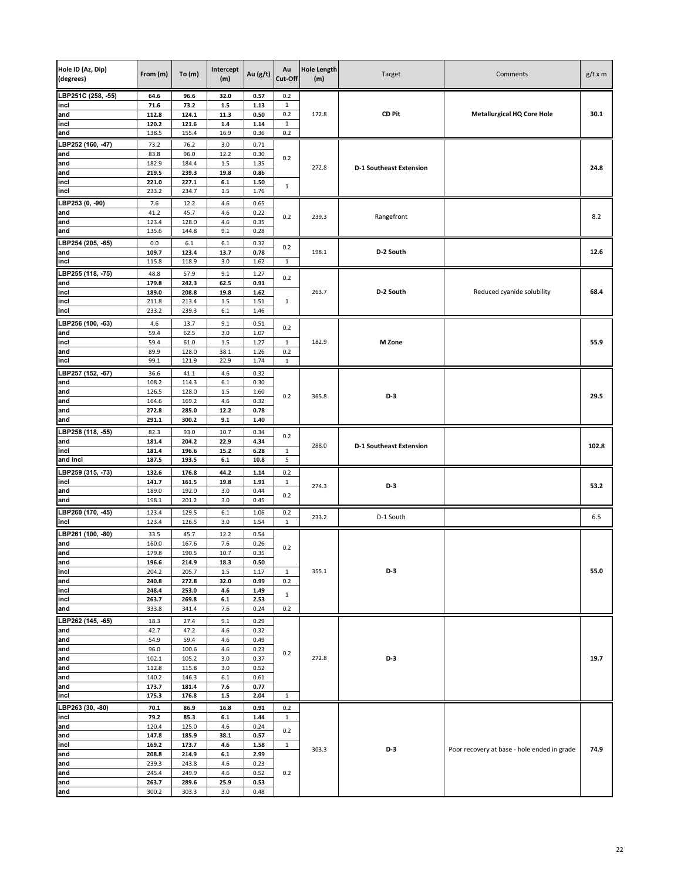| Hole ID (Az, Dip)<br>(degrees) | From (m)       | To $(m)$       | Intercept<br>(m) | Au $(g/t)$   | Au<br>Cut-Off       | <b>Hole Length</b><br>(m) | Target                         | Comments                                    | $g/t \times m$ |
|--------------------------------|----------------|----------------|------------------|--------------|---------------------|---------------------------|--------------------------------|---------------------------------------------|----------------|
| LBP251C (258, -55)             | 64.6           | 96.6           | 32.0             | 0.57         | 0.2                 |                           |                                |                                             |                |
| incl                           | 71.6           | 73.2           | $1.5\,$          | 1.13         | 1                   |                           |                                |                                             |                |
| and<br>incl                    | 112.8<br>120.2 | 124.1<br>121.6 | 11.3<br>$1.4\,$  | 0.50<br>1.14 | 0.2<br>$\mathbf{1}$ | 172.8                     | <b>CD Pit</b>                  | <b>Metallurgical HQ Core Hole</b>           | 30.1           |
| and                            | 138.5          | 155.4          | 16.9             | 0.36         | 0.2                 |                           |                                |                                             |                |
| LBP252 (160, -47)              | 73.2           | 76.2           | 3.0              | 0.71         |                     |                           |                                |                                             |                |
| and                            | 83.8           | 96.0           | 12.2             | 0.30         |                     |                           |                                |                                             |                |
| and                            | 182.9          | 184.4          | 1.5              | 1.35         | 0.2                 | 272.8                     | <b>D-1 Southeast Extension</b> |                                             | 24.8           |
| and                            | 219.5          | 239.3          | 19.8             | 0.86         |                     |                           |                                |                                             |                |
| incl                           | 221.0          | 227.1          | 6.1              | 1.50         | $\mathbf{1}$        |                           |                                |                                             |                |
| incl                           | 233.2          | 234.7          | 1.5              | 1.76         |                     |                           |                                |                                             |                |
| LBP253 (0, -90)                | 7.6            | 12.2           | 4.6              | 0.65         |                     |                           |                                |                                             |                |
| and<br>and                     | 41.2<br>123.4  | 45.7<br>128.0  | 4.6<br>4.6       | 0.22<br>0.35 | 0.2                 | 239.3                     | Rangefront                     |                                             | 8.2            |
| and                            | 135.6          | 144.8          | 9.1              | 0.28         |                     |                           |                                |                                             |                |
| LBP254 (205, -65)              | 0.0            | 6.1            | 6.1              | 0.32         |                     |                           |                                |                                             |                |
| and                            | 109.7          | 123.4          | 13.7             | 0.78         | 0.2                 | 198.1                     | D-2 South                      |                                             | 12.6           |
| incl                           | 115.8          | 118.9          | 3.0              | 1.62         | $\mathbf{1}$        |                           |                                |                                             |                |
| LBP255 (118, -75)              | 48.8           | 57.9           | 9.1              | 1.27         | 0.2                 |                           |                                |                                             |                |
| and                            | 179.8          | 242.3          | 62.5             | 0.91         |                     |                           |                                |                                             |                |
| incl                           | 189.0          | 208.8          | 19.8             | 1.62         |                     | 263.7                     | D-2 South                      | Reduced cyanide solubility                  | 68.4           |
| incl<br>incl                   | 211.8<br>233.2 | 213.4<br>239.3 | 1.5<br>$6.1\,$   | 1.51<br>1.46 | $\mathbf{1}$        |                           |                                |                                             |                |
|                                |                |                |                  |              |                     |                           |                                |                                             |                |
| LBP256 (100, -63)<br>and       | 4.6<br>59.4    | 13.7<br>62.5   | 9.1<br>3.0       | 0.51<br>1.07 | 0.2                 |                           |                                |                                             |                |
| incl                           | 59.4           | 61.0           | 1.5              | 1.27         | $\mathbf{1}$        | 182.9                     | M Zone                         |                                             | 55.9           |
| and                            | 89.9           | 128.0          | 38.1             | 1.26         | 0.2                 |                           |                                |                                             |                |
| incl                           | 99.1           | 121.9          | 22.9             | 1.74         | $\mathbf{1}$        |                           |                                |                                             |                |
| LBP257 (152, -67)              | 36.6           | 41.1           | 4.6              | 0.32         |                     |                           |                                |                                             |                |
| and                            | 108.2          | 114.3          | 6.1              | 0.30         |                     |                           |                                |                                             |                |
| and                            | 126.5          | 128.0          | 1.5              | 1.60         | 0.2                 | 365.8                     | $D-3$                          |                                             | 29.5           |
| and                            | 164.6          | 169.2          | 4.6              | 0.32         |                     |                           |                                |                                             |                |
| and<br>and                     | 272.8<br>291.1 | 285.0<br>300.2 | 12.2<br>9.1      | 0.78<br>1.40 |                     |                           |                                |                                             |                |
|                                |                |                |                  |              |                     |                           |                                |                                             |                |
| LBP258 (118, -55)<br>and       | 82.3<br>181.4  | 93.0<br>204.2  | 10.7<br>22.9     | 0.34<br>4.34 | 0.2                 |                           |                                |                                             |                |
| incl                           | 181.4          | 196.6          | 15.2             | 6.28         | $\mathbf 1$         | 288.0                     | <b>D-1 Southeast Extension</b> |                                             | 102.8          |
| and incl                       | 187.5          | 193.5          | 6.1              | 10.8         | 5                   |                           |                                |                                             |                |
| LBP259 (315, -73)              | 132.6          | 176.8          | 44.2             | 1.14         | 0.2                 |                           |                                |                                             |                |
| incl                           | 141.7          | 161.5          | 19.8             | 1.91         | $\mathbf{1}$        | 274.3                     | $D-3$                          |                                             | 53.2           |
| and                            | 189.0          | 192.0          | 3.0              | 0.44         | 0.2                 |                           |                                |                                             |                |
| and                            | 198.1          | 201.2          | 3.0              | 0.45         |                     |                           |                                |                                             |                |
| LBP260 (170, -45)              | 123.4          | 129.5          | $6.1\,$          | 1.06         | 0.2                 | 233.2                     | D-1 South                      |                                             | 6.5            |
| incl                           | 123.4          | 126.5          | 3.0              | 1.54         | 1                   |                           |                                |                                             |                |
| LBP261 (100, -80)<br>and       | 33.5           | 45.7           | 12.2<br>7.6      | 0.54         |                     |                           |                                |                                             |                |
| and                            | 160.0<br>179.8 | 167.6<br>190.5 | 10.7             | 0.26<br>0.35 | 0.2                 |                           |                                |                                             |                |
| and                            | 196.6          | 214.9          | 18.3             | 0.50         |                     |                           |                                |                                             |                |
| incl                           | 204.2          | 205.7          | 1.5              | 1.17         | $\mathbf{1}$        | 355.1                     | D-3                            |                                             | 55.0           |
| and                            | 240.8          | 272.8          | 32.0             | 0.99         | 0.2                 |                           |                                |                                             |                |
| incl                           | 248.4          | 253.0          | 4.6              | 1.49         | $\mathbf{1}$        |                           |                                |                                             |                |
| incl<br>and                    | 263.7<br>333.8 | 269.8<br>341.4 | $6.1\,$<br>7.6   | 2.53<br>0.24 | 0.2                 |                           |                                |                                             |                |
| LBP262 (145, -65)              | 18.3           | 27.4           | 9.1              | 0.29         |                     |                           |                                |                                             |                |
| and                            | 42.7           | 47.2           | 4.6              | 0.32         |                     |                           |                                |                                             |                |
| and                            | 54.9           | 59.4           | 4.6              | 0.49         |                     |                           |                                |                                             |                |
| and                            | 96.0           | 100.6          | 4.6              | 0.23         | 0.2                 |                           |                                |                                             |                |
| and                            | 102.1          | 105.2          | 3.0              | 0.37         |                     | 272.8                     | D-3                            |                                             | 19.7           |
| and                            | 112.8          | 115.8          | 3.0              | 0.52         |                     |                           |                                |                                             |                |
| and<br>and                     | 140.2<br>173.7 | 146.3<br>181.4 | $6.1\,$<br>7.6   | 0.61<br>0.77 |                     |                           |                                |                                             |                |
| incl                           | 175.3          | 176.8          | $1.5\,$          | 2.04         | $\mathbf{1}$        |                           |                                |                                             |                |
| LBP263 (30, -80)               | 70.1           | 86.9           | 16.8             | 0.91         | 0.2                 |                           |                                |                                             |                |
| incl                           | 79.2           | 85.3           | $6.1\,$          | 1.44         | $\mathbf{1}$        |                           |                                |                                             |                |
| and                            | 120.4          | 125.0          | 4.6              | 0.24         |                     |                           |                                |                                             |                |
| and                            | 147.8          | 185.9          | 38.1             | 0.57         | 0.2                 |                           |                                |                                             |                |
| incl                           | 169.2          | 173.7          | 4.6              | 1.58         | $\mathbf{1}$        | 303.3                     | D-3                            | Poor recovery at base - hole ended in grade | 74.9           |
| and                            | 208.8          | 214.9          | $6.1\,$          | 2.99         |                     |                           |                                |                                             |                |
| and<br>and                     | 239.3<br>245.4 | 243.8<br>249.9 | 4.6<br>4.6       | 0.23<br>0.52 | 0.2                 |                           |                                |                                             |                |
| and                            | 263.7          | 289.6          | 25.9             | 0.53         |                     |                           |                                |                                             |                |
| and                            | 300.2          | 303.3          | 3.0              | 0.48         |                     |                           |                                |                                             |                |
|                                |                |                |                  |              |                     |                           |                                |                                             |                |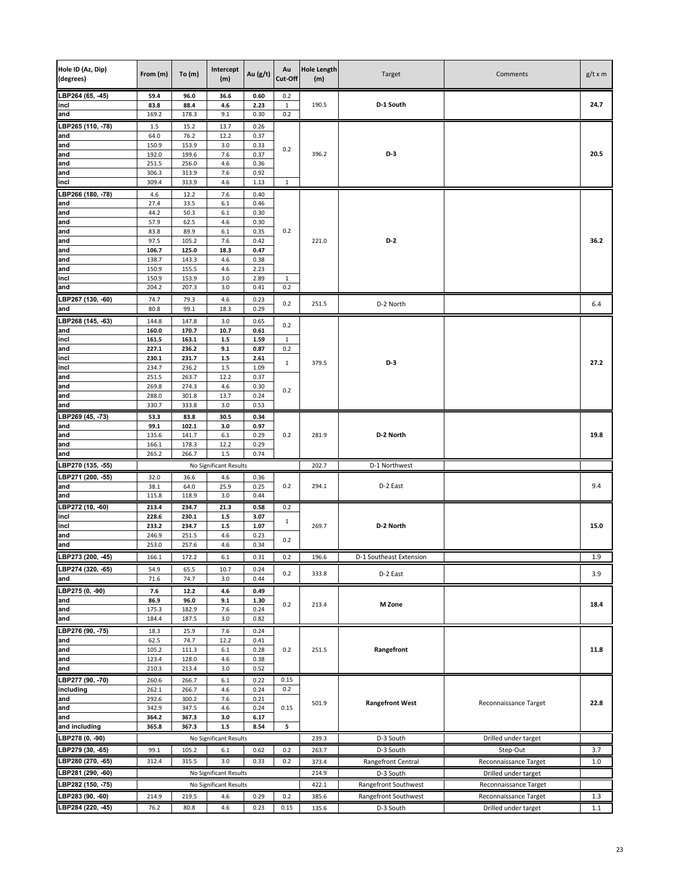| Hole ID (Az, Dip)<br>(degrees) | From (m)       | To $(m)$       | Intercept<br>(m)       | Au $(g/t)$   | Au<br>Cut-Off | <b>Hole Length</b><br>(m) | Target                  | Comments              | $g/t \times m$ |
|--------------------------------|----------------|----------------|------------------------|--------------|---------------|---------------------------|-------------------------|-----------------------|----------------|
| LBP264 (65, -45)               | 59.4           | 96.0           | 36.6                   | 0.60         | 0.2           |                           |                         |                       |                |
| incl                           | 83.8           | 88.4           | 4.6                    | 2.23         | $\mathbf{1}$  | 190.5                     | D-1 South               |                       | 24.7           |
| and                            | 169.2          | 178.3          | 9.1                    | 0.30         | 0.2           |                           |                         |                       |                |
| LBP265 (110, -78)              | 1.5            | 15.2           | 13.7                   | 0.26         |               |                           |                         |                       |                |
| and<br>and                     | 64.0<br>150.9  | 76.2<br>153.9  | 12.2<br>3.0            | 0.37<br>0.33 |               |                           |                         |                       |                |
| and                            | 192.0          | 199.6          | 7.6                    | 0.37         | 0.2           | 396.2                     | $D-3$                   |                       | 20.5           |
| and                            | 251.5          | 256.0          | 4.6                    | 0.36         |               |                           |                         |                       |                |
| and                            | 306.3          | 313.9          | 7.6                    | 0.92         |               |                           |                         |                       |                |
| incl                           | 309.4          | 313.9          | 4.6                    | 1.13         | $\mathbf{1}$  |                           |                         |                       |                |
| LBP266 (180, -78)              | 4.6            | 12.2           | 7.6                    | 0.40         |               |                           |                         |                       |                |
| and                            | 27.4           | 33.5           | $6.1\,$                | 0.46         |               |                           |                         |                       |                |
| and<br>and                     | 44.2<br>57.9   | 50.3<br>62.5   | 6.1<br>4.6             | 0.30<br>0.30 |               |                           |                         |                       |                |
| and                            | 83.8           | 89.9           | 6.1                    | 0.35         | 0.2           |                           |                         |                       |                |
| and                            | 97.5           | 105.2          | 7.6                    | 0.42         |               | 221.0                     | $D-2$                   |                       | 36.2           |
| and                            | 106.7          | 125.0          | 18.3                   | 0.47         |               |                           |                         |                       |                |
| and                            | 138.7          | 143.3          | 4.6                    | 0.38         |               |                           |                         |                       |                |
| and                            | 150.9          | 155.5          | 4.6                    | 2.23         |               |                           |                         |                       |                |
| incl<br>and                    | 150.9<br>204.2 | 153.9<br>207.3 | 3.0<br>3.0             | 2.89<br>0.41 | 1<br>0.2      |                           |                         |                       |                |
| LBP267 (130, -60)              | 74.7           | 79.3           | 4.6                    | 0.23         |               |                           |                         |                       |                |
| and                            | 80.8           | 99.1           | 18.3                   | 0.29         | 0.2           | 251.5                     | D-2 North               |                       | 6.4            |
| LBP268 (145, -63)              | 144.8          | 147.8          | 3.0                    | 0.65         |               |                           |                         |                       |                |
| and                            | 160.0          | 170.7          | 10.7                   | 0.61         | 0.2           |                           |                         |                       |                |
| incl                           | 161.5          | 163.1          | $1.5$                  | 1.59         | $\mathbf{1}$  |                           |                         |                       |                |
| and                            | 227.1          | 236.2          | 9.1                    | 0.87         | 0.2           |                           |                         |                       |                |
| incl                           | 230.1          | 231.7          | $1.5\,$                | 2.61         | $\mathbf{1}$  | 379.5                     | D-3                     |                       | 27.2           |
| incl<br>and                    | 234.7<br>251.5 | 236.2<br>263.7 | $1.5\,$<br>12.2        | 1.09<br>0.37 |               |                           |                         |                       |                |
| and                            | 269.8          | 274.3          | 4.6                    | 0.30         |               |                           |                         |                       |                |
| and                            | 288.0          | 301.8          | 13.7                   | 0.24         | 0.2           |                           |                         |                       |                |
| and                            | 330.7          | 333.8          | 3.0                    | 0.53         |               |                           |                         |                       |                |
| LBP269 (45, -73)               | 53.3           | 83.8           | 30.5                   | 0.34         |               |                           |                         |                       |                |
| and                            | 99.1           | 102.1          | 3.0                    | 0.97         |               |                           |                         |                       |                |
| and                            | 135.6          | 141.7          | $6.1\,$                | 0.29         | 0.2           | 281.9                     | D-2 North               |                       | 19.8           |
| and<br>and                     | 166.1<br>265.2 | 178.3<br>266.7 | 12.2<br>1.5            | 0.29<br>0.74 |               |                           |                         |                       |                |
| LBP270 (135, -55)              |                |                | No Significant Results |              |               | 202.7                     | D-1 Northwest           |                       |                |
| LBP271 (200, -55)              | 32.0           | 36.6           | 4.6                    | 0.36         |               |                           |                         |                       |                |
| and                            | 38.1           | 64.0           | 25.9                   | 0.25         | 0.2           | 294.1                     | D-2 East                |                       | 9.4            |
| and                            | 115.8          | 118.9          | 3.0                    | 0.44         |               |                           |                         |                       |                |
| LBP272 (10, -60)               | 213.4          | 234.7          | 21.3                   | 0.58         | 0.2           |                           |                         |                       |                |
| incl                           | 228.6          | 230.1          | $1.5\,$                | 3.07         | $\mathbf{1}$  |                           |                         |                       |                |
| incl                           | 233.2          | 234.7          | $1.5\,$                | 1.07         |               | 269.7                     | D-2 North               |                       | 15.0           |
| and                            | 246.9<br>253.0 | 251.5          | 4.6<br>4.6             | 0.23<br>0.34 | 0.2           |                           |                         |                       |                |
| and<br>LBP273 (200, -45)       |                | 257.6          |                        |              | $0.2\,$       | 196.6                     |                         |                       |                |
|                                | 166.1          | 172.2          | 6.1                    | 0.31         |               |                           | D-1 Southeast Extension |                       | 1.9            |
| LBP274 (320, -65)<br>and       | 54.9<br>71.6   | 65.5<br>74.7   | 10.7<br>3.0            | 0.24<br>0.44 | 0.2           | 333.8                     | D-2 East                |                       | 3.9            |
| LBP275 (0, -90)                | 7.6            | 12.2           | 4.6                    | 0.49         |               |                           |                         |                       |                |
| and                            | 86.9           | 96.0           | 9.1                    | 1.30         |               |                           |                         |                       |                |
| and                            | 175.3          | 182.9          | 7.6                    | 0.24         | 0.2           | 213.4                     | M Zone                  |                       | 18.4           |
| and                            | 184.4          | 187.5          | 3.0                    | 0.82         |               |                           |                         |                       |                |
| LBP276 (90, -75)               | 18.3           | 25.9           | 7.6                    | 0.24         |               |                           |                         |                       |                |
| and                            | 62.5           | 74.7           | 12.2                   | 0.41         |               |                           |                         |                       |                |
| and                            | 105.2          | 111.3          | 6.1                    | 0.28         | 0.2           | 251.5                     | Rangefront              |                       | 11.8           |
| and<br>and                     | 123.4<br>210.3 | 128.0<br>213.4 | 4.6<br>3.0             | 0.38<br>0.52 |               |                           |                         |                       |                |
| LBP277 (90, -70)               | 260.6          | 266.7          | 6.1                    | 0.22         | 0.15          |                           |                         |                       |                |
| including                      | 262.1          | 266.7          | 4.6                    | 0.24         | 0.2           |                           |                         |                       |                |
| and                            | 292.6          | 300.2          | 7.6                    | 0.21         |               |                           |                         |                       |                |
| and                            | 342.9          | 347.5          | 4.6                    | 0.24         | 0.15          | 501.9                     | <b>Rangefront West</b>  | Reconnaissance Target | 22.8           |
| and                            | 364.2          | 367.3          | 3.0                    | 6.17         |               |                           |                         |                       |                |
| and including                  | 365.8          | 367.3          | $1.5\,$                | 8.54         | 5             |                           |                         |                       |                |
| LBP278 (0, -90)                |                |                | No Significant Results |              |               | 239.3                     | D-3 South               | Drilled under target  |                |
| LBP279 (30, -65)               | 99.1           | 105.2          | 6.1                    | 0.62         | 0.2           | 263.7                     | D-3 South               | Step-Out              | 3.7            |
| LBP280 (270, -65)              | 312.4          | 315.5          | 3.0                    | 0.33         | 0.2           | 373.4                     | Rangefront Central      | Reconnaissance Target | 1.0            |
| LBP281 (290, -60)              |                |                | No Significant Results |              |               | 214.9                     | D-3 South               | Drilled under target  |                |
| LBP282 (150, -75)              |                |                | No Significant Results |              |               | 422.1                     | Rangefront Southwest    | Reconnaissance Target |                |
| LBP283 (90, -60)               | 214.9          | 219.5          | 4.6                    | 0.29         | 0.2           | 385.6                     | Rangefront Southwest    | Reconnaissance Target | 1.3            |
| LBP284 (220, -45)              | 76.2           | 80.8           | 4.6                    | 0.23         | 0.15          | 135.6                     | D-3 South               | Drilled under target  | 1.1            |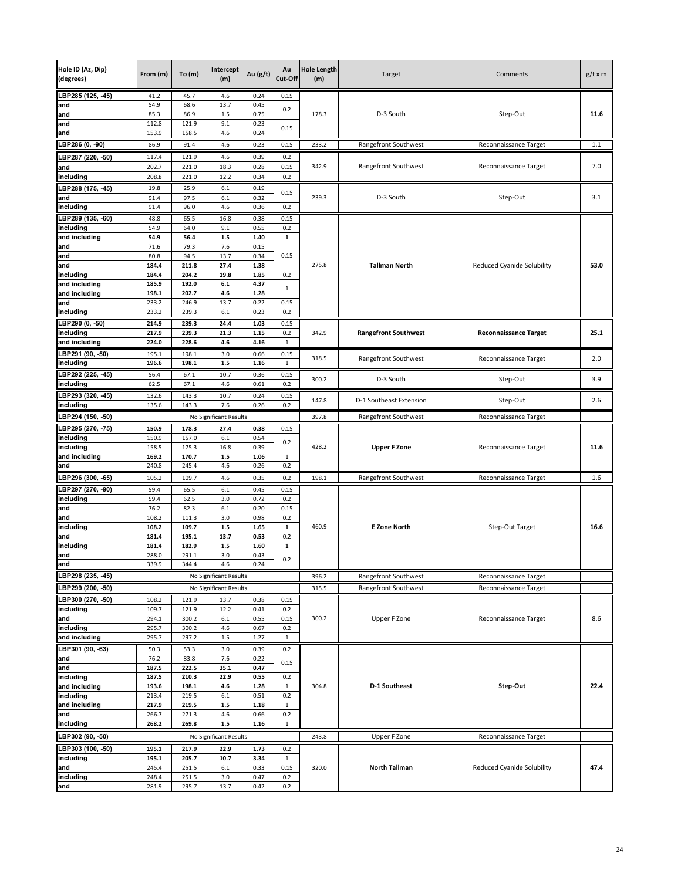| Hole ID (Az, Dip)<br>(degrees) | From (m)       | To(m)          | Intercept<br>(m)       | Au (g/t)     | Au<br>Cut-Off | <b>Hole Length</b><br>(m) | Target                      | Comments                          | $g/t \times m$ |
|--------------------------------|----------------|----------------|------------------------|--------------|---------------|---------------------------|-----------------------------|-----------------------------------|----------------|
| LBP285 (125, -45)              | 41.2           | 45.7           | 4.6                    | 0.24         | 0.15          |                           |                             |                                   |                |
| and                            | 54.9           | 68.6           | 13.7                   | 0.45         | 0.2           |                           |                             |                                   |                |
| and                            | 85.3           | 86.9           | $1.5\,$                | 0.75         |               | 178.3                     | D-3 South                   | Step-Out                          | 11.6           |
| and<br>and                     | 112.8<br>153.9 | 121.9<br>158.5 | 9.1<br>4.6             | 0.23<br>0.24 | 0.15          |                           |                             |                                   |                |
|                                |                |                |                        |              |               |                           |                             |                                   |                |
| LBP286 (0, -90)                | 86.9           | 91.4           | 4.6                    | 0.23         | 0.15          | 233.2                     | Rangefront Southwest        | Reconnaissance Target             | 1.1            |
| LBP287 (220, -50)              | 117.4          | 121.9          | 4.6                    | 0.39         | 0.2           |                           |                             |                                   |                |
| and                            | 202.7          | 221.0          | 18.3                   | 0.28         | 0.15          | 342.9                     | Rangefront Southwest        | Reconnaissance Target             | 7.0            |
| including                      | 208.8          | 221.0          | 12.2                   | 0.34         | 0.2           |                           |                             |                                   |                |
| LBP288 (175, 45)<br>and        | 19.8<br>91.4   | 25.9<br>97.5   | 6.1<br>6.1             | 0.19<br>0.32 | 0.15          | 239.3                     |                             |                                   |                |
| ncluding                       | 91.4           | 96.0           | 4.6                    | 0.36         | 0.2           |                           | D-3 South                   | Step-Out                          | 3.1            |
| LBP289 (135, -60)              | 48.8           | 65.5           | 16.8                   | 0.38         | 0.15          |                           |                             |                                   |                |
| including                      | 54.9           | 64.0           | 9.1                    | 0.55         | 0.2           |                           |                             |                                   |                |
| and including                  | 54.9           | 56.4           | $1.5$                  | 1.40         | 1             |                           |                             |                                   |                |
| and                            | 71.6           | 79.3           | 7.6                    | 0.15         |               |                           |                             |                                   |                |
| and                            | 80.8           | 94.5           | 13.7                   | 0.34         | 0.15          |                           |                             |                                   |                |
| and                            | 184.4          | 211.8          | 27.4                   | 1.38         |               | 275.8                     | <b>Tallman North</b>        | <b>Reduced Cyanide Solubility</b> | 53.0           |
| including<br>and including     | 184.4<br>185.9 | 204.2<br>192.0 | 19.8<br>$6.1\,$        | 1.85<br>4.37 | 0.2           |                           |                             |                                   |                |
| and including                  | 198.1          | 202.7          | 4.6                    | 1.28         | $\mathbf{1}$  |                           |                             |                                   |                |
| and                            | 233.2          | 246.9          | 13.7                   | 0.22         | 0.15          |                           |                             |                                   |                |
| including                      | 233.2          | 239.3          | 6.1                    | 0.23         | 0.2           |                           |                             |                                   |                |
| LBP290 (0, -50)                | 214.9          | 239.3          | 24.4                   | 1.03         | 0.15          |                           |                             |                                   |                |
| including                      | 217.9          | 239.3          | 21.3                   | 1.15         | 0.2           | 342.9                     | <b>Rangefront Southwest</b> | <b>Reconnaissance Target</b>      | 25.1           |
| and including                  | 224.0          | 228.6          | 4.6                    | 4.16         | 1             |                           |                             |                                   |                |
| LBP291 (90, -50)               | 195.1          | 198.1          | 3.0                    | 0.66         | 0.15          | 318.5                     | Rangefront Southwest        | Reconnaissance Target             | 2.0            |
| including                      | 196.6          | 198.1          | $1.5\,$                | 1.16         | $\mathbf{1}$  |                           |                             |                                   |                |
| LBP292 (225, -45)<br>including | 56.4<br>62.5   | 67.1<br>67.1   | 10.7<br>4.6            | 0.36<br>0.61 | 0.15<br>0.2   | 300.2                     | D-3 South                   | Step-Out                          | 3.9            |
|                                |                |                |                        |              |               |                           |                             |                                   |                |
| LBP293 (320, -45)<br>including | 132.6<br>135.6 | 143.3<br>143.3 | 10.7<br>7.6            | 0.24<br>0.26 | 0.15<br>0.2   | 147.8                     | D-1 Southeast Extension     | Step-Out                          | 2.6            |
| LBP294 (150, -50)              |                |                | No Significant Results |              |               | 397.8                     | Rangefront Southwest        | Reconnaissance Target             |                |
| LBP295 (270, -75)              | 150.9          | 178.3          | 27.4                   | 0.38         | 0.15          |                           |                             |                                   |                |
| including                      | 150.9          | 157.0          | 6.1                    | 0.54         |               |                           |                             |                                   |                |
| including                      | 158.5          | 175.3          | 16.8                   | 0.39         | 0.2           | 428.2                     | <b>Upper F Zone</b>         | Reconnaissance Target             | 11.6           |
| and including                  | 169.2          | 170.7          | 1.5                    | 1.06         | 1             |                           |                             |                                   |                |
| and                            | 240.8          | 245.4          | 4.6                    | 0.26         | 0.2           |                           |                             |                                   |                |
| LBP296 (300, -65)              | 105.2          | 109.7          | 4.6                    | 0.35         | 0.2           | 198.1                     | Rangefront Southwest        | Reconnaissance Target             | 1.6            |
| LBP297 (270, -90)              | 59.4           | 65.5           | 6.1                    | 0.45         | 0.15          |                           |                             |                                   |                |
| including<br>and               | 59.4<br>76.2   | 62.5<br>82.3   | 3.0<br>6.1             | 0.72<br>0.20 | 0.2<br>0.15   |                           |                             |                                   |                |
| and                            | 108.2          | 111.3          | 3.0                    | 0.98         | 0.2           |                           |                             |                                   |                |
| including                      | 108.2          | 109.7          | $1.5\,$                | 1.65         | $\mathbf{1}$  | 460.9                     | <b>E Zone North</b>         | Step-Out Target                   | 16.6           |
| and                            | 181.4          | 195.1          | 13.7                   | 0.53         | 0.2           |                           |                             |                                   |                |
| including                      | 181.4          | 182.9          | $1.5\,$                | 1.60         | $\mathbf{1}$  |                           |                             |                                   |                |
| and                            | 288.0          | 291.1          | 3.0                    | 0.43         | 0.2           |                           |                             |                                   |                |
| and<br>LBP298 (235, -45)       | 339.9          | 344.4          | 4.6                    | 0.24         |               | 396.2                     |                             |                                   |                |
|                                |                |                | No Significant Results |              |               |                           | Rangefront Southwest        | Reconnaissance Target             |                |
| LBP299 (200, -50)              |                |                | No Significant Results |              |               | 315.5                     | Rangefront Southwest        | Reconnaissance Target             |                |
| LBP300 (270, -50)<br>including | 108.2<br>109.7 | 121.9<br>121.9 | 13.7<br>12.2           | 0.38<br>0.41 | 0.15<br>0.2   |                           |                             |                                   |                |
| and                            | 294.1          | 300.2          | $6.1\,$                | 0.55         | 0.15          | 300.2                     | Upper F Zone                | Reconnaissance Target             | 8.6            |
| including                      | 295.7          | 300.2          | 4.6                    | 0.67         | 0.2           |                           |                             |                                   |                |
| and including                  | 295.7          | 297.2          | $1.5\,$                | 1.27         | $\mathbf{1}$  |                           |                             |                                   |                |
| LBP301 (90, -63)               | 50.3           | 53.3           | 3.0                    | 0.39         | 0.2           |                           |                             |                                   |                |
| and                            | 76.2           | 83.8           | 7.6                    | 0.22         | 0.15          |                           |                             |                                   |                |
| and                            | 187.5<br>187.5 | 222.5<br>210.3 | 35.1<br>22.9           | 0.47<br>0.55 | 0.2           |                           |                             |                                   |                |
| including<br>and including     | 193.6          | 198.1          | 4.6                    | 1.28         | $\mathbf{1}$  | 304.8                     | D-1 Southeast               | Step-Out                          | 22.4           |
| including                      | 213.4          | 219.5          | 6.1                    | 0.51         | 0.2           |                           |                             |                                   |                |
| and including                  | 217.9          | 219.5          | $1.5\,$                | 1.18         | $\mathbf{1}$  |                           |                             |                                   |                |
| and                            | 266.7          | 271.3          | 4.6                    | 0.66         | 0.2           |                           |                             |                                   |                |
| including                      | 268.2          | 269.8          | $1.5\,$                | 1.16         | $\mathbf{1}$  |                           |                             |                                   |                |
| LBP302 (90, -50)               |                |                | No Significant Results |              |               | 243.8                     | Upper F Zone                | Reconnaissance Target             |                |
| LBP303 (100, -50)              | 195.1          | 217.9          | 22.9                   | 1.73         | 0.2           |                           |                             |                                   |                |
| including<br>and               | 195.1<br>245.4 | 205.7          | 10.7<br>6.1            | 3.34<br>0.33 | 1<br>0.15     |                           | <b>North Tallman</b>        | Reduced Cyanide Solubility        | 47.4           |
| including                      | 248.4          | 251.5<br>251.5 | 3.0                    | 0.47         | 0.2           | 320.0                     |                             |                                   |                |
| and                            | 281.9          | 295.7          | 13.7                   | 0.42         | 0.2           |                           |                             |                                   |                |
|                                |                |                |                        |              |               |                           |                             |                                   |                |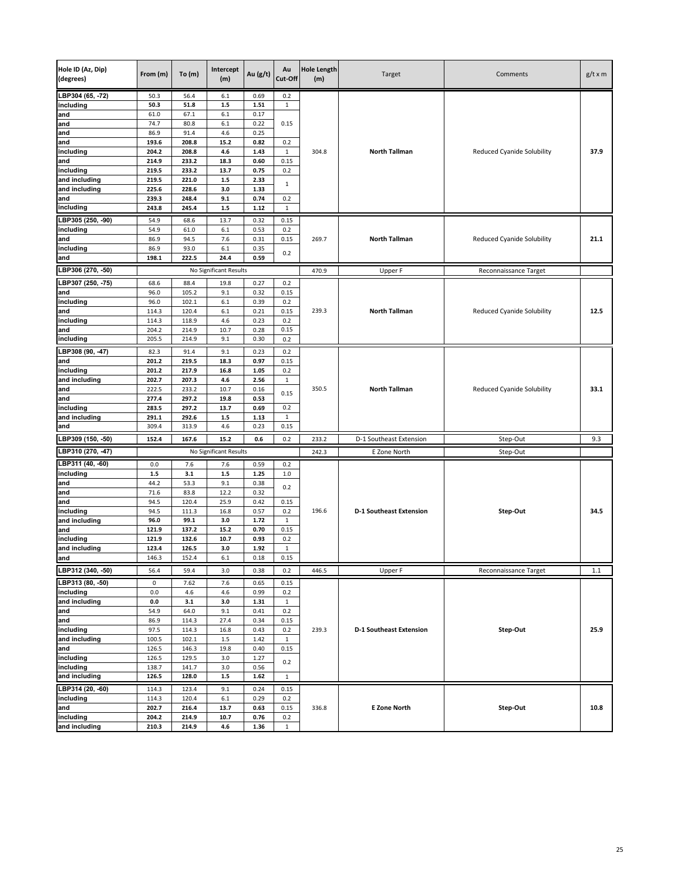| Hole ID (Az, Dip)<br>(degrees) | From (m)        | To(m)          | Intercept<br>(m)       | Au (g/t)     | Au<br>Cut-Off       | <b>Hole Length</b><br>(m) | Target                         | Comments                          | $g/t \times m$ |
|--------------------------------|-----------------|----------------|------------------------|--------------|---------------------|---------------------------|--------------------------------|-----------------------------------|----------------|
| LBP304 (65, -72)               | 50.3            | 56.4           | 6.1                    | 0.69         | 0.2                 |                           |                                |                                   |                |
| including                      | 50.3            | 51.8           | $1.5$                  | 1.51         | $\mathbf{1}$        |                           |                                |                                   |                |
| and                            | 61.0            | 67.1           | 6.1                    | 0.17         |                     |                           |                                |                                   |                |
| and<br>and                     | 74.7<br>86.9    | 80.8<br>91.4   | 6.1<br>4.6             | 0.22<br>0.25 | 0.15                |                           |                                |                                   |                |
| and                            | 193.6           | 208.8          | 15.2                   | 0.82         | 0.2                 |                           |                                |                                   |                |
| including                      | 204.2           | 208.8          | 4.6                    | 1.43         | $\mathbf 1$         | 304.8                     | <b>North Tallman</b>           | Reduced Cyanide Solubility        | 37.9           |
| and                            | 214.9           | 233.2          | 18.3                   | 0.60         | 0.15                |                           |                                |                                   |                |
| including                      | 219.5           | 233.2          | 13.7                   | 0.75         | 0.2                 |                           |                                |                                   |                |
| and including                  | 219.5           | 221.0          | $1.5\,$                | 2.33         | 1                   |                           |                                |                                   |                |
| and including                  | 225.6           | 228.6          | 3.0                    | 1.33         |                     |                           |                                |                                   |                |
| and                            | 239.3           | 248.4          | 9.1<br>1.5             | 0.74<br>1.12 | 0.2<br>1            |                           |                                |                                   |                |
| including                      | 243.8           | 245.4          |                        |              |                     |                           |                                |                                   |                |
| LBP305 (250, -90)              | 54.9            | 68.6           | 13.7                   | 0.32         | 0.15                |                           |                                |                                   |                |
| including<br>and               | 54.9<br>86.9    | 61.0<br>94.5   | 6.1<br>7.6             | 0.53<br>0.31 | 0.2<br>0.15         | 269.7                     | <b>North Tallman</b>           | <b>Reduced Cyanide Solubility</b> | 21.1           |
| including                      | 86.9            | 93.0           | 6.1                    | 0.35         |                     |                           |                                |                                   |                |
| and                            | 198.1           | 222.5          | 24.4                   | 0.59         | 0.2                 |                           |                                |                                   |                |
| LBP306 (270, -50)              |                 |                | No Significant Results |              |                     | 470.9                     | Upper F                        | Reconnaissance Target             |                |
| LBP307 (250, -75)              | 68.6            | 88.4           | 19.8                   | 0.27         |                     |                           |                                |                                   |                |
| and                            | 96.0            | 105.2          | 9.1                    | 0.32         | 0.2<br>0.15         |                           |                                |                                   |                |
| including                      | 96.0            | 102.1          | 6.1                    | 0.39         | 0.2                 |                           |                                |                                   |                |
| and                            | 114.3           | 120.4          | 6.1                    | 0.21         | 0.15                | 239.3                     | <b>North Tallman</b>           | <b>Reduced Cyanide Solubility</b> | 12.5           |
| including                      | 114.3           | 118.9          | 4.6                    | 0.23         | 0.2                 |                           |                                |                                   |                |
| and                            | 204.2           | 214.9          | 10.7                   | 0.28         | 0.15                |                           |                                |                                   |                |
| including                      | 205.5           | 214.9          | 9.1                    | 0.30         | 0.2                 |                           |                                |                                   |                |
| LBP308 (90, -47)               | 82.3            | 91.4           | 9.1                    | 0.23         | 0.2                 |                           |                                |                                   |                |
| and                            | 201.2           | 219.5          | 18.3                   | 0.97         | 0.15                |                           |                                |                                   |                |
| including                      | 201.2           | 217.9          | 16.8                   | 1.05         | 0.2                 |                           |                                |                                   |                |
| and including<br>and           | 202.7<br>222.5  | 207.3<br>233.2 | 4.6<br>10.7            | 2.56<br>0.16 | $\mathbf{1}$        | 350.5                     | <b>North Tallman</b>           | <b>Reduced Cyanide Solubility</b> | 33.1           |
| and                            | 277.4           | 297.2          | 19.8                   | 0.53         | 0.15                |                           |                                |                                   |                |
| including                      | 283.5           | 297.2          | 13.7                   | 0.69         | 0.2                 |                           |                                |                                   |                |
| and including                  | 291.1           | 292.6          | $1.5$                  | 1.13         | $\mathbf{1}$        |                           |                                |                                   |                |
| and                            | 309.4           | 313.9          | 4.6                    | 0.23         | 0.15                |                           |                                |                                   |                |
| LBP309 (150, -50)              | 152.4           | 167.6          | 15.2                   | 0.6          | 0.2                 | 233.2                     | D-1 Southeast Extension        | Step-Out                          | 9.3            |
| LBP310 (270, -47)              |                 |                | No Significant Results |              |                     | 242.3                     | E Zone North                   | Step-Out                          |                |
| LBP311 (40, -60)               | 0.0             | 7.6            | 7.6                    | 0.59         | 0.2                 |                           |                                |                                   |                |
| including                      | $1.5\,$<br>44.2 | 3.1            | $1.5\,$<br>9.1         | 1.25<br>0.38 | $1.0\,$             |                           |                                |                                   |                |
| and<br>and                     | 71.6            | 53.3<br>83.8   | 12.2                   | 0.32         | 0.2                 |                           |                                |                                   |                |
| and                            | 94.5            | 120.4          | 25.9                   | 0.42         | 0.15                |                           |                                |                                   |                |
| including                      | 94.5            | 111.3          | 16.8                   | 0.57         | 0.2                 | 196.6                     | <b>D-1 Southeast Extension</b> | Step-Out                          | 34.5           |
| and including                  | 96.0            | 99.1           | 3.0                    | 1.72         | $\mathbf{1}$        |                           |                                |                                   |                |
| and                            | 121.9           | 137.2          | 15.2                   | 0.70         | 0.15                |                           |                                |                                   |                |
| including                      | 121.9           | 132.6          | 10.7                   | 0.93         | 0.2                 |                           |                                |                                   |                |
| and including                  | 123.4           | 126.5          | 3.0                    | 1.92         | $\mathbf 1$         |                           |                                |                                   |                |
| and                            | 146.3           | 152.4          | 6.1                    | 0.18         | 0.15                |                           |                                |                                   |                |
| LBP312 (340, -50)              | 56.4            | 59.4           | 3.0                    | 0.38         | 0.2                 | 446.5                     | Upper F                        | Reconnaissance Target             | $1.1\,$        |
| LBP313 (80, -50)               | 0               | 7.62           | 7.6                    | 0.65         | 0.15                |                           |                                |                                   |                |
| including                      | 0.0             | 4.6            | 4.6                    | 0.99         | 0.2                 |                           |                                |                                   |                |
| and including<br>and           | 0.0<br>54.9     | 3.1<br>64.0    | 3.0<br>9.1             | 1.31<br>0.41 | $\mathbf{1}$<br>0.2 |                           |                                |                                   |                |
| and                            | 86.9            | 114.3          | 27.4                   | 0.34         | 0.15                |                           |                                |                                   |                |
| including                      | 97.5            | 114.3          | 16.8                   | 0.43         | 0.2                 | 239.3                     | <b>D-1 Southeast Extension</b> | Step-Out                          | 25.9           |
| and including                  | 100.5           | 102.1          | $1.5\,$                | 1.42         | $\mathbf{1}$        |                           |                                |                                   |                |
| and                            | 126.5           | 146.3          | 19.8                   | 0.40         | 0.15                |                           |                                |                                   |                |
| including                      | 126.5           | 129.5          | 3.0                    | 1.27         | 0.2                 |                           |                                |                                   |                |
| including                      | 138.7           | 141.7          | 3.0                    | 0.56         |                     |                           |                                |                                   |                |
| and including                  | 126.5           | 128.0          | $1.5\,$                | 1.62         | $\mathbf{1}$        |                           |                                |                                   |                |
| LBP314 (20, -60)               | 114.3           | 123.4          | 9.1                    | 0.24         | 0.15                |                           |                                |                                   |                |
| including                      | 114.3           | 120.4          | 6.1                    | 0.29         | 0.2                 |                           | <b>E Zone North</b>            |                                   | 10.8           |
| and<br>including               | 202.7<br>204.2  | 216.4<br>214.9 | 13.7<br>10.7           | 0.63<br>0.76 | 0.15<br>0.2         | 336.8                     |                                | Step-Out                          |                |
| and including                  | 210.3           | 214.9          | 4.6                    | 1.36         | $\mathbf{1}$        |                           |                                |                                   |                |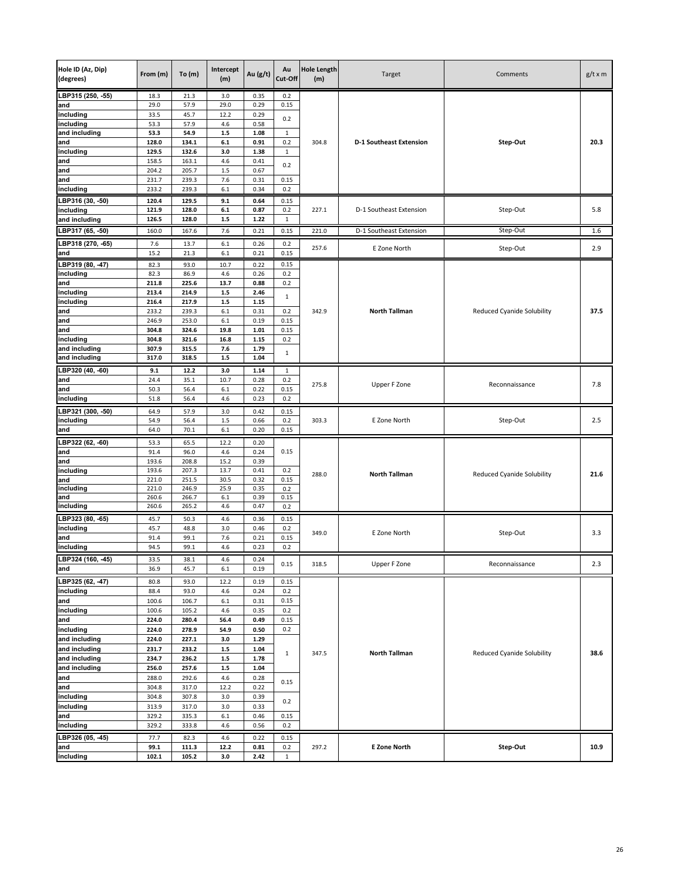| Hole ID (Az, Dip)<br>(degrees) | From (m)       | To(m)          | Intercept<br>(m)   | Au (g/t)     | Au<br>Cut-Off      | <b>Hole Length</b><br>(m) | Target                         | Comments                          | $g/t \times m$ |
|--------------------------------|----------------|----------------|--------------------|--------------|--------------------|---------------------------|--------------------------------|-----------------------------------|----------------|
| LBP315 (250, -55)              | 18.3           | 21.3           | 3.0                | 0.35         | 0.2                |                           |                                |                                   |                |
| and                            | 29.0           | 57.9           | 29.0               | 0.29         | 0.15               |                           |                                |                                   |                |
| including                      | 33.5           | 45.7           | 12.2               | 0.29         | 0.2                |                           |                                |                                   |                |
| including<br>and including     | 53.3<br>53.3   | 57.9<br>54.9   | 4.6<br>$1.5\,$     | 0.58<br>1.08 | 1                  |                           |                                |                                   |                |
| and                            | 128.0          | 134.1          | $6.1\,$            | 0.91         | 0.2                | 304.8                     | <b>D-1 Southeast Extension</b> | Step-Out                          | 20.3           |
| including                      | 129.5          | 132.6          | 3.0                | 1.38         | 1                  |                           |                                |                                   |                |
| and                            | 158.5          | 163.1          | 4.6                | 0.41         | 0.2                |                           |                                |                                   |                |
| and                            | 204.2          | 205.7          | 1.5                | 0.67         |                    |                           |                                |                                   |                |
| and                            | 231.7          | 239.3          | 7.6                | 0.31         | 0.15               |                           |                                |                                   |                |
| including                      | 233.2          | 239.3          | 6.1                | 0.34         | 0.2                |                           |                                |                                   |                |
| LBP316 (30, -50)               | 120.4<br>121.9 | 129.5<br>128.0 | 9.1                | 0.64<br>0.87 | 0.15               |                           |                                |                                   |                |
| including<br>and including     | 126.5          | 128.0          | $6.1\,$<br>$1.5\,$ | 1.22         | 0.2<br>$\mathbf 1$ | 227.1                     | D-1 Southeast Extension        | Step-Out                          | 5.8            |
| LBP317 (65, -50)               | 160.0          | 167.6          | 7.6                | 0.21         | 0.15               | 221.0                     | D-1 Southeast Extension        | Step-Out                          | 1.6            |
|                                |                |                |                    |              |                    |                           |                                |                                   |                |
| LBP318 (270, -65)<br>and       | 7.6<br>15.2    | 13.7<br>21.3   | 6.1<br>6.1         | 0.26<br>0.21 | 0.2<br>0.15        | 257.6                     | E Zone North                   | Step-Out                          | 2.9            |
|                                |                |                |                    |              | 0.15               |                           |                                |                                   |                |
| LBP319 (80, 47)<br>including   | 82.3<br>82.3   | 93.0<br>86.9   | 10.7<br>4.6        | 0.22<br>0.26 | 0.2                |                           |                                |                                   |                |
| and                            | 211.8          | 225.6          | 13.7               | 0.88         | 0.2                |                           |                                |                                   |                |
| including                      | 213.4          | 214.9          | $1.5$              | 2.46         |                    |                           |                                |                                   |                |
| including                      | 216.4          | 217.9          | $1.5\,$            | 1.15         | $\mathbf{1}$       |                           |                                |                                   |                |
| and                            | 233.2          | 239.3          | 6.1                | 0.31         | 0.2                | 342.9                     | <b>North Tallman</b>           | Reduced Cyanide Solubility        | 37.5           |
| and                            | 246.9          | 253.0          | $6.1\,$            | 0.19         | 0.15               |                           |                                |                                   |                |
| and<br>including               | 304.8<br>304.8 | 324.6<br>321.6 | 19.8<br>16.8       | 1.01<br>1.15 | 0.15<br>0.2        |                           |                                |                                   |                |
| and including                  | 307.9          | 315.5          | 7.6                | 1.79         |                    |                           |                                |                                   |                |
| and including                  | 317.0          | 318.5          | $1.5$              | 1.04         | $\mathbf{1}$       |                           |                                |                                   |                |
| LBP320 (40, -60)               | 9.1            | 12.2           | 3.0                | 1.14         | 1                  |                           |                                |                                   |                |
| and                            | 24.4           | 35.1           | 10.7               | 0.28         | 0.2                |                           |                                |                                   |                |
| and                            | 50.3           | 56.4           | 6.1                | 0.22         | 0.15               | 275.8                     | Upper F Zone                   | Reconnaissance                    | 7.8            |
| including                      | 51.8           | 56.4           | 4.6                | 0.23         | 0.2                |                           |                                |                                   |                |
| LBP321 (300, -50)              | 64.9           | 57.9           | 3.0                | 0.42         | 0.15               |                           |                                |                                   |                |
| including                      | 54.9           | 56.4           | 1.5                | 0.66         | 0.2                | 303.3                     | E Zone North                   | Step-Out                          | 2.5            |
| and                            | 64.0           | 70.1           | 6.1                | 0.20         | 0.15               |                           |                                |                                   |                |
| LBP322 (62, -60)               | 53.3           | 65.5           | 12.2               | 0.20         |                    |                           |                                |                                   |                |
| and                            | 91.4           | 96.0           | 4.6                | 0.24         | 0.15               |                           |                                |                                   |                |
| and                            | 193.6<br>193.6 | 208.8<br>207.3 | 15.2<br>13.7       | 0.39<br>0.41 |                    |                           |                                |                                   |                |
| including<br>and               | 221.0          | 251.5          | 30.5               | 0.32         | 0.2<br>0.15        | 288.0                     | <b>North Tallman</b>           | Reduced Cyanide Solubility        | 21.6           |
| including                      | 221.0          | 246.9          | 25.9               | 0.35         | 0.2                |                           |                                |                                   |                |
| and                            | 260.6          | 266.7          | $6.1\,$            | 0.39         | 0.15               |                           |                                |                                   |                |
| including                      | 260.6          | 265.2          | 4.6                | 0.47         | 0.2                |                           |                                |                                   |                |
| LBP323 (80, -65)               | 45.7           | 50.3           | 4.6                | 0.36         | 0.15               |                           |                                |                                   |                |
| including                      | 45.7           | 48.8           | 3.0                | 0.46         | 0.2                | 349.0                     | E Zone North                   | Step-Out                          | 3.3            |
| and<br>including               | 91.4<br>94.5   | 99.1<br>99.1   | 7.6<br>4.6         | 0.21<br>0.23 | 0.15<br>0.2        |                           |                                |                                   |                |
|                                |                |                |                    |              |                    |                           |                                |                                   |                |
| LBP324 (160, -45)<br>and       | 33.5<br>36.9   | 38.1<br>45.7   | 4.6<br>6.1         | 0.24<br>0.19 | 0.15               | 318.5                     | Upper F Zone                   | Reconnaissance                    | 2.3            |
|                                |                |                |                    |              | 0.15               |                           |                                |                                   |                |
| LBP325 (62, 47)<br>including   | 80.8<br>88.4   | 93.0<br>93.0   | 12.2<br>4.6        | 0.19<br>0.24 | 0.2                |                           |                                |                                   |                |
| and                            | 100.6          | 106.7          | $6.1\,$            | 0.31         | 0.15               |                           |                                |                                   |                |
| including                      | 100.6          | 105.2          | 4.6                | 0.35         | 0.2                |                           |                                |                                   |                |
| and                            | 224.0          | 280.4          | 56.4               | 0.49         | 0.15               |                           |                                |                                   |                |
| including                      | 224.0          | 278.9          | 54.9               | 0.50         | 0.2                |                           |                                |                                   |                |
| and including                  | 224.0          | 227.1          | 3.0                | 1.29         |                    |                           |                                |                                   |                |
| and including                  | 231.7          | 233.2          | $1.5\,$            | 1.04         | $\mathbf{1}$       | 347.5                     | <b>North Tallman</b>           | <b>Reduced Cyanide Solubility</b> | 38.6           |
| and including<br>and including | 234.7<br>256.0 | 236.2<br>257.6 | $1.5$<br>$1.5\,$   | 1.78<br>1.04 |                    |                           |                                |                                   |                |
| and                            | 288.0          | 292.6          | 4.6                | 0.28         |                    |                           |                                |                                   |                |
| and                            | 304.8          | 317.0          | 12.2               | 0.22         | 0.15               |                           |                                |                                   |                |
| including                      | 304.8          | 307.8          | 3.0                | 0.39         |                    |                           |                                |                                   |                |
| including                      | 313.9          | 317.0          | 3.0                | 0.33         | 0.2                |                           |                                |                                   |                |
| and                            | 329.2          | 335.3          | 6.1                | 0.46         | 0.15               |                           |                                |                                   |                |
| including                      | 329.2          | 333.8          | 4.6                | 0.56         | 0.2                |                           |                                |                                   |                |
| LBP326 (05, -45)               | 77.7           | 82.3           | 4.6                | 0.22         | 0.15               |                           |                                |                                   |                |
| and                            | 99.1           | 111.3          | 12.2               | 0.81         | 0.2                | 297.2                     | <b>E Zone North</b>            | Step-Out                          | 10.9           |
| including                      | 102.1          | 105.2          | 3.0                | 2.42         | 1                  |                           |                                |                                   |                |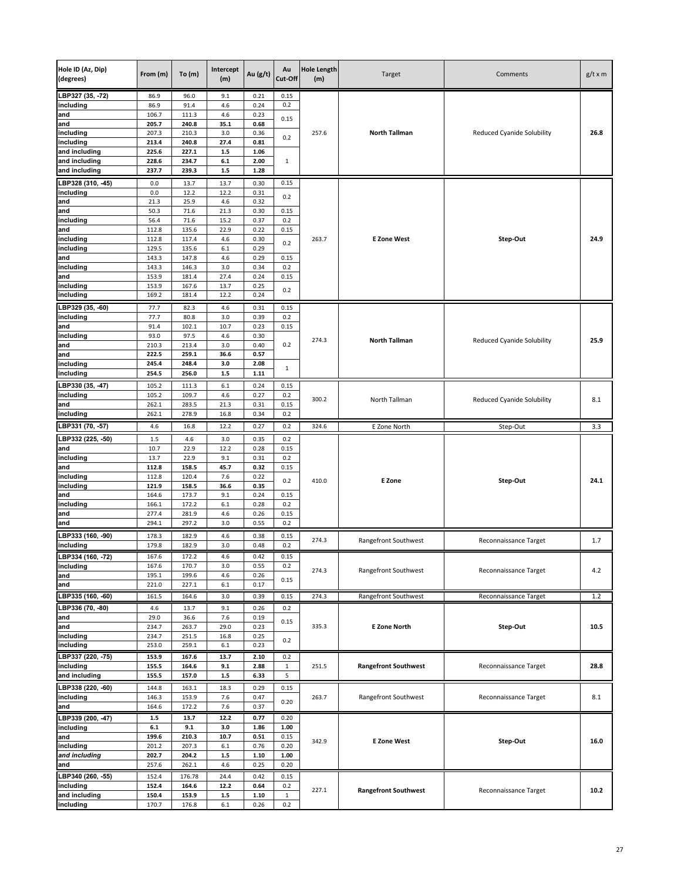| Hole ID (Az, Dip)<br>(degrees) | From (m)       | To(m)           | Intercept<br>(m) | Au (g/t)     | Au<br>Cut-Off | <b>Hole Length</b><br>(m) | Target                      | Comments                          | $g/t \times m$ |
|--------------------------------|----------------|-----------------|------------------|--------------|---------------|---------------------------|-----------------------------|-----------------------------------|----------------|
| LBP327 (35, -72)               | 86.9           | 96.0            | 9.1              | 0.21         | 0.15          |                           |                             |                                   |                |
| including                      | 86.9           | 91.4            | 4.6              | 0.24         | 0.2           |                           |                             |                                   |                |
| and                            | 106.7<br>205.7 | 111.3<br>240.8  | 4.6              | 0.23<br>0.68 | 0.15          |                           |                             |                                   |                |
| and<br>including               | 207.3          | 210.3           | 35.1<br>3.0      | 0.36         |               | 257.6                     | <b>North Tallman</b>        | Reduced Cyanide Solubility        | 26.8           |
| including                      | 213.4          | 240.8           | 27.4             | 0.81         | 0.2           |                           |                             |                                   |                |
| and including                  | 225.6          | 227.1           | $1.5$            | 1.06         |               |                           |                             |                                   |                |
| and including                  | 228.6          | 234.7           | $6.1\,$          | 2.00         | 1             |                           |                             |                                   |                |
| and including                  | 237.7          | 239.3           | $1.5\,$          | 1.28         |               |                           |                             |                                   |                |
| LBP328 (310, -45)              | 0.0            | 13.7            | 13.7             | 0.30         | 0.15          |                           |                             |                                   |                |
| including                      | 0.0            | 12.2            | 12.2             | 0.31         |               |                           |                             |                                   |                |
| and                            | 21.3           | 25.9            | 4.6              | 0.32         | 0.2           |                           |                             |                                   |                |
| and                            | 50.3           | 71.6            | 21.3             | 0.30         | 0.15          |                           |                             |                                   |                |
| including                      | 56.4           | 71.6            | 15.2             | 0.37         | 0.2           |                           |                             |                                   |                |
| and                            | 112.8          | 135.6           | 22.9             | 0.22         | 0.15          |                           |                             |                                   |                |
| including                      | 112.8          | 117.4           | 4.6              | 0.30         | 0.2           | 263.7                     | <b>E Zone West</b>          | Step-Out                          | 24.9           |
| including                      | 129.5          | 135.6           | 6.1              | 0.29         |               |                           |                             |                                   |                |
| and<br>including               | 143.3<br>143.3 | 147.8<br>146.3  | 4.6<br>3.0       | 0.29<br>0.34 | 0.15<br>0.2   |                           |                             |                                   |                |
| and                            | 153.9          | 181.4           | 27.4             | 0.24         | 0.15          |                           |                             |                                   |                |
| including                      | 153.9          | 167.6           | 13.7             | 0.25         |               |                           |                             |                                   |                |
| including                      | 169.2          | 181.4           | 12.2             | 0.24         | 0.2           |                           |                             |                                   |                |
| LBP329 (35, -60)               | 77.7           | 82.3            | 4.6              | 0.31         | 0.15          |                           |                             |                                   |                |
| including                      | 77.7           | 80.8            | 3.0              | 0.39         | 0.2           |                           |                             |                                   |                |
| and                            | 91.4           | 102.1           | 10.7             | 0.23         | 0.15          |                           |                             |                                   |                |
| including                      | 93.0           | 97.5            | 4.6              | 0.30         |               |                           | <b>North Tallman</b>        |                                   | 25.9           |
| and                            | 210.3          | 213.4           | 3.0              | 0.40         | 0.2           | 274.3                     |                             | Reduced Cyanide Solubility        |                |
| and                            | 222.5          | 259.1           | 36.6             | 0.57         |               |                           |                             |                                   |                |
| including                      | 245.4          | 248.4           | 3.0              | 2.08         | $\mathbf{1}$  |                           |                             |                                   |                |
| including                      | 254.5          | 256.0           | $1.5\,$          | 1.11         |               |                           |                             |                                   |                |
| LBP330 (35, -47)               | 105.2          | 111.3           | 6.1              | 0.24         | 0.15          |                           |                             |                                   |                |
| including                      | 105.2          | 109.7           | 4.6              | 0.27         | 0.2           | 300.2                     | North Tallman               | <b>Reduced Cyanide Solubility</b> | 8.1            |
| and                            | 262.1          | 283.5           | 21.3             | 0.31         | 0.15          |                           |                             |                                   |                |
| including                      | 262.1          | 278.9           | 16.8             | 0.34         | 0.2           |                           |                             |                                   |                |
| LBP331 (70, -57)               | 4.6            | 16.8            | 12.2             | 0.27         | 0.2           | 324.6                     | E Zone North                | Step-Out                          | 3.3            |
| LBP332 (225, -50)              | 1.5            | 4.6             | 3.0              | 0.35         | 0.2           |                           |                             |                                   |                |
| and                            | 10.7           | 22.9            | 12.2             | 0.28         | 0.15          |                           |                             |                                   |                |
| including                      | 13.7           | 22.9            | 9.1              | 0.31         | 0.2           |                           |                             |                                   |                |
| and                            | 112.8          | 158.5           | 45.7             | 0.32         | 0.15          |                           |                             |                                   |                |
| including                      | 112.8          | 120.4           | 7.6              | 0.22         | 0.2           | 410.0                     | E Zone                      | Step-Out                          | 24.1           |
| including<br>and               | 121.9<br>164.6 | 158.5<br>173.7  | 36.6<br>9.1      | 0.35<br>0.24 | 0.15          |                           |                             |                                   |                |
| including                      | 166.1          | 172.2           | 6.1              | 0.28         | 0.2           |                           |                             |                                   |                |
| and                            | 277.4          | 281.9           | 4.6              | 0.26         | 0.15          |                           |                             |                                   |                |
| and                            | 294.1          | 297.2           | 3.0              | 0.55         | 0.2           |                           |                             |                                   |                |
| LBP333 (160, -90)              | 178.3          | 182.9           | 4.6              | 0.38         | 0.15          |                           |                             |                                   |                |
| including                      | 179.8          | 182.9           | 3.0              | 0.48         | 0.2           | 274.3                     | Rangefront Southwest        | Reconnaissance Target             | 1.7            |
| LBP334 (160, -72)              | 167.6          | 172.2           | 4.6              | 0.42         | 0.15          |                           |                             |                                   |                |
| including                      | 167.6          | 170.7           | 3.0              | 0.55         | 0.2           |                           |                             |                                   |                |
| and                            | 195.1          | 199.6           | 4.6              | 0.26         |               | 274.3                     | Rangefront Southwest        | Reconnaissance Target             | 4.2            |
| and                            | 221.0          | 227.1           | 6.1              | 0.17         | 0.15          |                           |                             |                                   |                |
| LBP335 (160, -60)              | 161.5          | 164.6           | 3.0              | 0.39         | 0.15          | 274.3                     | Rangefront Southwest        | Reconnaissance Target             | 1.2            |
| LBP336 (70, -80)               | 4.6            | 13.7            | 9.1              | 0.26         | 0.2           |                           |                             |                                   |                |
| and                            | 29.0           | 36.6            | 7.6              | 0.19         |               |                           |                             |                                   |                |
| and                            | 234.7          | 263.7           | 29.0             | 0.23         | 0.15          | 335.3                     | <b>E Zone North</b>         | Step-Out                          | 10.5           |
| including                      | 234.7          | 251.5           | 16.8             | 0.25         | 0.2           |                           |                             |                                   |                |
| including                      | 253.0          | 259.1           | $6.1\,$          | 0.23         |               |                           |                             |                                   |                |
| LBP337 (220, -75)              | 153.9          | 167.6           | 13.7             | 2.10         | 0.2           |                           |                             |                                   |                |
| including                      | 155.5          | 164.6           | 9.1              | 2.88         | $\mathbf 1$   | 251.5                     | <b>Rangefront Southwest</b> | Reconnaissance Target             | 28.8           |
| and including                  | 155.5          | 157.0           | $1.5\,$          | 6.33         | 5             |                           |                             |                                   |                |
| LBP338 (220, -60)              | 144.8          | 163.1           | 18.3             | 0.29         | 0.15          |                           |                             |                                   |                |
| including                      | 146.3          | 153.9           | 7.6              | 0.47         | 0.20          | 263.7                     | Rangefront Southwest        | Reconnaissance Target             | 8.1            |
| and                            | 164.6          | 172.2           | 7.6              | 0.37         |               |                           |                             |                                   |                |
| LBP339 (200, -47)              | 1.5            | 13.7            | 12.2             | 0.77         | 0.20          |                           |                             |                                   |                |
| including                      | $\bf 6.1$      | 9.1             | 3.0              | 1.86         | 1.00          |                           |                             |                                   |                |
| and                            | 199.6          | 210.3           | 10.7             | 0.51         | 0.15          | 342.9                     | <b>E Zone West</b>          | Step-Out                          | 16.0           |
| including                      | 201.2          | 207.3           | 6.1              | 0.76         | 0.20          |                           |                             |                                   |                |
| and including<br>and           | 202.7<br>257.6 | 204.2           | $1.5\,$<br>4.6   | 1.10         | 1.00          |                           |                             |                                   |                |
|                                |                | 262.1           |                  | 0.25         | 0.20          |                           |                             |                                   |                |
| BP340 (260, -55)<br>including  | 152.4<br>152.4 | 176.78<br>164.6 | 24.4<br>12.2     | 0.42<br>0.64 | 0.15<br>0.2   |                           |                             |                                   |                |
| and including                  | 150.4          | 153.9           | $1.5\,$          | 1.10         | $\mathbf 1$   | 227.1                     | <b>Rangefront Southwest</b> | Reconnaissance Target             | 10.2           |
| including                      | 170.7          | 176.8           | 6.1              | 0.26         | 0.2           |                           |                             |                                   |                |
|                                |                |                 |                  |              |               |                           |                             |                                   |                |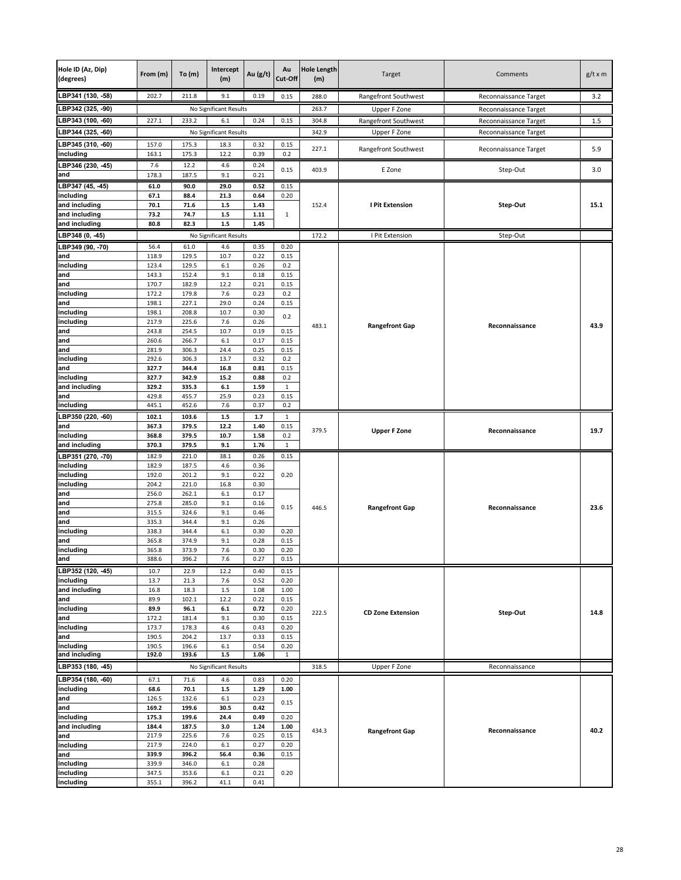| Hole ID (Az, Dip)<br>(degrees) | From (m)       | To(m)          | Intercept<br>(m)       | Au (g/t)     | Au<br>Cut-Off | <b>Hole Length</b><br>(m) | Target                   | Comments              | $g/t \times m$ |
|--------------------------------|----------------|----------------|------------------------|--------------|---------------|---------------------------|--------------------------|-----------------------|----------------|
| LBP341 (130, -58)              | 202.7          | 211.8          | 9.1                    | 0.19         | 0.15          | 288.0                     | Rangefront Southwest     | Reconnaissance Target | 3.2            |
| LBP342 (325, -90)              |                |                | No Significant Results |              |               | 263.7                     | Upper F Zone             | Reconnaissance Target |                |
| LBP343 (100, -60)              | 227.1          | 233.2          | 6.1                    | 0.24         | 0.15          | 304.8                     | Rangefront Southwest     | Reconnaissance Target | 1.5            |
| LBP344 (325, -60)              |                |                | No Significant Results |              |               | 342.9                     | Upper F Zone             | Reconnaissance Target |                |
| LBP345 (310, -60)              | 157.0          | 175.3          | 18.3                   | 0.32         | 0.15          | 227.1                     | Rangefront Southwest     | Reconnaissance Target | 5.9            |
| including                      | 163.1          | 175.3          | 12.2                   | 0.39         | 0.2           |                           |                          |                       |                |
| LBP346 (230, -45)              | 7.6            | 12.2           | 4.6                    | 0.24         | 0.15          | 403.9                     | E Zone                   | Step-Out              | 3.0            |
| and<br>LBP347 (45, 45)         | 178.3          | 187.5          | 9.1                    | 0.21         |               |                           |                          |                       |                |
| including                      | 61.0<br>67.1   | 90.0<br>88.4   | 29.0<br>21.3           | 0.52<br>0.64 | 0.15<br>0.20  |                           |                          |                       |                |
| and including                  | 70.1           | 71.6           | $1.5\,$                | 1.43         |               | 152.4                     | <b>I Pit Extension</b>   | Step-Out              | 15.1           |
| and including                  | 73.2           | 74.7           | $1.5$                  | 1.11         | $\mathbf{1}$  |                           |                          |                       |                |
| and including                  | 80.8           | 82.3           | $1.5\,$                | 1.45         |               |                           |                          |                       |                |
| LBP348 (0, -45)                |                |                | No Significant Results |              |               | 172.2                     | I Pit Extension          | Step-Out              |                |
| LBP349 (90, -70)<br>and        | 56.4<br>118.9  | 61.0<br>129.5  | 4.6<br>10.7            | 0.35<br>0.22 | 0.20<br>0.15  |                           |                          |                       |                |
| including                      | 123.4          | 129.5          | $6.1\,$                | 0.26         | 0.2           |                           |                          |                       |                |
| and                            | 143.3          | 152.4          | 9.1                    | 0.18         | 0.15          |                           |                          |                       |                |
| and                            | 170.7          | 182.9          | 12.2                   | 0.21         | 0.15          |                           |                          |                       |                |
| including<br>and               | 172.2<br>198.1 | 179.8<br>227.1 | 7.6<br>29.0            | 0.23<br>0.24 | 0.2<br>0.15   |                           |                          |                       |                |
| including                      | 198.1          | 208.8          | 10.7                   | 0.30         | 0.2           |                           |                          |                       |                |
| including                      | 217.9          | 225.6          | 7.6                    | 0.26         |               | 483.1                     | <b>Rangefront Gap</b>    | Reconnaissance        | 43.9           |
| and<br>and                     | 243.8<br>260.6 | 254.5<br>266.7 | 10.7<br>6.1            | 0.19<br>0.17 | 0.15<br>0.15  |                           |                          |                       |                |
| and                            | 281.9          | 306.3          | 24.4                   | 0.25         | 0.15          |                           |                          |                       |                |
| including                      | 292.6          | 306.3          | 13.7                   | 0.32         | 0.2           |                           |                          |                       |                |
| and                            | 327.7          | 344.4          | 16.8                   | 0.81         | 0.15          |                           |                          |                       |                |
| including<br>and including     | 327.7<br>329.2 | 342.9<br>335.3 | 15.2<br>6.1            | 0.88<br>1.59 | 0.2<br>1      |                           |                          |                       |                |
| and                            | 429.8          | 455.7          | 25.9                   | 0.23         | 0.15          |                           |                          |                       |                |
| including                      | 445.1          | 452.6          | 7.6                    | 0.37         | 0.2           |                           |                          |                       |                |
| LBP350 (220, -60)              | 102.1          | 103.6          | $1.5$                  | 1.7          | 1             |                           |                          |                       |                |
| and<br>including               | 367.3<br>368.8 | 379.5          | 12.2<br>10.7           | 1.40<br>1.58 | 0.15<br>0.2   | 379.5                     | <b>Upper F Zone</b>      | Reconnaissance        | 19.7           |
| and including                  | 370.3          | 379.5<br>379.5 | 9.1                    | 1.76         | $\mathbf 1$   |                           |                          |                       |                |
| LBP351 (270, -70)              | 182.9          | 221.0          | 38.1                   | 0.26         | 0.15          |                           |                          |                       |                |
| including                      | 182.9          | 187.5          | 4.6                    | 0.36         |               |                           |                          |                       |                |
| including                      | 192.0          | 201.2          | 9.1                    | 0.22         | 0.20          |                           |                          |                       |                |
| including<br>and               | 204.2<br>256.0 | 221.0<br>262.1 | 16.8<br>6.1            | 0.30<br>0.17 |               |                           |                          |                       |                |
| and                            | 275.8          | 285.0          | 9.1                    | 0.16         | 0.15          | 446.5                     | <b>Rangefront Gap</b>    | Reconnaissance        | 23.6           |
| and                            | 315.5          | 324.6          | 9.1                    | 0.46         |               |                           |                          |                       |                |
| and<br>including               | 335.3<br>338.3 | 344.4<br>344.4 | 9.1<br>6.1             | 0.26<br>0.30 | 0.20          |                           |                          |                       |                |
| and                            | 365.8          | 374.9          | 9.1                    | 0.28         | 0.15          |                           |                          |                       |                |
| including                      | 365.8          | 373.9          | 7.6                    | 0.30         | 0.20          |                           |                          |                       |                |
| and                            | 388.6          | 396.2          | 7.6                    | 0.27         | 0.15          |                           |                          |                       |                |
| LBP352 (120, -45)              | 10.7           | 22.9           | 12.2                   | 0.40         | 0.15          |                           |                          |                       |                |
| including<br>and including     | 13.7<br>16.8   | 21.3<br>18.3   | 7.6<br>$1.5\,$         | 0.52<br>1.08 | 0.20<br>1.00  |                           |                          |                       |                |
| and                            | 89.9           | 102.1          | 12.2                   | 0.22         | 0.15          |                           |                          |                       |                |
| including                      | 89.9           | 96.1           | $\bf 6.1$              | 0.72         | 0.20          | 222.5                     | <b>CD Zone Extension</b> | Step-Out              | 14.8           |
| and<br>including               | 172.2<br>173.7 | 181.4<br>178.3 | 9.1<br>4.6             | 0.30<br>0.43 | 0.15<br>0.20  |                           |                          |                       |                |
| and                            | 190.5          | 204.2          | 13.7                   | 0.33         | 0.15          |                           |                          |                       |                |
| including                      | 190.5          | 196.6          | $6.1\,$                | 0.54         | 0.20          |                           |                          |                       |                |
| and including                  | 192.0          | 193.6          | $1.5\,$                | 1.06         | 1             |                           |                          |                       |                |
| LBP353 (180, -45)              |                |                | No Significant Results |              |               | 318.5                     | Upper F Zone             | Reconnaissance        |                |
| LBP354 (180, -60)              | 67.1           | 71.6           | 4.6                    | 0.83         | 0.20          |                           |                          |                       |                |
| including<br>and               | 68.6<br>126.5  | 70.1<br>132.6  | $1.5\,$<br>6.1         | 1.29<br>0.23 | 1.00          |                           |                          |                       |                |
| and                            | 169.2          | 199.6          | 30.5                   | 0.42         | 0.15          |                           |                          |                       |                |
| including                      | 175.3          | 199.6          | 24.4                   | 0.49         | 0.20          |                           |                          |                       |                |
| and including                  | 184.4<br>217.9 | 187.5<br>225.6 | 3.0<br>7.6             | 1.24<br>0.25 | 1.00<br>0.15  | 434.3                     | <b>Rangefront Gap</b>    | Reconnaissance        | 40.2           |
| and<br>including               | 217.9          | 224.0          | 6.1                    | 0.27         | 0.20          |                           |                          |                       |                |
| and                            | 339.9          | 396.2          | 56.4                   | 0.36         | 0.15          |                           |                          |                       |                |
| including                      | 339.9          | 346.0          | 6.1                    | 0.28         |               |                           |                          |                       |                |
| including<br>including         | 347.5          | 353.6          | 6.1                    | 0.21<br>0.41 | 0.20          |                           |                          |                       |                |
|                                | 355.1          | 396.2          | 41.1                   |              |               |                           |                          |                       |                |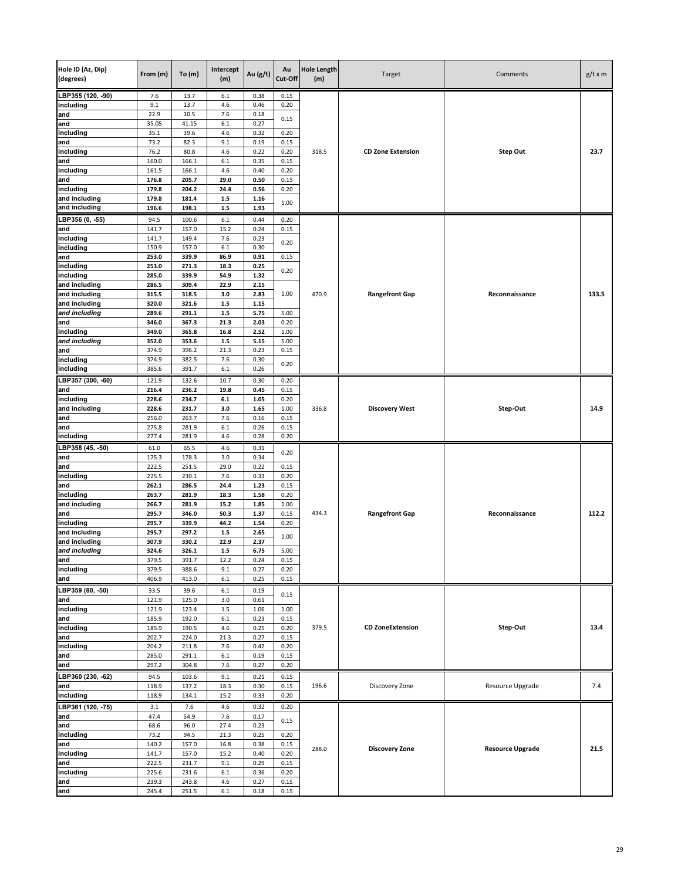| Hole ID (Az, Dip)<br>(degrees) | From (m)       | To(m)          | Intercept<br>(m) | Au (g/t)     | Au<br>Cut-Off | <b>Hole Length</b><br>(m) | Target                   | Comments                | $g/t \times m$ |
|--------------------------------|----------------|----------------|------------------|--------------|---------------|---------------------------|--------------------------|-------------------------|----------------|
| LBP355 (120, -90)              | 7.6            | 13.7           | 6.1              | 0.38         | 0.15          |                           |                          |                         |                |
| including                      | 9.1            | 13.7           | 4.6              | 0.46         | 0.20          |                           |                          |                         |                |
| and<br>and                     | 22.9<br>35.05  | 30.5<br>41.15  | 7.6<br>6.1       | 0.18<br>0.27 | 0.15          |                           |                          |                         |                |
| including                      | 35.1           | 39.6           | 4.6              | 0.32         | 0.20          |                           |                          |                         |                |
| and                            | 73.2           | 82.3           | 9.1              | 0.19         | 0.15          |                           |                          |                         |                |
| including                      | 76.2           | 80.8           | 4.6              | 0.22         | 0.20          | 318.5                     | <b>CD Zone Extension</b> | <b>Step Out</b>         | 23.7           |
| and                            | 160.0          | 166.1          | 6.1              | 0.35         | 0.15          |                           |                          |                         |                |
| including                      | 161.5          | 166.1          | 4.6              | 0.40         | 0.20          |                           |                          |                         |                |
| and<br>including               | 176.8<br>179.8 | 205.7<br>204.2 | 29.0<br>24.4     | 0.50<br>0.56 | 0.15<br>0.20  |                           |                          |                         |                |
| and including                  | 179.8          | 181.4          | $1.5\,$          | 1.16         |               |                           |                          |                         |                |
| and including                  | 196.6          | 198.1          | $1.5\,$          | 1.93         | 1.00          |                           |                          |                         |                |
| LBP356 (0, -55)                | 94.5           | 100.6          | $6.1\,$          | 0.44         | 0.20          |                           |                          |                         |                |
| and                            | 141.7          | 157.0          | 15.2             | 0.24         | 0.15          |                           |                          |                         |                |
| including                      | 141.7          | 149.4          | 7.6              | 0.23         | 0.20          |                           |                          |                         |                |
| including                      | 150.9          | 157.0          | $6.1\,$          | 0.30         |               |                           |                          |                         |                |
| and                            | 253.0          | 339.9          | 86.9             | 0.91         | 0.15          |                           |                          |                         |                |
| including<br>including         | 253.0<br>285.0 | 271.3<br>339.9 | 18.3<br>54.9     | 0.25<br>1.32 | 0.20          |                           |                          |                         |                |
| and including                  | 286.5          | 309.4          | 22.9             | 2.15         |               |                           |                          |                         |                |
| and including                  | 315.5          | 318.5          | 3.0              | 2.83         | 1.00          | 470.9                     | <b>Rangefront Gap</b>    | Reconnaissance          | 133.5          |
| and including                  | 320.0          | 321.6          | $1.5\,$          | 1.15         |               |                           |                          |                         |                |
| and including                  | 289.6          | 291.1          | $1.5\,$          | 5.75         | 5.00          |                           |                          |                         |                |
| and                            | 346.0          | 367.3          | 21.3             | 2.03         | 0.20          |                           |                          |                         |                |
| including                      | 349.0          | 365.8          | 16.8             | 2.52         | 1.00          |                           |                          |                         |                |
| and including                  | 352.0<br>374.9 | 353.6<br>396.2 | $1.5\,$<br>21.3  | 5.15<br>0.23 | 5.00<br>0.15  |                           |                          |                         |                |
| and<br>including               | 374.9          | 382.5          | 7.6              | 0.30         |               |                           |                          |                         |                |
| including                      | 385.6          | 391.7          | $6.1\,$          | 0.26         | 0.20          |                           |                          |                         |                |
| LBP357 (300, -60)              | 121.9          | 132.6          | 10.7             | 0.30         | 0.20          |                           |                          |                         |                |
| and                            | 216.4          | 236.2          | 19.8             | 0.45         | 0.15          |                           |                          |                         |                |
| including                      | 228.6          | 234.7          | $6.1\,$          | 1.05         | 0.20          |                           |                          |                         |                |
| and including                  | 228.6          | 231.7          | 3.0              | 1.65         | 1.00          | 336.8                     | <b>Discovery West</b>    | Step-Out                | 14.9           |
| and                            | 256.0          | 263.7          | 7.6              | 0.16         | 0.15          |                           |                          |                         |                |
| and                            | 275.8          | 281.9          | $6.1\,$          | 0.26         | 0.15          |                           |                          |                         |                |
| including                      | 277.4          | 281.9          | 4.6              | 0.28         | 0.20          |                           |                          |                         |                |
| LBP358 (45, -50)               | 61.0           | 65.5           | 4.6<br>3.0       | 0.31<br>0.34 | 0.20          |                           |                          |                         |                |
| and<br>and                     | 175.3<br>222.5 | 178.3<br>251.5 | 29.0             | 0.22         | 0.15          |                           |                          |                         |                |
| including                      | 225.5          | 230.1          | 7.6              | 0.33         | 0.20          |                           |                          |                         |                |
| and                            | 262.1          | 286.5          | 24.4             | 1.23         | 0.15          |                           |                          |                         |                |
| including                      | 263.7          | 281.9          | 18.3             | 1.58         | 0.20          |                           |                          |                         |                |
| and including                  | 266.7          | 281.9          | 15.2             | 1.85         | 1.00          |                           |                          |                         |                |
| and<br>including               | 295.7<br>295.7 | 346.0<br>339.9 | 50.3<br>44.2     | 1.37<br>1.54 | 0.15<br>0.20  | 434.3                     | <b>Rangefront Gap</b>    | Reconnaissance          | 112.2          |
| and including                  | 295.7          | 297.2          | $1.5\,$          | 2.65         |               |                           |                          |                         |                |
| and including                  | 307.9          | 330.2          | 22.9             | 2.37         | 1.00          |                           |                          |                         |                |
| and including                  | 324.6          | 326.1          | $1.5\,$          | 6.75         | 5.00          |                           |                          |                         |                |
| and                            | 379.5          | 391.7          | 12.2             | 0.24         | 0.15          |                           |                          |                         |                |
| including                      | 379.5          | 388.6          | 9.1              | 0.27         | 0.20          |                           |                          |                         |                |
| and                            | 406.9          | 413.0          | 6.1              | 0.25         | 0.15          |                           |                          |                         |                |
| LBP359 (80, -50)               | 33.5           | 39.6           | $6.1\,$          | 0.19         | 0.15          |                           |                          |                         |                |
| and<br>including               | 121.9<br>121.9 | 125.0<br>123.4 | 3.0<br>$1.5\,$   | 0.61<br>1.06 | 1.00          |                           |                          |                         |                |
| and                            | 185.9          | 192.0          | $6.1\,$          | 0.23         | 0.15          |                           |                          |                         |                |
| including                      | 185.9          | 190.5          | 4.6              | 0.25         | 0.20          | 379.5                     | <b>CD ZoneExtension</b>  | Step-Out                | 13.4           |
| and                            | 202.7          | 224.0          | 21.3             | 0.27         | 0.15          |                           |                          |                         |                |
| including                      | 204.2          | 211.8          | 7.6              | 0.42         | 0.20          |                           |                          |                         |                |
| and                            | 285.0          | 291.1          | $6.1\,$          | 0.19         | 0.15          |                           |                          |                         |                |
| and                            | 297.2          | 304.8          | 7.6              | 0.27         | 0.20          |                           |                          |                         |                |
| LBP360 (230, -62)              | 94.5           | 103.6          | 9.1              | 0.21         | 0.15          |                           |                          |                         |                |
| and<br>including               | 118.9<br>118.9 | 137.2<br>134.1 | 18.3<br>15.2     | 0.30<br>0.33 | 0.15<br>0.20  | 196.6                     | Discovery Zone           | Resource Upgrade        | 7.4            |
|                                |                |                |                  |              |               |                           |                          |                         |                |
| LBP361 (120, -75)<br>and       | 3.1<br>47.4    | 7.6<br>54.9    | 4.6<br>7.6       | 0.32<br>0.17 | 0.20          |                           |                          |                         |                |
| and                            | 68.6           | 96.0           | 27.4             | 0.23         | 0.15          |                           |                          |                         |                |
| including                      | 73.2           | 94.5           | 21.3             | 0.25         | 0.20          |                           |                          |                         |                |
| and                            | 140.2          | 157.0          | 16.8             | 0.38         | 0.15          |                           |                          |                         |                |
| including                      | 141.7          | 157.0          | 15.2             | 0.40         | 0.20          | 288.0                     | <b>Discovery Zone</b>    | <b>Resource Upgrade</b> | 21.5           |
| and                            | 222.5          | 231.7          | 9.1              | 0.29         | 0.15          |                           |                          |                         |                |
| including                      | 225.6          | 231.6          | $6.1\,$          | 0.36         | 0.20          |                           |                          |                         |                |
| and                            | 239.3          | 243.8          | 4.6              | 0.27         | 0.15          |                           |                          |                         |                |
| and                            | 245.4          | 251.5          | $6.1\,$          | 0.18         | 0.15          |                           |                          |                         |                |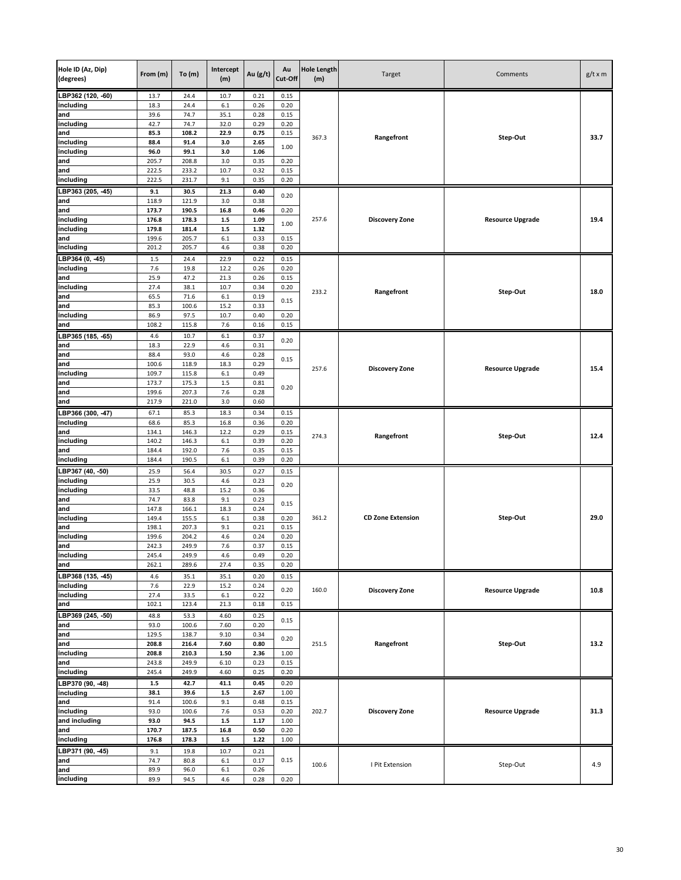| Hole ID (Az, Dip)<br>(degrees) | From (m)       | To(m)          | Intercept<br>(m) | Au (g/t)     | Au<br>Cut-Off | <b>Hole Length</b><br>(m) | Target                   | Comments                | $g/t \times m$ |
|--------------------------------|----------------|----------------|------------------|--------------|---------------|---------------------------|--------------------------|-------------------------|----------------|
| LBP362 (120, -60)              | 13.7           | 24.4           | 10.7             | 0.21         | 0.15          |                           |                          |                         |                |
| including                      | 18.3           | 24.4           | 6.1              | 0.26         | 0.20          |                           |                          |                         |                |
| and                            | 39.6           | 74.7           | 35.1             | 0.28         | 0.15          |                           |                          |                         |                |
| including                      | 42.7           | 74.7           | 32.0             | 0.29         | 0.20          |                           |                          |                         |                |
| and                            | 85.3           | 108.2          | 22.9             | 0.75         | 0.15          | 367.3                     | Rangefront               | Step-Out                | 33.7           |
| including<br>including         | 88.4<br>96.0   | 91.4<br>99.1   | 3.0<br>3.0       | 2.65<br>1.06 | 1.00          |                           |                          |                         |                |
| and                            | 205.7          | 208.8          | 3.0              | 0.35         | 0.20          |                           |                          |                         |                |
| and                            | 222.5          | 233.2          | 10.7             | 0.32         | 0.15          |                           |                          |                         |                |
| including                      | 222.5          | 231.7          | 9.1              | 0.35         | 0.20          |                           |                          |                         |                |
| LBP363 (205, -45)              | 9.1            | 30.5           | 21.3             | 0.40         |               |                           |                          |                         |                |
| and                            | 118.9          | 121.9          | 3.0              | 0.38         | 0.20          |                           |                          |                         |                |
| and                            | 173.7          | 190.5          | 16.8             | 0.46         | 0.20          |                           |                          |                         |                |
| including                      | 176.8          | 178.3          | $1.5\,$          | 1.09         | 1.00          | 257.6                     | <b>Discovery Zone</b>    | <b>Resource Upgrade</b> | 19.4           |
| including<br>and               | 179.8<br>199.6 | 181.4<br>205.7 | $1.5\,$<br>6.1   | 1.32<br>0.33 | 0.15          |                           |                          |                         |                |
| including                      | 201.2          | 205.7          | 4.6              | 0.38         | 0.20          |                           |                          |                         |                |
| LBP364 (0, -45)                | 1.5            | 24.4           | 22.9             | 0.22         | 0.15          |                           |                          |                         |                |
| including                      | 7.6            | 19.8           | 12.2             | 0.26         | 0.20          |                           |                          |                         |                |
| and                            | 25.9           | 47.2           | 21.3             | 0.26         | 0.15          |                           |                          |                         |                |
| including                      | 27.4           | 38.1           | 10.7             | 0.34         | 0.20          | 233.2                     | Rangefront               | Step-Out                | 18.0           |
| and                            | 65.5           | 71.6           | $6.1\,$          | 0.19         | 0.15          |                           |                          |                         |                |
| and<br>including               | 85.3<br>86.9   | 100.6<br>97.5  | 15.2<br>10.7     | 0.33<br>0.40 | 0.20          |                           |                          |                         |                |
| and                            | 108.2          | 115.8          | 7.6              | 0.16         | 0.15          |                           |                          |                         |                |
| LBP365 (185, -65)              | 4.6            | 10.7           | 6.1              | 0.37         |               |                           |                          |                         |                |
| and                            | 18.3           | 22.9           | 4.6              | 0.31         | 0.20          |                           |                          |                         |                |
| and                            | 88.4           | 93.0           | 4.6              | 0.28         |               |                           |                          |                         |                |
| and                            | 100.6          | 118.9          | 18.3             | 0.29         | 0.15          | 257.6                     |                          | <b>Resource Upgrade</b> | 15.4           |
| including                      | 109.7          | 115.8          | $6.1\,$          | 0.49         |               |                           | <b>Discovery Zone</b>    |                         |                |
| and                            | 173.7          | 175.3          | $1.5\,$          | 0.81         | 0.20          |                           |                          |                         |                |
| and                            | 199.6          | 207.3          | 7.6              | 0.28         |               |                           |                          |                         |                |
| and                            | 217.9          | 221.0          | 3.0              | 0.60         |               |                           |                          |                         |                |
| LBP366 (300, -47)              | 67.1           | 85.3           | 18.3             | 0.34         | 0.15          |                           |                          |                         |                |
| including<br>and               | 68.6<br>134.1  | 85.3<br>146.3  | 16.8<br>12.2     | 0.36<br>0.29 | 0.20<br>0.15  |                           |                          |                         |                |
| including                      | 140.2          | 146.3          | 6.1              | 0.39         | 0.20          | 274.3                     | Rangefront               | Step-Out                | 12.4           |
| and                            | 184.4          | 192.0          | 7.6              | 0.35         | 0.15          |                           |                          |                         |                |
| including                      | 184.4          | 190.5          | $6.1\,$          | 0.39         | 0.20          |                           |                          |                         |                |
| LBP367 (40, -50)               | 25.9           | 56.4           | 30.5             | 0.27         | 0.15          |                           |                          |                         |                |
| including                      | 25.9           | 30.5           | 4.6              | 0.23         | 0.20          |                           |                          |                         |                |
| including                      | 33.5           | 48.8           | 15.2             | 0.36         |               |                           |                          |                         |                |
| and<br>and                     | 74.7<br>147.8  | 83.8<br>166.1  | 9.1<br>18.3      | 0.23<br>0.24 | 0.15          |                           |                          |                         |                |
| including                      | 149.4          | 155.5          | 6.1              | 0.38         | 0.20          | 361.2                     | <b>CD Zone Extension</b> | Step-Out                | 29.0           |
| and                            | 198.1          | 207.3          | 9.1              | 0.21         | 0.15          |                           |                          |                         |                |
| including                      | 199.6          | 204.2          | 4.6              | 0.24         | 0.20          |                           |                          |                         |                |
| and                            | 242.3          | 249.9          | 7.6              | 0.37         | 0.15          |                           |                          |                         |                |
| including                      | 245.4          | 249.9          | 4.6              | 0.49         | 0.20          |                           |                          |                         |                |
| and                            | 262.1          | 289.6          | 27.4             | 0.35         | 0.20          |                           |                          |                         |                |
| LBP368 (135, -45)              | 4.6            | 35.1           | 35.1             | 0.20         | 0.15          |                           |                          |                         |                |
| including<br>including         | 7.6<br>27.4    | 22.9<br>33.5   | 15.2<br>$6.1\,$  | 0.24<br>0.22 | 0.20          | 160.0                     | <b>Discovery Zone</b>    | <b>Resource Upgrade</b> | 10.8           |
| and                            | 102.1          | 123.4          | 21.3             | 0.18         | 0.15          |                           |                          |                         |                |
| LBP369 (245, -50)              | 48.8           | 53.3           | 4.60             | 0.25         |               |                           |                          |                         |                |
| and                            | 93.0           | 100.6          | 7.60             | 0.20         | 0.15          |                           |                          |                         |                |
| and                            | 129.5          | 138.7          | 9.10             | 0.34         | 0.20          |                           |                          |                         |                |
| and                            | 208.8          | 216.4          | 7.60             | 0.80         |               | 251.5                     | Rangefront               | Step-Out                | 13.2           |
| including                      | 208.8          | 210.3          | 1.50             | 2.36         | 1.00          |                           |                          |                         |                |
| and<br>including               | 243.8<br>245.4 | 249.9<br>249.9 | 6.10<br>4.60     | 0.23<br>0.25 | 0.15<br>0.20  |                           |                          |                         |                |
| LBP370 (90, -48)               | $1.5$          | 42.7           | 41.1             | 0.45         | 0.20          |                           |                          |                         |                |
| including                      | 38.1           | 39.6           | $1.5\,$          | 2.67         | 1.00          |                           |                          |                         |                |
| and                            | 91.4           | 100.6          | 9.1              | 0.48         | 0.15          |                           |                          |                         |                |
| including                      | 93.0           | 100.6          | 7.6              | 0.53         | 0.20          | 202.7                     | <b>Discovery Zone</b>    | <b>Resource Upgrade</b> | 31.3           |
| and including                  | 93.0           | 94.5           | $1.5\,$          | 1.17         | 1.00          |                           |                          |                         |                |
| and                            | 170.7          | 187.5          | 16.8             | 0.50         | 0.20          |                           |                          |                         |                |
| including                      | 176.8          | 178.3          | $1.5\,$          | 1.22         | 1.00          |                           |                          |                         |                |
| LBP371 (90, -45)               | 9.1            | 19.8           | 10.7             | 0.21         |               |                           |                          |                         |                |
| and                            | 74.7           | 80.8           | $6.1\,$          | 0.17         | 0.15          | 100.6                     | I Pit Extension          | Step-Out                | 4.9            |
| and<br>including               | 89.9           | 96.0           | $6.1\,$          | 0.26         |               |                           |                          |                         |                |
|                                | 89.9           | 94.5           | 4.6              | 0.28         | 0.20          |                           |                          |                         |                |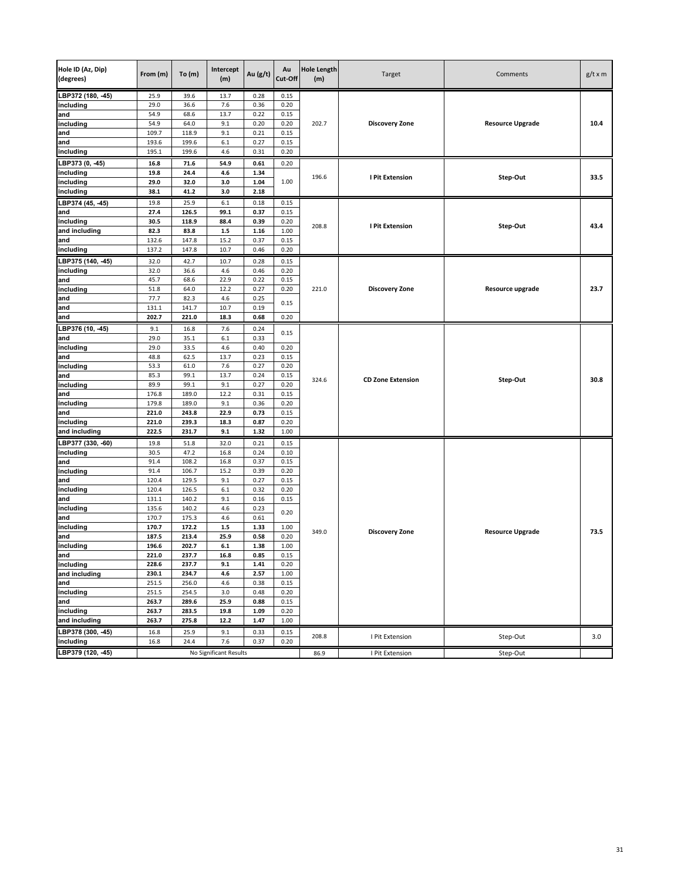| Hole ID (Az, Dip)<br>(degrees) | From (m)       | To(m)          | Intercept<br>(m)       | Au (g/t)     | Au<br>Cut-Off | <b>Hole Length</b><br>(m) | Target                   | Comments                | $g/t \times m$ |
|--------------------------------|----------------|----------------|------------------------|--------------|---------------|---------------------------|--------------------------|-------------------------|----------------|
| LBP372 (180, -45)              | 25.9           | 39.6           | 13.7                   | 0.28         | 0.15          |                           |                          |                         |                |
| including                      | 29.0           | 36.6           | 7.6                    | 0.36         | 0.20          |                           |                          |                         |                |
| and                            | 54.9<br>54.9   | 68.6<br>64.0   | 13.7<br>9.1            | 0.22<br>0.20 | 0.15<br>0.20  | 202.7                     | <b>Discovery Zone</b>    | <b>Resource Upgrade</b> | 10.4           |
| including<br>and               | 109.7          | 118.9          | 9.1                    | 0.21         | 0.15          |                           |                          |                         |                |
| and                            | 193.6          | 199.6          | $6.1\,$                | 0.27         | 0.15          |                           |                          |                         |                |
| including                      | 195.1          | 199.6          | 4.6                    | 0.31         | 0.20          |                           |                          |                         |                |
| BP373 (0, -45)                 | 16.8           | 71.6           | 54.9                   | 0.61         | 0.20          |                           |                          |                         |                |
| including                      | 19.8           | 24.4           | 4.6                    | 1.34         |               |                           |                          |                         |                |
| including                      | 29.0           | 32.0           | 3.0                    | 1.04         | 1.00          | 196.6                     | I Pit Extension          | Step-Out                | 33.5           |
| including                      | 38.1           | 41.2           | 3.0                    | 2.18         |               |                           |                          |                         |                |
| BP374 (45, 45)                 | 19.8           | 25.9           | 6.1                    | 0.18         | 0.15          |                           |                          |                         |                |
| and                            | 27.4           | 126.5          | 99.1                   | 0.37         | 0.15          |                           |                          |                         |                |
| including                      | 30.5           | 118.9          | 88.4                   | 0.39         | 0.20          |                           |                          |                         |                |
| and including                  | 82.3           | 83.8           | $1.5\,$                | 1.16         | 1.00          | 208.8                     | I Pit Extension          | Step-Out                | 43.4           |
| and                            | 132.6          | 147.8          | 15.2                   | 0.37         | 0.15          |                           |                          |                         |                |
| including                      | 137.2          | 147.8          | 10.7                   | 0.46         | 0.20          |                           |                          |                         |                |
| LBP375 (140, -45)              | 32.0           | 42.7           | 10.7                   | 0.28         | 0.15          |                           |                          |                         |                |
| including                      | 32.0           | 36.6           | 4.6                    | 0.46         | 0.20          |                           |                          |                         |                |
| and                            | 45.7           | 68.6           | 22.9                   | 0.22         | 0.15          |                           |                          |                         |                |
| including                      | 51.8           | 64.0           | 12.2                   | 0.27         | 0.20          | 221.0                     | <b>Discovery Zone</b>    | Resource upgrade        | 23.7           |
| and                            | 77.7           | 82.3           | 4.6                    | 0.25         | 0.15          |                           |                          |                         |                |
| and                            | 131.1          | 141.7          | 10.7                   | 0.19         |               |                           |                          |                         |                |
| and                            | 202.7          | 221.0          | 18.3                   | 0.68         | 0.20          |                           |                          |                         |                |
| BP376 (10, -45)                | 9.1            | 16.8           | 7.6                    | 0.24         | 0.15          |                           |                          |                         |                |
| and                            | 29.0           | 35.1           | 6.1                    | 0.33         |               |                           |                          |                         |                |
| including                      | 29.0           | 33.5           | 4.6                    | 0.40         | 0.20          |                           |                          |                         |                |
| and<br>including               | 48.8           | 62.5           | 13.7                   | 0.23         | 0.15          |                           |                          |                         |                |
| and                            | 53.3<br>85.3   | 61.0<br>99.1   | 7.6<br>13.7            | 0.27<br>0.24 | 0.20<br>0.15  |                           |                          |                         |                |
| including                      | 89.9           | 99.1           | 9.1                    | 0.27         | 0.20          | 324.6                     | <b>CD Zone Extension</b> | Step-Out                | 30.8           |
| and                            | 176.8          | 189.0          | 12.2                   | 0.31         | 0.15          |                           |                          |                         |                |
| including                      | 179.8          | 189.0          | 9.1                    | 0.36         | 0.20          |                           |                          |                         |                |
| and                            | 221.0          | 243.8          | 22.9                   | 0.73         | 0.15          |                           |                          |                         |                |
| including                      | 221.0          | 239.3          | 18.3                   | 0.87         | 0.20          |                           |                          |                         |                |
| and including                  | 222.5          | 231.7          | 9.1                    | 1.32         | 1.00          |                           |                          |                         |                |
| LBP377 (330, -60)              | 19.8           | 51.8           | 32.0                   | 0.21         | 0.15          |                           |                          |                         |                |
| including                      | 30.5           | 47.2           | 16.8                   | 0.24         | 0.10          |                           |                          |                         |                |
| and                            | 91.4           | 108.2          | 16.8                   | 0.37         | 0.15          |                           |                          |                         |                |
| including                      | 91.4           | 106.7          | 15.2                   | 0.39         | 0.20          |                           |                          |                         |                |
| and                            | 120.4          | 129.5          | 9.1                    | 0.27         | 0.15          |                           |                          |                         |                |
| including                      | 120.4          | 126.5          | 6.1                    | 0.32         | 0.20          |                           |                          |                         |                |
| and                            | 131.1          | 140.2          | 9.1                    | 0.16         | 0.15          |                           |                          |                         |                |
| including                      | 135.6          | 140.2          | 4.6                    | 0.23         | 0.20          |                           |                          |                         |                |
| and                            | 170.7<br>170.7 | 175.3<br>172.2 | 4.6<br>$1.5$           | 0.61<br>1.33 | 1.00          |                           |                          |                         |                |
| including<br>and               | 187.5          | 213.4          | 25.9                   | 0.58         | 0.20          | 349.0                     | <b>Discovery Zone</b>    | <b>Resource Upgrade</b> | 73.5           |
| including                      | 196.6          | 202.7          | $6.1\,$                | 1.38         | 1.00          |                           |                          |                         |                |
| land                           | 221.0          | 237.7          | 16.8                   | 0.85         | 0.15          |                           |                          |                         |                |
| including                      | 228.6          | 237.7          | 9.1                    | 1.41         | 0.20          |                           |                          |                         |                |
| and including                  | 230.1          | 234.7          | 4.6                    | 2.57         | 1.00          |                           |                          |                         |                |
| and                            | 251.5          | 256.0          | 4.6                    | 0.38         | 0.15          |                           |                          |                         |                |
| including                      | 251.5          | 254.5          | 3.0                    | 0.48         | 0.20          |                           |                          |                         |                |
| and                            | 263.7          | 289.6          | 25.9                   | 0.88         | 0.15          |                           |                          |                         |                |
| including                      | 263.7          | 283.5          | 19.8                   | 1.09         | 0.20          |                           |                          |                         |                |
| and including                  | 263.7          | 275.8          | 12.2                   | 1.47         | 1.00          |                           |                          |                         |                |
| LBP378 (300, -45)              | 16.8           | 25.9           | 9.1                    | 0.33         | 0.15          |                           |                          | Step-Out                |                |
| including                      | 16.8           | 24.4           | 7.6                    | 0.37         | 0.20          | 208.8                     | I Pit Extension          |                         | 3.0            |
| LBP379 (120, -45)              |                |                | No Significant Results |              |               | 86.9                      | I Pit Extension          | Step-Out                |                |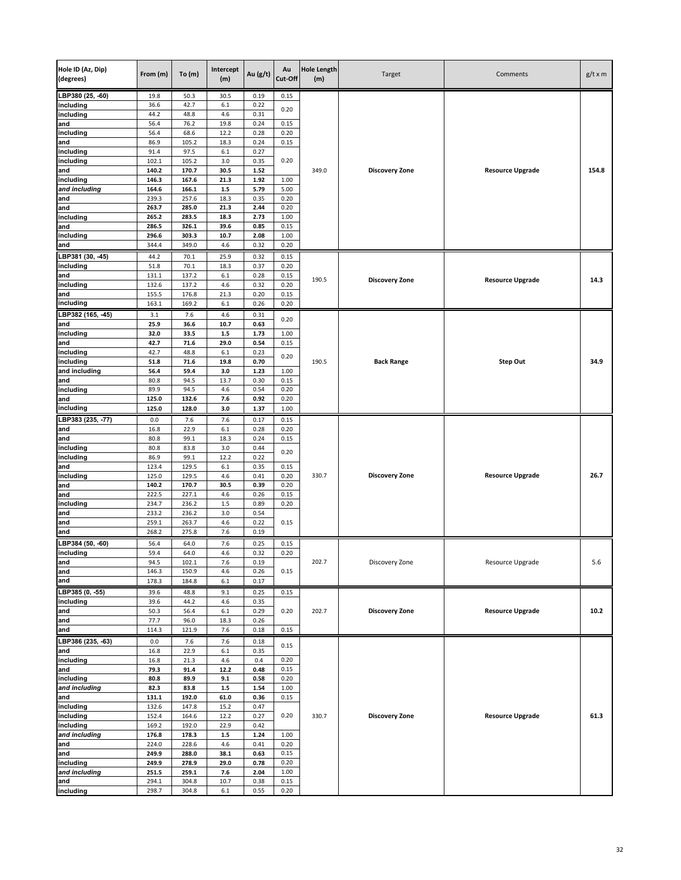| Hole ID (Az, Dip)<br>(degrees) | From (m)       | To(m)          | Intercept<br>(m) | Au (g/t)     | Au<br>Cut-Off | <b>Hole Length</b><br>(m) | Target                | Comments                | $g/t \times m$ |
|--------------------------------|----------------|----------------|------------------|--------------|---------------|---------------------------|-----------------------|-------------------------|----------------|
| LBP380 (25, -60)               | 19.8           | 50.3           | 30.5             | 0.19         | 0.15          |                           |                       |                         |                |
| including                      | 36.6           | 42.7           | 6.1              | 0.22         | 0.20          |                           |                       |                         |                |
| including                      | 44.2           | 48.8           | 4.6              | 0.31         |               |                           |                       |                         |                |
| and                            | 56.4           | 76.2           | 19.8             | 0.24         | 0.15          |                           |                       |                         |                |
| including<br>and               | 56.4<br>86.9   | 68.6<br>105.2  | 12.2<br>18.3     | 0.28<br>0.24 | 0.20<br>0.15  |                           |                       |                         |                |
| including                      | 91.4           | 97.5           | 6.1              | 0.27         |               |                           |                       |                         |                |
| including                      | 102.1          | 105.2          | 3.0              | 0.35         | 0.20          |                           |                       |                         |                |
| and                            | 140.2          | 170.7          | 30.5             | 1.52         |               | 349.0                     | <b>Discovery Zone</b> | <b>Resource Upgrade</b> | 154.8          |
| including                      | 146.3          | 167.6          | 21.3             | 1.92         | 1.00          |                           |                       |                         |                |
| and including                  | 164.6          | 166.1          | $1.5$            | 5.79         | 5.00          |                           |                       |                         |                |
| and<br>and                     | 239.3<br>263.7 | 257.6<br>285.0 | 18.3<br>21.3     | 0.35<br>2.44 | 0.20<br>0.20  |                           |                       |                         |                |
| including                      | 265.2          | 283.5          | 18.3             | 2.73         | 1.00          |                           |                       |                         |                |
| and                            | 286.5          | 326.1          | 39.6             | 0.85         | 0.15          |                           |                       |                         |                |
| including                      | 296.6          | 303.3          | 10.7             | 2.08         | 1.00          |                           |                       |                         |                |
| and                            | 344.4          | 349.0          | 4.6              | 0.32         | 0.20          |                           |                       |                         |                |
| LBP381 (30, -45)               | 44.2           | 70.1           | 25.9             | 0.32         | 0.15          |                           |                       |                         |                |
| including                      | 51.8           | 70.1           | 18.3             | 0.37         | 0.20          |                           |                       |                         |                |
| and                            | 131.1          | 137.2          | 6.1              | 0.28         | 0.15          | 190.5                     | <b>Discovery Zone</b> | <b>Resource Upgrade</b> | 14.3           |
| including<br>and               | 132.6<br>155.5 | 137.2<br>176.8 | 4.6<br>21.3      | 0.32<br>0.20 | 0.20<br>0.15  |                           |                       |                         |                |
| including                      | 163.1          | 169.2          | $6.1\,$          | 0.26         | 0.20          |                           |                       |                         |                |
| LBP382 (165, 45)               | 3.1            | 7.6            | 4.6              | 0.31         |               |                           |                       |                         |                |
| and                            | 25.9           | 36.6           | 10.7             | 0.63         | 0.20          |                           |                       |                         |                |
| including                      | 32.0           | 33.5           | $1.5\,$          | 1.73         | 1.00          |                           |                       |                         |                |
| and                            | 42.7           | 71.6           | 29.0             | 0.54         | 0.15          |                           |                       |                         |                |
| including                      | 42.7<br>51.8   | 48.8<br>71.6   | 6.1<br>19.8      | 0.23<br>0.70 | 0.20          | 190.5                     | <b>Back Range</b>     | Step Out                | 34.9           |
| including<br>and including     | 56.4           | 59.4           | 3.0              | 1.23         | 1.00          |                           |                       |                         |                |
| and                            | 80.8           | 94.5           | 13.7             | 0.30         | 0.15          |                           |                       |                         |                |
| including                      | 89.9           | 94.5           | 4.6              | 0.54         | 0.20          |                           |                       |                         |                |
| and                            | 125.0          | 132.6          | 7.6              | 0.92         | 0.20          |                           |                       |                         |                |
| including                      | 125.0          | 128.0          | 3.0              | 1.37         | 1.00          |                           |                       |                         |                |
| LBP383 (235, -77)              | 0.0            | 7.6            | 7.6              | 0.17         | 0.15          |                           |                       |                         |                |
| and<br>and                     | 16.8<br>80.8   | 22.9<br>99.1   | $6.1\,$<br>18.3  | 0.28<br>0.24 | 0.20<br>0.15  |                           |                       |                         |                |
| including                      | 80.8           | 83.8           | 3.0              | 0.44         |               |                           |                       |                         |                |
| including                      | 86.9           | 99.1           | 12.2             | 0.22         | 0.20          |                           |                       |                         |                |
| and                            | 123.4          | 129.5          | $6.1\,$          | 0.35         | 0.15          |                           |                       |                         |                |
| including                      | 125.0          | 129.5          | 4.6              | 0.41         | 0.20          | 330.7                     | <b>Discovery Zone</b> | <b>Resource Upgrade</b> | 26.7           |
| and<br>and                     | 140.2<br>222.5 | 170.7<br>227.1 | 30.5<br>4.6      | 0.39<br>0.26 | 0.20<br>0.15  |                           |                       |                         |                |
| including                      | 234.7          | 236.2          | $1.5\,$          | 0.89         | 0.20          |                           |                       |                         |                |
| and                            | 233.2          | 236.2          | 3.0              | 0.54         |               |                           |                       |                         |                |
| and                            | 259.1          | 263.7          | 4.6              | 0.22         | 0.15          |                           |                       |                         |                |
| and                            | 268.2          | 275.8          | 7.6              | 0.19         |               |                           |                       |                         |                |
| LBP384 (50, -60)               | 56.4           | 64.0           | 7.6              | 0.25         | 0.15          |                           |                       |                         |                |
| including<br>and               | 59.4           | 64.0           | 4.6              | 0.32         | 0.20          | 202.7                     |                       | Resource Upgrade        | 5.6            |
| and                            | 94.5<br>146.3  | 102.1<br>150.9 | 7.6<br>4.6       | 0.19<br>0.26 | 0.15          |                           | Discovery Zone        |                         |                |
| and                            | 178.3          | 184.8          | 6.1              | 0.17         |               |                           |                       |                         |                |
| LBP385 (0, -55)                | 39.6           | 48.8           | 9.1              | 0.25         | 0.15          |                           |                       |                         |                |
| including                      | 39.6           | 44.2           | 4.6              | 0.35         |               |                           |                       |                         |                |
| and                            | 50.3           | 56.4           | 6.1              | 0.29         | 0.20          | 202.7                     | <b>Discovery Zone</b> | <b>Resource Upgrade</b> | 10.2           |
| and<br>and                     | 77.7<br>114.3  | 96.0<br>121.9  | 18.3<br>7.6      | 0.26<br>0.18 | 0.15          |                           |                       |                         |                |
| LBP386 (235, -63)              | 0.0            |                | 7.6              | 0.18         |               |                           |                       |                         |                |
| and                            | 16.8           | 7.6<br>22.9    | $6.1\,$          | 0.35         | 0.15          |                           |                       |                         |                |
| including                      | 16.8           | 21.3           | 4.6              | 0.4          | 0.20          |                           |                       |                         |                |
| and                            | 79.3           | 91.4           | 12.2             | 0.48         | 0.15          |                           |                       |                         |                |
| including                      | 80.8           | 89.9           | 9.1              | 0.58         | 0.20          |                           |                       |                         |                |
| and including                  | 82.3           | 83.8           | $1.5\,$          | 1.54         | 1.00          |                           |                       |                         |                |
| and<br>including               | 131.1<br>132.6 | 192.0<br>147.8 | 61.0<br>15.2     | 0.36<br>0.47 | 0.15          |                           |                       |                         |                |
| including                      | 152.4          | 164.6          | 12.2             | 0.27         | 0.20          | 330.7                     | <b>Discovery Zone</b> | <b>Resource Upgrade</b> | 61.3           |
| including                      | 169.2          | 192.0          | 22.9             | 0.42         |               |                           |                       |                         |                |
| and including                  | 176.8          | 178.3          | $1.5\,$          | 1.24         | 1.00          |                           |                       |                         |                |
| and                            | 224.0          | 228.6          | 4.6              | 0.41         | 0.20          |                           |                       |                         |                |
| and                            | 249.9          | 288.0          | 38.1             | 0.63         | 0.15          |                           |                       |                         |                |
| including<br>and including     | 249.9<br>251.5 | 278.9<br>259.1 | 29.0<br>7.6      | 0.78<br>2.04 | 0.20<br>1.00  |                           |                       |                         |                |
| and                            | 294.1          | 304.8          | 10.7             | 0.38         | 0.15          |                           |                       |                         |                |
| including                      | 298.7          | 304.8          | $6.1\,$          | 0.55         | 0.20          |                           |                       |                         |                |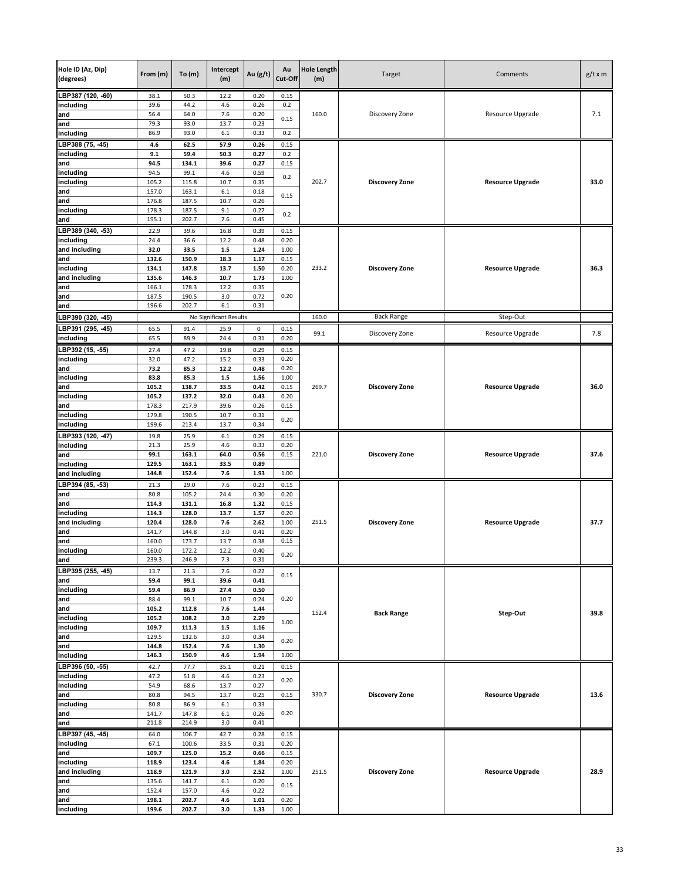| Hole ID (Az, Dip)<br>(degrees) | From (m)       | To(m)          | Intercept<br>(m)       | Au $(g/t)$   | Au<br>Cut-Off | <b>Hole Length</b><br>(m) | Target                | Comments                | $g/t \times m$ |
|--------------------------------|----------------|----------------|------------------------|--------------|---------------|---------------------------|-----------------------|-------------------------|----------------|
| LBP387 (120, -60)              | 38.1           | 50.3           | 12.2                   | 0.20         | 0.15          |                           |                       |                         |                |
| including                      | 39.6           | 44.2           | 4.6                    | 0.26         | 0.2           |                           |                       |                         |                |
| and<br>and                     | 56.4<br>79.3   | 64.0<br>93.0   | 7.6<br>13.7            | 0.20<br>0.23 | 0.15          | 160.0                     | Discovery Zone        | Resource Upgrade        | 7.1            |
| including                      | 86.9           | 93.0           | 6.1                    | 0.33         | 0.2           |                           |                       |                         |                |
| LBP388 (75, 45)                | 4.6            | 62.5           | 57.9                   | 0.26         | 0.15          |                           |                       |                         |                |
| including                      | 9.1            | 59.4           | 50.3                   | 0.27         | 0.2           |                           |                       |                         |                |
| and                            | 94.5           | 134.1          | 39.6                   | 0.27         | 0.15          |                           |                       |                         |                |
| including                      | 94.5           | 99.1           | 4.6                    | 0.59         | 0.2           |                           |                       |                         |                |
| including                      | 105.2          | 115.8          | 10.7                   | 0.35         |               | 202.7                     | <b>Discovery Zone</b> | <b>Resource Upgrade</b> | 33.0           |
| and<br>and                     | 157.0<br>176.8 | 163.1<br>187.5 | 6.1<br>10.7            | 0.18<br>0.26 | 0.15          |                           |                       |                         |                |
| including                      | 178.3          | 187.5          | 9.1                    | 0.27         |               |                           |                       |                         |                |
| and                            | 195.1          | 202.7          | 7.6                    | 0.45         | 0.2           |                           |                       |                         |                |
| LBP389 (340, -53)              | 22.9           | 39.6           | 16.8                   | 0.39         | 0.15          |                           |                       |                         |                |
| including                      | 24.4           | 36.6           | 12.2                   | 0.48         | 0.20          |                           |                       |                         |                |
| and including                  | 32.0           | 33.5           | $1.5\,$                | 1.24         | 1.00          |                           |                       |                         |                |
| and                            | 132.6          | 150.9          | 18.3                   | 1.17         | 0.15          |                           |                       |                         |                |
| including<br>and including     | 134.1<br>135.6 | 147.8<br>146.3 | 13.7<br>10.7           | 1.50<br>1.73 | 0.20<br>1.00  | 233.2                     | <b>Discovery Zone</b> | <b>Resource Upgrade</b> | 36.3           |
| and                            | 166.1          | 178.3          | 12.2                   | 0.35         |               |                           |                       |                         |                |
| and                            | 187.5          | 190.5          | 3.0                    | 0.72         | 0.20          |                           |                       |                         |                |
| and                            | 196.6          | 202.7          | 6.1                    | 0.31         |               |                           |                       |                         |                |
| LBP390 (320, -45)              |                |                | No Significant Results |              |               | 160.0                     | <b>Back Range</b>     | Step-Out                |                |
| LBP391 (295, -45)              | 65.5           | 91.4           | 25.9                   | 0            | 0.15          | 99.1                      | Discovery Zone        | Resource Upgrade        | 7.8            |
| including                      | 65.5           | 89.9           | 24.4                   | 0.31         | 0.20          |                           |                       |                         |                |
| $\overline{LBP392}$ (15, -55)  | 27.4           | 47.2           | 19.8                   | 0.29         | 0.15          |                           |                       |                         |                |
| including                      | 32.0           | 47.2           | 15.2                   | 0.33         | 0.20          |                           |                       |                         |                |
| and<br>including               | 73.2           | 85.3           | 12.2                   | 0.48         | 0.20          |                           |                       |                         |                |
| and                            | 83.8<br>105.2  | 85.3<br>138.7  | $1.5\,$<br>33.5        | 1.56<br>0.42 | 1.00<br>0.15  | 269.7                     | <b>Discovery Zone</b> | <b>Resource Upgrade</b> | 36.0           |
| including                      | 105.2          | 137.2          | 32.0                   | 0.43         | 0.20          |                           |                       |                         |                |
| and                            | 178.3          | 217.9          | 39.6                   | 0.26         | 0.15          |                           |                       |                         |                |
| including                      | 179.8          | 190.5          | 10.7                   | 0.31         | 0.20          |                           |                       |                         |                |
| including                      | 199.6          | 213.4          | 13.7                   | 0.34         |               |                           |                       |                         |                |
| LBP393 (120, -47)              | 19.8           | 25.9           | 6.1                    | 0.29         | 0.15          |                           |                       |                         |                |
| including<br>and               | 21.3<br>99.1   | 25.9<br>163.1  | 4.6<br>64.0            | 0.33<br>0.56 | 0.20<br>0.15  | 221.0                     | <b>Discovery Zone</b> | <b>Resource Upgrade</b> | 37.6           |
| including                      | 129.5          | 163.1          | 33.5                   | 0.89         |               |                           |                       |                         |                |
| and including                  | 144.8          | 152.4          | 7.6                    | 1.93         | 1.00          |                           |                       |                         |                |
| LBP394 (85, -53)               | 21.3           | 29.0           | 7.6                    | 0.23         | 0.15          |                           |                       |                         |                |
| and                            | 80.8           | 105.2          | 24.4                   | 0.30         | 0.20          |                           |                       |                         |                |
| and                            | 114.3          | 131.1          | 16.8                   | 1.32         | 0.15          |                           |                       |                         |                |
| including<br>and including     | 114.3<br>120.4 | 128.0<br>128.0 | 13.7<br>7.6            | 1.57<br>2.62 | 0.20<br>1.00  | 251.5                     | <b>Discovery Zone</b> | <b>Resource Upgrade</b> | 37.7           |
| and                            | 141.7          | 144.8          | 3.0                    | 0.41         | 0.20          |                           |                       |                         |                |
| and                            | 160.0          | 173.7          | 13.7                   | 0.38         | 0.15          |                           |                       |                         |                |
| including                      | 160.0          | 172.2          | 12.2                   | 0.40         | 0.20          |                           |                       |                         |                |
| and                            | 239.3          | 246.9          | 7.3                    | 0.31         |               |                           |                       |                         |                |
| LBP395 (255, -45)              | 13.7           | 21.3           | 7.6                    | 0.22         | 0.15          |                           |                       |                         |                |
| and<br>including               | 59.4<br>59.4   | 99.1<br>86.9   | 39.6<br>27.4           | 0.41<br>0.50 |               |                           |                       |                         |                |
| and                            | 88.4           | 99.1           | 10.7                   | 0.24         | 0.20          |                           |                       |                         |                |
| and                            | 105.2          | 112.8          | 7.6                    | 1.44         |               |                           |                       |                         | 39.8           |
| including                      | 105.2          | 108.2          | 3.0                    | 2.29         | 1.00          | 152.4                     | <b>Back Range</b>     | Step-Out                |                |
| including                      | 109.7          | 111.3          | $1.5\,$                | 1.16         |               |                           |                       |                         |                |
| and                            | 129.5          | 132.6          | 3.0<br>7.6             | 0.34         | 0.20          |                           |                       |                         |                |
| and<br>including               | 144.8<br>146.3 | 152.4<br>150.9 | 4.6                    | 1.30<br>1.94 | 1.00          |                           |                       |                         |                |
| LBP396 (50, -55)               | 42.7           | 77.7           | 35.1                   | 0.21         | 0.15          |                           |                       |                         |                |
| including                      | 47.2           | 51.8           | 4.6                    | 0.23         |               |                           |                       |                         |                |
| including                      | 54.9           | 68.6           | 13.7                   | 0.27         | 0.20          |                           |                       |                         |                |
| and                            | 80.8           | 94.5           | 13.7                   | 0.25         | 0.15          | 330.7                     | <b>Discovery Zone</b> | <b>Resource Upgrade</b> | 13.6           |
| including                      | 80.8           | 86.9           | 6.1                    | 0.33         |               |                           |                       |                         |                |
| and<br>and                     | 141.7<br>211.8 | 147.8<br>214.9 | $6.1\,$<br>3.0         | 0.26<br>0.41 | 0.20          |                           |                       |                         |                |
| LBP397 (45, 45)                | 64.0           | 106.7          | 42.7                   | 0.28         | 0.15          |                           |                       |                         |                |
| including                      | 67.1           | 100.6          | 33.5                   | 0.31         | 0.20          |                           |                       |                         |                |
| and                            | 109.7          | 125.0          | 15.2                   | 0.66         | 0.15          |                           |                       |                         |                |
| including                      | 118.9          | 123.4          | 4.6                    | 1.84         | 0.20          |                           |                       |                         |                |
| and including                  | 118.9          | 121.9          | 3.0                    | 2.52         | 1.00          | 251.5                     | <b>Discovery Zone</b> | <b>Resource Upgrade</b> | 28.9           |
| and                            | 135.6          | 141.7          | $6.1\,$                | 0.20<br>0.22 | 0.15          |                           |                       |                         |                |
| and<br>and                     | 152.4<br>198.1 | 157.0<br>202.7 | 4.6<br>4.6             | 1.01         | 0.20          |                           |                       |                         |                |
| including                      | 199.6          | 202.7          | 3.0                    | 1.33         | 1.00          |                           |                       |                         |                |
|                                |                |                |                        |              |               |                           |                       |                         |                |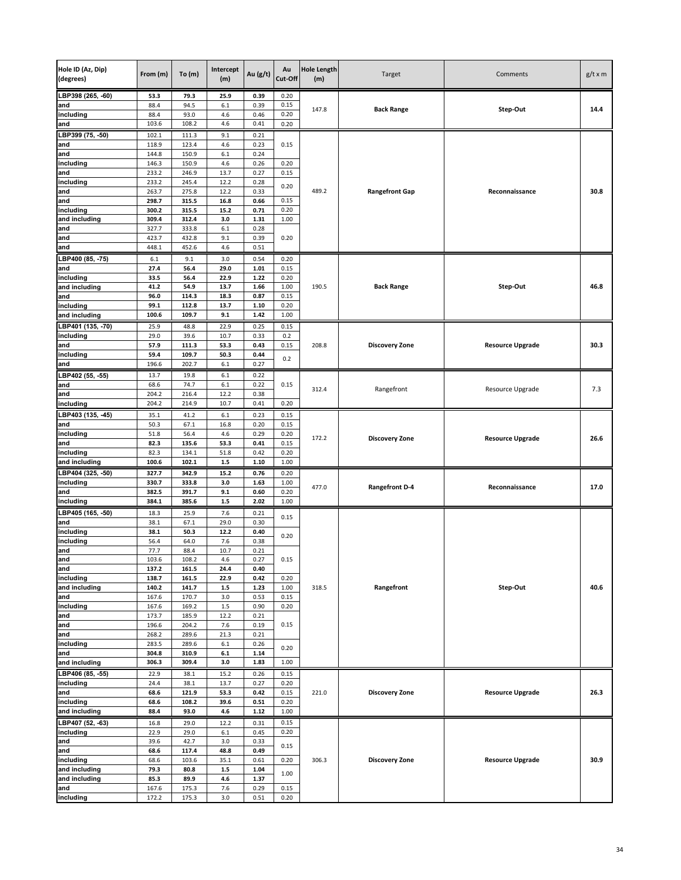| Hole ID (Az, Dip)<br>(degrees) | From (m)       | To(m)          | Intercept<br>(m) | Au (g/t)     | Au<br>Cut-Off | <b>Hole Length</b><br>(m) | Target                | Comments                | $g/t \times m$ |
|--------------------------------|----------------|----------------|------------------|--------------|---------------|---------------------------|-----------------------|-------------------------|----------------|
| LBP398 (265, -60)              | 53.3           | 79.3           | 25.9             | 0.39         | 0.20          |                           |                       |                         |                |
| and                            | 88.4           | 94.5           | 6.1              | 0.39         | 0.15          | 147.8                     | <b>Back Range</b>     | Step-Out                | 14.4           |
| including                      | 88.4<br>103.6  | 93.0<br>108.2  | 4.6<br>4.6       | 0.46<br>0.41 | 0.20          |                           |                       |                         |                |
| and                            |                |                |                  |              | 0.20          |                           |                       |                         |                |
| LBP399 (75, -50)<br>and        | 102.1<br>118.9 | 111.3<br>123.4 | 9.1<br>4.6       | 0.21<br>0.23 | 0.15          |                           |                       |                         |                |
| and                            | 144.8          | 150.9          | 6.1              | 0.24         |               |                           |                       |                         |                |
| including                      | 146.3          | 150.9          | 4.6              | 0.26         | 0.20          |                           |                       |                         |                |
| and                            | 233.2          | 246.9          | 13.7             | 0.27         | 0.15          |                           |                       |                         |                |
| including                      | 233.2          | 245.4          | 12.2             | 0.28         | 0.20          |                           |                       |                         |                |
| and                            | 263.7          | 275.8          | 12.2             | 0.33         |               | 489.2                     | <b>Rangefront Gap</b> | Reconnaissance          | 30.8           |
| and<br>including               | 298.7<br>300.2 | 315.5<br>315.5 | 16.8<br>15.2     | 0.66<br>0.71 | 0.15<br>0.20  |                           |                       |                         |                |
| and including                  | 309.4          | 312.4          | 3.0              | 1.31         | 1.00          |                           |                       |                         |                |
| and                            | 327.7          | 333.8          | $6.1\,$          | 0.28         |               |                           |                       |                         |                |
| and                            | 423.7          | 432.8          | 9.1              | 0.39         | 0.20          |                           |                       |                         |                |
| and                            | 448.1          | 452.6          | 4.6              | 0.51         |               |                           |                       |                         |                |
| LBP400 (85, -75)               | 6.1            | 9.1            | 3.0              | 0.54         | 0.20          |                           |                       |                         |                |
| and                            | 27.4           | 56.4           | 29.0             | 1.01         | 0.15          |                           |                       |                         |                |
| including                      | 33.5           | 56.4           | 22.9             | 1.22         | 0.20          |                           |                       |                         |                |
| and including<br>and           | 41.2<br>96.0   | 54.9<br>114.3  | 13.7<br>18.3     | 1.66<br>0.87 | 1.00<br>0.15  | 190.5                     | <b>Back Range</b>     | Step-Out                | 46.8           |
| including                      | 99.1           | 112.8          | 13.7             | 1.10         | 0.20          |                           |                       |                         |                |
| and including                  | 100.6          | 109.7          | 9.1              | 1.42         | 1.00          |                           |                       |                         |                |
| LBP401 (135, -70)              | 25.9           | 48.8           | 22.9             | 0.25         | 0.15          |                           |                       |                         |                |
| including                      | 29.0           | 39.6           | 10.7             | 0.33         | 0.2           |                           |                       |                         |                |
| and                            | 57.9           | 111.3          | 53.3             | 0.43         | 0.15          | 208.8                     | <b>Discovery Zone</b> | <b>Resource Upgrade</b> | 30.3           |
| including                      | 59.4           | 109.7          | 50.3             | 0.44         | 0.2           |                           |                       |                         |                |
| and                            | 196.6          | 202.7          | 6.1              | 0.27         |               |                           |                       |                         |                |
| LBP402 (55, -55)               | 13.7           | 19.8           | 6.1              | 0.22         |               |                           |                       |                         |                |
| and                            | 68.6<br>204.2  | 74.7<br>216.4  | 6.1<br>12.2      | 0.22<br>0.38 | 0.15          | 312.4                     | Rangefront            | Resource Upgrade        | 7.3            |
| and<br>including               | 204.2          | 214.9          | 10.7             | 0.41         | 0.20          |                           |                       |                         |                |
| LBP403 (135, 45)               | 35.1           | 41.2           | 6.1              | 0.23         | 0.15          |                           |                       |                         |                |
| and                            | 50.3           | 67.1           | 16.8             | 0.20         | 0.15          |                           |                       |                         |                |
| including                      | 51.8           | 56.4           | 4.6              | 0.29         | 0.20          |                           |                       |                         |                |
| and                            | 82.3           | 135.6          | 53.3             | 0.41         | 0.15          | 172.2                     | <b>Discovery Zone</b> | <b>Resource Upgrade</b> | 26.6           |
| including                      | 82.3           | 134.1          | 51.8             | 0.42         | 0.20          |                           |                       |                         |                |
| and including                  | 100.6          | 102.1          | $1.5\,$          | 1.10         | 1.00          |                           |                       |                         |                |
| LBP404 (325, -50)              | 327.7          | 342.9          | 15.2             | 0.76         | 0.20          |                           |                       |                         |                |
| including                      | 330.7          | 333.8          | 3.0              | 1.63         | 1.00          | 477.0                     | <b>Rangefront D-4</b> | Reconnaissance          | 17.0           |
| and<br>including               | 382.5<br>384.1 | 391.7<br>385.6 | 9.1<br>$1.5\,$   | 0.60<br>2.02 | 0.20<br>1.00  |                           |                       |                         |                |
| LBP405 (165, -50)              | 18.3           | 25.9           | 7.6              | 0.21         |               |                           |                       |                         |                |
| and                            | 38.1           | 67.1           | 29.0             | 0.30         | 0.15          |                           |                       |                         |                |
| including                      | 38.1           | 50.3           | 12.2             | 0.40         |               |                           |                       |                         |                |
| including                      | 56.4           | 64.0           | 7.6              | 0.38         | 0.20          |                           |                       |                         |                |
| and                            | 77.7           | 88.4           | 10.7             | 0.21         |               |                           |                       |                         |                |
| and                            | 103.6          | 108.2          | 4.6              | 0.27         | 0.15          |                           |                       |                         |                |
| and                            | 137.2          | 161.5          | 24.4             | 0.40<br>0.42 | 0.20          |                           |                       |                         |                |
| including<br>and including     | 138.7<br>140.2 | 161.5<br>141.7 | 22.9<br>$1.5\,$  | 1.23         | 1.00          | 318.5                     | Rangefront            | Step-Out                | 40.6           |
| and                            | 167.6          | 170.7          | 3.0              | 0.53         | 0.15          |                           |                       |                         |                |
| including                      | 167.6          | 169.2          | $1.5\,$          | 0.90         | 0.20          |                           |                       |                         |                |
| and                            | 173.7          | 185.9          | 12.2             | 0.21         |               |                           |                       |                         |                |
| and                            | 196.6          | 204.2          | 7.6              | 0.19         | 0.15          |                           |                       |                         |                |
| and<br>including               | 268.2<br>283.5 | 289.6<br>289.6 | 21.3<br>6.1      | 0.21<br>0.26 |               |                           |                       |                         |                |
| and                            | 304.8          | 310.9          | $\bf 6.1$        | 1.14         | 0.20          |                           |                       |                         |                |
| and including                  | 306.3          | 309.4          | 3.0              | 1.83         | 1.00          |                           |                       |                         |                |
| LBP406 (85, -55)               | 22.9           | 38.1           | 15.2             | 0.26         | 0.15          |                           |                       |                         |                |
| including                      | 24.4           | 38.1           | 13.7             | 0.27         | 0.20          |                           |                       |                         |                |
| and                            | 68.6           | 121.9          | 53.3             | 0.42         | 0.15          | 221.0                     | <b>Discovery Zone</b> | <b>Resource Upgrade</b> | 26.3           |
| including                      | 68.6           | 108.2          | 39.6             | 0.51         | 0.20          |                           |                       |                         |                |
| and including                  | 88.4           | 93.0           | 4.6              | 1.12         | 1.00          |                           |                       |                         |                |
| LBP407 (52, -63)<br>including  | 16.8<br>22.9   | 29.0<br>29.0   | 12.2<br>6.1      | 0.31<br>0.45 | 0.15<br>0.20  |                           |                       |                         |                |
| and                            | 39.6           | 42.7           | 3.0              | 0.33         |               |                           |                       |                         |                |
| and                            | 68.6           | 117.4          | 48.8             | 0.49         | 0.15          |                           |                       |                         |                |
| including                      | 68.6           | 103.6          | 35.1             | 0.61         | 0.20          | 306.3                     | <b>Discovery Zone</b> | <b>Resource Upgrade</b> | 30.9           |
| and including                  | 79.3           | 80.8           | $1.5\,$          | 1.04         | 1.00          |                           |                       |                         |                |
| and including                  | 85.3           | 89.9           | 4.6              | 1.37         |               |                           |                       |                         |                |
| and                            | 167.6          | 175.3          | 7.6              | 0.29         | 0.15          |                           |                       |                         |                |
| including                      | 172.2          | 175.3          | 3.0              | 0.51         | 0.20          |                           |                       |                         |                |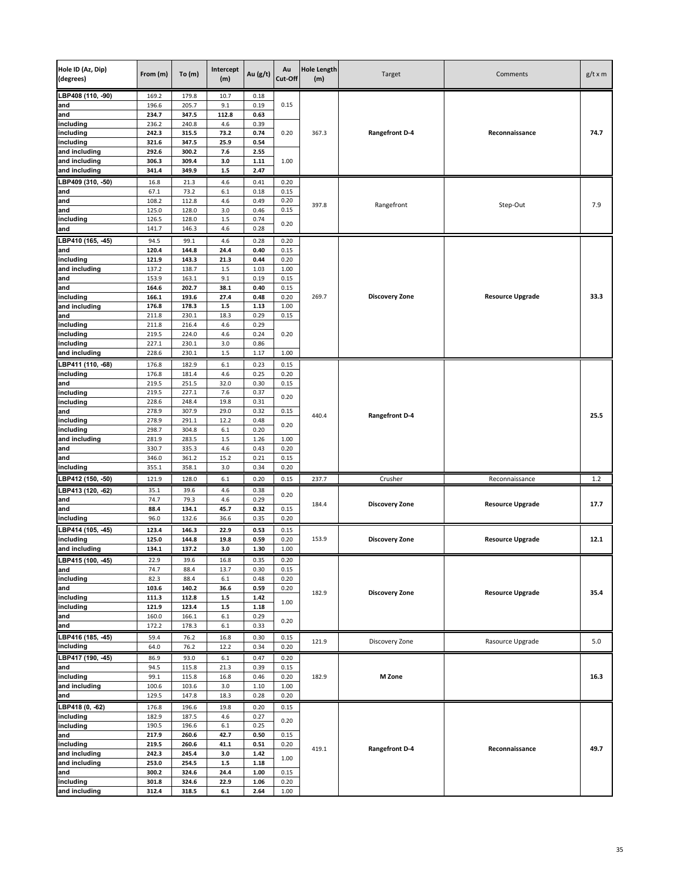| Hole ID (Az, Dip)<br>(degrees) | From (m)       | To (m)         | Intercept<br>(m) | Au (g/t)     | Au<br>Cut-Off | <b>Hole Length</b><br>(m) | Target                | Comments                | $g/t \times m$ |
|--------------------------------|----------------|----------------|------------------|--------------|---------------|---------------------------|-----------------------|-------------------------|----------------|
| LBP408 (110, -90)              | 169.2          | 179.8          | 10.7             | 0.18         |               |                           |                       |                         |                |
| and                            | 196.6          | 205.7          | 9.1              | 0.19         | 0.15          |                           |                       |                         |                |
| and                            | 234.7          | 347.5          | 112.8            | 0.63         |               |                           |                       |                         |                |
| including<br>including         | 236.2<br>242.3 | 240.8<br>315.5 | 4.6<br>73.2      | 0.39<br>0.74 | 0.20          | 367.3                     | <b>Rangefront D-4</b> | Reconnaissance          | 74.7           |
| including                      | 321.6          | 347.5          | 25.9             | 0.54         |               |                           |                       |                         |                |
| and including                  | 292.6          | 300.2          | 7.6              | 2.55         |               |                           |                       |                         |                |
| and including                  | 306.3          | 309.4          | 3.0              | 1.11         | 1.00          |                           |                       |                         |                |
| and including                  | 341.4          | 349.9          | $1.5\,$          | 2.47         |               |                           |                       |                         |                |
| LBP409 (310, -50)              | 16.8           | 21.3           | 4.6              | 0.41         | 0.20          |                           |                       |                         |                |
| and                            | 67.1           | 73.2           | 6.1              | 0.18         | 0.15          |                           |                       |                         |                |
| and                            | 108.2<br>125.0 | 112.8<br>128.0 | 4.6<br>3.0       | 0.49<br>0.46 | 0.20<br>0.15  | 397.8                     | Rangefront            | Step-Out                | 7.9            |
| and<br>including               | 126.5          | 128.0          | $1.5\,$          | 0.74         |               |                           |                       |                         |                |
| and                            | 141.7          | 146.3          | 4.6              | 0.28         | 0.20          |                           |                       |                         |                |
| LBP410 (165, -45)              | 94.5           | 99.1           | 4.6              | 0.28         | 0.20          |                           |                       |                         |                |
| and                            | 120.4          | 144.8          | 24.4             | 0.40         | 0.15          |                           |                       |                         |                |
| including                      | 121.9          | 143.3          | 21.3             | 0.44         | 0.20          |                           |                       |                         |                |
| and including                  | 137.2          | 138.7          | 1.5              | 1.03         | 1.00          |                           |                       |                         |                |
| and                            | 153.9          | 163.1          | 9.1              | 0.19         | 0.15          |                           |                       |                         |                |
| and                            | 164.6          | 202.7          | 38.1             | 0.40         | 0.15          |                           |                       |                         |                |
| including<br>and including     | 166.1<br>176.8 | 193.6<br>178.3 | 27.4<br>$1.5\,$  | 0.48<br>1.13 | 0.20<br>1.00  | 269.7                     | <b>Discovery Zone</b> | <b>Resource Upgrade</b> | 33.3           |
| and                            | 211.8          | 230.1          | 18.3             | 0.29         | 0.15          |                           |                       |                         |                |
| including                      | 211.8          | 216.4          | 4.6              | 0.29         |               |                           |                       |                         |                |
| including                      | 219.5          | 224.0          | 4.6              | 0.24         | 0.20          |                           |                       |                         |                |
| including                      | 227.1          | 230.1          | 3.0              | 0.86         |               |                           |                       |                         |                |
| and including                  | 228.6          | 230.1          | $1.5\,$          | 1.17         | 1.00          |                           |                       |                         |                |
| LBP411 (110, -68)              | 176.8          | 182.9          | $6.1\,$          | 0.23         | 0.15          |                           |                       |                         |                |
| including                      | 176.8          | 181.4          | 4.6              | 0.25         | 0.20          |                           |                       |                         |                |
| and                            | 219.5          | 251.5          | 32.0             | 0.30         | 0.15          |                           |                       |                         |                |
| including<br>including         | 219.5<br>228.6 | 227.1<br>248.4 | 7.6<br>19.8      | 0.37<br>0.31 | 0.20          |                           |                       |                         |                |
| and                            | 278.9          | 307.9          | 29.0             | 0.32         | 0.15          |                           |                       |                         |                |
| including                      | 278.9          | 291.1          | 12.2             | 0.48         |               | 440.4                     | <b>Rangefront D-4</b> |                         | 25.5           |
| including                      | 298.7          | 304.8          | $6.1\,$          | 0.20         | 0.20          |                           |                       |                         |                |
| and including                  | 281.9          | 283.5          | $1.5\,$          | 1.26         | 1.00          |                           |                       |                         |                |
| and                            | 330.7          | 335.3          | 4.6              | 0.43         | 0.20          |                           |                       |                         |                |
| and<br>including               | 346.0<br>355.1 | 361.2<br>358.1 | 15.2<br>3.0      | 0.21<br>0.34 | 0.15<br>0.20  |                           |                       |                         |                |
| LBP412 (150, -50)              | 121.9          | 128.0          | $6.1\,$          | 0.20         | 0.15          | 237.7                     | Crusher               |                         | 1.2            |
| LBP413 (120, -62)              | 35.1           | 39.6           | 4.6              | 0.38         |               |                           |                       | Reconnaissance          |                |
| and                            | 74.7           | 79.3           | 4.6              | 0.29         | 0.20          |                           |                       |                         |                |
| and                            | 88.4           | 134.1          | 45.7             | 0.32         | 0.15          | 184.4                     | <b>Discovery Zone</b> | <b>Resource Upgrade</b> | 17.7           |
| including                      | 96.0           | 132.6          | 36.6             | 0.35         | 0.20          |                           |                       |                         |                |
| LBP414 (105, -45)              | 123.4          | 146.3          | 22.9             | 0.53         | 0.15          |                           |                       |                         |                |
| including                      | 125.0          | 144.8          | 19.8             | 0.59         | 0.20          | 153.9                     | <b>Discovery Zone</b> | <b>Resource Upgrade</b> | 12.1           |
| and including                  | 134.1          | 137.2          | 3.0              | 1.30         | 1.00          |                           |                       |                         |                |
| LBP415 (100, -45)              | 22.9           | 39.6           | 16.8             | 0.35         | 0.20          |                           |                       |                         |                |
| and                            | 74.7           | 88.4           | 13.7             | 0.30         | 0.15          |                           |                       |                         |                |
| including<br>and               | 82.3<br>103.6  | 88.4<br>140.2  | $6.1\,$<br>36.6  | 0.48<br>0.59 | 0.20<br>0.20  |                           |                       |                         |                |
| including                      | 111.3          | 112.8          | $1.5\,$          | 1.42         |               | 182.9                     | <b>Discovery Zone</b> | <b>Resource Upgrade</b> | 35.4           |
| including                      | 121.9          | 123.4          | $1.5\,$          | 1.18         | 1.00          |                           |                       |                         |                |
| and                            | 160.0          | 166.1          | $6.1\,$          | 0.29         | 0.20          |                           |                       |                         |                |
| and                            | 172.2          | 178.3          | $6.1\,$          | 0.33         |               |                           |                       |                         |                |
| LBP416 (185, -45)              | 59.4           | 76.2           | 16.8             | 0.30         | 0.15          | 121.9                     | Discovery Zone        | Rasource Upgrade        | 5.0            |
| including                      | 64.0           | 76.2           | 12.2             | 0.34         | 0.20          |                           |                       |                         |                |
| LBP417 (190, -45)              | 86.9           | 93.0           | $6.1\,$          | 0.47         | 0.20          |                           |                       |                         |                |
| and                            | 94.5           | 115.8          | 21.3             | 0.39         | 0.15          | 182.9                     |                       |                         |                |
| including<br>and including     | 99.1<br>100.6  | 115.8<br>103.6 | 16.8<br>3.0      | 0.46<br>1.10 | 0.20<br>1.00  |                           | M Zone                |                         | 16.3           |
| and                            | 129.5          | 147.8          | 18.3             | 0.28         | 0.20          |                           |                       |                         |                |
| LBP418 (0, -62)                | 176.8          | 196.6          | 19.8             | 0.20         | 0.15          |                           |                       |                         |                |
| including                      | 182.9          | 187.5          | 4.6              | 0.27         |               |                           |                       |                         |                |
| including                      | 190.5          | 196.6          | $6.1\,$          | 0.25         | 0.20          |                           |                       |                         |                |
| and                            | 217.9          | 260.6          | 42.7             | 0.50         | 0.15          |                           |                       |                         |                |
| including                      | 219.5          | 260.6          | 41.1             | 0.51         | 0.20          | 419.1                     | <b>Rangefront D-4</b> | Reconnaissance          | 49.7           |
| and including                  | 242.3          | 245.4          | 3.0              | 1.42         | 1.00          |                           |                       |                         |                |
| and including                  | 253.0          | 254.5          | $1.5\,$          | 1.18         |               |                           |                       |                         |                |
| and<br>including               | 300.2<br>301.8 | 324.6<br>324.6 | 24.4<br>22.9     | 1.00<br>1.06 | 0.15<br>0.20  |                           |                       |                         |                |
| and including                  | 312.4          | 318.5          | 6.1              | 2.64         | 1.00          |                           |                       |                         |                |
|                                |                |                |                  |              |               |                           |                       |                         |                |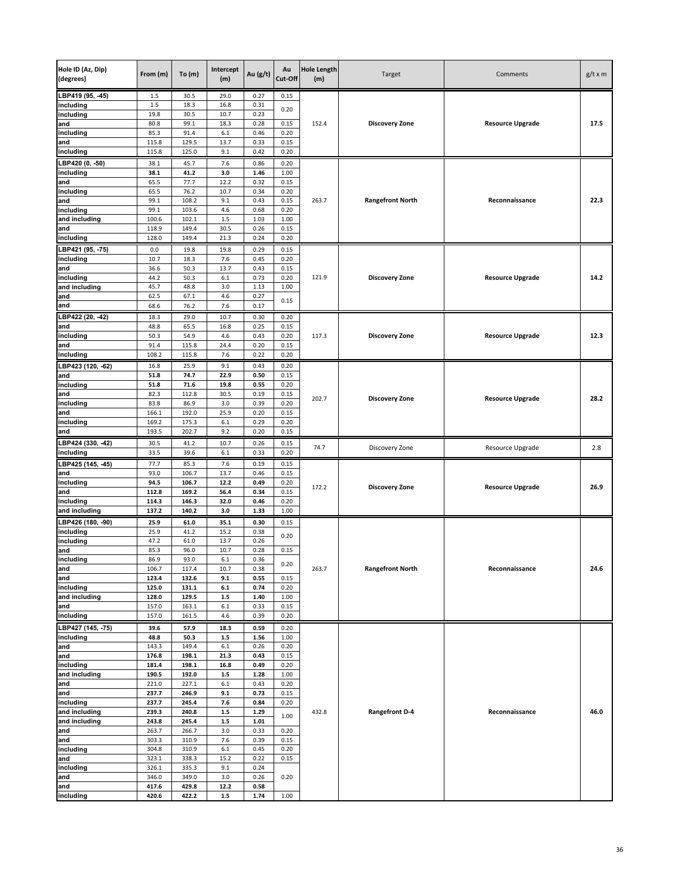| Hole ID (Az, Dip)<br>(degrees) | From (m)       | To(m)          | Intercept<br>(m)          | Au (g/t)     | Au<br>Cut-Off | <b>Hole Length</b><br>(m) | Target                  | Comments                | $g/t \times m$ |
|--------------------------------|----------------|----------------|---------------------------|--------------|---------------|---------------------------|-------------------------|-------------------------|----------------|
| LBP419 (95, -45)               | $1.5\,$        | 30.5           | 29.0                      | 0.27         | 0.15          |                           |                         |                         |                |
| including                      | 1.5            | 18.3           | 16.8                      | 0.31         | 0.20          |                           |                         |                         |                |
| including                      | 19.8           | 30.5           | 10.7                      | 0.23         |               |                           |                         |                         |                |
| and                            | 80.8           | 99.1           | 18.3                      | 0.28         | 0.15          | 152.4                     | <b>Discovery Zone</b>   | <b>Resource Upgrade</b> | 17.5           |
| including<br>and               | 85.3<br>115.8  | 91.4<br>129.5  | 6.1<br>13.7               | 0.46<br>0.33 | 0.20<br>0.15  |                           |                         |                         |                |
| including                      | 115.8          | 125.0          | 9.1                       | 0.42         | 0.20          |                           |                         |                         |                |
| BP420 (0, -50)                 | 38.1           | 45.7           | 7.6                       | 0.86         | 0.20          |                           |                         |                         |                |
| including                      | 38.1           | 41.2           | 3.0                       | 1.46         | 1.00          |                           |                         |                         |                |
| and                            | 65.5           | 77.7           | 12.2                      | 0.32         | 0.15          |                           |                         |                         |                |
| including                      | 65.5           | 76.2           | 10.7                      | 0.34         | 0.20          |                           |                         |                         |                |
| and                            | 99.1           | 108.2          | 9.1                       | 0.43         | 0.15          | 263.7                     | <b>Rangefront North</b> | Reconnaissance          | 22.3           |
| including                      | 99.1           | 103.6          | 4.6                       | 0.68         | 0.20          |                           |                         |                         |                |
| and including                  | 100.6          | 102.1          | $1.5\,$                   | 1.03         | 1.00          |                           |                         |                         |                |
| and                            | 118.9          | 149.4          | 30.5                      | 0.26         | 0.15          |                           |                         |                         |                |
| including                      | 128.0          | 149.4          | 21.3                      | 0.24         | 0.20          |                           |                         |                         |                |
| BP421 (95, -75)<br>including   | 0.0<br>10.7    | 19.8<br>18.3   | 19.8<br>7.6               | 0.29<br>0.45 | 0.15<br>0.20  |                           |                         |                         |                |
| and                            | 36.6           | 50.3           | 13.7                      | 0.43         | 0.15          |                           |                         |                         |                |
| including                      | 44.2           | 50.3           | 6.1                       | 0.73         | 0.20          | 121.9                     | <b>Discovery Zone</b>   | <b>Resource Upgrade</b> | 14.2           |
| and including                  | 45.7           | 48.8           | 3.0                       | 1.13         | 1.00          |                           |                         |                         |                |
| and                            | 62.5           | 67.1           | 4.6                       | 0.27         | 0.15          |                           |                         |                         |                |
| and                            | 68.6           | 76.2           | 7.6                       | 0.17         |               |                           |                         |                         |                |
| LBP422 (20, -42)               | 18.3           | 29.0           | 10.7                      | 0.30         | 0.20          |                           |                         |                         |                |
| and                            | 48.8           | 65.5           | 16.8                      | 0.25         | 0.15          |                           |                         |                         |                |
| including                      | 50.3           | 54.9           | 4.6                       | 0.43         | 0.20          | 117.3                     | <b>Discovery Zone</b>   | <b>Resource Upgrade</b> | 12.3           |
| and                            | 91.4           | 115.8          | 24.4                      | 0.20         | 0.15          |                           |                         |                         |                |
| including                      | 108.2          | 115.8          | 7.6                       | 0.22         | 0.20          |                           |                         |                         |                |
| LBP423 (120, -62)              | 16.8           | 25.9           | 9.1                       | 0.43         | 0.20          |                           |                         |                         |                |
| and<br>including               | 51.8<br>51.8   | 74.7<br>71.6   | 22.9<br>19.8              | 0.50<br>0.55 | 0.15<br>0.20  |                           |                         |                         |                |
| and                            | 82.3           | 112.8          | 30.5                      | 0.19         | 0.15          |                           |                         |                         |                |
| including                      | 83.8           | 86.9           | 3.0                       | 0.39         | 0.20          | 202.7                     | <b>Discovery Zone</b>   | <b>Resource Upgrade</b> | 28.2           |
| and                            | 166.1          | 192.0          | 25.9                      | 0.20         | 0.15          |                           |                         |                         |                |
| including                      | 169.2          | 175.3          | 6.1                       | 0.29         | 0.20          |                           |                         |                         |                |
| and                            | 193.5          | 202.7          | 9.2                       | 0.20         | 0.15          |                           |                         |                         |                |
| LBP424 (330, -42)              | 30.5           | 41.2           | 10.7                      | 0.26         | 0.15          | 74.7                      | Discovery Zone          | Resource Upgrade        | 2.8            |
| including                      | 33.5           | 39.6           | 6.1                       | 0.33         | 0.20          |                           |                         |                         |                |
| LBP425 (145, -45)              | 77.7           | 85.3           | 7.6                       | 0.19         | 0.15          |                           |                         |                         |                |
| and                            | 93.0           | 106.7          | 13.7                      | 0.46         | 0.15          |                           |                         |                         |                |
| including                      | 94.5<br>112.8  | 106.7<br>169.2 | 12.2<br>56.4              | 0.49<br>0.34 | 0.20<br>0.15  | 172.2                     | <b>Discovery Zone</b>   | <b>Resource Upgrade</b> | 26.9           |
| and<br>including               | 114.3          | 146.3          | 32.0                      | 0.46         | 0.20          |                           |                         |                         |                |
| and including                  | 137.2          | 140.2          | 3.0                       | 1.33         | 1.00          |                           |                         |                         |                |
| LBP426 (180, -90)              | 25.9           | 61.0           | 35.1                      | 0.30         | 0.15          |                           |                         |                         |                |
| including                      | 25.9           | 41.2           | 15.2                      | 0.38         |               |                           |                         |                         |                |
| including                      | 47.2           | 61.0           | 13.7                      | 0.26         | 0.20          |                           |                         |                         |                |
| and                            | 85.3           | 96.0           | 10.7                      | 0.28         | 0.15          |                           |                         |                         |                |
| including                      | 86.9           | 93.0           | 6.1                       | 0.36         | 0.20          |                           |                         |                         |                |
| and                            | 106.7          | 117.4          | 10.7                      | 0.38         |               | 263.7                     | <b>Rangefront North</b> | Reconnaissance          | 24.6           |
| and<br>including               | 123.4<br>125.0 | 132.6<br>131.1 | 9.1<br>$\boldsymbol{6.1}$ | 0.55<br>0.74 | 0.15<br>0.20  |                           |                         |                         |                |
| and including                  | 128.0          | 129.5          | $1.5\,$                   | 1.40         | 1.00          |                           |                         |                         |                |
| and                            | 157.0          | 163.1          | $6.1\,$                   | 0.33         | 0.15          |                           |                         |                         |                |
| including                      | 157.0          | 161.5          | 4.6                       | 0.39         | 0.20          |                           |                         |                         |                |
| LBP427 (145, -75)              | 39.6           | 57.9           | 18.3                      | 0.59         | 0.20          |                           |                         |                         |                |
| including                      | 48.8           | 50.3           | $1.5\,$                   | 1.56         | 1.00          |                           |                         |                         |                |
| and                            | 143.3          | 149.4          | $6.1\,$                   | 0.26         | 0.20          |                           |                         |                         |                |
| and                            | 176.8          | 198.1          | 21.3                      | 0.43         | 0.15          |                           |                         |                         |                |
| including                      | 181.4          | 198.1          | 16.8                      | 0.49         | 0.20          |                           |                         |                         |                |
| and including                  | 190.5          | 192.0          | $1.5\,$                   | 1.28         | 1.00          |                           |                         |                         |                |
| and<br>and                     | 221.0<br>237.7 | 227.1<br>246.9 | $6.1\,$<br>9.1            | 0.43<br>0.73 | 0.20<br>0.15  |                           |                         |                         |                |
| including                      | 237.7          | 245.4          | 7.6                       | 0.84         | 0.20          |                           |                         |                         |                |
| and including                  | 239.3          | 240.8          | $1.5\,$                   | 1.29         |               | 432.8                     | <b>Rangefront D-4</b>   | Reconnaissance          | 46.0           |
| and including                  | 243.8          | 245.4          | $1.5\,$                   | 1.01         | 1.00          |                           |                         |                         |                |
| and                            | 263.7          | 266.7          | 3.0                       | 0.33         | 0.20          |                           |                         |                         |                |
| and                            | 303.3          | 310.9          | 7.6                       | 0.39         | 0.15          |                           |                         |                         |                |
| including                      | 304.8          | 310.9          | $6.1\,$                   | 0.45         | 0.20          |                           |                         |                         |                |
| and                            | 323.1<br>326.1 | 338.3<br>335.3 | 15.2<br>9.1               | 0.22<br>0.24 | 0.15          |                           |                         |                         |                |
| including<br>and               | 346.0          | 349.0          | 3.0                       | 0.26         | 0.20          |                           |                         |                         |                |
| and                            | 417.6          | 429.8          | 12.2                      | 0.58         |               |                           |                         |                         |                |
| including                      | 420.6          | 422.2          | $1.5\,$                   | 1.74         | 1.00          |                           |                         |                         |                |
|                                |                |                |                           |              |               |                           |                         |                         |                |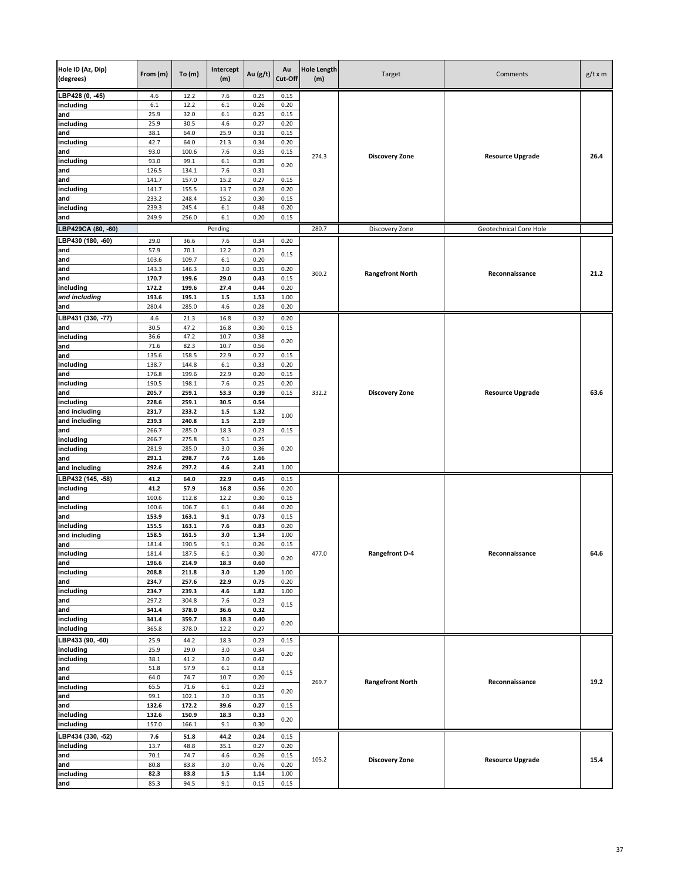| Hole ID (Az, Dip)<br>(degrees) | From (m)       | To $(m)$       | Intercept<br>(m) | Au (g/t)     | Au<br>Cut-Off | <b>Hole Length</b><br>(m) | Target                  | Comments                | $g/t \times m$ |
|--------------------------------|----------------|----------------|------------------|--------------|---------------|---------------------------|-------------------------|-------------------------|----------------|
| LBP428 (0, -45)                | 4.6            | 12.2           | 7.6              | 0.25         | 0.15          |                           |                         |                         |                |
| including                      | 6.1            | 12.2           | 6.1              | 0.26         | 0.20          |                           |                         |                         |                |
| and                            | 25.9<br>25.9   | 32.0<br>30.5   | 6.1<br>4.6       | 0.25<br>0.27 | 0.15<br>0.20  |                           |                         |                         |                |
| including<br>and               | 38.1           | 64.0           | 25.9             | 0.31         | 0.15          |                           |                         |                         |                |
| including                      | 42.7           | 64.0           | 21.3             | 0.34         | 0.20          |                           |                         |                         |                |
| and                            | 93.0           | 100.6          | 7.6              | 0.35         | 0.15          | 274.3                     | <b>Discovery Zone</b>   | <b>Resource Upgrade</b> | 26.4           |
| including                      | 93.0           | 99.1           | 6.1              | 0.39         | 0.20          |                           |                         |                         |                |
| and                            | 126.5          | 134.1          | 7.6              | 0.31         |               |                           |                         |                         |                |
| and                            | 141.7<br>141.7 | 157.0<br>155.5 | 15.2<br>13.7     | 0.27<br>0.28 | 0.15<br>0.20  |                           |                         |                         |                |
| including<br>and               | 233.2          | 248.4          | 15.2             | 0.30         | 0.15          |                           |                         |                         |                |
| including                      | 239.3          | 245.4          | 6.1              | 0.48         | 0.20          |                           |                         |                         |                |
| and                            | 249.9          | 256.0          | 6.1              | 0.20         | 0.15          |                           |                         |                         |                |
| LBP429CA (80, -60)             |                |                | Pending          |              |               | 280.7                     | Discovery Zone          | Geotechnical Core Hole  |                |
| LBP430 (180, -60)              | 29.0           | 36.6           | 7.6              | 0.34         | 0.20          |                           |                         |                         |                |
| and                            | 57.9           | 70.1           | 12.2             | 0.21         | 0.15          |                           |                         |                         |                |
| and                            | 103.6          | 109.7          | $6.1\,$          | 0.20         |               |                           |                         |                         |                |
| and                            | 143.3          | 146.3          | 3.0              | 0.35         | 0.20          | 300.2                     | <b>Rangefront North</b> | Reconnaissance          | 21.2           |
| and<br>including               | 170.7<br>172.2 | 199.6<br>199.6 | 29.0<br>27.4     | 0.43<br>0.44 | 0.15<br>0.20  |                           |                         |                         |                |
| and including                  | 193.6          | 195.1          | $1.5\,$          | 1.53         | 1.00          |                           |                         |                         |                |
| and                            | 280.4          | 285.0          | 4.6              | 0.28         | 0.20          |                           |                         |                         |                |
| LBP431 (330, -77)              | 4.6            | 21.3           | 16.8             | 0.32         | 0.20          |                           |                         |                         |                |
| and                            | 30.5           | 47.2           | 16.8             | 0.30         | 0.15          |                           |                         |                         |                |
| including                      | 36.6           | 47.2           | 10.7             | 0.38         | 0.20          |                           |                         |                         |                |
| and                            | 71.6           | 82.3           | 10.7             | 0.56         |               |                           |                         |                         |                |
| and                            | 135.6          | 158.5          | 22.9             | 0.22         | 0.15          |                           |                         |                         |                |
| including<br>and               | 138.7<br>176.8 | 144.8<br>199.6 | $6.1\,$<br>22.9  | 0.33<br>0.20 | 0.20<br>0.15  |                           |                         |                         |                |
| including                      | 190.5          | 198.1          | 7.6              | 0.25         | 0.20          |                           |                         |                         |                |
| and                            | 205.7          | 259.1          | 53.3             | 0.39         | 0.15          | 332.2                     | <b>Discovery Zone</b>   | <b>Resource Upgrade</b> | 63.6           |
| including                      | 228.6          | 259.1          | 30.5             | 0.54         |               |                           |                         |                         |                |
| and including                  | 231.7          | 233.2          | $1.5$            | 1.32         | 1.00          |                           |                         |                         |                |
| and including                  | 239.3          | 240.8          | $1.5$            | 2.19         |               |                           |                         |                         |                |
| and<br>including               | 266.7<br>266.7 | 285.0<br>275.8 | 18.3<br>9.1      | 0.23<br>0.25 | 0.15          |                           |                         |                         |                |
| including                      | 281.9          | 285.0          | 3.0              | 0.36         | 0.20          |                           |                         |                         |                |
| and                            | 291.1          | 298.7          | 7.6              | 1.66         |               |                           |                         |                         |                |
| and including                  | 292.6          | 297.2          | 4.6              | 2.41         | 1.00          |                           |                         |                         |                |
| LBP432 (145, -58)              | 41.2           | 64.0           | 22.9             | 0.45         | 0.15          |                           |                         |                         |                |
| including                      | 41.2           | 57.9           | 16.8             | 0.56         | 0.20          |                           |                         |                         |                |
| and                            | 100.6          | 112.8          | 12.2             | 0.30         | 0.15          |                           |                         |                         |                |
| including<br>and               | 100.6<br>153.9 | 106.7<br>163.1 | 6.1<br>9.1       | 0.44<br>0.73 | 0.20<br>0.15  |                           |                         |                         |                |
| including                      | 155.5          | 163.1          | 7.6              | 0.83         | 0.20          |                           |                         |                         |                |
| and including                  | 158.5          | 161.5          | 3.0              | 1.34         | 1.00          |                           |                         |                         |                |
| and                            | 181.4          | 190.5          | 9.1              | 0.26         | 0.15          |                           |                         |                         |                |
| includina                      | 181.4          | 187.5          | 6.1              | 0.30         | 0.20          | 477.0                     | <b>Rangefront D-4</b>   | Reconnaissance          | 64.6           |
| and                            | 196.6          | 214.9          | 18.3             | 0.60         |               |                           |                         |                         |                |
| including<br>and               | 208.8<br>234.7 | 211.8<br>257.6 | 3.0<br>22.9      | 1.20<br>0.75 | 1.00<br>0.20  |                           |                         |                         |                |
| including                      | 234.7          | 239.3          | 4.6              | 1.82         | 1.00          |                           |                         |                         |                |
| and                            | 297.2          | 304.8          | 7.6              | 0.23         |               |                           |                         |                         |                |
| and                            | 341.4          | 378.0          | 36.6             | 0.32         | 0.15          |                           |                         |                         |                |
| including                      | 341.4          | 359.7          | 18.3             | 0.40         | 0.20          |                           |                         |                         |                |
| including                      | 365.8          | 378.0          | 12.2             | 0.27         |               |                           |                         |                         |                |
| LBP433 (90, -60)               | 25.9           | 44.2           | 18.3             | 0.23         | 0.15          |                           |                         |                         |                |
| including<br>including         | 25.9<br>38.1   | 29.0<br>41.2   | 3.0<br>3.0       | 0.34<br>0.42 | 0.20          |                           |                         |                         |                |
| and                            | 51.8           | 57.9           | 6.1              | 0.18         |               |                           |                         |                         |                |
| and                            | 64.0           | 74.7           | 10.7             | 0.20         | 0.15          |                           |                         |                         |                |
| including                      | 65.5           | 71.6           | $6.1\,$          | 0.23         |               | 269.7                     | <b>Rangefront North</b> | Reconnaissance          | 19.2           |
| and                            | 99.1           | 102.1          | 3.0              | 0.35         | 0.20          |                           |                         |                         |                |
| and                            | 132.6          | 172.2          | 39.6             | 0.27         | 0.15          |                           |                         |                         |                |
| including                      | 132.6          | 150.9          | 18.3             | 0.33         | 0.20          |                           |                         |                         |                |
| including                      | 157.0          | 166.1          | 9.1              | 0.30         |               |                           |                         |                         |                |
| LBP434 (330, -52)              | 7.6            | 51.8           | 44.2             | 0.24         | 0.15          |                           |                         |                         |                |
| including<br>and               | 13.7<br>70.1   | 48.8<br>74.7   | 35.1<br>4.6      | 0.27<br>0.26 | 0.20<br>0.15  |                           |                         |                         |                |
| and                            | 80.8           | 83.8           | 3.0              | 0.76         | 0.20          | 105.2                     | <b>Discovery Zone</b>   | <b>Resource Upgrade</b> | 15.4           |
| including                      | 82.3           | 83.8           | $1.5\,$          | 1.14         | 1.00          |                           |                         |                         |                |
| and                            | 85.3           | 94.5           | 9.1              | 0.15         | 0.15          |                           |                         |                         |                |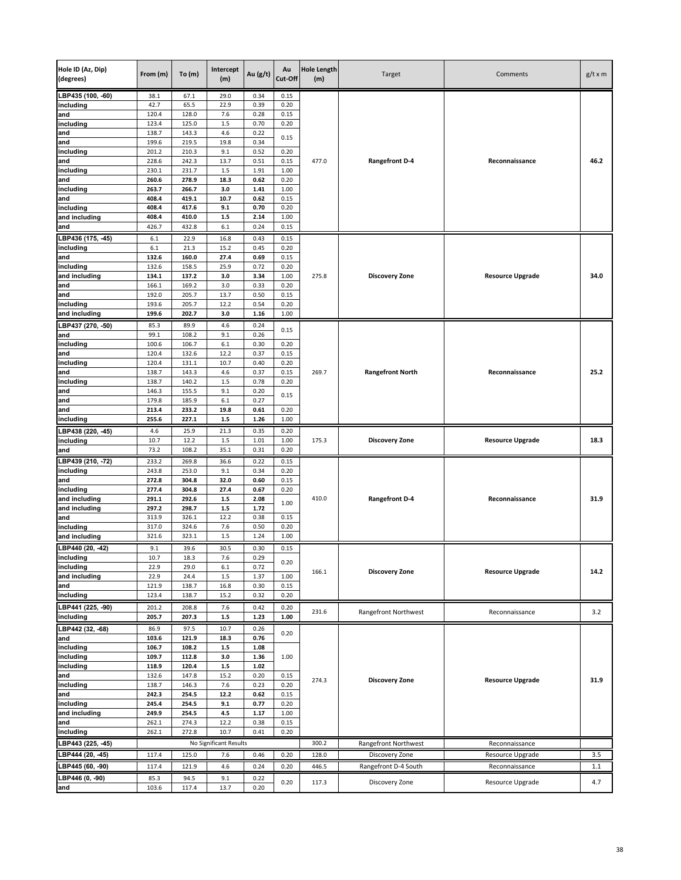| Hole ID (Az, Dip)<br>(degrees) | From (m)       | To(m)          | Intercept<br>(m)       | Au (g/t)     | Au<br>Cut-Off | <b>Hole Length</b><br>(m) | Target                  | Comments                | $g/t \times m$ |
|--------------------------------|----------------|----------------|------------------------|--------------|---------------|---------------------------|-------------------------|-------------------------|----------------|
| LBP435 (100, -60)              | 38.1           | 67.1           | 29.0                   | 0.34         | 0.15          |                           |                         |                         |                |
| including                      | 42.7           | 65.5           | 22.9                   | 0.39         | 0.20          |                           |                         |                         |                |
| and                            | 120.4<br>123.4 | 128.0<br>125.0 | 7.6<br>1.5             | 0.28<br>0.70 | 0.15<br>0.20  |                           |                         |                         |                |
| including<br>and               | 138.7          | 143.3          | 4.6                    | 0.22         |               |                           |                         |                         |                |
| and                            | 199.6          | 219.5          | 19.8                   | 0.34         | 0.15          |                           |                         |                         |                |
| including                      | 201.2          | 210.3          | 9.1                    | 0.52         | 0.20          |                           |                         |                         |                |
| and                            | 228.6          | 242.3          | 13.7                   | 0.51         | 0.15          | 477.0                     | <b>Rangefront D-4</b>   | Reconnaissance          | 46.2           |
| including                      | 230.1          | 231.7          | 1.5                    | 1.91         | 1.00          |                           |                         |                         |                |
| and                            | 260.6          | 278.9          | 18.3                   | 0.62         | 0.20          |                           |                         |                         |                |
| including<br>and               | 263.7<br>408.4 | 266.7<br>419.1 | 3.0<br>10.7            | 1.41<br>0.62 | 1.00<br>0.15  |                           |                         |                         |                |
| including                      | 408.4          | 417.6          | 9.1                    | 0.70         | 0.20          |                           |                         |                         |                |
| and including                  | 408.4          | 410.0          | $1.5$                  | 2.14         | 1.00          |                           |                         |                         |                |
| and                            | 426.7          | 432.8          | 6.1                    | 0.24         | 0.15          |                           |                         |                         |                |
| LBP436 (175, -45)              | 6.1            | 22.9           | 16.8                   | 0.43         | 0.15          |                           |                         |                         |                |
| including                      | 6.1            | 21.3           | 15.2                   | 0.45         | 0.20          |                           |                         |                         |                |
| and                            | 132.6          | 160.0          | 27.4                   | 0.69         | 0.15          |                           |                         |                         |                |
| including                      | 132.6          | 158.5          | 25.9                   | 0.72         | 0.20          |                           |                         |                         |                |
| and including                  | 134.1          | 137.2          | 3.0                    | 3.34         | 1.00          | 275.8                     | <b>Discovery Zone</b>   | <b>Resource Upgrade</b> | 34.0           |
| and<br>and                     | 166.1<br>192.0 | 169.2<br>205.7 | 3.0<br>13.7            | 0.33<br>0.50 | 0.20<br>0.15  |                           |                         |                         |                |
| including                      | 193.6          | 205.7          | 12.2                   | 0.54         | 0.20          |                           |                         |                         |                |
| and including                  | 199.6          | 202.7          | 3.0                    | 1.16         | 1.00          |                           |                         |                         |                |
| LBP437 (270, -50)              | 85.3           | 89.9           | 4.6                    | 0.24         |               |                           |                         |                         |                |
| and                            | 99.1           | 108.2          | 9.1                    | 0.26         | 0.15          |                           |                         |                         |                |
| including                      | 100.6          | 106.7          | 6.1                    | 0.30         | 0.20          |                           |                         |                         |                |
| and                            | 120.4          | 132.6          | 12.2                   | 0.37         | 0.15          |                           |                         |                         |                |
| including                      | 120.4          | 131.1          | 10.7                   | 0.40         | 0.20          |                           |                         |                         |                |
| and                            | 138.7<br>138.7 | 143.3<br>140.2 | 4.6<br>1.5             | 0.37<br>0.78 | 0.15<br>0.20  | 269.7                     | <b>Rangefront North</b> | Reconnaissance          | 25.2           |
| including<br>and               | 146.3          | 155.5          | 9.1                    | 0.20         |               |                           |                         |                         |                |
| and                            | 179.8          | 185.9          | 6.1                    | 0.27         | 0.15          |                           |                         |                         |                |
| and                            | 213.4          | 233.2          | 19.8                   | 0.61         | 0.20          |                           |                         |                         |                |
| including                      | 255.6          | 227.1          | $1.5$                  | 1.26         | 1.00          |                           |                         |                         |                |
| LBP438 (220, -45)              | 4.6            | 25.9           | 21.3                   | 0.35         | 0.20          |                           |                         |                         |                |
| including                      | 10.7           | 12.2           | $1.5\,$                | 1.01         | 1.00          | 175.3                     | <b>Discovery Zone</b>   | <b>Resource Upgrade</b> | 18.3           |
| and                            | 73.2           | 108.2          | 35.1                   | 0.31         | 0.20          |                           |                         |                         |                |
| LBP439 (210, -72)              | 233.2          | 269.8          | 36.6                   | 0.22         | 0.15          |                           |                         |                         |                |
| including                      | 243.8          | 253.0          | 9.1                    | 0.34         | 0.20          |                           |                         |                         |                |
| and<br>including               | 272.8<br>277.4 | 304.8<br>304.8 | 32.0<br>27.4           | 0.60<br>0.67 | 0.15<br>0.20  |                           |                         |                         |                |
| and including                  | 291.1          | 292.6          | $1.5$                  | 2.08         |               | 410.0                     | <b>Rangefront D-4</b>   | Reconnaissance          | 31.9           |
| and including                  | 297.2          | 298.7          | $1.5\,$                | 1.72         | 1.00          |                           |                         |                         |                |
| and                            | 313.9          | 326.1          | 12.2                   | 0.38         | 0.15          |                           |                         |                         |                |
| including                      | 317.0          | 324.6          | 7.6                    | 0.50         | 0.20          |                           |                         |                         |                |
| and including                  | 321.6          | 323.1          | 1.5                    | 1.24         | 1.00          |                           |                         |                         |                |
| LBP440 (20, -42)               | 9.1            | 39.6           | 30.5                   | 0.30         | 0.15          |                           |                         |                         |                |
| including                      | 10.7           | 18.3           | 7.6                    | 0.29         | 0.20          |                           |                         |                         |                |
| including                      | 22.9           | 29.0           | 6.1                    | 0.72         |               | 166.1                     | <b>Discovery Zone</b>   | <b>Resource Upgrade</b> | 14.2           |
| and including<br>and           | 22.9<br>121.9  | 24.4<br>138.7  | $1.5\,$<br>16.8        | 1.37<br>0.30 | 1.00<br>0.15  |                           |                         |                         |                |
| including                      | 123.4          | 138.7          | 15.2                   | 0.32         | 0.20          |                           |                         |                         |                |
| LBP441 (225, -90)              | 201.2          | 208.8          | 7.6                    | 0.42         | 0.20          |                           |                         |                         |                |
| including                      | 205.7          | 207.3          | $1.5\,$                | 1.23         | 1.00          | 231.6                     | Rangefront Northwest    | Reconnaissance          | 3.2            |
| LBP442 (32, -68)               | 86.9           | 97.5           | 10.7                   | 0.26         |               |                           |                         |                         |                |
| and                            | 103.6          | 121.9          | 18.3                   | 0.76         | 0.20          |                           |                         |                         |                |
| including                      | 106.7          | 108.2          | $1.5\,$                | 1.08         |               |                           |                         |                         |                |
| including                      | 109.7          | 112.8          | 3.0                    | 1.36         | 1.00          |                           |                         |                         |                |
| including                      | 118.9          | 120.4          | $1.5\,$                | 1.02         |               |                           |                         |                         |                |
| and                            | 132.6          | 147.8          | 15.2                   | 0.20         | 0.15          | 274.3                     | <b>Discovery Zone</b>   | <b>Resource Upgrade</b> | 31.9           |
| including<br>and               | 138.7<br>242.3 | 146.3<br>254.5 | 7.6<br>12.2            | 0.23<br>0.62 | 0.20<br>0.15  |                           |                         |                         |                |
| including                      | 245.4          | 254.5          | 9.1                    | 0.77         | 0.20          |                           |                         |                         |                |
| and including                  | 249.9          | 254.5          | 4.5                    | 1.17         | 1.00          |                           |                         |                         |                |
| and                            | 262.1          | 274.3          | 12.2                   | 0.38         | 0.15          |                           |                         |                         |                |
| including                      | 262.1          | 272.8          | 10.7                   | 0.41         | 0.20          |                           |                         |                         |                |
| LBP443 (225, -45)              |                |                | No Significant Results |              |               | 300.2                     | Rangefront Northwest    | Reconnaissance          |                |
| LBP444 (20, -45)               | 117.4          | 125.0          | 7.6                    | 0.46         | 0.20          | 128.0                     | Discovery Zone          | Resource Upgrade        | 3.5            |
| LBP445 (60, -90)               | 117.4          | 121.9          | 4.6                    | 0.24         | 0.20          | 446.5                     | Rangefront D-4 South    | Reconnaissance          | 1.1            |
| LBP446 (0, -90)                | 85.3           | 94.5           | 9.1                    | 0.22         |               |                           |                         |                         |                |
| and                            | 103.6          | 117.4          | 13.7                   | 0.20         | 0.20          | 117.3                     | Discovery Zone          | Resource Upgrade        | 4.7            |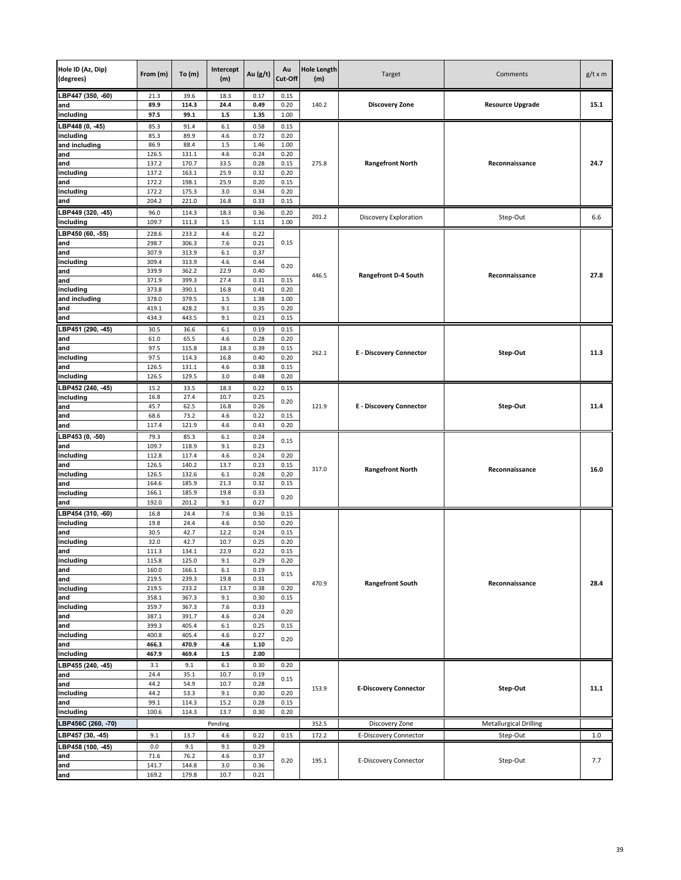| Hole ID (Az, Dip)<br>(degrees) | From (m)       | To $(m)$       | Intercept<br>(m) | Au $(g/t)$   | Au<br>Cut-Off | <b>Hole Length</b><br>(m) | Target                         | Comments                      | $g/t \times m$ |
|--------------------------------|----------------|----------------|------------------|--------------|---------------|---------------------------|--------------------------------|-------------------------------|----------------|
| LBP447 (350, -60)              | 21.3           | 39.6           | 18.3             | 0.17         | 0.15          |                           |                                |                               |                |
| and<br>including               | 89.9<br>97.5   | 114.3<br>99.1  | 24.4<br>$1.5\,$  | 0.49<br>1.35 | 0.20<br>1.00  | 140.2                     | <b>Discovery Zone</b>          | <b>Resource Upgrade</b>       | 15.1           |
| LBP448 (0, -45)                | 85.3           | 91.4           | 6.1              | 0.58         | 0.15          |                           |                                |                               |                |
| including                      | 85.3           | 89.9           | 4.6              | 0.72         | 0.20          |                           |                                |                               |                |
| and including                  | 86.9           | 88.4           | 1.5              | 1.46         | 1.00          |                           |                                |                               |                |
| and                            | 126.5          | 131.1          | 4.6              | 0.24         | 0.20          |                           |                                |                               |                |
| and<br>including               | 137.2<br>137.2 | 170.7<br>163.1 | 33.5<br>25.9     | 0.28<br>0.32 | 0.15<br>0.20  | 275.8                     | <b>Rangefront North</b>        | Reconnaissance                | 24.7           |
| and                            | 172.2          | 198.1          | 25.9             | 0.20         | 0.15          |                           |                                |                               |                |
| including                      | 172.2          | 175.3          | 3.0              | 0.34         | 0.20          |                           |                                |                               |                |
| and                            | 204.2          | 221.0          | 16.8             | 0.33         | 0.15          |                           |                                |                               |                |
| LBP449 (320, -45)              | 96.0           | 114.3          | 18.3             | 0.36         | 0.20          | 201.2                     | Discovery Exploration          | Step-Out                      | 6.6            |
| including                      | 109.7          | 111.3          | $1.5\,$          | 1.11         | 1.00          |                           |                                |                               |                |
| LBP450 (60, -55)               | 228.6          | 233.2          | 4.6              | 0.22         |               |                           |                                |                               |                |
| and                            | 298.7<br>307.9 | 306.3<br>313.9 | 7.6<br>6.1       | 0.21<br>0.37 | 0.15          |                           |                                |                               |                |
| and<br>including               | 309.4          | 313.9          | 4.6              | 0.44         |               |                           |                                |                               |                |
| and                            | 339.9          | 362.2          | 22.9             | 0.40         | 0.20          |                           |                                |                               |                |
| and                            | 371.9          | 399.3          | 27.4             | 0.31         | 0.15          | 446.5                     | <b>Rangefront D-4 South</b>    | Reconnaissance                | 27.8           |
| including                      | 373.8          | 390.1          | 16.8             | 0.41         | 0.20          |                           |                                |                               |                |
| and including<br>and           | 378.0<br>419.1 | 379.5<br>428.2 | 1.5<br>9.1       | 1.38<br>0.35 | 1.00<br>0.20  |                           |                                |                               |                |
| and                            | 434.3          | 443.5          | 9.1              | 0.23         | 0.15          |                           |                                |                               |                |
| LBP451 (290, -45)              | 30.5           | 36.6           | 6.1              | 0.19         | 0.15          |                           |                                |                               |                |
| and                            | 61.0           | 65.5           | 4.6              | 0.28         | 0.20          |                           |                                |                               |                |
| and                            | 97.5           | 115.8          | 18.3             | 0.39         | 0.15          | 262.1                     | <b>E</b> - Discovery Connector | Step-Out                      | 11.3           |
| including                      | 97.5           | 114.3          | 16.8             | 0.40         | 0.20          |                           |                                |                               |                |
| and<br>including               | 126.5<br>126.5 | 131.1<br>129.5 | 4.6<br>3.0       | 0.38<br>0.48 | 0.15<br>0.20  |                           |                                |                               |                |
| LBP452 (240, -45)              | 15.2           | 33.5           | 18.3             | 0.22         | 0.15          |                           |                                |                               |                |
| including                      | 16.8           | 27.4           | 10.7             | 0.25         |               |                           |                                |                               |                |
| and                            | 45.7           | 62.5           | 16.8             | 0.26         | 0.20          | 121.9                     | <b>E</b> - Discovery Connector | Step-Out                      | 11.4           |
| and                            | 68.6           | 73.2           | 4.6              | 0.22         | 0.15          |                           |                                |                               |                |
| and                            | 117.4          | 121.9          | 4.6              | 0.43         | 0.20          |                           |                                |                               |                |
| BP453 (0, -50)<br>and          | 79.3<br>109.7  | 85.3<br>118.9  | 6.1<br>9.1       | 0.24<br>0.23 | 0.15          |                           |                                |                               |                |
| including                      | 112.8          | 117.4          | 4.6              | 0.24         | 0.20          |                           |                                |                               |                |
| and                            | 126.5          | 140.2          | 13.7             | 0.23         | 0.15          |                           |                                |                               |                |
| including                      | 126.5          | 132.6          | $6.1\,$          | 0.28         | 0.20          | 317.0                     | <b>Rangefront North</b>        | Reconnaissance                | 16.0           |
| and                            | 164.6          | 185.9          | 21.3             | 0.32         | 0.15          |                           |                                |                               |                |
| including<br>and               | 166.1<br>192.0 | 185.9<br>201.2 | 19.8<br>9.1      | 0.33<br>0.27 | 0.20          |                           |                                |                               |                |
| LBP454 (310, -60)              | 16.8           | 24.4           | 7.6              | 0.36         | 0.15          |                           |                                |                               |                |
| including                      | 19.8           | 24.4           | 4.6              | 0.50         | 0.20          |                           |                                |                               |                |
| and                            | 30.5           | 42.7           | 12.2             | 0.24         | 0.15          |                           |                                |                               |                |
| including                      | 32.0           | 42.7           | 10.7             | 0.25         | 0.20          |                           |                                |                               |                |
| and<br>including               | 111.3<br>115.8 | 134.1<br>125.0 | 22.9<br>9.1      | 0.22<br>0.29 | 0.15<br>0.20  |                           |                                |                               |                |
| and                            | 160.0          | 166.1          | $6.1\,$          | 0.19         |               |                           |                                |                               |                |
| and                            | 219.5          | 239.3          | 19.8             | 0.31         | 0.15          | 470.9                     | <b>Rangefront South</b>        | Reconnaissance                | 28.4           |
| including                      | 219.5          | 233.2          | 13.7             | 0.38         | 0.20          |                           |                                |                               |                |
| and                            | 358.1<br>359.7 | 367.3          | 9.1<br>7.6       | 0.30<br>0.33 | 0.15          |                           |                                |                               |                |
| including<br>and               | 387.1          | 367.3<br>391.7 | 4.6              | 0.24         | 0.20          |                           |                                |                               |                |
| and                            | 399.3          | 405.4          | 6.1              | 0.25         | 0.15          |                           |                                |                               |                |
| including                      | 400.8          | 405.4          | 4.6              | 0.27         | 0.20          |                           |                                |                               |                |
| and                            | 466.3          | 470.9          | 4.6              | 1.10         |               |                           |                                |                               |                |
| including                      | 467.9          | 469.4          | $1.5\,$          | 2.00         |               |                           |                                |                               |                |
| LBP455 (240, -45)<br>and       | 3.1<br>24.4    | 9.1<br>35.1    | 6.1<br>10.7      | 0.30<br>0.19 | 0.20          |                           |                                |                               |                |
| and                            | 44.2           | 54.9           | 10.7             | 0.28         | 0.15          |                           |                                |                               |                |
| including                      | 44.2           | 53.3           | 9.1              | 0.30         | 0.20          | 153.9                     | <b>E-Discovery Connector</b>   | Step-Out                      | 11.1           |
| and                            | 99.1           | 114.3          | 15.2             | 0.28         | 0.15          |                           |                                |                               |                |
| including                      | 100.6          | 114.3          | 13.7             | 0.30         | 0.20          |                           |                                |                               |                |
| LBP456C (260, -70)             |                |                | Pending          |              |               | 352.5                     | Discovery Zone                 | <b>Metallurgical Drilling</b> |                |
| LBP457 (30, 45)                | 9.1            | 13.7           | 4.6              | 0.22         | 0.15          | 172.2                     | <b>E-Discovery Connector</b>   | Step-Out                      | 1.0            |
| LBP458 (100, -45)              | 0.0            | 9.1            | 9.1              | 0.29         |               |                           |                                |                               |                |
| and<br>and                     | 71.6<br>141.7  | 76.2<br>144.8  | 4.6<br>3.0       | 0.37<br>0.36 | 0.20          | 195.1                     | E-Discovery Connector          | Step-Out                      | 7.7            |
| and                            | 169.2          | 179.8          | 10.7             | 0.21         |               |                           |                                |                               |                |
|                                |                |                |                  |              |               |                           |                                |                               |                |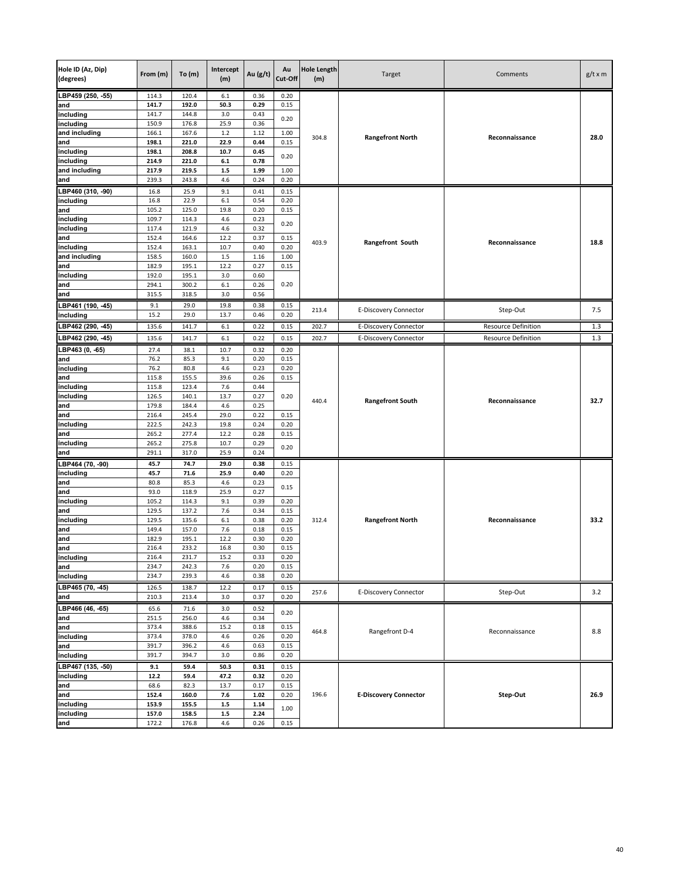| Hole ID (Az, Dip)<br>(degrees) | From (m)       | To(m)          | Intercept<br>(m) | Au (g/t)     | Au<br>Cut-Off | <b>Hole Length</b><br>(m) | Target                       | Comments                   | $g/t \times m$ |
|--------------------------------|----------------|----------------|------------------|--------------|---------------|---------------------------|------------------------------|----------------------------|----------------|
| LBP459 (250, -55)              | 114.3          | 120.4          | 6.1              | 0.36         | 0.20          |                           |                              |                            |                |
| and                            | 141.7          | 192.0          | 50.3             | 0.29         | 0.15          |                           |                              |                            |                |
| including                      | 141.7          | 144.8          | 3.0              | 0.43         | 0.20          |                           |                              |                            |                |
| including<br>and including     | 150.9<br>166.1 | 176.8<br>167.6 | 25.9<br>$1.2$    | 0.36<br>1.12 | 1.00          |                           |                              |                            |                |
| and                            | 198.1          | 221.0          | 22.9             | 0.44         | 0.15          | 304.8                     | <b>Rangefront North</b>      | Reconnaissance             | 28.0           |
| including                      | 198.1          | 208.8          | 10.7             | 0.45         |               |                           |                              |                            |                |
| including                      | 214.9          | 221.0          | 6.1              | 0.78         | 0.20          |                           |                              |                            |                |
| and including                  | 217.9          | 219.5          | $1.5\,$          | 1.99         | 1.00          |                           |                              |                            |                |
| and                            | 239.3          | 243.8          | 4.6              | 0.24         | 0.20          |                           |                              |                            |                |
| LBP460 (310, 90)               | 16.8           | 25.9           | 9.1              | 0.41         | 0.15          |                           |                              |                            |                |
| including                      | 16.8           | 22.9           | 6.1              | 0.54         | 0.20          |                           |                              |                            |                |
| and                            | 105.2          | 125.0          | 19.8             | 0.20         | 0.15          |                           |                              |                            |                |
| including                      | 109.7          | 114.3          | 4.6              | 0.23         | 0.20          |                           |                              |                            |                |
| including                      | 117.4          | 121.9          | 4.6              | 0.32         |               |                           |                              |                            |                |
| and<br>including               | 152.4<br>152.4 | 164.6<br>163.1 | 12.2<br>10.7     | 0.37<br>0.40 | 0.15<br>0.20  | 403.9                     | Rangefront South             | Reconnaissance             | 18.8           |
| and including                  | 158.5          | 160.0          | $1.5\,$          | 1.16         | 1.00          |                           |                              |                            |                |
| and                            | 182.9          | 195.1          | 12.2             | 0.27         | 0.15          |                           |                              |                            |                |
| including                      | 192.0          | 195.1          | 3.0              | 0.60         |               |                           |                              |                            |                |
| and                            | 294.1          | 300.2          | 6.1              | 0.26         | 0.20          |                           |                              |                            |                |
| and                            | 315.5          | 318.5          | 3.0              | 0.56         |               |                           |                              |                            |                |
| LBP461 (190, -45)              | 9.1            | 29.0           | 19.8             | 0.38         | 0.15          | 213.4                     | E-Discovery Connector        | Step-Out                   | 7.5            |
| including                      | 15.2           | 29.0           | 13.7             | 0.46         | 0.20          |                           |                              |                            |                |
| LBP462 (290, -45)              | 135.6          | 141.7          | 6.1              | 0.22         | 0.15          | 202.7                     | E-Discovery Connector        | <b>Resource Definition</b> | 1.3            |
| LBP462 (290, -45)              | 135.6          | 141.7          | 6.1              | 0.22         | 0.15          | 202.7                     | <b>E-Discovery Connector</b> | Resource Definition        | 1.3            |
| LBP463 (0, -65)                | 27.4           | 38.1           | 10.7             | 0.32         | 0.20          |                           |                              |                            |                |
| and                            | 76.2           | 85.3           | 9.1              | 0.20         | 0.15          |                           |                              |                            |                |
| including                      | 76.2           | 80.8           | 4.6              | 0.23         | 0.20          |                           |                              | Reconnaissance             |                |
| and                            | 115.8          | 155.5          | 39.6             | 0.26         | 0.15          |                           |                              |                            |                |
| including                      | 115.8          | 123.4          | 7.6              | 0.44         |               |                           |                              |                            |                |
| including                      | 126.5          | 140.1          | 13.7             | 0.27         | 0.20          | 440.4                     | <b>Rangefront South</b>      |                            | 32.7           |
| and<br>and                     | 179.8<br>216.4 | 184.4<br>245.4 | 4.6<br>29.0      | 0.25<br>0.22 | 0.15          |                           |                              |                            |                |
| including                      | 222.5          | 242.3          | 19.8             | 0.24         | 0.20          |                           |                              |                            |                |
| and                            | 265.2          | 277.4          | 12.2             | 0.28         | 0.15          |                           |                              |                            |                |
| including                      | 265.2          | 275.8          | 10.7             | 0.29         |               |                           |                              |                            |                |
| and                            | 291.1          | 317.0          | 25.9             | 0.24         | 0.20          |                           |                              |                            |                |
| LBP464 (70, -90)               | 45.7           | 74.7           | 29.0             | 0.38         | 0.15          |                           |                              |                            |                |
| including                      | 45.7           | 71.6           | 25.9             | 0.40         | 0.20          |                           |                              |                            |                |
| and                            | 80.8           | 85.3           | 4.6              | 0.23         | 0.15          |                           |                              |                            |                |
| and                            | 93.0           | 118.9          | 25.9             | 0.27         |               |                           |                              |                            |                |
| including                      | 105.2          | 114.3          | 9.1              | 0.39         | 0.20          |                           |                              |                            |                |
| and<br>including               | 129.5<br>129.5 | 137.2<br>135.6 | 7.6<br>$6.1\,$   | 0.34<br>0.38 | 0.15<br>0.20  | 312.4                     | <b>Rangefront North</b>      | Reconnaissance             | 33.2           |
| and                            | 149.4          | 157.0          | 7.6              | 0.18         | 0.15          |                           |                              |                            |                |
| and                            | 182.9          | 195.1          | 12.2             | 0.30         | 0.20          |                           |                              |                            |                |
| and                            | 216.4          | 233.2          | 16.8             | 0.30         | 0.15          |                           |                              |                            |                |
| including                      | 216.4          | 231.7          | 15.2             | 0.33         | 0.20          |                           |                              |                            |                |
| and                            | 234.7          | 242.3          | 7.6              | 0.20         | 0.15          |                           |                              |                            |                |
| including                      | 234.7          | 239.3          | 4.6              | 0.38         | 0.20          |                           |                              |                            |                |
| LBP465 (70, -45)               | 126.5          | 138.7          | 12.2             | 0.17         | 0.15          | 257.6                     | E-Discovery Connector        | Step-Out                   | 3.2            |
| and                            | 210.3          | 213.4          | 3.0              | 0.37         | 0.20          |                           |                              |                            |                |
| LBP466 (46, -65)               | 65.6           | 71.6           | 3.0              | 0.52         | 0.20          |                           |                              |                            |                |
| and                            | 251.5          | 256.0          | 4.6              | 0.34         |               |                           |                              |                            |                |
| and                            | 373.4          | 388.6          | 15.2             | 0.18         | 0.15          | 464.8                     | Rangefront D-4               | Reconnaissance             | 8.8            |
| including                      | 373.4          | 378.0          | 4.6              | 0.26         | 0.20          |                           |                              |                            |                |
| and<br>including               | 391.7<br>391.7 | 396.2<br>394.7 | 4.6<br>3.0       | 0.63<br>0.86 | 0.15<br>0.20  |                           |                              |                            |                |
| LBP467 (135, -50)              | 9.1            | 59.4           | 50.3             | 0.31         | 0.15          |                           |                              |                            |                |
| including                      | 12.2           | 59.4           | 47.2             | 0.32         | 0.20          |                           |                              |                            |                |
| and                            | 68.6           | 82.3           | 13.7             | 0.17         | 0.15          |                           |                              |                            |                |
| and                            | 152.4          | 160.0          | 7.6              | 1.02         | 0.20          | 196.6                     | <b>E-Discovery Connector</b> | Step-Out                   | 26.9           |
| including                      | 153.9          | 155.5          | $1.5\,$          | 1.14         |               |                           |                              |                            |                |
| including                      | 157.0          | 158.5          | $1.5\,$          | 2.24         | 1.00          |                           |                              |                            |                |
| and                            | 172.2          | 176.8          | 4.6              | 0.26         | 0.15          |                           |                              |                            |                |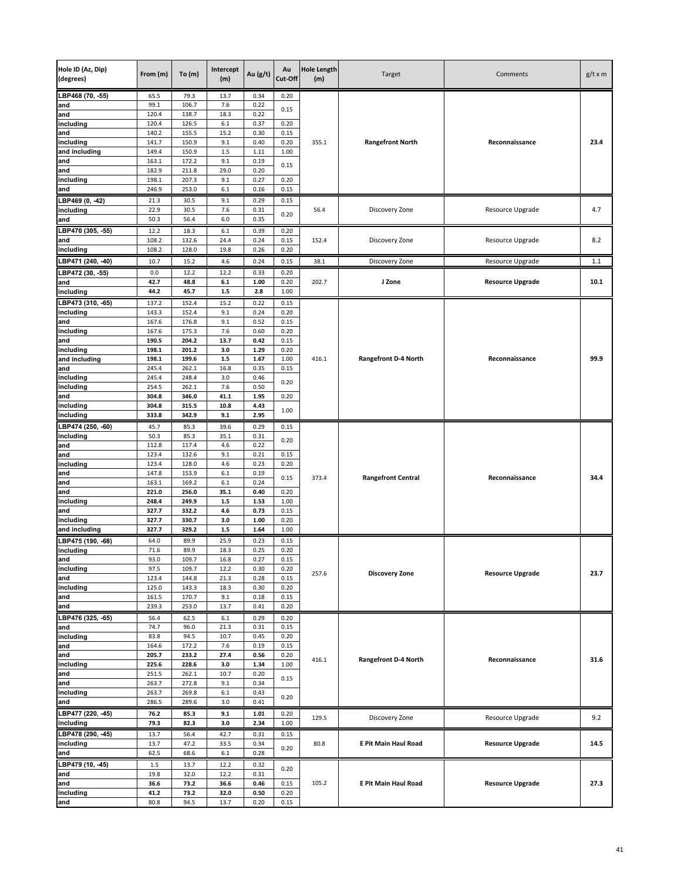| Hole ID (Az, Dip)<br>(degrees) | From (m)       | To(m)          | Intercept<br>(m) | Au (g/t)     | Au<br>Cut-Off | <b>Hole Length</b><br>(m) | Target                      | Comments                | $g/t \times m$ |
|--------------------------------|----------------|----------------|------------------|--------------|---------------|---------------------------|-----------------------------|-------------------------|----------------|
| LBP468 (70, -55)               | 65.5           | 79.3           | 13.7             | 0.34         | 0.20          |                           |                             |                         |                |
| and                            | 99.1           | 106.7          | 7.6              | 0.22         | 0.15          |                           |                             |                         |                |
| and                            | 120.4          | 138.7          | 18.3             | 0.22         |               |                           |                             |                         |                |
| including<br>and               | 120.4<br>140.2 | 126.5<br>155.5 | $6.1\,$<br>15.2  | 0.37<br>0.30 | 0.20<br>0.15  |                           |                             |                         |                |
| including                      | 141.7          | 150.9          | 9.1              | 0.40         | 0.20          | 355.1                     | <b>Rangefront North</b>     | Reconnaissance          | 23.4           |
| and including                  | 149.4          | 150.9          | $1.5\,$          | 1.11         | 1.00          |                           |                             |                         |                |
| and                            | 163.1          | 172.2          | 9.1              | 0.19         |               |                           |                             |                         |                |
| and                            | 182.9          | 211.8          | 29.0             | 0.20         | 0.15          |                           |                             |                         |                |
| including                      | 198.1          | 207.3          | 9.1              | 0.27         | 0.20          |                           |                             |                         |                |
| and                            | 246.9          | 253.0          | $6.1\,$          | 0.16         | 0.15          |                           |                             |                         |                |
| LBP469 (0, -42)                | 21.3           | 30.5           | 9.1              | 0.29         | 0.15          |                           |                             |                         |                |
| including                      | 22.9           | 30.5           | 7.6              | 0.31         | 0.20          | 56.4                      | Discovery Zone              | Resource Upgrade        | 4.7            |
| and                            | 50.3           | 56.4           | 6.0              | 0.35         |               |                           |                             |                         |                |
| LBP470 (305, -55)              | 12.2           | 18.3           | 6.1              | 0.39         | 0.20          |                           |                             |                         |                |
| and<br>including               | 108.2<br>108.2 | 132.6<br>128.0 | 24.4<br>19.8     | 0.24<br>0.26 | 0.15<br>0.20  | 152.4                     | Discovery Zone              | Resource Upgrade        | 8.2            |
|                                |                |                |                  |              |               |                           |                             |                         |                |
| LBP471 (240, -40)              | 10.7           | 15.2           | 4.6              | 0.24         | 0.15          | 38.1                      | Discovery Zone              | Resource Upgrade        | 1.1            |
| LBP472 (30, -55)               | 0.0<br>42.7    | 12.2<br>48.8   | 12.2<br>$6.1\,$  | 0.33<br>1.00 | 0.20<br>0.20  | 202.7                     | J Zone                      | <b>Resource Upgrade</b> | 10.1           |
| and<br>including               | 44.2           | 45.7           | $1.5\,$          | 2.8          | 1.00          |                           |                             |                         |                |
| BP473 (310, -65)               | 137.2          | 152.4          | 15.2             | 0.22         | 0.15          |                           |                             |                         |                |
| including                      | 143.3          | 152.4          | 9.1              | 0.24         | 0.20          |                           |                             |                         |                |
| and                            | 167.6          | 176.8          | 9.1              | 0.52         | 0.15          |                           |                             |                         |                |
| including                      | 167.6          | 175.3          | 7.6              | 0.60         | 0.20          |                           |                             |                         |                |
| and                            | 190.5          | 204.2          | 13.7             | 0.42         | 0.15          |                           |                             |                         |                |
| including                      | 198.1          | 201.2          | 3.0              | 1.29         | 0.20          |                           |                             |                         |                |
| and including                  | 198.1          | 199.6          | $1.5\,$          | 1.67         | 1.00          | 416.1                     | <b>Rangefront D-4 North</b> | Reconnaissance          | 99.9           |
| and                            | 245.4          | 262.1          | 16.8             | 0.35         | 0.15          |                           |                             |                         |                |
| including<br>including         | 245.4<br>254.5 | 248.4<br>262.1 | 3.0<br>7.6       | 0.46<br>0.50 | 0.20          |                           |                             |                         |                |
| and                            | 304.8          | 346.0          | 41.1             | 1.95         | 0.20          |                           |                             |                         |                |
| including                      | 304.8          | 315.5          | 10.8             | 4.43         |               |                           |                             |                         |                |
| including                      | 333.8          | 342.9          | 9.1              | 2.95         | 1.00          |                           |                             |                         |                |
| LBP474 (250, -60)              | 45.7           | 85.3           | 39.6             | 0.29         | 0.15          |                           |                             |                         |                |
| including                      | 50.3           | 85.3           | 35.1             | 0.31         | 0.20          |                           |                             |                         |                |
| and                            | 112.8          | 117.4          | 4.6              | 0.22         |               |                           |                             |                         |                |
| and                            | 123.4          | 132.6          | 9.1              | 0.21         | 0.15          |                           |                             |                         |                |
| including<br>and               | 123.4<br>147.8 | 128.0<br>153.9 | 4.6<br>$6.1\,$   | 0.23<br>0.19 | 0.20          |                           |                             |                         |                |
| and                            | 163.1          | 169.2          | $6.1\,$          | 0.24         | 0.15          | 373.4                     | <b>Rangefront Central</b>   | Reconnaissance          | 34.4           |
| and                            | 221.0          | 256.0          | 35.1             | 0.40         | 0.20          |                           |                             |                         |                |
| including                      | 248.4          | 249.9          | $1.5\,$          | 1.53         | 1.00          |                           |                             |                         |                |
| and                            | 327.7          | 332.2          | 4.6              | 0.73         | 0.15          |                           |                             |                         |                |
| including                      | 327.7          | 330.7          | 3.0              | 1.00         | 0.20          |                           |                             |                         |                |
| and including                  | 327.7          | 329.2          | $1.5\,$          | 1.64         | 1.00          |                           |                             |                         |                |
| LBP475 (190, -68)              | 64.0           | 89.9           | 25.9             | 0.23         | 0.15          |                           |                             |                         |                |
| including                      | 71.6           | 89.9           | 18.3             | 0.25         | 0.20          |                           |                             |                         |                |
| and<br>including               | 93.0<br>97.5   | 109.7<br>109.7 | 16.8<br>12.2     | 0.27<br>0.30 | 0.15<br>0.20  |                           |                             |                         |                |
| and                            | 123.4          | 144.8          | 21.3             | 0.28         | 0.15          | 257.6                     | <b>Discovery Zone</b>       | <b>Resource Upgrade</b> | 23.7           |
| including                      | 125.0          | 143.3          | 18.3             | 0.30         | 0.20          |                           |                             |                         |                |
| and                            | 161.5          | 170.7          | 9.1              | 0.18         | 0.15          |                           |                             |                         |                |
| and                            | 239.3          | 253.0          | 13.7             | 0.41         | 0.20          |                           |                             |                         |                |
| LBP476 (325, -65)              | 56.4           | 62.5           | $6.1\,$          | 0.29         | 0.20          |                           |                             |                         |                |
| and                            | 74.7           | 96.0           | 21.3             | 0.31         | 0.15          |                           |                             |                         |                |
| including                      | 83.8           | 94.5           | 10.7             | 0.45         | 0.20          |                           |                             |                         |                |
| and<br>and                     | 164.6<br>205.7 | 172.2<br>233.2 | 7.6<br>27.4      | 0.19<br>0.56 | 0.15<br>0.20  |                           |                             |                         |                |
| including                      | 225.6          | 228.6          | 3.0              | 1.34         | 1.00          | 416.1                     | <b>Rangefront D-4 North</b> | Reconnaissance          | 31.6           |
| and                            | 251.5          | 262.1          | 10.7             | 0.20         |               |                           |                             |                         |                |
| and                            | 263.7          | 272.8          | 9.1              | 0.34         | 0.15          |                           |                             |                         |                |
| including                      | 263.7          | 269.8          | $6.1\,$          | 0.43         | 0.20          |                           |                             |                         |                |
| and                            | 286.5          | 289.6          | 3.0              | 0.41         |               |                           |                             |                         |                |
| LBP477 (220, -45)              | 76.2           | 85.3           | 9.1              | 1.01         | 0.20          | 129.5                     | Discovery Zone              | Resource Upgrade        | 9.2            |
| including                      | 79.3           | 82.3           | 3.0              | 2.34         | 1.00          |                           |                             |                         |                |
| LBP478 (290, -45)              | 13.7           | 56.4           | 42.7             | 0.31         | 0.15          |                           |                             |                         |                |
| including                      | 13.7           | 47.2           | 33.5             | 0.34         | 0.20          | 80.8                      | <b>E Pit Main Haul Road</b> | <b>Resource Upgrade</b> | 14.5           |
| and                            | 62.5           | 68.6           | $6.1\,$          | 0.28         |               |                           |                             |                         |                |
| LBP479 (10, -45)               | 1.5            | 13.7           | 12.2             | 0.32         | 0.20          |                           |                             |                         |                |
| and                            | 19.8           | 32.0           | 12.2             | 0.31         |               |                           |                             |                         |                |
| and                            | 36.6           | 73.2           | 36.6             | 0.46         | 0.15          | 105.2                     | <b>E Pit Main Haul Road</b> | <b>Resource Upgrade</b> | 27.3           |
| including<br>and               | 41.2<br>80.8   | 73.2<br>94.5   | 32.0<br>13.7     | 0.50<br>0.20 | 0.20<br>0.15  |                           |                             |                         |                |
|                                |                |                |                  |              |               |                           |                             |                         |                |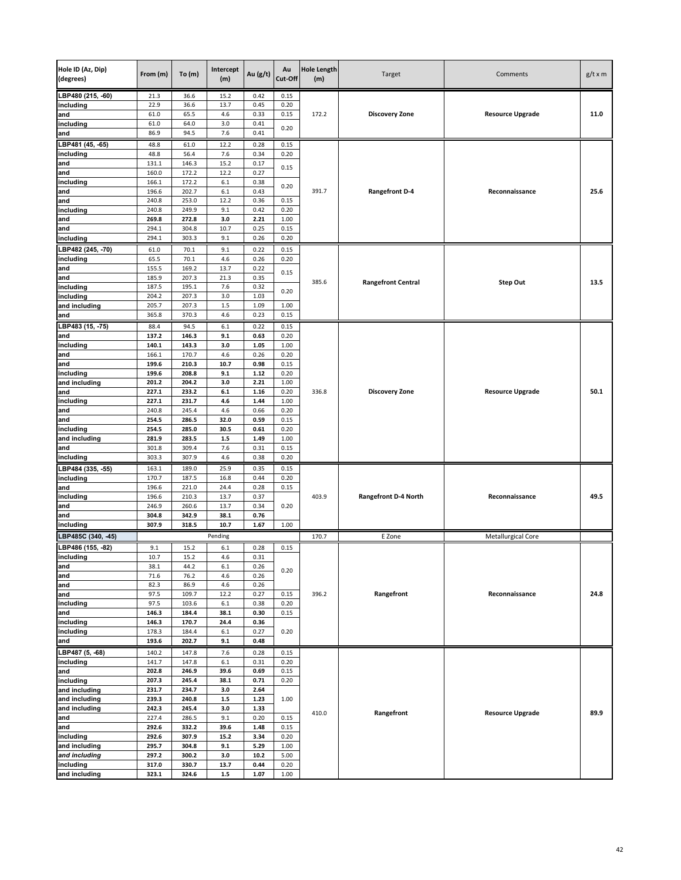| Hole ID (Az, Dip)<br>(degrees) | From (m)       | To(m)          | Intercept<br>(m) | Au (g/t)     | Au<br>Cut-Off | <b>Hole Length</b><br>(m) | Target                      | Comments                  | $g/t \times m$ |
|--------------------------------|----------------|----------------|------------------|--------------|---------------|---------------------------|-----------------------------|---------------------------|----------------|
| LBP480 (215, -60)              | 21.3           | 36.6           | 15.2             | 0.42         | 0.15          |                           |                             |                           |                |
| including                      | 22.9           | 36.6           | 13.7             | 0.45         | 0.20          |                           |                             |                           |                |
| and                            | 61.0           | 65.5           | 4.6              | 0.33         | 0.15          | 172.2                     | <b>Discovery Zone</b>       | <b>Resource Upgrade</b>   | 11.0           |
| including<br>and               | 61.0<br>86.9   | 64.0<br>94.5   | 3.0<br>7.6       | 0.41<br>0.41 | 0.20          |                           |                             |                           |                |
|                                |                |                |                  |              |               |                           |                             |                           |                |
| BP481 (45, -65)<br>including   | 48.8<br>48.8   | 61.0<br>56.4   | 12.2<br>7.6      | 0.28<br>0.34 | 0.15<br>0.20  |                           |                             |                           |                |
| and                            | 131.1          | 146.3          | 15.2             | 0.17         |               |                           |                             |                           |                |
| and                            | 160.0          | 172.2          | 12.2             | 0.27         | 0.15          |                           |                             |                           |                |
| including                      | 166.1          | 172.2          | $6.1\,$          | 0.38         |               |                           |                             |                           |                |
| and                            | 196.6          | 202.7          | 6.1              | 0.43         | 0.20          | 391.7                     | <b>Rangefront D-4</b>       | Reconnaissance            | 25.6           |
| and                            | 240.8          | 253.0          | 12.2             | 0.36         | 0.15          |                           |                             |                           |                |
| including                      | 240.8          | 249.9          | 9.1              | 0.42         | 0.20          |                           |                             |                           |                |
| and                            | 269.8          | 272.8          | 3.0              | 2.21         | 1.00          |                           |                             |                           |                |
| and                            | 294.1          | 304.8          | 10.7             | 0.25         | 0.15          |                           |                             |                           |                |
| including                      | 294.1          | 303.3          | 9.1              | 0.26         | 0.20          |                           |                             |                           |                |
| BP482 (245, -70)               | 61.0           | 70.1           | 9.1              | 0.22         | 0.15          |                           |                             |                           |                |
| including                      | 65.5<br>155.5  | 70.1           | 4.6<br>13.7      | 0.26         | 0.20          |                           |                             |                           |                |
| and<br>and                     | 185.9          | 169.2<br>207.3 | 21.3             | 0.22<br>0.35 | 0.15          |                           |                             |                           |                |
| including                      | 187.5          | 195.1          | 7.6              | 0.32         |               | 385.6                     | <b>Rangefront Central</b>   | Step Out                  | 13.5           |
| including                      | 204.2          | 207.3          | 3.0              | 1.03         | 0.20          |                           |                             |                           |                |
| and including                  | 205.7          | 207.3          | 1.5              | 1.09         | 1.00          |                           |                             |                           |                |
| and                            | 365.8          | 370.3          | 4.6              | 0.23         | 0.15          |                           |                             |                           |                |
| BP483 (15, -75)                | 88.4           | 94.5           | $6.1\,$          | 0.22         | 0.15          |                           |                             |                           |                |
| and                            | 137.2          | 146.3          | 9.1              | 0.63         | 0.20          |                           |                             |                           |                |
| including                      | 140.1          | 143.3          | 3.0              | 1.05         | 1.00          |                           |                             |                           |                |
| and                            | 166.1          | 170.7          | 4.6              | 0.26         | 0.20          |                           |                             |                           |                |
| and                            | 199.6          | 210.3          | 10.7             | 0.98         | 0.15          |                           |                             |                           |                |
| including                      | 199.6          | 208.8          | 9.1              | 1.12         | 0.20          |                           |                             |                           |                |
| and including<br>and           | 201.2<br>227.1 | 204.2<br>233.2 | 3.0<br>$6.1\,$   | 2.21<br>1.16 | 1.00<br>0.20  | 336.8                     | <b>Discovery Zone</b>       | <b>Resource Upgrade</b>   | 50.1           |
| including                      | 227.1          | 231.7          | 4.6              | 1.44         | 1.00          |                           |                             |                           |                |
| and                            | 240.8          | 245.4          | 4.6              | 0.66         | 0.20          |                           |                             |                           |                |
| and                            | 254.5          | 286.5          | 32.0             | 0.59         | 0.15          |                           |                             |                           |                |
| including                      | 254.5          | 285.0          | 30.5             | 0.61         | 0.20          |                           |                             |                           |                |
| and including                  | 281.9          | 283.5          | $1.5\,$          | 1.49         | 1.00          |                           |                             |                           |                |
| and                            | 301.8          | 309.4          | 7.6              | 0.31         | 0.15          |                           |                             |                           |                |
| including                      | 303.3          | 307.9          | 4.6              | 0.38         | 0.20          |                           |                             |                           |                |
| BP484 (335, -55)               | 163.1          | 189.0          | 25.9             | 0.35         | 0.15          |                           |                             |                           |                |
| including                      | 170.7          | 187.5          | 16.8             | 0.44         | 0.20          |                           |                             |                           |                |
| and                            | 196.6          | 221.0          | 24.4             | 0.28         | 0.15          |                           |                             |                           |                |
| including<br>and               | 196.6<br>246.9 | 210.3<br>260.6 | 13.7<br>13.7     | 0.37<br>0.34 | 0.20          | 403.9                     | <b>Rangefront D-4 North</b> | Reconnaissance            | 49.5           |
| and                            | 304.8          | 342.9          | 38.1             | 0.76         |               |                           |                             |                           |                |
| including                      | 307.9          | 318.5          | 10.7             | 1.67         | 1.00          |                           |                             |                           |                |
| LBP485C (340, -45)             |                |                | Pending          |              |               | 170.7                     | E Zone                      | <b>Metallurgical Core</b> |                |
| LBP486 (155, -82)              | 9.1            | 15.2           | 6.1              | 0.28         | 0.15          |                           |                             |                           |                |
| <b>Incluaing</b>               | 10.7           | 15.2           | 4.6              | 0.31         |               |                           |                             |                           |                |
| and                            | 38.1           | 44.2           | 6.1              | 0.26         |               |                           |                             |                           |                |
| and                            | 71.6           | 76.2           | 4.6              | 0.26         | 0.20          |                           |                             |                           |                |
| and                            | 82.3           | 86.9           | 4.6              | 0.26         |               |                           |                             |                           |                |
| and                            | 97.5           | 109.7          | 12.2             | 0.27         | 0.15          | 396.2                     | Rangefront                  | Reconnaissance            | 24.8           |
| including                      | 97.5           | 103.6          | $6.1\,$          | 0.38         | 0.20          |                           |                             |                           |                |
| and<br>including               | 146.3<br>146.3 | 184.4<br>170.7 | 38.1<br>24.4     | 0.30<br>0.36 | 0.15          |                           |                             |                           |                |
| including                      | 178.3          | 184.4          | $6.1\,$          | 0.27         | 0.20          |                           |                             |                           |                |
| and                            | 193.6          | 202.7          | 9.1              | 0.48         |               |                           |                             |                           |                |
| LBP487 (5, -68)                | 140.2          | 147.8          | 7.6              | 0.28         | 0.15          |                           |                             |                           |                |
| including                      | 141.7          | 147.8          | $6.1\,$          | 0.31         | 0.20          |                           |                             |                           |                |
| and                            | 202.8          | 246.9          | 39.6             | 0.69         | 0.15          |                           |                             |                           |                |
| including                      | 207.3          | 245.4          | 38.1             | 0.71         | 0.20          |                           |                             |                           |                |
| and including                  | 231.7          | 234.7          | 3.0              | 2.64         |               |                           |                             |                           |                |
| and including                  | 239.3          | 240.8          | $1.5\,$          | 1.23         | 1.00          |                           |                             |                           |                |
| and including                  | 242.3          | 245.4          | 3.0              | 1.33         |               | 410.0                     | Rangefront                  | <b>Resource Upgrade</b>   | 89.9           |
| and                            | 227.4          | 286.5          | 9.1              | 0.20         | 0.15          |                           |                             |                           |                |
| and                            | 292.6          | 332.2          | 39.6             | 1.48         | 0.15          |                           |                             |                           |                |
| including<br>and including     | 292.6<br>295.7 | 307.9<br>304.8 | 15.2<br>9.1      | 3.34<br>5.29 | 0.20<br>1.00  |                           |                             |                           |                |
| and including                  | 297.2          | 300.2          | 3.0              | 10.2         | 5.00          |                           |                             |                           |                |
| including                      | 317.0          | 330.7          | 13.7             | 0.44         | 0.20          |                           |                             |                           |                |
| and including                  | 323.1          | 324.6          | $1.5\,$          | 1.07         | 1.00          |                           |                             |                           |                |
|                                |                |                |                  |              |               |                           |                             |                           |                |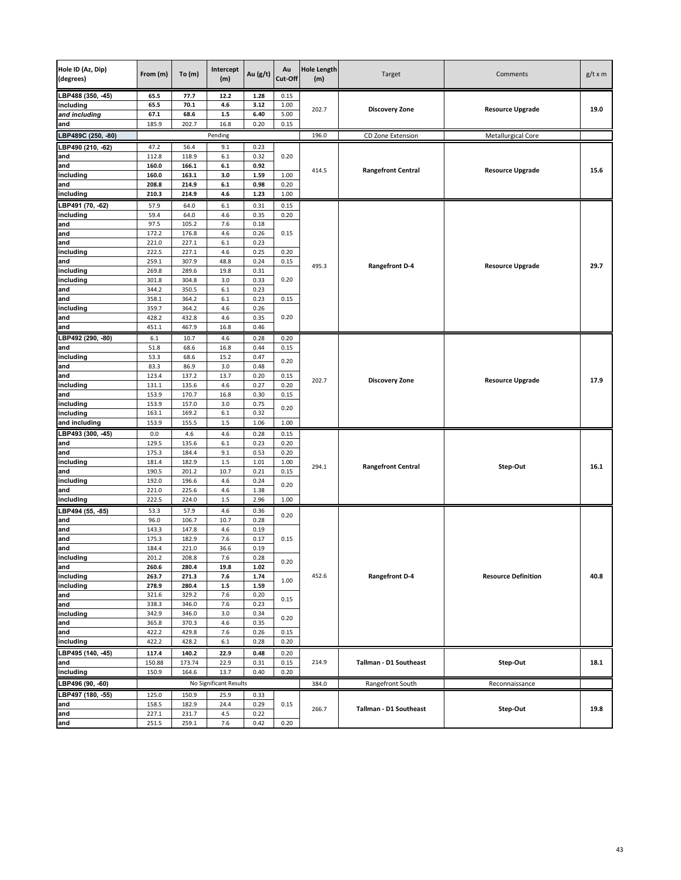| Hole ID (Az, Dip)<br>(degrees) | From (m)       | To $(m)$       | Intercept<br>(m)       | Au (g/t)     | Au<br>Cut-Off | <b>Hole Length</b><br>(m) | Target                    | Comments                   | $g/t \times m$ |
|--------------------------------|----------------|----------------|------------------------|--------------|---------------|---------------------------|---------------------------|----------------------------|----------------|
| LBP488 (350, -45)              | 65.5           | 77.7           | 12.2                   | 1.28         | 0.15          |                           |                           |                            |                |
| including                      | 65.5           | 70.1           | 4.6                    | 3.12         | 1.00          | 202.7                     | <b>Discovery Zone</b>     | <b>Resource Upgrade</b>    | 19.0           |
| and including                  | 67.1           | 68.6           | $1.5\,$                | 6.40         | 5.00          |                           |                           |                            |                |
| and                            | 185.9          | 202.7          | 16.8                   | 0.20         | 0.15          |                           |                           |                            |                |
| LBP489C (250, -80)             |                |                | Pending                |              |               | 196.0                     | CD Zone Extension         | Metallurgical Core         |                |
| LBP490 (210, -62)              | 47.2           | 56.4           | 9.1                    | 0.23         |               |                           |                           |                            |                |
| and<br>and                     | 112.8<br>160.0 | 118.9<br>166.1 | 6.1<br>6.1             | 0.32<br>0.92 | 0.20          |                           |                           |                            |                |
| including                      | 160.0          | 163.1          | 3.0                    | 1.59         | 1.00          | 414.5                     | <b>Rangefront Central</b> | <b>Resource Upgrade</b>    | 15.6           |
| and                            | 208.8          | 214.9          | 6.1                    | 0.98         | 0.20          |                           |                           |                            |                |
| including                      | 210.3          | 214.9          | 4.6                    | 1.23         | 1.00          |                           |                           |                            |                |
| LBP491 (70, -62)               | 57.9           | 64.0           | 6.1                    | 0.31         | 0.15          |                           |                           |                            |                |
| including                      | 59.4           | 64.0           | 4.6                    | 0.35         | 0.20          |                           |                           |                            |                |
| and                            | 97.5           | 105.2          | 7.6                    | 0.18         |               |                           |                           |                            |                |
| and                            | 172.2          | 176.8          | 4.6                    | 0.26         | 0.15          |                           |                           |                            |                |
| and<br>including               | 221.0          | 227.1          | 6.1                    | 0.23         |               |                           |                           |                            |                |
| and                            | 222.5<br>259.1 | 227.1<br>307.9 | 4.6<br>48.8            | 0.25<br>0.24 | 0.20<br>0.15  |                           |                           |                            |                |
| including                      | 269.8          | 289.6          | 19.8                   | 0.31         |               | 495.3                     | <b>Rangefront D-4</b>     | <b>Resource Upgrade</b>    | 29.7           |
| including                      | 301.8          | 304.8          | 3.0                    | 0.33         | 0.20          |                           |                           |                            |                |
| and                            | 344.2          | 350.5          | 6.1                    | 0.23         |               |                           |                           |                            |                |
| and                            | 358.1          | 364.2          | 6.1                    | 0.23         | 0.15          |                           |                           |                            |                |
| including                      | 359.7          | 364.2          | 4.6                    | 0.26         |               |                           |                           |                            |                |
| and<br>and                     | 428.2          | 432.8          | 4.6                    | 0.35<br>0.46 | 0.20          |                           |                           |                            |                |
|                                | 451.1          | 467.9          | 16.8                   |              |               |                           |                           |                            |                |
| LBP492 (290, -80)<br>and       | 6.1<br>51.8    | 10.7<br>68.6   | 4.6<br>16.8            | 0.28<br>0.44 | 0.20<br>0.15  |                           |                           |                            |                |
| including                      | 53.3           | 68.6           | 15.2                   | 0.47         |               |                           |                           |                            |                |
| and                            | 83.3           | 86.9           | 3.0                    | 0.48         | 0.20          |                           |                           |                            |                |
| and                            | 123.4          | 137.2          | 13.7                   | 0.20         | 0.15          | 202.7                     |                           | <b>Resource Upgrade</b>    | 17.9           |
| including                      | 131.1          | 135.6          | 4.6                    | 0.27         | 0.20          |                           | <b>Discovery Zone</b>     |                            |                |
| and                            | 153.9          | 170.7          | 16.8                   | 0.30         | 0.15          |                           |                           |                            |                |
| including                      | 153.9          | 157.0          | 3.0                    | 0.75         | 0.20          |                           |                           |                            |                |
| including<br>and including     | 163.1<br>153.9 | 169.2<br>155.5 | 6.1<br>$1.5\,$         | 0.32<br>1.06 | 1.00          |                           |                           |                            |                |
| LBP493 (300, -45)              |                |                |                        | 0.28         |               |                           |                           |                            |                |
| and                            | 0.0<br>129.5   | 4.6<br>135.6   | 4.6<br>6.1             | 0.23         | 0.15<br>0.20  |                           |                           |                            |                |
| and                            | 175.3          | 184.4          | 9.1                    | 0.53         | 0.20          |                           |                           |                            |                |
| including                      | 181.4          | 182.9          | $1.5\,$                | 1.01         | 1.00          |                           |                           |                            | 16.1           |
| and                            | 190.5          | 201.2          | 10.7                   | 0.21         | 0.15          | 294.1                     | <b>Rangefront Central</b> | Step-Out                   |                |
| including                      | 192.0          | 196.6          | 4.6                    | 0.24         | 0.20          |                           |                           |                            |                |
| and                            | 221.0          | 225.6          | 4.6                    | 1.38         |               |                           |                           |                            |                |
| including                      | 222.5          | 224.0          | $1.5\,$                | 2.96         | 1.00          |                           |                           |                            |                |
| LBP494 (55, -85)<br>and        | 53.3           | 57.9           | 4.6                    | 0.36         | 0.20          |                           |                           |                            |                |
| and                            | 96.0<br>143.3  | 106.7<br>147.8 | 10.7<br>4.6            | 0.28<br>0.19 |               |                           |                           |                            |                |
| and                            | 175.3          | 182.9          | 7.6                    | 0.17         | 0.15          |                           |                           |                            |                |
| $rac{and}{\cdot}$              | 184.4          | 221.0          | 36.6                   | 0.19         |               |                           |                           |                            |                |
| including                      | 201.2          | 208.8          | 7.6                    | 0.28         | 0.20          |                           |                           |                            |                |
| and                            | 260.6          | 280.4          | 19.8                   | 1.02         |               |                           |                           |                            |                |
| including                      | 263.7          | 271.3          | 7.6                    | 1.74         | 1.00          | 452.6                     | <b>Rangefront D-4</b>     | <b>Resource Definition</b> | 40.8           |
| including<br>and               | 278.9<br>321.6 | 280.4<br>329.2 | $1.5\,$<br>7.6         | 1.59<br>0.20 |               |                           |                           |                            |                |
|                                | 338.3          | 346.0          | 7.6                    | 0.23         | 0.15          |                           |                           |                            |                |
| and<br>including               | 342.9          | 346.0          | 3.0                    | 0.34         |               |                           |                           |                            |                |
| and                            | 365.8          | 370.3          | 4.6                    | 0.35         | 0.20          |                           |                           |                            |                |
| and                            | 422.2          | 429.8          | 7.6                    | 0.26         | 0.15          |                           |                           |                            |                |
| including                      | 422.2          | 428.2          | $6.1\,$                | 0.28         | 0.20          |                           |                           |                            |                |
| LBP495 (140, -45)              | 117.4          | 140.2          | 22.9                   | 0.48         | 0.20          |                           |                           |                            |                |
| and                            | 150.88         | 173.74         | 22.9                   | 0.31         | 0.15          | 214.9                     | Tallman - D1 Southeast    | Step-Out                   | 18.1           |
| including                      | 150.9          | 164.6          | 13.7                   | 0.40         | 0.20          |                           |                           |                            |                |
| LBP496 (90, -60)               |                |                | No Significant Results |              |               | 384.0                     | Rangefront South          | Reconnaissance             |                |
| LBP497 (180, -55)              | 125.0          | 150.9          | 25.9                   | 0.33         |               |                           |                           |                            |                |
| and<br>and                     | 158.5          | 182.9          | 24.4                   | 0.29<br>0.22 | 0.15          | 266.7                     | Tallman - D1 Southeast    | Step-Out                   | 19.8           |
|                                | 227.1<br>251.5 | 231.7<br>259.1 | 4.5<br>7.6             | 0.42         | 0.20          |                           |                           |                            |                |
| and                            |                |                |                        |              |               |                           |                           |                            |                |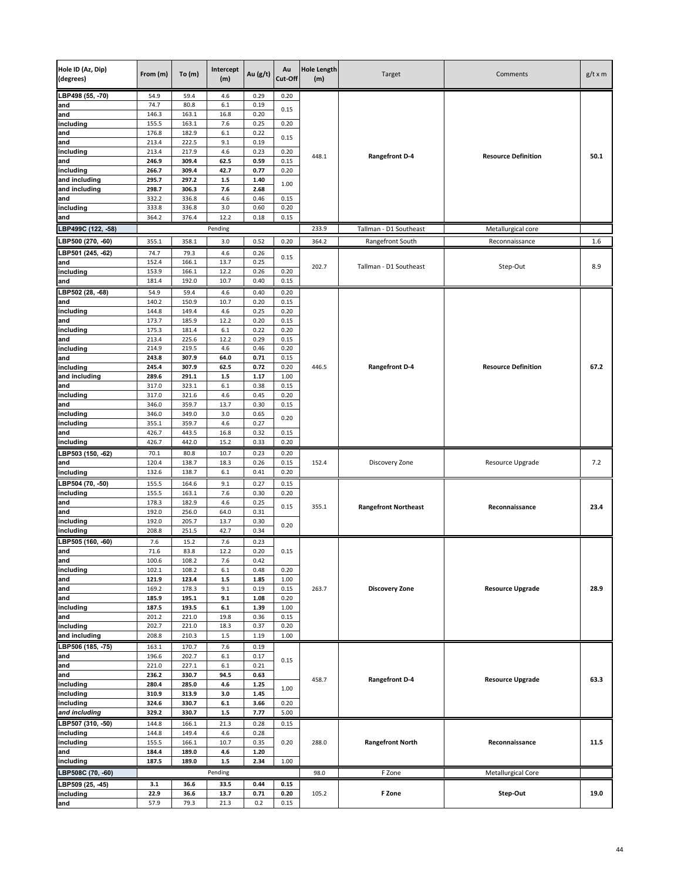| Hole ID (Az, Dip)<br>(degrees) | From (m)       | To(m)          | Intercept<br>(m) | Au (g/t)     | Au<br>Cut-Off | <b>Hole Length</b><br>(m) | Target                      | Comments                   | $g/t \times m$ |
|--------------------------------|----------------|----------------|------------------|--------------|---------------|---------------------------|-----------------------------|----------------------------|----------------|
| LBP498 (55, -70)               | 54.9           | 59.4           | 4.6              | 0.29         | 0.20          |                           |                             |                            |                |
| and                            | 74.7           | 80.8           | 6.1              | 0.19         | 0.15          |                           |                             |                            |                |
| and                            | 146.3          | 163.1          | 16.8             | 0.20         |               |                           |                             |                            |                |
| including                      | 155.5          | 163.1          | 7.6              | 0.25         | 0.20          |                           |                             |                            |                |
| and<br>and                     | 176.8<br>213.4 | 182.9<br>222.5 | 6.1<br>9.1       | 0.22<br>0.19 | 0.15          |                           |                             |                            |                |
| including                      | 213.4          | 217.9          | 4.6              | 0.23         | 0.20          |                           |                             |                            |                |
| and                            | 246.9          | 309.4          | 62.5             | 0.59         | 0.15          | 448.1                     | <b>Rangefront D-4</b>       | <b>Resource Definition</b> | 50.1           |
| including                      | 266.7          | 309.4          | 42.7             | 0.77         | 0.20          |                           |                             |                            |                |
| and including                  | 295.7          | 297.2          | $1.5\,$          | 1.40         | 1.00          |                           |                             |                            |                |
| and including                  | 298.7          | 306.3          | 7.6              | 2.68         |               |                           |                             |                            |                |
| and                            | 332.2          | 336.8          | 4.6              | 0.46         | 0.15          |                           |                             |                            |                |
| including<br>and               | 333.8<br>364.2 | 336.8<br>376.4 | 3.0<br>12.2      | 0.60<br>0.18 | 0.20<br>0.15  |                           |                             |                            |                |
|                                |                |                |                  |              |               |                           |                             |                            |                |
| LBP499C (122, -58)             |                |                | Pending          |              |               | 233.9                     | Tallman - D1 Southeast      | Metallurgical core         |                |
| LBP500 (270, -60)              | 355.1          | 358.1          | $3.0\,$          | 0.52         | 0.20          | 364.2                     | Rangefront South            | Reconnaissance             | 1.6            |
| LBP501 (245, 62)               | 74.7           | 79.3           | 4.6              | 0.26         | 0.15          |                           |                             |                            |                |
| and                            | 152.4<br>153.9 | 166.1          | 13.7<br>12.2     | 0.25<br>0.26 | 0.20          | 202.7                     | Tallman - D1 Southeast      | Step-Out                   | 8.9            |
| including<br>and               | 181.4          | 166.1<br>192.0 | 10.7             | 0.40         | 0.15          |                           |                             |                            |                |
| BP502 (28, 68)                 | 54.9           |                | 4.6              | 0.40         |               |                           |                             |                            |                |
| and                            | 140.2          | 59.4<br>150.9  | 10.7             | 0.20         | 0.20<br>0.15  |                           |                             |                            |                |
| including                      | 144.8          | 149.4          | 4.6              | 0.25         | 0.20          |                           |                             |                            |                |
| and                            | 173.7          | 185.9          | 12.2             | 0.20         | 0.15          |                           |                             |                            |                |
| including                      | 175.3          | 181.4          | 6.1              | 0.22         | 0.20          |                           |                             |                            |                |
| and                            | 213.4          | 225.6          | 12.2             | 0.29         | 0.15          |                           |                             |                            |                |
| including                      | 214.9          | 219.5          | 4.6              | 0.46         | 0.20          |                           |                             |                            |                |
| and<br>including               | 243.8          | 307.9          | 64.0             | 0.71         | 0.15          | 446.5                     |                             | <b>Resource Definition</b> | 67.2           |
| and including                  | 245.4<br>289.6 | 307.9<br>291.1 | 62.5<br>$1.5\,$  | 0.72<br>1.17 | 0.20<br>1.00  |                           | <b>Rangefront D-4</b>       |                            |                |
| and                            | 317.0          | 323.1          | 6.1              | 0.38         | 0.15          |                           |                             |                            |                |
| including                      | 317.0          | 321.6          | 4.6              | 0.45         | 0.20          |                           |                             |                            |                |
| and                            | 346.0          | 359.7          | 13.7             | 0.30         | 0.15          |                           |                             |                            |                |
| including                      | 346.0          | 349.0          | 3.0              | 0.65         | 0.20          |                           |                             |                            |                |
| including                      | 355.1          | 359.7          | 4.6              | 0.27         |               |                           |                             |                            |                |
| and                            | 426.7<br>426.7 | 443.5<br>442.0 | 16.8<br>15.2     | 0.32<br>0.33 | 0.15<br>0.20  |                           |                             |                            |                |
| including                      |                |                |                  |              |               |                           |                             |                            |                |
| LBP503 (150, -62)<br>and       | 70.1<br>120.4  | 80.8<br>138.7  | 10.7<br>18.3     | 0.23<br>0.26 | 0.20<br>0.15  | 152.4                     | Discovery Zone              | Resource Upgrade           | 7.2            |
| including                      | 132.6          | 138.7          | 6.1              | 0.41         | 0.20          |                           |                             |                            |                |
| LBP504 (70, -50)               | 155.5          | 164.6          | 9.1              | 0.27         | 0.15          |                           |                             |                            |                |
| including                      | 155.5          | 163.1          | 7.6              | 0.30         | 0.20          |                           |                             |                            |                |
| and                            | 178.3          | 182.9          | 4.6              | 0.25         | 0.15          | 355.1                     | <b>Rangefront Northeast</b> | Reconnaissance             | 23.4           |
| and                            | 192.0          | 256.0          | 64.0             | 0.31         |               |                           |                             |                            |                |
| including                      | 192.0          | 205.7          | 13.7             | 0.30         | 0.20          |                           |                             |                            |                |
| including                      | 208.8          | 251.5          | 42.7             | 0.34         |               |                           |                             |                            |                |
| LBP505 (160, -60)              | 7.6            | 15.2           | 7.6              | 0.23         |               |                           |                             |                            |                |
| and<br>and                     | 71.6<br>100.6  | 83.8<br>108.2  | 12.2<br>7.6      | 0.20<br>0.42 | 0.15          |                           |                             |                            |                |
| including                      | 102.1          | 108.2          | $6.1\,$          | 0.48         | 0.20          |                           |                             |                            |                |
| and                            | 121.9          | 123.4          | $1.5\,$          | 1.85         | 1.00          |                           |                             |                            |                |
| and                            | 169.2          | 178.3          | 9.1              | 0.19         | 0.15          | 263.7                     | <b>Discovery Zone</b>       | <b>Resource Upgrade</b>    | 28.9           |
| and                            | 185.9          | 195.1          | 9.1              | 1.08         | 0.20          |                           |                             |                            |                |
| including                      | 187.5          | 193.5          | $\bf 6.1$        | 1.39         | 1.00          |                           |                             |                            |                |
| and                            | 201.2          | 221.0          | 19.8             | 0.36         | 0.15          |                           |                             |                            |                |
| including<br>and including     | 202.7<br>208.8 | 221.0<br>210.3 | 18.3<br>1.5      | 0.37<br>1.19 | 0.20<br>1.00  |                           |                             |                            |                |
| LBP506 (185, -75)              | 163.1          | 170.7          | 7.6              | 0.19         |               |                           |                             |                            |                |
| and                            | 196.6          | 202.7          | $6.1\,$          | 0.17         |               |                           |                             |                            |                |
| and                            | 221.0          | 227.1          | 6.1              | 0.21         | 0.15          |                           |                             |                            |                |
| and                            | 236.2          | 330.7          | 94.5             | 0.63         |               | 458.7                     | <b>Rangefront D-4</b>       | <b>Resource Upgrade</b>    | 63.3           |
| including                      | 280.4          | 285.0          | 4.6              | 1.25         | 1.00          |                           |                             |                            |                |
| including                      | 310.9          | 313.9          | 3.0              | 1.45         |               |                           |                             |                            |                |
| including                      | 324.6          | 330.7          | $6.1\,$          | 3.66         | 0.20          |                           |                             |                            |                |
| and including                  | 329.2          | 330.7          | $1.5\,$          | 7.77         | 5.00          |                           |                             |                            |                |
| LBP507 (310, -50)              | 144.8          | 166.1          | 21.3             | 0.28         | 0.15          |                           |                             |                            |                |
| including<br>including         | 144.8<br>155.5 | 149.4          | 4.6<br>10.7      | 0.28<br>0.35 | 0.20          | 288.0                     | <b>Rangefront North</b>     | Reconnaissance             | 11.5           |
| and                            | 184.4          | 166.1<br>189.0 | 4.6              | 1.20         |               |                           |                             |                            |                |
| including                      | 187.5          | 189.0          | $1.5\,$          | 2.34         | 1.00          |                           |                             |                            |                |
| LBP508C (70, -60)              |                |                | Pending          |              |               | 98.0                      | F Zone                      | Metallurgical Core         |                |
| LBP509 (25, -45)               | 3.1            | 36.6           | 33.5             | 0.44         | 0.15          |                           |                             |                            |                |
| including                      | 22.9           | 36.6           | 13.7             | 0.71         | 0.20          | 105.2                     | F Zone                      | Step-Out                   | 19.0           |
| and                            | 57.9           | 79.3           | 21.3             | 0.2          | 0.15          |                           |                             |                            |                |
|                                |                |                |                  |              |               |                           |                             |                            |                |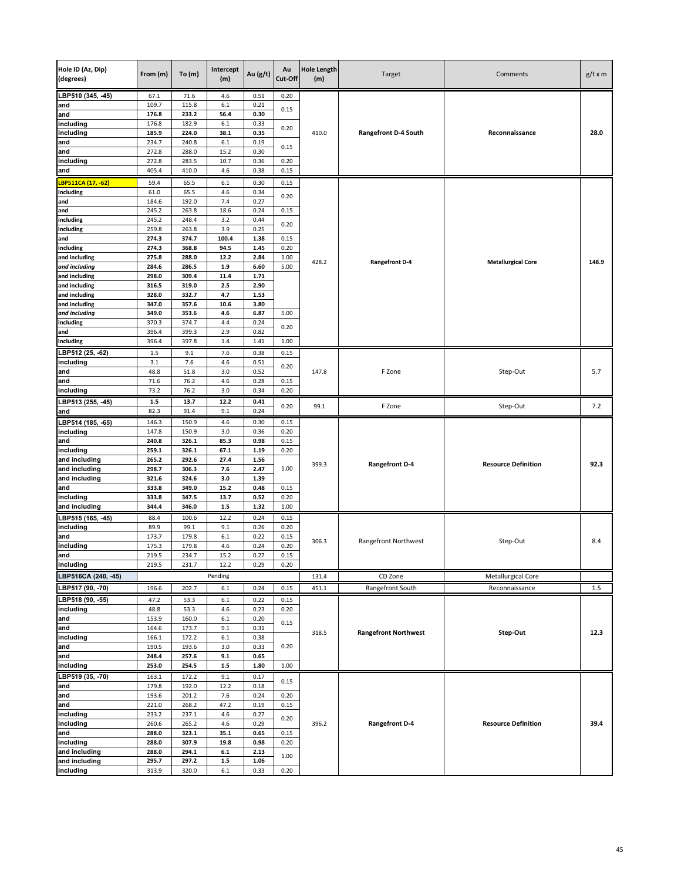| Hole ID (Az, Dip)<br>(degrees) | From (m)       | To $(m)$       | Intercept<br>(m) | Au (g/t)     | Au<br>Cut-Off | <b>Hole Length</b><br>(m) | Target                      | Comments                   | $g/t \times m$ |
|--------------------------------|----------------|----------------|------------------|--------------|---------------|---------------------------|-----------------------------|----------------------------|----------------|
| LBP510 (345, -45)              | 67.1           | 71.6           | 4.6              | 0.51         | 0.20          |                           |                             |                            |                |
| and                            | 109.7          | 115.8          | 6.1              | 0.21         | 0.15          |                           |                             |                            |                |
| and<br>including               | 176.8<br>176.8 | 233.2<br>182.9 | 56.4<br>6.1      | 0.30<br>0.33 |               |                           |                             |                            |                |
| including                      | 185.9          | 224.0          | 38.1             | 0.35         | 0.20          | 410.0                     | <b>Rangefront D-4 South</b> | Reconnaissance             | 28.0           |
| and                            | 234.7          | 240.8          | 6.1              | 0.19         |               |                           |                             |                            |                |
| and                            | 272.8          | 288.0          | 15.2             | 0.30         | 0.15          |                           |                             |                            |                |
| including                      | 272.8          | 283.5          | 10.7             | 0.36         | 0.20          |                           |                             |                            |                |
| and                            | 405.4          | 410.0          | 4.6              | 0.38         | 0.15          |                           |                             |                            |                |
| LBP511CA (17, -62)             | 59.4           | 65.5           | 6.1              | 0.30         | 0.15          |                           |                             |                            |                |
| including                      | 61.0           | 65.5           | 4.6              | 0.34         | 0.20          |                           |                             |                            |                |
| and                            | 184.6          | 192.0          | 7.4              | 0.27         |               |                           |                             |                            |                |
| and<br>including               | 245.2<br>245.2 | 263.8<br>248.4 | 18.6<br>3.2      | 0.24<br>0.44 | 0.15          |                           |                             |                            |                |
| including                      | 259.8          | 263.8          | 3.9              | 0.25         | 0.20          |                           |                             |                            |                |
| and                            | 274.3          | 374.7          | 100.4            | 1.38         | 0.15          |                           |                             |                            |                |
| including                      | 274.3          | 368.8          | 94.5             | 1.45         | 0.20          |                           |                             |                            |                |
| and including                  | 275.8          | 288.0          | 12.2             | 2.84         | 1.00          | 428.2                     | <b>Rangefront D-4</b>       | <b>Metallurgical Core</b>  | 148.9          |
| and including                  | 284.6          | 286.5          | 1.9              | 6.60         | 5.00          |                           |                             |                            |                |
| and including<br>and including | 298.0<br>316.5 | 309.4<br>319.0 | 11.4<br>2.5      | 1.71<br>2.90 |               |                           |                             |                            |                |
| and including                  | 328.0          | 332.7          | 4.7              | 1.53         |               |                           |                             |                            |                |
| and including                  | 347.0          | 357.6          | 10.6             | 3.80         |               |                           |                             |                            |                |
| and including                  | 349.0          | 353.6          | 4.6              | 6.87         | 5.00          |                           |                             |                            |                |
| including                      | 370.3          | 374.7          | 4.4              | 0.24         | 0.20          |                           |                             |                            |                |
| and                            | 396.4          | 399.3          | 2.9              | 0.82         |               |                           |                             |                            |                |
| including                      | 396.4          | 397.8          | $1.4\,$          | 1.41         | 1.00          |                           |                             |                            |                |
| LBP512 (25, -62)               | 1.5            | 9.1            | 7.6              | 0.38         | 0.15          |                           |                             |                            |                |
| including                      | 3.1            | 7.6            | 4.6              | 0.51         | 0.20          | 147.8                     | F Zone                      |                            | 5.7            |
| and<br>and                     | 48.8<br>71.6   | 51.8<br>76.2   | 3.0<br>4.6       | 0.52<br>0.28 | 0.15          |                           |                             | Step-Out                   |                |
| including                      | 73.2           | 76.2           | 3.0              | 0.34         | 0.20          |                           |                             |                            |                |
| LBP513 (255, -45)              | 1.5            | 13.7           | 12.2             | 0.41         |               |                           |                             |                            |                |
| and                            | 82.3           | 91.4           | 9.1              | 0.24         | 0.20          | 99.1                      | F Zone                      | Step-Out                   | 7.2            |
| BP514 (185, 65)                | 146.3          | 150.9          | 4.6              | 0.30         | 0.15          |                           |                             |                            |                |
| including                      | 147.8          | 150.9          | 3.0              | 0.36         | 0.20          |                           |                             |                            |                |
| and                            | 240.8          | 326.1          | 85.3             | 0.98         | 0.15          |                           |                             |                            |                |
| including                      | 259.1          | 326.1          | 67.1             | 1.19         | 0.20          |                           |                             |                            |                |
| and including                  | 265.2          | 292.6          | 27.4             | 1.56         |               | 399.3                     | <b>Rangefront D-4</b>       | <b>Resource Definition</b> | 92.3           |
| and including<br>and including | 298.7<br>321.6 | 306.3<br>324.6 | 7.6<br>3.0       | 2.47<br>1.39 | 1.00          |                           |                             |                            |                |
| and                            | 333.8          | 349.0          | 15.2             | 0.48         | 0.15          |                           |                             |                            |                |
| including                      | 333.8          | 347.5          | 13.7             | 0.52         | 0.20          |                           |                             |                            |                |
| and including                  | 344.4          | 346.0          | $1.5\,$          | 1.32         | 1.00          |                           |                             |                            |                |
| LBP515 (165, -45)              | 88.4           | 100.6          | 12.2             | 0.24         | 0.15          |                           |                             |                            |                |
| including                      | 89.9           | 99.1           | 9.1              | 0.26         | 0.20          |                           |                             |                            |                |
| and                            | 173.7          | 179.8          | $6.1\,$          | 0.22         | 0.15          | 306.3                     | Rangefront Northwest        | Step-Out                   | 8.4            |
| including<br>and               | 175.3<br>219.5 | 179.8<br>234.7 | 4.6<br>15.2      | 0.24<br>0.27 | 0.20<br>0.15  |                           |                             |                            |                |
| including                      | 219.5          | 231.7          | 12.2             | 0.29         | 0.20          |                           |                             |                            |                |
| LBP516CA (240, -45)            |                |                | Pending          |              |               | 131.4                     | CD Zone                     | Metallurgical Core         |                |
| LBP517 (90, -70)               |                |                |                  |              |               |                           |                             |                            |                |
|                                | 196.6          | 202.7          | $6.1\,$          | 0.24         | 0.15          | 451.1                     | Rangefront South            | Reconnaissance             | 1.5            |
| LBP518 (90, -55)<br>including  | 47.2<br>48.8   | 53.3<br>53.3   | $6.1\,$<br>4.6   | 0.22<br>0.23 | 0.15<br>0.20  |                           |                             |                            |                |
|                                | 153.9          | 160.0          | 6.1              | 0.20         |               |                           |                             |                            |                |
| and<br>and                     | 164.6          | 173.7          | 9.1              | 0.31         | 0.15          |                           |                             |                            |                |
| including                      | 166.1          | 172.2          | 6.1              | 0.38         |               | 318.5                     | <b>Rangefront Northwest</b> | Step-Out                   | 12.3           |
| and                            | 190.5          | 193.6          | 3.0              | 0.33         | 0.20          |                           |                             |                            |                |
| and                            | 248.4          | 257.6          | 9.1              | 0.65         |               |                           |                             |                            |                |
| including                      | 253.0          | 254.5          | $1.5\,$          | 1.80         | 1.00          |                           |                             |                            |                |
| LBP519 (35, -70)               | 163.1          | 172.2          | 9.1              | 0.17         | 0.15          |                           |                             |                            |                |
| and<br>and                     | 179.8          | 192.0          | 12.2<br>7.6      | 0.18         |               |                           |                             |                            |                |
| and                            | 193.6<br>221.0 | 201.2<br>268.2 | 47.2             | 0.24<br>0.19 | 0.20<br>0.15  |                           |                             |                            |                |
| including                      | 233.2          | 237.1          | 4.6              | 0.27         |               |                           |                             |                            |                |
| including                      | 260.6          | 265.2          | 4.6              | 0.29         | 0.20          | 396.2                     | <b>Rangefront D-4</b>       | <b>Resource Definition</b> | 39.4           |
| and                            | 288.0          | 323.1          | 35.1             | 0.65         | 0.15          |                           |                             |                            |                |
| including                      | 288.0          | 307.9          | 19.8             | 0.98         | 0.20          |                           |                             |                            |                |
| and including                  | 288.0          | 294.1          | $6.1\,$          | 2.13         | 1.00          |                           |                             |                            |                |
| and including                  | 295.7          | 297.2          | $1.5\,$          | 1.06         |               |                           |                             |                            |                |
| including                      | 313.9          | 320.0          | $6.1\,$          | 0.33         | 0.20          |                           |                             |                            |                |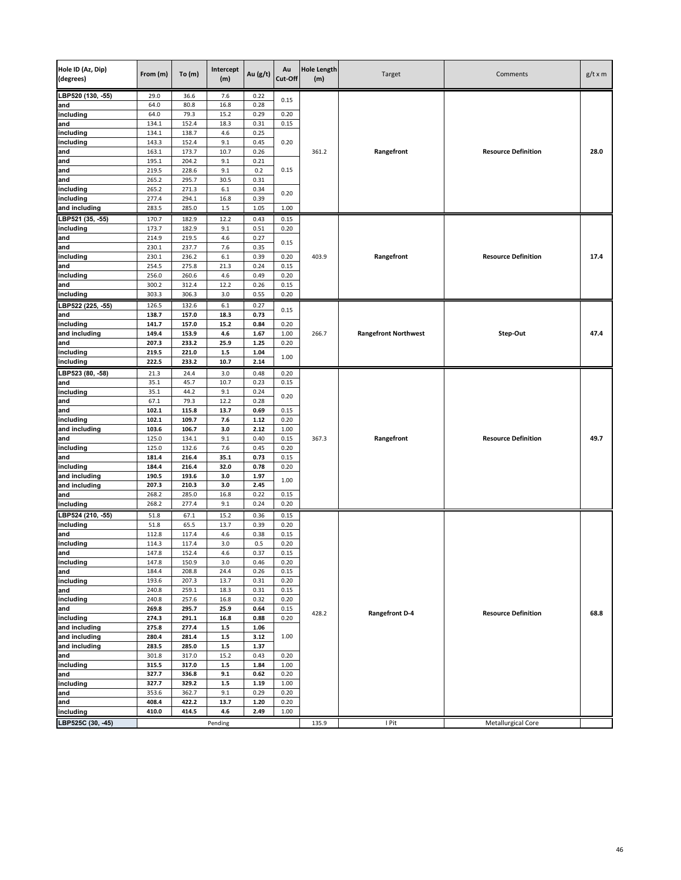| Hole ID (Az, Dip)<br>(degrees) | From (m)       | To(m)          | Intercept<br>(m) | Au (g/t)     | Au<br>Cut-Off | <b>Hole Length</b><br>(m) | Target                      | Comments                   | $g/t \times m$ |
|--------------------------------|----------------|----------------|------------------|--------------|---------------|---------------------------|-----------------------------|----------------------------|----------------|
| LBP520 (130, -55)              | 29.0           | 36.6           | 7.6              | 0.22         | 0.15          |                           |                             |                            |                |
| and                            | 64.0           | 80.8           | 16.8             | 0.28         |               |                           |                             |                            |                |
| including                      | 64.0<br>134.1  | 79.3<br>152.4  | 15.2<br>18.3     | 0.29<br>0.31 | 0.20<br>0.15  |                           |                             |                            |                |
| and<br>including               | 134.1          | 138.7          | 4.6              | 0.25         |               |                           |                             |                            |                |
| including                      | 143.3          | 152.4          | 9.1              | 0.45         | 0.20          |                           |                             |                            |                |
| and                            | 163.1          | 173.7          | 10.7             | 0.26         |               | 361.2                     | Rangefront                  | <b>Resource Definition</b> | 28.0           |
| and                            | 195.1          | 204.2          | 9.1              | 0.21         |               |                           |                             |                            |                |
| and                            | 219.5          | 228.6          | 9.1              | 0.2          | 0.15          |                           |                             |                            |                |
| and                            | 265.2          | 295.7          | 30.5             | 0.31         |               |                           |                             |                            |                |
| including                      | 265.2          | 271.3          | 6.1              | 0.34         | 0.20          |                           |                             |                            |                |
| including                      | 277.4          | 294.1          | 16.8             | 0.39         |               |                           |                             |                            |                |
| and including                  | 283.5          | 285.0          | 1.5              | 1.05         | 1.00          |                           |                             |                            |                |
| LBP521 (35, -55)<br>including  | 170.7<br>173.7 | 182.9<br>182.9 | 12.2<br>9.1      | 0.43<br>0.51 | 0.15<br>0.20  |                           |                             |                            |                |
| and                            | 214.9          | 219.5          | 4.6              | 0.27         |               |                           |                             |                            |                |
| and                            | 230.1          | 237.7          | 7.6              | 0.35         | 0.15          |                           |                             |                            |                |
| including                      | 230.1          | 236.2          | $6.1\,$          | 0.39         | 0.20          | 403.9                     | Rangefront                  | <b>Resource Definition</b> | 17.4           |
| and                            | 254.5          | 275.8          | 21.3             | 0.24         | 0.15          |                           |                             |                            |                |
| including                      | 256.0          | 260.6          | 4.6              | 0.49         | 0.20          |                           |                             |                            |                |
| and                            | 300.2          | 312.4          | 12.2             | 0.26         | 0.15          |                           |                             |                            |                |
| including                      | 303.3          | 306.3          | 3.0              | 0.55         | 0.20          |                           |                             |                            |                |
| LBP522 (225, -55)              | 126.5          | 132.6          | 6.1              | 0.27         | 0.15          |                           |                             |                            |                |
| and                            | 138.7          | 157.0          | 18.3             | 0.73         |               |                           |                             |                            |                |
| including<br>and including     | 141.7<br>149.4 | 157.0<br>153.9 | 15.2<br>4.6      | 0.84<br>1.67 | 0.20<br>1.00  | 266.7                     | <b>Rangefront Northwest</b> | Step-Out                   | 47.4           |
| and                            | 207.3          | 233.2          | 25.9             | 1.25         | 0.20          |                           |                             |                            |                |
| including                      | 219.5          | 221.0          | $1.5\,$          | 1.04         |               |                           |                             |                            |                |
| including                      | 222.5          | 233.2          | 10.7             | 2.14         | 1.00          |                           |                             |                            |                |
| LBP523 (80, -58)               | 21.3           | 24.4           | 3.0              | 0.48         | 0.20          |                           |                             |                            |                |
| and                            | 35.1           | 45.7           | 10.7             | 0.23         | 0.15          |                           |                             |                            |                |
| including                      | 35.1           | 44.2           | 9.1              | 0.24         | 0.20          |                           |                             |                            |                |
| and                            | 67.1           | 79.3           | 12.2             | 0.28         |               |                           |                             |                            |                |
| and                            | 102.1          | 115.8          | 13.7             | 0.69         | 0.15          |                           |                             |                            |                |
| including<br>and including     | 102.1<br>103.6 | 109.7          | 7.6<br>3.0       | 1.12<br>2.12 | 0.20          |                           |                             |                            |                |
| and                            | 125.0          | 106.7<br>134.1 | 9.1              | 0.40         | 1.00<br>0.15  | 367.3                     | Rangefront                  | <b>Resource Definition</b> | 49.7           |
| including                      | 125.0          | 132.6          | 7.6              | 0.45         | 0.20          |                           |                             |                            |                |
| and                            | 181.4          | 216.4          | 35.1             | 0.73         | 0.15          |                           |                             |                            |                |
| including                      | 184.4          | 216.4          | 32.0             | 0.78         | 0.20          |                           |                             |                            |                |
| and including                  | 190.5          | 193.6          | 3.0              | 1.97         | 1.00          |                           |                             |                            |                |
| and including                  | 207.3          | 210.3          | 3.0              | 2.45         |               |                           |                             |                            |                |
| and                            | 268.2          | 285.0          | 16.8             | 0.22         | 0.15          |                           |                             |                            |                |
| including                      | 268.2          | 277.4          | 9.1              | 0.24         | 0.20          |                           |                             |                            |                |
| LBP524 (210, -55)              | 51.8           | 67.1           | 15.2             | 0.36         | 0.15          |                           |                             |                            |                |
| including<br>and               | 51.8<br>112.8  | 65.5<br>117.4  | 13.7<br>4.6      | 0.39<br>0.38 | 0.20<br>0.15  |                           |                             |                            |                |
| including                      | 114.3          | 117.4          | 3.0              | 0.5          | 0.20          |                           |                             |                            |                |
| and                            | 147.8          | 152.4          | 4.6              | 0.37         | 0.15          |                           |                             |                            |                |
| including                      | 147.8          | 150.9          | 3.0              | 0.46         | 0.20          |                           |                             |                            |                |
| and                            | 184.4          | 208.8          | 24.4             | 0.26         | 0.15          |                           |                             |                            |                |
| including                      | 193.6          | 207.3          | 13.7             | 0.31         | 0.20          |                           |                             |                            |                |
| and                            | 240.8          | 259.1          | 18.3             | 0.31         | 0.15          |                           |                             |                            |                |
| including<br>and               | 240.8<br>269.8 | 257.6<br>295.7 | 16.8<br>25.9     | 0.32<br>0.64 | 0.20<br>0.15  |                           |                             |                            |                |
| including                      | 274.3          | 291.1          | 16.8             | 0.88         | 0.20          | 428.2                     | <b>Rangefront D-4</b>       | <b>Resource Definition</b> | 68.8           |
| and including                  | 275.8          | 277.4          | $1.5\,$          | 1.06         |               |                           |                             |                            |                |
| and including                  | 280.4          | 281.4          | $1.5\,$          | 3.12         | 1.00          |                           |                             |                            |                |
| and including                  | 283.5          | 285.0          | $1.5\,$          | 1.37         |               |                           |                             |                            |                |
| and                            | 301.8          | 317.0          | 15.2             | 0.43         | 0.20          |                           |                             |                            |                |
| including                      | 315.5          | 317.0          | $1.5\,$          | 1.84         | 1.00          |                           |                             |                            |                |
| and                            | 327.7          | 336.8          | 9.1              | 0.62         | 0.20          |                           |                             |                            |                |
| including                      | 327.7          | 329.2          | $1.5\,$          | 1.19         | 1.00          |                           |                             |                            |                |
| and<br>and                     | 353.6<br>408.4 | 362.7<br>422.2 | 9.1<br>13.7      | 0.29<br>1.20 | 0.20<br>0.20  |                           |                             |                            |                |
| including                      | 410.0          | 414.5          | 4.6              | 2.49         | 1.00          |                           |                             |                            |                |
| LBP525C (30, -45)              |                |                | Pending          |              |               | 135.9                     | I Pit                       | Metallurgical Core         |                |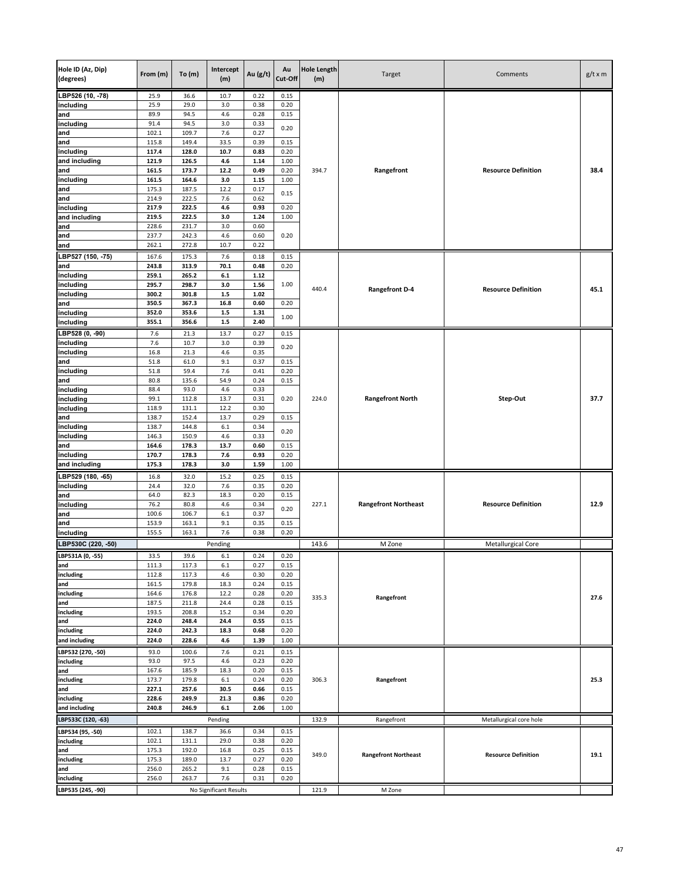| Hole ID (Az, Dip)<br>(degrees) | From (m)       | To(m)          | Intercept<br>(m)       | Au (g/t)     | Au<br>Cut-Off | <b>Hole Length</b><br>(m) | Target                      | Comments                   | $g/t \times m$ |
|--------------------------------|----------------|----------------|------------------------|--------------|---------------|---------------------------|-----------------------------|----------------------------|----------------|
| LBP526 (10, -78)               | 25.9           | 36.6           | 10.7                   | 0.22         | 0.15          |                           |                             |                            |                |
| including                      | 25.9           | 29.0           | 3.0                    | 0.38         | 0.20          |                           |                             |                            |                |
| and<br>including               | 89.9<br>91.4   | 94.5<br>94.5   | 4.6<br>3.0             | 0.28<br>0.33 | 0.15          |                           |                             |                            |                |
| and                            | 102.1          | 109.7          | 7.6                    | 0.27         | 0.20          |                           |                             |                            |                |
| and                            | 115.8          | 149.4          | 33.5                   | 0.39         | 0.15          |                           |                             |                            |                |
| including                      | 117.4          | 128.0          | 10.7                   | 0.83         | 0.20          |                           |                             |                            |                |
| and including                  | 121.9          | 126.5          | 4.6                    | 1.14         | 1.00          |                           |                             |                            |                |
| and                            | 161.5          | 173.7          | 12.2                   | 0.49         | 0.20          | 394.7                     | Rangefront                  | <b>Resource Definition</b> | 38.4           |
| including<br>and               | 161.5<br>175.3 | 164.6<br>187.5 | 3.0<br>12.2            | 1.15<br>0.17 | 1.00          |                           |                             |                            |                |
| and                            | 214.9          | 222.5          | 7.6                    | 0.62         | 0.15          |                           |                             |                            |                |
| including                      | 217.9          | 222.5          | 4.6                    | 0.93         | 0.20          |                           |                             |                            |                |
| and including                  | 219.5          | 222.5          | 3.0                    | 1.24         | 1.00          |                           |                             |                            |                |
| and                            | 228.6          | 231.7          | 3.0                    | 0.60         |               |                           |                             |                            |                |
| and                            | 237.7          | 242.3          | 4.6                    | 0.60         | 0.20          |                           |                             |                            |                |
| and                            | 262.1          | 272.8          | 10.7                   | 0.22         |               |                           |                             |                            |                |
| LBP527 (150, -75)              | 167.6          | 175.3          | 7.6                    | 0.18         | 0.15          |                           |                             |                            |                |
| and<br>including               | 243.8<br>259.1 | 313.9<br>265.2 | 70.1<br>6.1            | 0.48<br>1.12 | 0.20          |                           |                             |                            |                |
| including                      | 295.7          | 298.7          | 3.0                    | 1.56         | 1.00          |                           |                             |                            |                |
| including                      | 300.2          | 301.8          | $1.5\,$                | 1.02         |               | 440.4                     | <b>Rangefront D-4</b>       | <b>Resource Definition</b> | 45.1           |
| and                            | 350.5          | 367.3          | 16.8                   | 0.60         | 0.20          |                           |                             |                            |                |
| including                      | 352.0          | 353.6          | $1.5\,$                | 1.31         | 1.00          |                           |                             |                            |                |
| including                      | 355.1          | 356.6          | $1.5\,$                | 2.40         |               |                           |                             |                            |                |
| LBP528 (0, -90)                | 7.6<br>7.6     | 21.3<br>10.7   | 13.7<br>3.0            | 0.27<br>0.39 | 0.15          |                           |                             |                            |                |
| including<br>including         | 16.8           | 21.3           | 4.6                    | 0.35         | 0.20          |                           |                             |                            |                |
| and                            | 51.8           | 61.0           | 9.1                    | 0.37         | 0.15          |                           |                             |                            |                |
| including                      | 51.8           | 59.4           | 7.6                    | 0.41         | 0.20          |                           |                             |                            |                |
| and                            | 80.8           | 135.6          | 54.9                   | 0.24         | 0.15          |                           |                             |                            |                |
| including                      | 88.4           | 93.0           | 4.6                    | 0.33         |               |                           |                             |                            |                |
| including<br>including         | 99.1<br>118.9  | 112.8<br>131.1 | 13.7<br>12.2           | 0.31<br>0.30 | 0.20          | 224.0                     | <b>Rangefront North</b>     | Step-Out                   | 37.7           |
| and                            | 138.7          | 152.4          | 13.7                   | 0.29         | 0.15          |                           |                             |                            |                |
| including                      | 138.7          | 144.8          | $6.1\,$                | 0.34         |               |                           |                             |                            |                |
| including                      | 146.3          | 150.9          | 4.6                    | 0.33         | 0.20          |                           |                             |                            |                |
| and                            | 164.6          | 178.3          | 13.7                   | 0.60         | 0.15          |                           |                             |                            |                |
| including<br>and including     | 170.7<br>175.3 | 178.3<br>178.3 | 7.6<br>3.0             | 0.93<br>1.59 | 0.20<br>1.00  |                           |                             |                            |                |
| LBP529 (180, -65)              | 16.8           | 32.0           | 15.2                   | 0.25         | 0.15          |                           |                             |                            |                |
| including                      | 24.4           | 32.0           | 7.6                    | 0.35         | 0.20          |                           |                             |                            |                |
| and                            | 64.0           | 82.3           | 18.3                   | 0.20         | 0.15          |                           |                             |                            |                |
| including                      | 76.2           | 80.8           | 4.6                    | 0.34         | 0.20          | 227.1                     | <b>Rangefront Northeast</b> | <b>Resource Definition</b> | 12.9           |
| and                            | 100.6          | 106.7          | 6.1                    | 0.37         |               |                           |                             |                            |                |
| and                            | 153.9          | 163.1          | 9.1                    | 0.35         | 0.15          |                           |                             |                            |                |
| including                      | 155.5          | 163.1          | 7.6                    | 0.38         | 0.20          |                           |                             |                            |                |
| LBP530C (220, -50)             |                |                | Pending                |              |               | 143.6                     | M Zone                      | Metallurgical Core         |                |
| LBP531A (0, -55)<br>and        | 33.5<br>111.3  | 39.6<br>117.3  | 6.1<br>6.1             | 0.24<br>0.27 | 0.20<br>0.15  |                           |                             |                            |                |
| including                      | 112.8          | 117.3          | 4.6                    | 0.30         | 0.20          |                           |                             |                            |                |
| and                            | 161.5          | 179.8          | 18.3                   | 0.24         | 0.15          |                           |                             |                            |                |
| including                      | 164.6          | 176.8          | 12.2                   | 0.28         | 0.20          | 335.3                     | Rangefront                  |                            | 27.6           |
| and                            | 187.5          | 211.8          | 24.4                   | 0.28         | 0.15          |                           |                             |                            |                |
| including                      | 193.5          | 208.8          | 15.2                   | 0.34         | 0.20          |                           |                             |                            |                |
| and<br>including               | 224.0<br>224.0 | 248.4<br>242.3 | 24.4<br>18.3           | 0.55<br>0.68 | 0.15<br>0.20  |                           |                             |                            |                |
| and including                  | 224.0          | 228.6          | 4.6                    | 1.39         | 1.00          |                           |                             |                            |                |
| LBP532 (270, -50)              | 93.0           | 100.6          | 7.6                    | 0.21         | 0.15          |                           |                             |                            |                |
| including                      | 93.0           | 97.5           | 4.6                    | 0.23         | 0.20          |                           |                             |                            |                |
| and                            | 167.6          | 185.9          | 18.3                   | 0.20         | 0.15          |                           |                             |                            |                |
| including                      | 173.7          | 179.8          | $6.1\,$                | 0.24         | 0.20          | 306.3                     | Rangefront                  |                            | 25.3           |
| and<br>including               | 227.1<br>228.6 | 257.6<br>249.9 | 30.5<br>21.3           | 0.66<br>0.86 | 0.15<br>0.20  |                           |                             |                            |                |
| and including                  | 240.8          | 246.9          | $6.1$                  | 2.06         | 1.00          |                           |                             |                            |                |
| LBP533C (120, -63)             |                |                | Pending                |              |               | 132.9                     | Rangefront                  | Metallurgical core hole    |                |
| LBP534 (95, -50)               | 102.1          | 138.7          | 36.6                   | 0.34         | 0.15          |                           |                             |                            |                |
| including                      | 102.1          | 131.1          | 29.0                   | 0.38         | 0.20          |                           |                             |                            |                |
| and                            | 175.3          | 192.0          | 16.8                   | 0.25         | 0.15          | 349.0                     |                             | <b>Resource Definition</b> | 19.1           |
| including                      | 175.3          | 189.0          | 13.7                   | 0.27         | 0.20          |                           | <b>Rangefront Northeast</b> |                            |                |
| and                            | 256.0          | 265.2          | 9.1                    | 0.28         | 0.15          |                           |                             |                            |                |
| including                      | 256.0          | 263.7          | 7.6                    | 0.31         | 0.20          |                           |                             |                            |                |
| LBP535 (245, -90)              |                |                | No Significant Results |              |               | 121.9                     | M Zone                      |                            |                |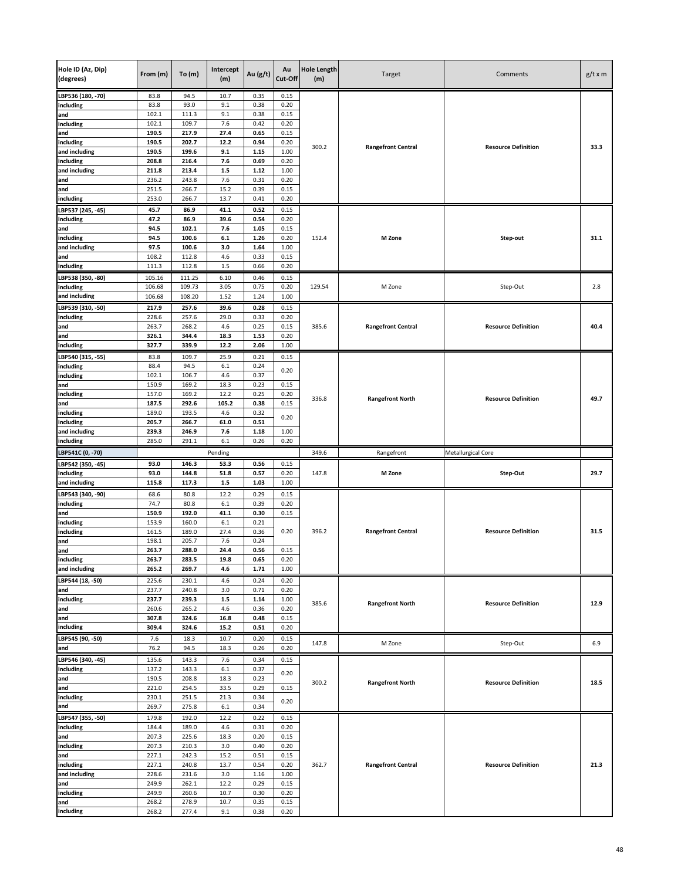| Hole ID (Az, Dip)<br>(degrees) | From (m)       | To(m)          | Intercept<br>(m) | Au (g/t)     | Au<br>Cut-Off | <b>Hole Length</b><br>(m) | Target                    | Comments                   | $g/t \times m$ |
|--------------------------------|----------------|----------------|------------------|--------------|---------------|---------------------------|---------------------------|----------------------------|----------------|
| LBP536 (180, -70)              | 83.8           | 94.5           | 10.7             | 0.35         | 0.15          |                           |                           |                            |                |
| including                      | 83.8           | 93.0           | 9.1              | 0.38         | 0.20          |                           |                           |                            | 33.3           |
| and                            | 102.1          | 111.3          | 9.1              | 0.38         | 0.15          |                           |                           |                            |                |
| including<br>and               | 102.1<br>190.5 | 109.7<br>217.9 | 7.6<br>27.4      | 0.42<br>0.65 | 0.20<br>0.15  |                           |                           |                            |                |
| including                      | 190.5          | 202.7          | 12.2             | 0.94         | 0.20          |                           |                           |                            |                |
| and including                  | 190.5          | 199.6          | 9.1              | 1.15         | 1.00          | 300.2                     | <b>Rangefront Central</b> | <b>Resource Definition</b> |                |
| including                      | 208.8          | 216.4          | 7.6              | 0.69         | 0.20          |                           |                           |                            |                |
| and including                  | 211.8          | 213.4          | $1.5$            | 1.12         | 1.00          |                           |                           |                            |                |
| and                            | 236.2          | 243.8          | 7.6              | 0.31         | 0.20          |                           |                           |                            |                |
| and                            | 251.5<br>253.0 | 266.7<br>266.7 | 15.2<br>13.7     | 0.39<br>0.41 | 0.15<br>0.20  |                           |                           |                            |                |
| including                      |                |                |                  |              |               |                           |                           |                            |                |
| LBP537 (245, -45)<br>including | 45.7<br>47.2   | 86.9<br>86.9   | 41.1<br>39.6     | 0.52<br>0.54 | 0.15<br>0.20  |                           |                           |                            |                |
| and                            | 94.5           | 102.1          | 7.6              | 1.05         | 0.15          |                           |                           |                            |                |
| including                      | 94.5           | 100.6          | 6.1              | 1.26         | 0.20          | 152.4                     | M Zone                    | Step-out                   | 31.1           |
| and including                  | 97.5           | 100.6          | 3.0              | 1.64         | 1.00          |                           |                           |                            |                |
| and                            | 108.2          | 112.8          | 4.6              | 0.33         | 0.15          |                           |                           |                            |                |
| including                      | 111.3          | 112.8          | 1.5              | 0.66         | 0.20          |                           |                           |                            |                |
| LBP538 (350, -80)              | 105.16         | 111.25         | 6.10             | 0.46         | 0.15          |                           |                           |                            |                |
| including                      | 106.68         | 109.73         | 3.05             | 0.75         | 0.20          | 129.54                    | M Zone                    | Step-Out                   | 2.8            |
| and including                  | 106.68         | 108.20         | 1.52             | 1.24         | 1.00          |                           |                           |                            |                |
| LBP539 (310, -50)<br>including | 217.9<br>228.6 | 257.6          | 39.6<br>29.0     | 0.28<br>0.33 | 0.15          |                           |                           |                            |                |
| and                            | 263.7          | 257.6<br>268.2 | 4.6              | 0.25         | 0.20<br>0.15  | 385.6                     | <b>Rangefront Central</b> | <b>Resource Definition</b> | 40.4           |
| and                            | 326.1          | 344.4          | 18.3             | 1.53         | 0.20          |                           |                           |                            |                |
| including                      | 327.7          | 339.9          | 12.2             | 2.06         | 1.00          |                           |                           |                            |                |
| LBP540 (315, -55)              | 83.8           | 109.7          | 25.9             | 0.21         | 0.15          |                           |                           |                            |                |
| including                      | 88.4           | 94.5           | 6.1              | 0.24         | 0.20          |                           |                           |                            | 49.7           |
| including                      | 102.1          | 106.7          | 4.6              | 0.37         |               |                           |                           | <b>Resource Definition</b> |                |
| and                            | 150.9          | 169.2          | 18.3             | 0.23         | 0.15          |                           |                           |                            |                |
| including                      | 157.0          | 169.2          | 12.2             | 0.25         | 0.20          | 336.8                     | <b>Rangefront North</b>   |                            |                |
| and<br>including               | 187.5<br>189.0 | 292.6<br>193.5 | 105.2<br>4.6     | 0.38<br>0.32 | 0.15          |                           |                           |                            |                |
| including                      | 205.7          | 266.7          | 61.0             | 0.51         | 0.20          |                           |                           |                            |                |
| and including                  | 239.3          | 246.9          | 7.6              | 1.18         | 1.00          |                           |                           |                            |                |
|                                |                |                |                  |              |               |                           |                           |                            |                |
| including                      | 285.0          | 291.1          | 6.1              | 0.26         | 0.20          |                           |                           |                            |                |
| LBP541C (0, -70)               |                |                | Pending          |              |               | 349.6                     | Rangefront                | Metallurgical Core         |                |
| LBP542 (350, -45)              | 93.0           | 146.3          | 53.3             | 0.56         | 0.15          |                           |                           |                            |                |
| including                      | 93.0           | 144.8          | 51.8             | 0.57         | 0.20          | 147.8                     | M Zone                    | Step-Out                   | 29.7           |
| and including                  | 115.8          | 117.3          | 1.5              | 1.03         | 1.00          |                           |                           |                            |                |
| LBP543 (340, -90)              | 68.6           | 80.8           | 12.2             | 0.29         | 0.15          |                           |                           |                            |                |
| including                      | 74.7           | 80.8           | 6.1              | 0.39         | 0.20          |                           |                           |                            |                |
| and                            | 150.9          | 192.0          | 41.1             | 0.30         | 0.15          |                           |                           |                            |                |
| including                      | 153.9          | 160.0          | 6.1              | 0.21         |               |                           |                           |                            |                |
| including<br>and               | 161.5<br>198.1 | 189.0<br>205.7 | 27.4<br>7.6      | 0.36<br>0.24 | 0.20          | 396.2                     | <b>Rangefront Central</b> | <b>Resource Definition</b> | 31.5           |
| and                            | 263.7          | 288.0          | 24.4             | 0.56         | 0.15          |                           |                           |                            |                |
| including                      | 263.7          | 283.5          | 19.8             | 0.65         | 0.20          |                           |                           |                            |                |
| and including                  | 265.2          | 269.7          | 4.6              | 1.71         | 1.00          |                           |                           |                            |                |
| LBP544 (18, -50)               | 225.6          | 230.1          | 4.6              | 0.24         | 0.20          |                           |                           |                            |                |
| and                            | 237.7          | 240.8          | 3.0              | 0.71         | 0.20          |                           |                           |                            |                |
| including                      | 237.7          | 239.3          | $1.5\,$          | 1.14         | 1.00          | 385.6                     | <b>Rangefront North</b>   | <b>Resource Definition</b> | 12.9           |
| and                            | 260.6          | 265.2          | 4.6              | 0.36         | 0.20          |                           |                           |                            |                |
| and<br>including               | 307.8<br>309.4 | 324.6<br>324.6 | 16.8<br>15.2     | 0.48<br>0.51 | 0.15<br>0.20  |                           |                           |                            |                |
| LBP545 (90, -50)               | 7.6            | 18.3           | 10.7             | 0.20         | 0.15          |                           |                           |                            |                |
| and                            | 76.2           | 94.5           | 18.3             | 0.26         | 0.20          | 147.8                     | M Zone                    | Step-Out                   | 6.9            |
| LBP546 (340, -45)              | 135.6          | 143.3          | 7.6              | 0.34         | 0.15          |                           |                           |                            |                |
| including                      | 137.2          | 143.3          | 6.1              | 0.37         |               |                           |                           |                            |                |
| and                            | 190.5          | 208.8          | 18.3             | 0.23         | 0.20          | 300.2                     | <b>Rangefront North</b>   | <b>Resource Definition</b> | 18.5           |
| and                            | 221.0          | 254.5          | 33.5             | 0.29         | 0.15          |                           |                           |                            |                |
| including                      | 230.1          | 251.5          | 21.3             | 0.34         | 0.20          |                           |                           |                            |                |
| and                            | 269.7          | 275.8          | $6.1\,$          | 0.34         |               |                           |                           |                            |                |
| LBP547 (355, -50)              | 179.8          | 192.0          | 12.2             | 0.22         | 0.15          |                           |                           |                            |                |
| including<br>and               | 184.4<br>207.3 | 189.0<br>225.6 | 4.6<br>18.3      | 0.31<br>0.20 | 0.20<br>0.15  |                           |                           |                            |                |
| including                      | 207.3          | 210.3          | 3.0              | 0.40         | 0.20          |                           |                           |                            |                |
| and                            | 227.1          | 242.3          | 15.2             | 0.51         | 0.15          |                           |                           |                            |                |
| including                      | 227.1          | 240.8          | 13.7             | 0.54         | 0.20          | 362.7                     | <b>Rangefront Central</b> | <b>Resource Definition</b> | 21.3           |
| and including                  | 228.6          | 231.6          | 3.0              | 1.16         | 1.00          |                           |                           |                            |                |
| and                            | 249.9          | 262.1          | 12.2             | 0.29         | 0.15          |                           |                           |                            |                |
| including                      | 249.9          | 260.6          | 10.7             | 0.30         | 0.20          |                           |                           |                            |                |
| and<br>including               | 268.2<br>268.2 | 278.9<br>277.4 | 10.7<br>9.1      | 0.35<br>0.38 | 0.15<br>0.20  |                           |                           |                            |                |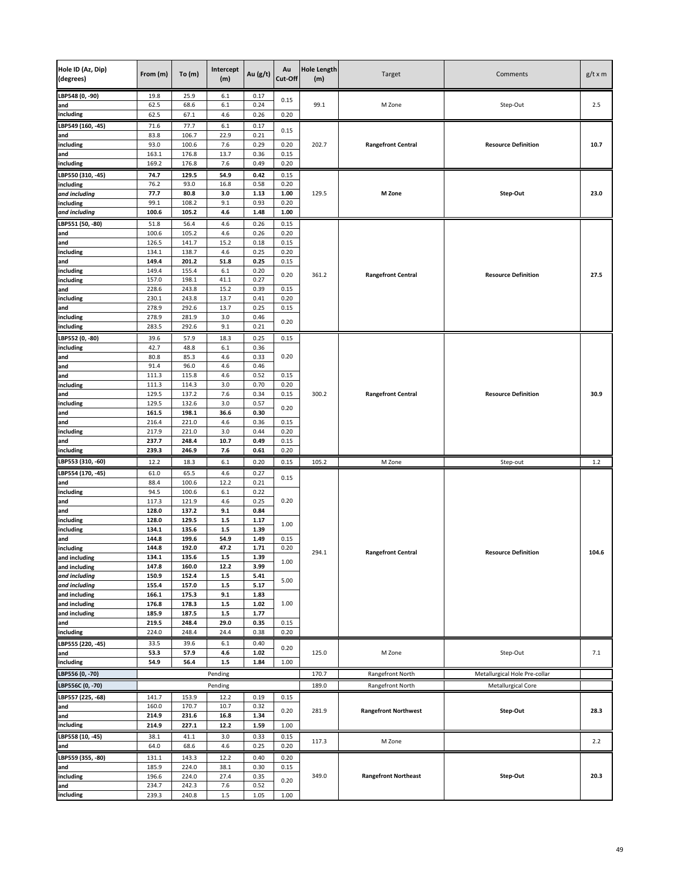| Hole ID (Az, Dip)<br>(degrees) | From (m)       | To (m)         | Intercept<br>(m) | Au (g/t)     | Au<br>Cut-Off | <b>Hole Length</b><br>(m) | Target                      | Comments                      | $g/t \times m$ |
|--------------------------------|----------------|----------------|------------------|--------------|---------------|---------------------------|-----------------------------|-------------------------------|----------------|
| LBP548 (0, -90)<br>and         | 19.8<br>62.5   | 25.9<br>68.6   | 6.1<br>6.1       | 0.17<br>0.24 | 0.15          | 99.1                      | M Zone                      | Step-Out                      | 2.5            |
| including                      | 62.5           | 67.1           | 4.6              | 0.26         | 0.20          |                           |                             |                               |                |
| LBP549 (160, -45)              | 71.6           | 77.7           | 6.1              | 0.17         | 0.15          |                           |                             |                               | 10.7           |
| and                            | 83.8           | 106.7          | 22.9             | 0.21         |               |                           |                             |                               |                |
| including<br>and               | 93.0<br>163.1  | 100.6<br>176.8 | 7.6<br>13.7      | 0.29<br>0.36 | 0.20<br>0.15  | 202.7                     | <b>Rangefront Central</b>   | <b>Resource Definition</b>    |                |
| including                      | 169.2          | 176.8          | 7.6              | 0.49         | 0.20          |                           |                             |                               |                |
| LBP550 (310, -45)              | 74.7           | 129.5          | 54.9             | 0.42         | 0.15          |                           |                             |                               |                |
| including                      | 76.2           | 93.0           | 16.8             | 0.58         | 0.20          |                           |                             |                               | 23.0           |
| and including                  | 77.7           | 80.8           | 3.0              | 1.13         | 1.00          | 129.5                     | M Zone                      | Step-Out                      |                |
| including                      | 99.1           | 108.2          | 9.1              | 0.93         | 0.20          |                           |                             |                               |                |
| and including                  | 100.6          | 105.2          | 4.6              | 1.48         | 1.00          |                           |                             |                               |                |
| LBP551 (50, -80)               | 51.8           | 56.4           | 4.6              | 0.26         | 0.15          |                           |                             |                               |                |
| and                            | 100.6          | 105.2          | 4.6              | 0.26         | 0.20          |                           |                             |                               |                |
| and<br>including               | 126.5<br>134.1 | 141.7<br>138.7 | 15.2<br>4.6      | 0.18<br>0.25 | 0.15<br>0.20  |                           |                             |                               |                |
| and                            | 149.4          | 201.2          | 51.8             | 0.25         | 0.15          |                           |                             |                               |                |
| including                      | 149.4          | 155.4          | 6.1              | 0.20         |               |                           |                             |                               |                |
| including                      | 157.0          | 198.1          | 41.1             | 0.27         | 0.20          | 361.2                     | <b>Rangefront Central</b>   | <b>Resource Definition</b>    | 27.5           |
| and                            | 228.6          | 243.8          | 15.2             | 0.39         | 0.15          |                           |                             |                               |                |
| including                      | 230.1          | 243.8          | 13.7             | 0.41         | 0.20          |                           |                             |                               |                |
| and                            | 278.9          | 292.6          | 13.7             | 0.25         | 0.15          |                           |                             |                               |                |
| including                      | 278.9<br>283.5 | 281.9<br>292.6 | 3.0<br>9.1       | 0.46<br>0.21 | 0.20          |                           |                             |                               |                |
| including                      | 39.6           | 57.9           | 18.3             | 0.25         | 0.15          |                           |                             |                               |                |
| LBP552 (0, -80)<br>including   | 42.7           | 48.8           | 6.1              | 0.36         |               |                           |                             |                               |                |
| and                            | 80.8           | 85.3           | 4.6              | 0.33         | 0.20          |                           |                             |                               | 30.9           |
| and                            | 91.4           | 96.0           | 4.6              | 0.46         |               |                           |                             |                               |                |
| and                            | 111.3          | 115.8          | 4.6              | 0.52         | 0.15          |                           |                             |                               |                |
| including                      | 111.3          | 114.3          | 3.0              | 0.70         | 0.20          |                           |                             |                               |                |
| and                            | 129.5          | 137.2          | 7.6              | 0.34         | 0.15          | 300.2                     | <b>Rangefront Central</b>   | <b>Resource Definition</b>    |                |
| including                      | 129.5          | 132.6          | 3.0              | 0.57         | 0.20          |                           |                             |                               |                |
| and<br>and                     | 161.5<br>216.4 | 198.1<br>221.0 | 36.6<br>4.6      | 0.30<br>0.36 | 0.15<br>0.20  |                           |                             |                               |                |
| including                      | 217.9          | 221.0          | 3.0              | 0.44         |               |                           |                             |                               |                |
| and                            | 237.7          | 248.4          | 10.7             | 0.49         | 0.15          |                           |                             |                               |                |
| including                      | 239.3          | 246.9          | 7.6              | 0.61         | 0.20          |                           |                             |                               |                |
| LBP553 (310, -60)              | 12.2           | 18.3           | $6.1\,$          | 0.20         | 0.15          | 105.2                     | M Zone                      | Step-out                      | $1.2$          |
| LBP554 (170, -45)              | 61.0           | 65.5           | 4.6              | 0.27         | 0.15          |                           |                             |                               |                |
| and                            | 88.4           | 100.6          | 12.2             | 0.21         |               |                           |                             |                               |                |
| including                      | 94.5<br>117.3  | 100.6<br>121.9 | $6.1\,$<br>4.6   | 0.22<br>0.25 | 0.20          |                           |                             |                               |                |
| and<br>and                     | 128.0          | 137.2          | 9.1              | 0.84         |               |                           |                             |                               |                |
| including                      | 128.0          | 129.5          | $1.5\,$          | 1.17         |               |                           |                             |                               |                |
| including                      | 134.1          | 135.6          | $1.5$            | 1.39         | 1.00          |                           |                             |                               |                |
| and                            | 144.8          | 199.6          | 54.9             | 1.49         | 0.15          |                           |                             |                               | 104.6          |
| including                      | 144.8          | 192.0          | 47.2             | 1.71         | 0.20          | 294.1                     | <b>Rangefront Central</b>   | <b>Resource Definition</b>    |                |
| and including                  | 134.1          | 135.6          | 1.5              | 1.39         | 1.00          |                           |                             |                               |                |
| and including<br>and including | 147.8<br>150.9 | 160.0<br>152.4 | 12.2<br>$1.5\,$  | 3.99<br>5.41 |               |                           |                             |                               |                |
| and including                  | 155.4          | 157.0          | $1.5$            | 5.17         | 5.00          |                           |                             |                               |                |
| and including                  | 166.1          | 175.3          | 9.1              | 1.83         |               |                           |                             |                               |                |
| and including                  | 176.8          | 178.3          | $1.5\,$          | 1.02         | 1.00          |                           |                             |                               |                |
| and including                  | 185.9          | 187.5          | $1.5\,$          | 1.77         |               |                           |                             |                               |                |
| and                            | 219.5          | 248.4          | 29.0             | 0.35         | 0.15          |                           |                             |                               |                |
| including                      | 224.0          | 248.4          | 24.4             | 0.38         | 0.20          |                           |                             |                               |                |
| LBP555 (220, -45)              | 33.5           | 39.6<br>57.9   | $6.1\,$<br>4.6   | 0.40<br>1.02 | 0.20          | 125.0                     |                             |                               | 7.1            |
| and<br>including               | 53.3<br>54.9   | 56.4           | $1.5\,$          | 1.84         | 1.00          |                           | M Zone                      | Step-Out                      |                |
| LBP556 (0, -70)                |                |                | Pending          |              |               | 170.7                     | Rangefront North            | Metallurgical Hole Pre-collar |                |
| LBP556C (0, -70)               |                |                | Pending          |              |               | 189.0                     | Rangefront North            | Metallurgical Core            |                |
|                                | 141.7          | 153.9          | 12.2             | 0.19         | 0.15          |                           |                             |                               |                |
| LBP557 (225, -68)<br>and       | 160.0          | 170.7          | 10.7             | 0.32         |               |                           |                             |                               |                |
| and                            | 214.9          | 231.6          | 16.8             | 1.34         | 0.20          | 281.9                     | <b>Rangefront Northwest</b> | Step-Out                      | 28.3           |
| including                      | 214.9          | 227.1          | 12.2             | 1.59         | 1.00          |                           |                             |                               |                |
| LBP558 (10, -45)               | 38.1           | 41.1           | 3.0              | 0.33         | 0.15          |                           |                             |                               |                |
| and                            | 64.0           | 68.6           | 4.6              | 0.25         | 0.20          | 117.3                     | M Zone                      |                               | 2.2            |
| LBP559 (355, -80)              | 131.1          | 143.3          | 12.2             | 0.40         | 0.20          |                           |                             |                               |                |
| and                            | 185.9          | 224.0          | 38.1             | 0.30         | 0.15          |                           |                             |                               |                |
| including                      | 196.6          | 224.0          | 27.4             | 0.35         | 0.20          | 349.0                     | <b>Rangefront Northeast</b> | Step-Out                      | 20.3           |
| and                            | 234.7          | 242.3          | 7.6              | 0.52         |               |                           |                             |                               |                |
| including                      | 239.3          | 240.8          | 1.5              | 1.05         | 1.00          |                           |                             |                               |                |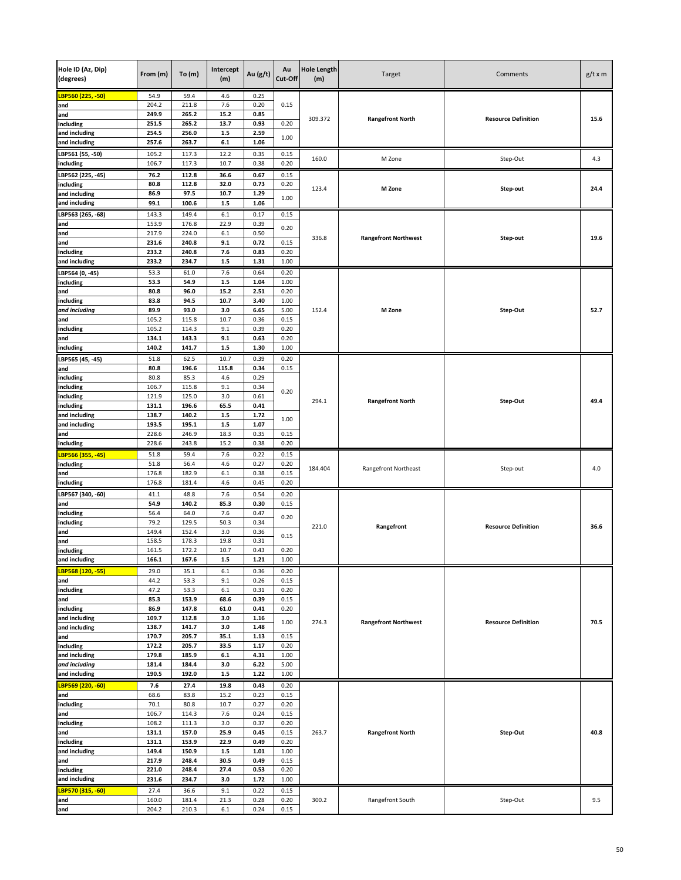| Hole ID (Az, Dip)<br>(degrees) | From (m)       | To(m)          | Intercept<br>(m) | Au $(g/t)$   | Au<br>Cut-Off        | <b>Hole Length</b><br>(m) | Target                      | Comments                   | $g/t \times m$ |
|--------------------------------|----------------|----------------|------------------|--------------|----------------------|---------------------------|-----------------------------|----------------------------|----------------|
| <mark>LBP560 (225, -50)</mark> | 54.9           | 59.4           | 4.6              | 0.25         |                      |                           |                             |                            |                |
| and                            | 204.2          | 211.8          | 7.6              | 0.20         | 0.15<br>0.85<br>0.20 |                           |                             |                            | 15.6           |
| and<br>including               | 249.9<br>251.5 | 265.2<br>265.2 | 15.2<br>13.7     | 0.93         |                      | 309.372                   | <b>Rangefront North</b>     | <b>Resource Definition</b> |                |
| and including                  | 254.5          | 256.0          | $1.5$            | 2.59         |                      |                           |                             |                            |                |
| and including                  | 257.6          | 263.7          | $6.1\,$          | 1.06         | 1.00                 |                           |                             |                            |                |
| LBP561 (55, -50)               | 105.2          | 117.3          | 12.2             | 0.35         | 0.15                 | 160.0                     |                             |                            |                |
| including                      | 106.7          | 117.3          | 10.7             | 0.38         | 0.20                 |                           | M Zone                      | Step-Out                   | 4.3            |
| LBP562 (225, -45)              | 76.2           | 112.8          | 36.6             | 0.67         | 0.15                 |                           |                             |                            |                |
| including                      | 80.8           | 112.8          | 32.0             | 0.73         | 0.20<br>1.00         | 123.4                     | M Zone                      | Step-out                   | 24.4           |
| and including<br>and including | 86.9<br>99.1   | 97.5<br>100.6  | 10.7<br>$1.5$    | 1.29<br>1.06 |                      |                           |                             |                            |                |
|                                | 143.3          |                |                  | 0.17         | 0.15                 |                           |                             |                            |                |
| LBP563 (265, -68)<br>and       | 153.9          | 149.4<br>176.8 | 6.1<br>22.9      | 0.39         | 0.20                 |                           |                             |                            |                |
| and                            | 217.9          | 224.0          | 6.1              | 0.50         |                      |                           |                             |                            |                |
| and                            | 231.6          | 240.8          | 9.1              | 0.72         | 0.15                 | 336.8                     | <b>Rangefront Northwest</b> | Step-out                   | 19.6           |
| including                      | 233.2          | 240.8          | 7.6              | 0.83         | 0.20                 |                           |                             |                            |                |
| and including                  | 233.2          | 234.7          | $1.5$            | 1.31         | 1.00                 |                           |                             |                            |                |
| LBP564 (0, -45)                | 53.3           | 61.0           | 7.6              | 0.64         | 0.20                 |                           |                             |                            |                |
| including<br>and               | 53.3<br>80.8   | 54.9<br>96.0   | $1.5\,$<br>15.2  | 1.04<br>2.51 | 1.00<br>0.20         |                           |                             |                            |                |
| including                      | 83.8           | 94.5           | 10.7             | 3.40         | 1.00                 |                           |                             |                            |                |
| and including                  | 89.9           | 93.0           | 3.0              | 6.65         | 5.00                 | 152.4                     | M Zone                      | Step-Out                   | 52.7           |
| and                            | 105.2          | 115.8          | 10.7             | 0.36         | 0.15                 |                           |                             |                            |                |
| including                      | 105.2<br>134.1 | 114.3          | 9.1<br>9.1       | 0.39<br>0.63 | 0.20                 |                           |                             |                            |                |
| and<br>including               | 140.2          | 143.3<br>141.7 | $1.5\,$          | 1.30         | 0.20<br>1.00         |                           |                             |                            |                |
| LBP565 (45, -45)               | 51.8           | 62.5           | 10.7             | 0.39         | 0.20                 |                           |                             |                            |                |
| and                            | 80.8           | 196.6          | 115.8            | 0.34         | 0.15                 |                           | <b>Rangefront North</b>     |                            |                |
| including                      | 80.8           | 85.3           | 4.6              | 0.29         |                      |                           |                             |                            |                |
| including                      | 106.7          | 115.8          | 9.1              | 0.34         | 0.20                 |                           |                             |                            |                |
| including                      | 121.9<br>131.1 | 125.0<br>196.6 | 3.0<br>65.5      | 0.61<br>0.41 | 1.00                 | 294.1                     |                             | Step-Out                   | 49.4           |
| including<br>and including     | 138.7          | 140.2          | $1.5$            | 1.72         |                      |                           |                             |                            |                |
| and including                  | 193.5          | 195.1          | $1.5\,$          | 1.07         |                      |                           |                             |                            |                |
| and                            | 228.6          | 246.9          | 18.3             | 0.35         | 0.15                 |                           |                             |                            |                |
| including                      | 228.6          | 243.8          | 15.2             | 0.38         | 0.20                 |                           |                             |                            |                |
| LBP566 (355, -45)              | 51.8           | 59.4           | 7.6              | 0.22         | 0.15                 |                           |                             |                            |                |
| including                      | 51.8<br>176.8  | 56.4<br>182.9  | 4.6<br>6.1       | 0.27<br>0.38 | 0.20<br>0.15         | 184.404                   | Rangefront Northeast        | Step-out                   | 4.0            |
| and<br>including               | 176.8          | 181.4          | 4.6              | 0.45         | 0.20                 |                           |                             |                            |                |
| LBP567 (340, -60)              | 41.1           | 48.8           | 7.6              | 0.54         | 0.20                 |                           |                             |                            |                |
| and                            | 54.9           | 140.2          | 85.3             | 0.30         | 0.15                 |                           |                             |                            | 36.6           |
| including                      | 56.4           | 64.0           | 7.6              | 0.47         | 0.20                 |                           |                             |                            |                |
| including                      | 79.2           | 129.5          | 50.3             | 0.34         |                      | 221.0                     | Rangefront                  | <b>Resource Definition</b> |                |
| and<br>and                     | 149.4<br>158.5 | 152.4<br>178.3 | 3.0<br>19.8      | 0.36<br>0.31 | 0.15                 |                           |                             |                            |                |
| including                      | 161.5          | 172.2          | 10.7             | 0.43         | 0.20                 |                           |                             |                            |                |
| and including                  | 166.1          | 167.6          | $1.5$            | 1.21         | 1.00                 |                           |                             |                            |                |
| LBP568 (120, -55)              | 29.0           | 35.1           | 6.1              | 0.36         | 0.20                 |                           |                             |                            |                |
| and                            | 44.2           | 53.3           | 9.1              | 0.26         | 0.15                 |                           |                             |                            |                |
| including                      | 47.2           | 53.3           | 6.1              | 0.31         | 0.20                 |                           |                             |                            |                |
| and<br>including               | 85.3<br>86.9   | 153.9<br>147.8 | 68.6<br>61.0     | 0.39<br>0.41 | 0.15<br>0.20         |                           |                             |                            |                |
| and including                  | 109.7          | 112.8          | 3.0              | 1.16         |                      |                           |                             |                            |                |
| and including                  | 138.7          | 141.7          | 3.0              | 1.48         | 1.00                 | 274.3                     | <b>Rangefront Northwest</b> | <b>Resource Definition</b> | 70.5           |
| and                            | 170.7          | 205.7          | 35.1             | 1.13         | 0.15                 |                           |                             |                            |                |
| including                      | 172.2          | 205.7          | 33.5             | 1.17         | 0.20                 |                           |                             |                            |                |
| and including<br>and including | 179.8<br>181.4 | 185.9<br>184.4 | $6.1\,$<br>3.0   | 4.31<br>6.22 | 1.00<br>5.00         |                           |                             |                            |                |
| and including                  | 190.5          | 192.0          | $1.5\,$          | 1.22         | 1.00                 |                           |                             |                            |                |
| LBP569 (220, -60)              | 7.6            | 27.4           | 19.8             | 0.43         | 0.20                 |                           |                             |                            |                |
| and                            | 68.6           | 83.8           | 15.2             | 0.23         | 0.15                 |                           |                             |                            |                |
| including                      | 70.1           | 80.8           | 10.7             | 0.27         | 0.20                 |                           |                             |                            |                |
| and                            | 106.7          | 114.3          | 7.6              | 0.24         | 0.15                 |                           |                             |                            |                |
| including<br>and               | 108.2<br>131.1 | 111.3<br>157.0 | 3.0<br>25.9      | 0.37<br>0.45 | 0.20<br>0.15         | 263.7                     | <b>Rangefront North</b>     | Step-Out                   | 40.8           |
| including                      | 131.1          | 153.9          | 22.9             | 0.49         | 0.20                 |                           |                             |                            |                |
| and including                  | 149.4          | 150.9          | $1.5\,$          | 1.01         | 1.00                 |                           |                             |                            |                |
| and                            | 217.9          | 248.4          | 30.5             | 0.49         | 0.15                 |                           |                             |                            |                |
| including                      | 221.0          | 248.4          | 27.4             | 0.53         | 0.20                 |                           |                             |                            |                |
| and including                  | 231.6          | 234.7          | 3.0              | 1.72         | 1.00                 |                           |                             |                            |                |
| LBP570 (315, -60)<br>and       | 27.4<br>160.0  | 36.6<br>181.4  | 9.1<br>21.3      | 0.22<br>0.28 | 0.15<br>0.20         | 300.2                     | Rangefront South            | Step-Out                   | 9.5            |
| and                            | 204.2          | 210.3          | $6.1\,$          | 0.24         | 0.15                 |                           |                             |                            |                |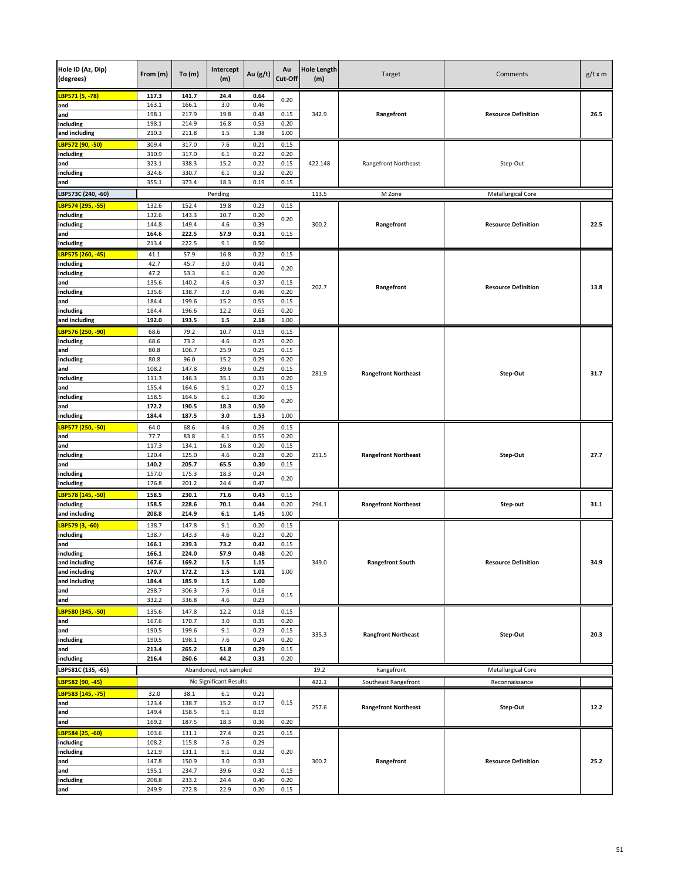| Hole ID (Az, Dip)<br>(degrees) | From (m)       | To(m)          | Intercept<br>(m)       | Au (g/t)     | Au<br>Cut-Off | <b>Hole Length</b><br>(m) | Target                      | Comments                   | $g/t \times m$ |
|--------------------------------|----------------|----------------|------------------------|--------------|---------------|---------------------------|-----------------------------|----------------------------|----------------|
| LBP571 (5, -78)                | 117.3          | 141.7          | 24.4                   | 0.64         | 0.20          |                           |                             |                            |                |
| and                            | 163.1          | 166.1          | 3.0                    | 0.46         |               |                           |                             | <b>Resource Definition</b> | 26.5           |
| and<br>including               | 198.1<br>198.1 | 217.9<br>214.9 | 19.8<br>16.8           | 0.48<br>0.53 | 0.15<br>0.20  | 342.9                     | Rangefront                  |                            |                |
| and including                  | 210.3          | 211.8          | $1.5\,$                | 1.38         | 1.00          |                           |                             |                            |                |
| LBP572 (90, -50)               | 309.4          | 317.0          | 7.6                    | 0.21         | 0.15          |                           |                             |                            |                |
| including                      | 310.9          | 317.0          | 6.1                    | 0.22         | 0.20          |                           |                             |                            |                |
| and                            | 323.1          | 338.3          | 15.2                   | 0.22         | 0.15          | 422.148                   | Rangefront Northeast        | Step-Out                   |                |
| including                      | 324.6          | 330.7          | 6.1                    | 0.32         | 0.20          |                           |                             |                            |                |
| and                            | 355.1          | 373.4          | 18.3                   | 0.19         | 0.15          |                           |                             |                            |                |
| LBP573C (240, -60)             |                |                | Pending                |              |               | 113.5                     | M Zone                      | Metallurgical Core         |                |
| LBP574 (295, -55)              | 132.6          | 152.4          | 19.8                   | 0.23         | 0.15          |                           |                             |                            |                |
| including<br>including         | 132.6<br>144.8 | 143.3<br>149.4 | 10.7<br>4.6            | 0.20<br>0.39 | 0.20          | 300.2                     | Rangefront                  | <b>Resource Definition</b> | 22.5           |
| and                            | 164.6          | 222.5          | 57.9                   | 0.31         | 0.15          |                           |                             |                            |                |
| including                      | 213.4          | 222.5          | 9.1                    | 0.50         |               |                           |                             |                            |                |
| LBP575 (260, -45)              | 41.1           | 57.9           | 16.8                   | 0.22         | 0.15          |                           |                             |                            |                |
| including                      | 42.7           | 45.7           | 3.0                    | 0.41         | 0.20          |                           |                             |                            |                |
| including                      | 47.2           | 53.3           | $6.1\,$                | 0.20         |               |                           |                             |                            |                |
| and<br>including               | 135.6<br>135.6 | 140.2<br>138.7 | 4.6<br>3.0             | 0.37<br>0.46 | 0.15<br>0.20  | 202.7                     | Rangefront                  | <b>Resource Definition</b> | 13.8           |
| and                            | 184.4          | 199.6          | 15.2                   | 0.55         | 0.15          |                           |                             |                            |                |
| including                      | 184.4          | 196.6          | 12.2                   | 0.65         | 0.20          |                           |                             |                            |                |
| and including                  | 192.0          | 193.5          | $1.5\,$                | 2.18         | 1.00          |                           |                             |                            |                |
| LBP576 (250, -90)              | 68.6           | 79.2           | 10.7                   | 0.19         | 0.15          |                           |                             |                            |                |
| including                      | 68.6           | 73.2           | 4.6                    | 0.25         | 0.20          |                           | <b>Rangefront Northeast</b> |                            | 31.7           |
| and<br>including               | 80.8<br>80.8   | 106.7<br>96.0  | 25.9<br>15.2           | 0.25<br>0.29 | 0.15<br>0.20  |                           |                             |                            |                |
| and                            | 108.2          | 147.8          | 39.6                   | 0.29         | 0.15          |                           |                             |                            |                |
| including                      | 111.3          | 146.3          | 35.1                   | 0.31         | 0.20          | 281.9                     |                             | Step-Out                   |                |
| and                            | 155.4          | 164.6          | 9.1                    | 0.27         | 0.15          |                           |                             |                            |                |
| including                      | 158.5          | 164.6          | 6.1                    | 0.30         | 0.20          |                           |                             |                            |                |
| and                            | 172.2          | 190.5          | 18.3                   | 0.50         |               |                           |                             |                            |                |
| including                      | 184.4          | 187.5          | 3.0                    | 1.53         | 1.00          |                           |                             |                            |                |
| LBP577 (250, -50)<br>and       | 64.0<br>77.7   | 68.6<br>83.8   | 4.6<br>6.1             | 0.26<br>0.55 | 0.15<br>0.20  |                           |                             |                            |                |
| and                            | 117.3          | 134.1          | 16.8                   | 0.20         | 0.15          |                           | <b>Rangefront Northeast</b> |                            | 27.7           |
| including                      | 120.4          | 125.0          | 4.6                    | 0.28         | 0.20          | 251.5                     |                             | Step-Out                   |                |
| and                            | 140.2          | 205.7          | 65.5                   | 0.30         | 0.15          |                           |                             |                            |                |
| including                      | 157.0          | 175.3<br>201.2 | 18.3<br>24.4           | 0.24<br>0.47 | 0.20          |                           |                             |                            |                |
| including                      | 176.8          |                |                        |              |               |                           |                             |                            |                |
| LBP578 (145, -50)<br>including | 158.5<br>158.5 | 230.1<br>228.6 | 71.6<br>70.1           | 0.43<br>0.44 | 0.15<br>0.20  | 294.1                     | <b>Rangefront Northeast</b> | Step-out                   | 31.1           |
| and including                  | 208.8          | 214.9          | $6.1\,$                | 1.45         | 1.00          |                           |                             |                            |                |
| LBP579 (3, -60)                | 138.7          | 147.8          | 9.1                    | 0.20         | 0.15          |                           |                             |                            |                |
| including                      | 138.7          | 143.3          | 4.6                    | 0.23         | 0.20          |                           |                             |                            |                |
| and                            | 166.1          | 239.3          | 73.2                   | 0.42         | 0.15          |                           |                             |                            |                |
| including                      | 166.1          | 224.0          | 57.9                   | 0.48         | 0.20          |                           |                             |                            |                |
| and including<br>and including | 167.6<br>170.7 | 169.2<br>172.2 | $1.5$<br>$1.5$         | 1.15<br>1.01 | 1.00          | 349.0                     | <b>Rangefront South</b>     | <b>Resource Definition</b> | 34.9           |
| and including                  | 184.4          | 185.9          | $1.5\,$                | 1.00         |               |                           |                             |                            |                |
| and                            | 298.7          | 306.3          | 7.6                    | 0.16         |               |                           |                             |                            |                |
| and                            | 332.2          | 336.8          | 4.6                    | 0.23         | 0.15          |                           |                             |                            |                |
| LBP580 (345, -50)              | 135.6          | 147.8          | 12.2                   | 0.18         | 0.15          |                           |                             |                            |                |
| and                            | 167.6          | 170.7          | 3.0                    | 0.35         | 0.20          |                           |                             |                            |                |
| and<br>including               | 190.5<br>190.5 | 199.6<br>198.1 | 9.1<br>7.6             | 0.23<br>0.24 | 0.15<br>0.20  | 335.3                     | <b>Rangfront Northeast</b>  | Step-Out                   | 20.3           |
| and                            | 213.4          | 265.2          | 51.8                   | 0.29         | 0.15          |                           |                             |                            |                |
| including                      | 216.4          | 260.6          | 44.2                   | 0.31         | 0.20          |                           |                             |                            |                |
| LBP581C (135, -65)             |                |                | Abandoned, not sampled |              |               | 19.2                      | Rangefront                  | <b>Metallurgical Core</b>  |                |
| LBP582 (90, -45)               |                |                | No Significant Results |              |               | 422.1                     | Southeast Rangefront        | Reconnaissance             |                |
| LBP583 (145, -75)              | 32.0           | 38.1           | 6.1                    | 0.21         |               |                           |                             |                            |                |
| and                            | 123.4          | 138.7          | 15.2                   | 0.17         | 0.15          | 257.6                     | <b>Rangefront Northeast</b> | Step-Out                   | 12.2           |
| and                            | 149.4          | 158.5          | 9.1                    | 0.19         |               |                           |                             |                            |                |
| and                            | 169.2          | 187.5          | 18.3                   | 0.36         | 0.20          |                           |                             |                            |                |
| LBP584 (25, -60)               | 103.6          | 131.1          | 27.4                   | 0.25         | 0.15          |                           |                             |                            |                |
| including<br>including         | 108.2<br>121.9 | 115.8<br>131.1 | 7.6<br>9.1             | 0.29<br>0.32 | 0.20          |                           |                             |                            |                |
| and                            | 147.8          | 150.9          | 3.0                    | 0.33         |               | 300.2                     | Rangefront                  | <b>Resource Definition</b> | 25.2           |
| and                            | 195.1          | 234.7          | 39.6                   | 0.32         | 0.15          |                           |                             |                            |                |
| including                      | 208.8          | 233.2          | 24.4                   | 0.40         | 0.20          |                           |                             |                            |                |
| and                            | 249.9          | 272.8          | 22.9                   | 0.20         | 0.15          |                           |                             |                            |                |